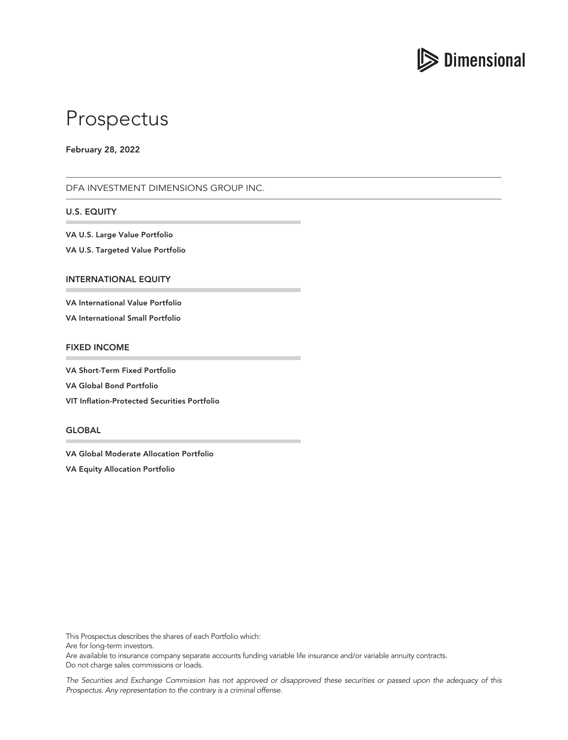

# Prospectus

February 28, 2022

DFA INVESTMENT DIMENSIONS GROUP INC.

U.S. EQUITY

VA U.S. Large Value Portfolio

VA U.S. Targeted Value Portfolio

#### INTERNATIONAL EQUITY

VA International Value Portfolio

VA International Small Portfolio

#### FIXED INCOME

VA Short-Term Fixed Portfolio

VA Global Bond Portfolio

VIT Inflation-Protected Securities Portfolio

#### **GLOBAL**

VA Global Moderate Allocation Portfolio

VA Equity Allocation Portfolio

This Prospectus describes the shares of each Portfolio which:

Are for long-term investors.

Are available to insurance company separate accounts funding variable life insurance and/or variable annuity contracts. Do not charge sales commissions or loads.

*The Securities and Exchange Commission has not approved or disapproved these securities or passed upon the adequacy of this Prospectus. Any representation to the contrary is a criminal offense.*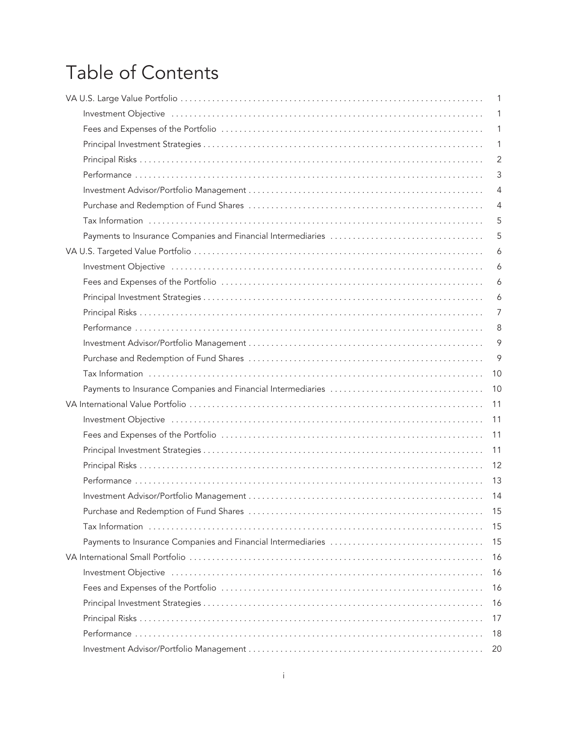# Table of Contents

|                                                                                                                                                                                                                                | 1              |
|--------------------------------------------------------------------------------------------------------------------------------------------------------------------------------------------------------------------------------|----------------|
|                                                                                                                                                                                                                                | 1              |
|                                                                                                                                                                                                                                | 1              |
|                                                                                                                                                                                                                                | 1              |
|                                                                                                                                                                                                                                | $\overline{2}$ |
|                                                                                                                                                                                                                                | 3              |
|                                                                                                                                                                                                                                | 4              |
|                                                                                                                                                                                                                                | 4              |
|                                                                                                                                                                                                                                | 5              |
|                                                                                                                                                                                                                                | 5              |
|                                                                                                                                                                                                                                | 6              |
|                                                                                                                                                                                                                                | 6              |
|                                                                                                                                                                                                                                | 6              |
|                                                                                                                                                                                                                                | 6              |
|                                                                                                                                                                                                                                | 7              |
|                                                                                                                                                                                                                                | 8              |
|                                                                                                                                                                                                                                | 9              |
|                                                                                                                                                                                                                                | 9              |
|                                                                                                                                                                                                                                | 10             |
|                                                                                                                                                                                                                                | 10             |
|                                                                                                                                                                                                                                | 11             |
|                                                                                                                                                                                                                                | 11             |
|                                                                                                                                                                                                                                | 11             |
|                                                                                                                                                                                                                                | 11             |
|                                                                                                                                                                                                                                | 12             |
|                                                                                                                                                                                                                                | 13             |
|                                                                                                                                                                                                                                | 14             |
|                                                                                                                                                                                                                                | 15             |
|                                                                                                                                                                                                                                | 15             |
|                                                                                                                                                                                                                                | 15             |
|                                                                                                                                                                                                                                | 16             |
| Investment Objective (and according to the control of the control of the control of the control of the control of the control of the control of the control of the control of the control of the control of the control of the | 16             |
|                                                                                                                                                                                                                                | 16             |
|                                                                                                                                                                                                                                | 16             |
|                                                                                                                                                                                                                                | 17             |
|                                                                                                                                                                                                                                | 18             |
|                                                                                                                                                                                                                                | 20             |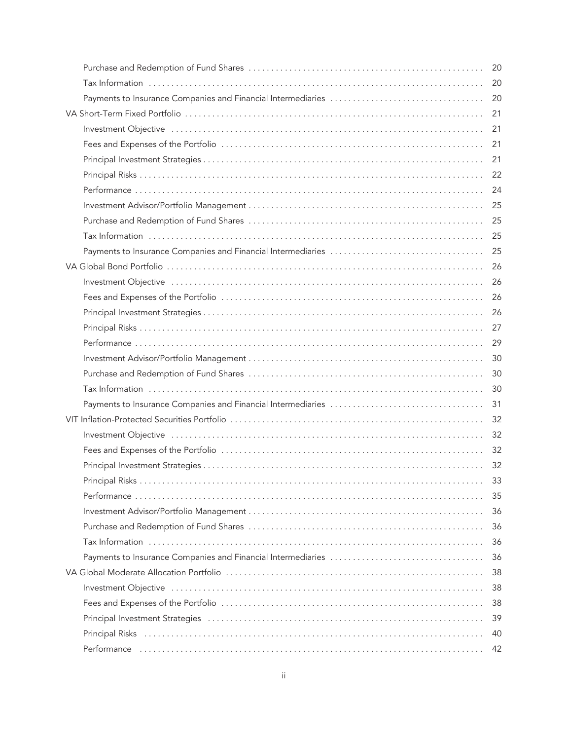|                                                                                                                | 20 |
|----------------------------------------------------------------------------------------------------------------|----|
|                                                                                                                | 20 |
|                                                                                                                | 20 |
|                                                                                                                | 21 |
|                                                                                                                | 21 |
|                                                                                                                | 21 |
|                                                                                                                | 21 |
|                                                                                                                | 22 |
|                                                                                                                | 24 |
|                                                                                                                | 25 |
|                                                                                                                | 25 |
|                                                                                                                | 25 |
|                                                                                                                | 25 |
|                                                                                                                | 26 |
|                                                                                                                | 26 |
|                                                                                                                | 26 |
|                                                                                                                | 26 |
|                                                                                                                | 27 |
|                                                                                                                | 29 |
|                                                                                                                | 30 |
|                                                                                                                | 30 |
|                                                                                                                | 30 |
|                                                                                                                | 31 |
|                                                                                                                | 32 |
|                                                                                                                | 32 |
|                                                                                                                | 32 |
|                                                                                                                | 32 |
|                                                                                                                |    |
|                                                                                                                | 35 |
|                                                                                                                | 36 |
|                                                                                                                | 36 |
|                                                                                                                | 36 |
|                                                                                                                | 36 |
|                                                                                                                | 38 |
|                                                                                                                | 38 |
|                                                                                                                | 38 |
|                                                                                                                | 39 |
| Principal Risks (and according to the control of the control of the control of the control of the control of t | 40 |
|                                                                                                                | 42 |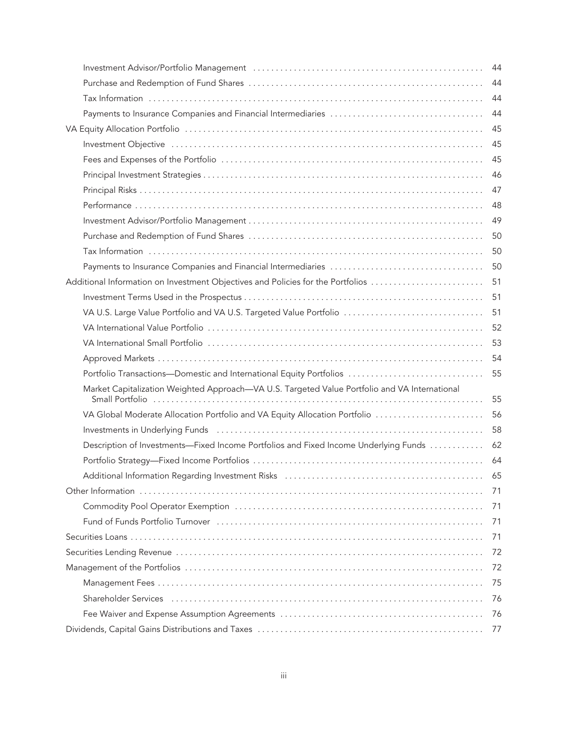|                                                                                                                                                                                                                                | 44 |
|--------------------------------------------------------------------------------------------------------------------------------------------------------------------------------------------------------------------------------|----|
|                                                                                                                                                                                                                                | 44 |
|                                                                                                                                                                                                                                | 44 |
|                                                                                                                                                                                                                                | 44 |
|                                                                                                                                                                                                                                | 45 |
|                                                                                                                                                                                                                                | 45 |
|                                                                                                                                                                                                                                | 45 |
|                                                                                                                                                                                                                                | 46 |
|                                                                                                                                                                                                                                | 47 |
|                                                                                                                                                                                                                                | 48 |
|                                                                                                                                                                                                                                | 49 |
|                                                                                                                                                                                                                                | 50 |
|                                                                                                                                                                                                                                | 50 |
|                                                                                                                                                                                                                                | 50 |
| Additional Information on Investment Objectives and Policies for the Portfolios                                                                                                                                                | 51 |
|                                                                                                                                                                                                                                | 51 |
| VA U.S. Large Value Portfolio and VA U.S. Targeted Value Portfolio                                                                                                                                                             | 51 |
|                                                                                                                                                                                                                                | 52 |
|                                                                                                                                                                                                                                | 53 |
|                                                                                                                                                                                                                                | 54 |
| Portfolio Transactions—Domestic and International Equity Portfolios                                                                                                                                                            | 55 |
| Market Capitalization Weighted Approach-VA U.S. Targeted Value Portfolio and VA International                                                                                                                                  | 55 |
| VA Global Moderate Allocation Portfolio and VA Equity Allocation Portfolio                                                                                                                                                     | 56 |
| Investments in Underlying Funds (and the contract of the contract of the contract of the contract of the control of the contract of the contract of the contract of the contract of the contract of the contract of the contra | 58 |
| Description of Investments—Fixed Income Portfolios and Fixed Income Underlying Funds                                                                                                                                           | 62 |
|                                                                                                                                                                                                                                |    |
|                                                                                                                                                                                                                                |    |
|                                                                                                                                                                                                                                | 71 |
|                                                                                                                                                                                                                                | 71 |
| Fund of Funds Portfolio Turnover (and according contract and according of Funds Portfolio Turnover (and according to the United States of Turnover 300 and 500 minutes of the United States of Turnover 300 minutes of the Uni | 71 |
|                                                                                                                                                                                                                                | 71 |
|                                                                                                                                                                                                                                | 72 |
|                                                                                                                                                                                                                                | 72 |
|                                                                                                                                                                                                                                | 75 |
| Shareholder Services (and according to the control of the state of the state of the state of the state of the s                                                                                                                | 76 |
|                                                                                                                                                                                                                                | 76 |
|                                                                                                                                                                                                                                |    |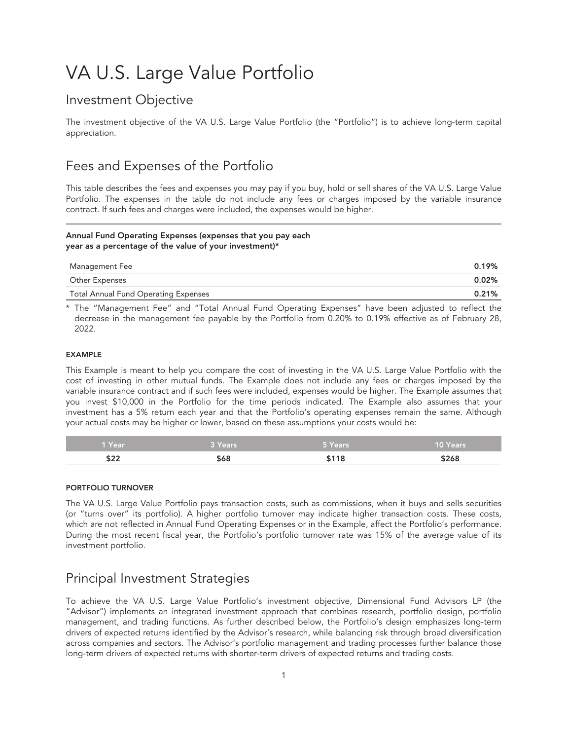# <span id="page-6-0"></span>VA U.S. Large Value Portfolio

## <span id="page-6-1"></span>Investment Objective

The investment objective of the VA U.S. Large Value Portfolio (the "Portfolio") is to achieve long-term capital appreciation.

# <span id="page-6-2"></span>Fees and Expenses of the Portfolio

This table describes the fees and expenses you may pay if you buy, hold or sell shares of the VA U.S. Large Value Portfolio. The expenses in the table do not include any fees or charges imposed by the variable insurance contract. If such fees and charges were included, the expenses would be higher.

#### Annual Fund Operating Expenses (expenses that you pay each year as a percentage of the value of your investment)\*

| Management Fee                       | 0.19% |
|--------------------------------------|-------|
| Other Expenses                       | 0.02% |
| Total Annual Fund Operating Expenses | 0.21% |

\* The "Management Fee" and "Total Annual Fund Operating Expenses" have been adjusted to reflect the decrease in the management fee payable by the Portfolio from 0.20% to 0.19% effective as of February 28, 2022.

#### EXAMPLE

This Example is meant to help you compare the cost of investing in the VA U.S. Large Value Portfolio with the cost of investing in other mutual funds. The Example does not include any fees or charges imposed by the variable insurance contract and if such fees were included, expenses would be higher. The Example assumes that you invest \$10,000 in the Portfolio for the time periods indicated. The Example also assumes that your investment has a 5% return each year and that the Portfolio's operating expenses remain the same. Although your actual costs may be higher or lower, based on these assumptions your costs would be:

| 1 Year'     | 3 Years | 5 Years      | <b>10 Years</b> |
|-------------|---------|--------------|-----------------|
| י הי<br>dzz | 668     | ា18<br>י נה. | \$268           |

#### PORTFOLIO TURNOVER

The VA U.S. Large Value Portfolio pays transaction costs, such as commissions, when it buys and sells securities (or "turns over" its portfolio). A higher portfolio turnover may indicate higher transaction costs. These costs, which are not reflected in Annual Fund Operating Expenses or in the Example, affect the Portfolio's performance. During the most recent fiscal year, the Portfolio's portfolio turnover rate was 15% of the average value of its investment portfolio.

## <span id="page-6-3"></span>Principal Investment Strategies

To achieve the VA U.S. Large Value Portfolio's investment objective, Dimensional Fund Advisors LP (the "Advisor") implements an integrated investment approach that combines research, portfolio design, portfolio management, and trading functions. As further described below, the Portfolio's design emphasizes long-term drivers of expected returns identified by the Advisor's research, while balancing risk through broad diversification across companies and sectors. The Advisor's portfolio management and trading processes further balance those long-term drivers of expected returns with shorter-term drivers of expected returns and trading costs.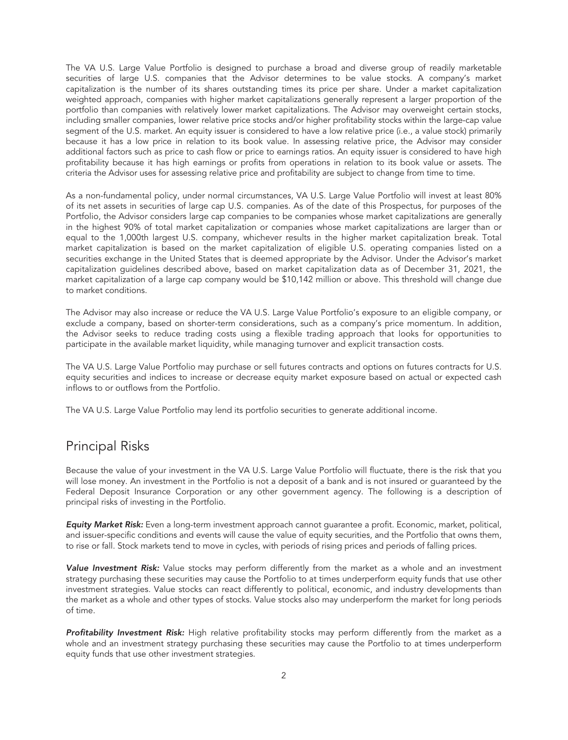The VA U.S. Large Value Portfolio is designed to purchase a broad and diverse group of readily marketable securities of large U.S. companies that the Advisor determines to be value stocks. A company's market capitalization is the number of its shares outstanding times its price per share. Under a market capitalization weighted approach, companies with higher market capitalizations generally represent a larger proportion of the portfolio than companies with relatively lower market capitalizations. The Advisor may overweight certain stocks, including smaller companies, lower relative price stocks and/or higher profitability stocks within the large-cap value segment of the U.S. market. An equity issuer is considered to have a low relative price (i.e., a value stock) primarily because it has a low price in relation to its book value. In assessing relative price, the Advisor may consider additional factors such as price to cash flow or price to earnings ratios. An equity issuer is considered to have high profitability because it has high earnings or profits from operations in relation to its book value or assets. The criteria the Advisor uses for assessing relative price and profitability are subject to change from time to time.

As a non-fundamental policy, under normal circumstances, VA U.S. Large Value Portfolio will invest at least 80% of its net assets in securities of large cap U.S. companies. As of the date of this Prospectus, for purposes of the Portfolio, the Advisor considers large cap companies to be companies whose market capitalizations are generally in the highest 90% of total market capitalization or companies whose market capitalizations are larger than or equal to the 1,000th largest U.S. company, whichever results in the higher market capitalization break. Total market capitalization is based on the market capitalization of eligible U.S. operating companies listed on a securities exchange in the United States that is deemed appropriate by the Advisor. Under the Advisor's market capitalization guidelines described above, based on market capitalization data as of December 31, 2021, the market capitalization of a large cap company would be \$10,142 million or above. This threshold will change due to market conditions.

The Advisor may also increase or reduce the VA U.S. Large Value Portfolio's exposure to an eligible company, or exclude a company, based on shorter-term considerations, such as a company's price momentum. In addition, the Advisor seeks to reduce trading costs using a flexible trading approach that looks for opportunities to participate in the available market liquidity, while managing turnover and explicit transaction costs.

The VA U.S. Large Value Portfolio may purchase or sell futures contracts and options on futures contracts for U.S. equity securities and indices to increase or decrease equity market exposure based on actual or expected cash inflows to or outflows from the Portfolio.

The VA U.S. Large Value Portfolio may lend its portfolio securities to generate additional income.

### <span id="page-7-0"></span>Principal Risks

Because the value of your investment in the VA U.S. Large Value Portfolio will fluctuate, there is the risk that you will lose money. An investment in the Portfolio is not a deposit of a bank and is not insured or guaranteed by the Federal Deposit Insurance Corporation or any other government agency. The following is a description of principal risks of investing in the Portfolio.

*Equity Market Risk:* Even a long-term investment approach cannot guarantee a profit. Economic, market, political, and issuer-specific conditions and events will cause the value of equity securities, and the Portfolio that owns them, to rise or fall. Stock markets tend to move in cycles, with periods of rising prices and periods of falling prices.

Value Investment Risk: Value stocks may perform differently from the market as a whole and an investment strategy purchasing these securities may cause the Portfolio to at times underperform equity funds that use other investment strategies. Value stocks can react differently to political, economic, and industry developments than the market as a whole and other types of stocks. Value stocks also may underperform the market for long periods of time.

*Profitability Investment Risk:* High relative profitability stocks may perform differently from the market as a whole and an investment strategy purchasing these securities may cause the Portfolio to at times underperform equity funds that use other investment strategies.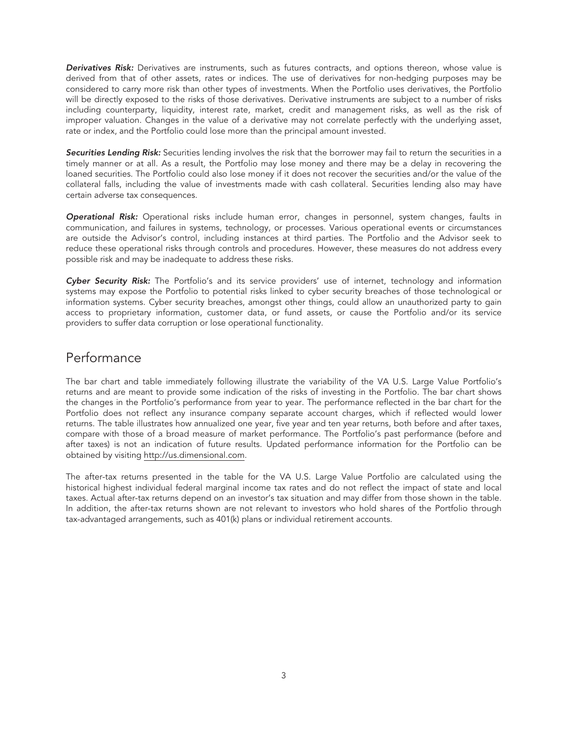*Derivatives Risk:* Derivatives are instruments, such as futures contracts, and options thereon, whose value is derived from that of other assets, rates or indices. The use of derivatives for non-hedging purposes may be considered to carry more risk than other types of investments. When the Portfolio uses derivatives, the Portfolio will be directly exposed to the risks of those derivatives. Derivative instruments are subject to a number of risks including counterparty, liquidity, interest rate, market, credit and management risks, as well as the risk of improper valuation. Changes in the value of a derivative may not correlate perfectly with the underlying asset, rate or index, and the Portfolio could lose more than the principal amount invested.

*Securities Lending Risk:* Securities lending involves the risk that the borrower may fail to return the securities in a timely manner or at all. As a result, the Portfolio may lose money and there may be a delay in recovering the loaned securities. The Portfolio could also lose money if it does not recover the securities and/or the value of the collateral falls, including the value of investments made with cash collateral. Securities lending also may have certain adverse tax consequences.

*Operational Risk:* Operational risks include human error, changes in personnel, system changes, faults in communication, and failures in systems, technology, or processes. Various operational events or circumstances are outside the Advisor's control, including instances at third parties. The Portfolio and the Advisor seek to reduce these operational risks through controls and procedures. However, these measures do not address every possible risk and may be inadequate to address these risks.

*Cyber Security Risk:* The Portfolio's and its service providers' use of internet, technology and information systems may expose the Portfolio to potential risks linked to cyber security breaches of those technological or information systems. Cyber security breaches, amongst other things, could allow an unauthorized party to gain access to proprietary information, customer data, or fund assets, or cause the Portfolio and/or its service providers to suffer data corruption or lose operational functionality.

### <span id="page-8-0"></span>Performance

The bar chart and table immediately following illustrate the variability of the VA U.S. Large Value Portfolio's returns and are meant to provide some indication of the risks of investing in the Portfolio. The bar chart shows the changes in the Portfolio's performance from year to year. The performance reflected in the bar chart for the Portfolio does not reflect any insurance company separate account charges, which if reflected would lower returns. The table illustrates how annualized one year, five year and ten year returns, both before and after taxes, compare with those of a broad measure of market performance. The Portfolio's past performance (before and after taxes) is not an indication of future results. Updated performance information for the Portfolio can be obtained by visiting http://us.dimensional.com.

The after-tax returns presented in the table for the VA U.S. Large Value Portfolio are calculated using the historical highest individual federal marginal income tax rates and do not reflect the impact of state and local taxes. Actual after-tax returns depend on an investor's tax situation and may differ from those shown in the table. In addition, the after-tax returns shown are not relevant to investors who hold shares of the Portfolio through tax-advantaged arrangements, such as 401(k) plans or individual retirement accounts.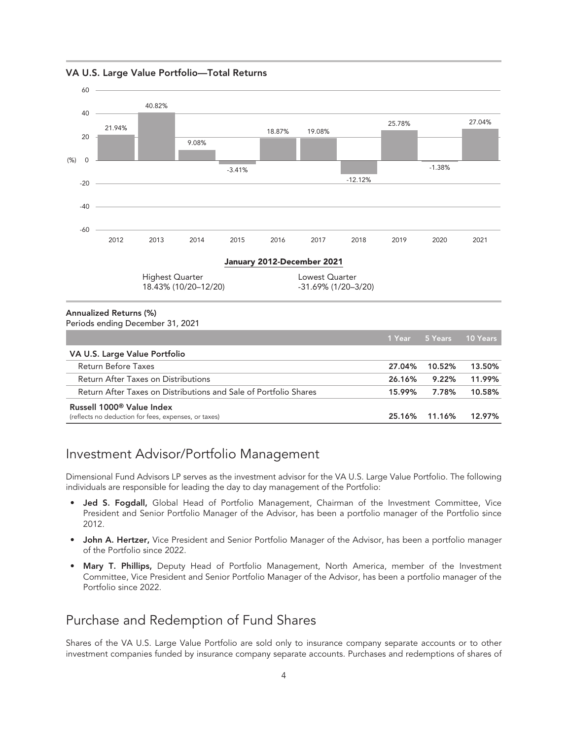VA U.S. Large Value Portfolio—Total Returns



| VA U.S. Large Value Portfolio                                                                 |        |               |        |
|-----------------------------------------------------------------------------------------------|--------|---------------|--------|
| Return Before Taxes                                                                           | 27.04% | 10.52%        | 13.50% |
| Return After Taxes on Distributions                                                           | 26.16% | $9.22\%$      | 11.99% |
| Return After Taxes on Distributions and Sale of Portfolio Shares                              | 15.99% | 7.78%         | 10.58% |
| Russell 1000 <sup>®</sup> Value Index<br>(reflects no deduction for fees, expenses, or taxes) |        | 25.16% 11.16% | 12.97% |

### <span id="page-9-0"></span>Investment Advisor/Portfolio Management

Dimensional Fund Advisors LP serves as the investment advisor for the VA U.S. Large Value Portfolio. The following individuals are responsible for leading the day to day management of the Portfolio:

- Jed S. Fogdall, Global Head of Portfolio Management, Chairman of the Investment Committee, Vice President and Senior Portfolio Manager of the Advisor, has been a portfolio manager of the Portfolio since 2012.
- John A. Hertzer, Vice President and Senior Portfolio Manager of the Advisor, has been a portfolio manager of the Portfolio since 2022.
- Mary T. Phillips, Deputy Head of Portfolio Management, North America, member of the Investment Committee, Vice President and Senior Portfolio Manager of the Advisor, has been a portfolio manager of the Portfolio since 2022.

### <span id="page-9-1"></span>Purchase and Redemption of Fund Shares

Shares of the VA U.S. Large Value Portfolio are sold only to insurance company separate accounts or to other investment companies funded by insurance company separate accounts. Purchases and redemptions of shares of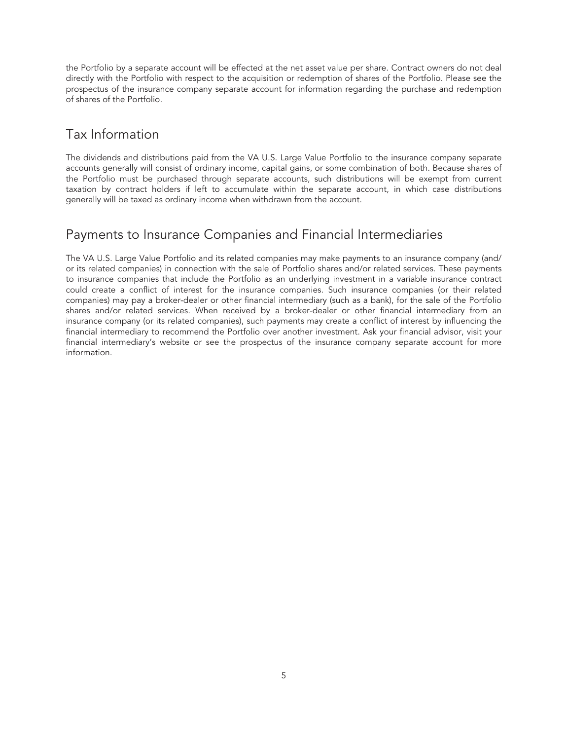the Portfolio by a separate account will be effected at the net asset value per share. Contract owners do not deal directly with the Portfolio with respect to the acquisition or redemption of shares of the Portfolio. Please see the prospectus of the insurance company separate account for information regarding the purchase and redemption of shares of the Portfolio.

# <span id="page-10-0"></span>Tax Information

The dividends and distributions paid from the VA U.S. Large Value Portfolio to the insurance company separate accounts generally will consist of ordinary income, capital gains, or some combination of both. Because shares of the Portfolio must be purchased through separate accounts, such distributions will be exempt from current taxation by contract holders if left to accumulate within the separate account, in which case distributions generally will be taxed as ordinary income when withdrawn from the account.

# <span id="page-10-1"></span>Payments to Insurance Companies and Financial Intermediaries

The VA U.S. Large Value Portfolio and its related companies may make payments to an insurance company (and/ or its related companies) in connection with the sale of Portfolio shares and/or related services. These payments to insurance companies that include the Portfolio as an underlying investment in a variable insurance contract could create a conflict of interest for the insurance companies. Such insurance companies (or their related companies) may pay a broker-dealer or other financial intermediary (such as a bank), for the sale of the Portfolio shares and/or related services. When received by a broker-dealer or other financial intermediary from an insurance company (or its related companies), such payments may create a conflict of interest by influencing the financial intermediary to recommend the Portfolio over another investment. Ask your financial advisor, visit your financial intermediary's website or see the prospectus of the insurance company separate account for more information.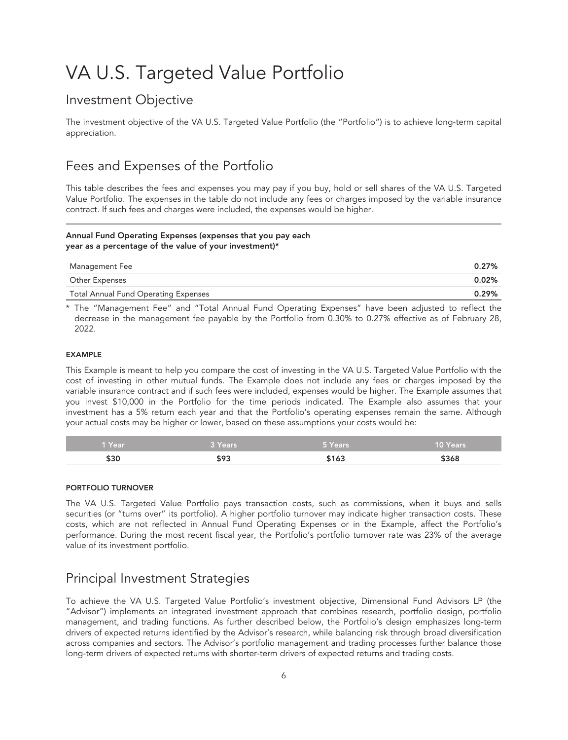# <span id="page-11-0"></span>VA U.S. Targeted Value Portfolio

## <span id="page-11-1"></span>Investment Objective

The investment objective of the VA U.S. Targeted Value Portfolio (the "Portfolio") is to achieve long-term capital appreciation.

# <span id="page-11-2"></span>Fees and Expenses of the Portfolio

This table describes the fees and expenses you may pay if you buy, hold or sell shares of the VA U.S. Targeted Value Portfolio. The expenses in the table do not include any fees or charges imposed by the variable insurance contract. If such fees and charges were included, the expenses would be higher.

#### Annual Fund Operating Expenses (expenses that you pay each year as a percentage of the value of your investment)\*

| Management Fee                       | $0.27\%$ |
|--------------------------------------|----------|
| Other Expenses                       | 0.02%    |
| Total Annual Fund Operating Expenses | 0.29%    |

\* The "Management Fee" and "Total Annual Fund Operating Expenses" have been adjusted to reflect the decrease in the management fee payable by the Portfolio from 0.30% to 0.27% effective as of February 28, 2022.

#### EXAMPLE

This Example is meant to help you compare the cost of investing in the VA U.S. Targeted Value Portfolio with the cost of investing in other mutual funds. The Example does not include any fees or charges imposed by the variable insurance contract and if such fees were included, expenses would be higher. The Example assumes that you invest \$10,000 in the Portfolio for the time periods indicated. The Example also assumes that your investment has a 5% return each year and that the Portfolio's operating expenses remain the same. Although your actual costs may be higher or lower, based on these assumptions your costs would be:

| 1 Year | 3 Years | 5 Years | <b>10 Years</b> |
|--------|---------|---------|-----------------|
| 530    | -97ه    | \$163   | \$368           |

#### PORTFOLIO TURNOVER

The VA U.S. Targeted Value Portfolio pays transaction costs, such as commissions, when it buys and sells securities (or "turns over" its portfolio). A higher portfolio turnover may indicate higher transaction costs. These costs, which are not reflected in Annual Fund Operating Expenses or in the Example, affect the Portfolio's performance. During the most recent fiscal year, the Portfolio's portfolio turnover rate was 23% of the average value of its investment portfolio.

## <span id="page-11-3"></span>Principal Investment Strategies

To achieve the VA U.S. Targeted Value Portfolio's investment objective, Dimensional Fund Advisors LP (the "Advisor") implements an integrated investment approach that combines research, portfolio design, portfolio management, and trading functions. As further described below, the Portfolio's design emphasizes long-term drivers of expected returns identified by the Advisor's research, while balancing risk through broad diversification across companies and sectors. The Advisor's portfolio management and trading processes further balance those long-term drivers of expected returns with shorter-term drivers of expected returns and trading costs.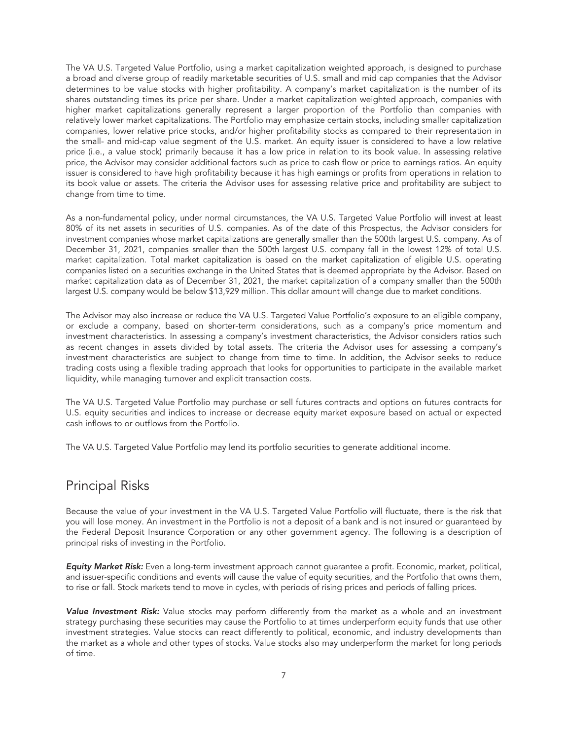The VA U.S. Targeted Value Portfolio, using a market capitalization weighted approach, is designed to purchase a broad and diverse group of readily marketable securities of U.S. small and mid cap companies that the Advisor determines to be value stocks with higher profitability. A company's market capitalization is the number of its shares outstanding times its price per share. Under a market capitalization weighted approach, companies with higher market capitalizations generally represent a larger proportion of the Portfolio than companies with relatively lower market capitalizations. The Portfolio may emphasize certain stocks, including smaller capitalization companies, lower relative price stocks, and/or higher profitability stocks as compared to their representation in the small- and mid-cap value segment of the U.S. market. An equity issuer is considered to have a low relative price (i.e., a value stock) primarily because it has a low price in relation to its book value. In assessing relative price, the Advisor may consider additional factors such as price to cash flow or price to earnings ratios. An equity issuer is considered to have high profitability because it has high earnings or profits from operations in relation to its book value or assets. The criteria the Advisor uses for assessing relative price and profitability are subject to change from time to time.

As a non-fundamental policy, under normal circumstances, the VA U.S. Targeted Value Portfolio will invest at least 80% of its net assets in securities of U.S. companies. As of the date of this Prospectus, the Advisor considers for investment companies whose market capitalizations are generally smaller than the 500th largest U.S. company. As of December 31, 2021, companies smaller than the 500th largest U.S. company fall in the lowest 12% of total U.S. market capitalization. Total market capitalization is based on the market capitalization of eligible U.S. operating companies listed on a securities exchange in the United States that is deemed appropriate by the Advisor. Based on market capitalization data as of December 31, 2021, the market capitalization of a company smaller than the 500th largest U.S. company would be below \$13,929 million. This dollar amount will change due to market conditions.

The Advisor may also increase or reduce the VA U.S. Targeted Value Portfolio's exposure to an eligible company, or exclude a company, based on shorter-term considerations, such as a company's price momentum and investment characteristics. In assessing a company's investment characteristics, the Advisor considers ratios such as recent changes in assets divided by total assets. The criteria the Advisor uses for assessing a company's investment characteristics are subject to change from time to time. In addition, the Advisor seeks to reduce trading costs using a flexible trading approach that looks for opportunities to participate in the available market liquidity, while managing turnover and explicit transaction costs.

The VA U.S. Targeted Value Portfolio may purchase or sell futures contracts and options on futures contracts for U.S. equity securities and indices to increase or decrease equity market exposure based on actual or expected cash inflows to or outflows from the Portfolio.

The VA U.S. Targeted Value Portfolio may lend its portfolio securities to generate additional income.

### <span id="page-12-0"></span>Principal Risks

Because the value of your investment in the VA U.S. Targeted Value Portfolio will fluctuate, there is the risk that you will lose money. An investment in the Portfolio is not a deposit of a bank and is not insured or guaranteed by the Federal Deposit Insurance Corporation or any other government agency. The following is a description of principal risks of investing in the Portfolio.

*Equity Market Risk:* Even a long-term investment approach cannot guarantee a profit. Economic, market, political, and issuer-specific conditions and events will cause the value of equity securities, and the Portfolio that owns them, to rise or fall. Stock markets tend to move in cycles, with periods of rising prices and periods of falling prices.

Value Investment Risk: Value stocks may perform differently from the market as a whole and an investment strategy purchasing these securities may cause the Portfolio to at times underperform equity funds that use other investment strategies. Value stocks can react differently to political, economic, and industry developments than the market as a whole and other types of stocks. Value stocks also may underperform the market for long periods of time.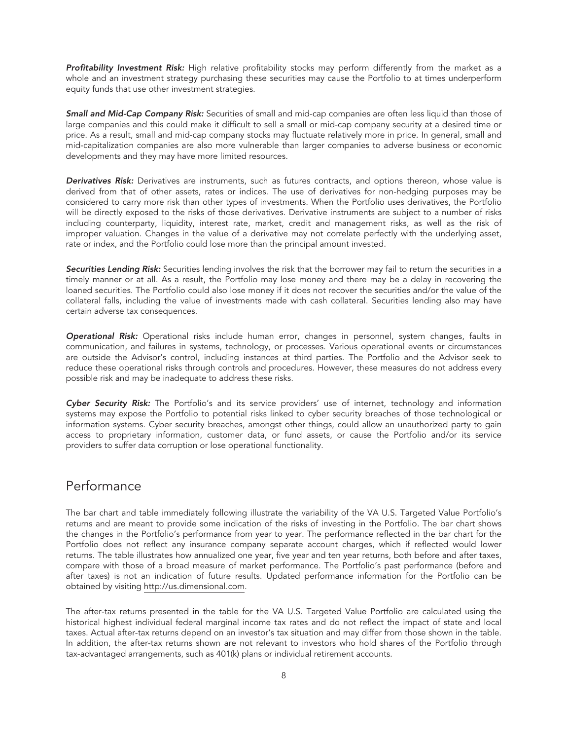*Profitability Investment Risk:* High relative profitability stocks may perform differently from the market as a whole and an investment strategy purchasing these securities may cause the Portfolio to at times underperform equity funds that use other investment strategies.

*Small and Mid-Cap Company Risk:* Securities of small and mid-cap companies are often less liquid than those of large companies and this could make it difficult to sell a small or mid-cap company security at a desired time or price. As a result, small and mid-cap company stocks may fluctuate relatively more in price. In general, small and mid-capitalization companies are also more vulnerable than larger companies to adverse business or economic developments and they may have more limited resources.

*Derivatives Risk:* Derivatives are instruments, such as futures contracts, and options thereon, whose value is derived from that of other assets, rates or indices. The use of derivatives for non-hedging purposes may be considered to carry more risk than other types of investments. When the Portfolio uses derivatives, the Portfolio will be directly exposed to the risks of those derivatives. Derivative instruments are subject to a number of risks including counterparty, liquidity, interest rate, market, credit and management risks, as well as the risk of improper valuation. Changes in the value of a derivative may not correlate perfectly with the underlying asset, rate or index, and the Portfolio could lose more than the principal amount invested.

*Securities Lending Risk:* Securities lending involves the risk that the borrower may fail to return the securities in a timely manner or at all. As a result, the Portfolio may lose money and there may be a delay in recovering the loaned securities. The Portfolio could also lose money if it does not recover the securities and/or the value of the collateral falls, including the value of investments made with cash collateral. Securities lending also may have certain adverse tax consequences.

*Operational Risk:* Operational risks include human error, changes in personnel, system changes, faults in communication, and failures in systems, technology, or processes. Various operational events or circumstances are outside the Advisor's control, including instances at third parties. The Portfolio and the Advisor seek to reduce these operational risks through controls and procedures. However, these measures do not address every possible risk and may be inadequate to address these risks.

*Cyber Security Risk:* The Portfolio's and its service providers' use of internet, technology and information systems may expose the Portfolio to potential risks linked to cyber security breaches of those technological or information systems. Cyber security breaches, amongst other things, could allow an unauthorized party to gain access to proprietary information, customer data, or fund assets, or cause the Portfolio and/or its service providers to suffer data corruption or lose operational functionality.

### <span id="page-13-0"></span>Performance

The bar chart and table immediately following illustrate the variability of the VA U.S. Targeted Value Portfolio's returns and are meant to provide some indication of the risks of investing in the Portfolio. The bar chart shows the changes in the Portfolio's performance from year to year. The performance reflected in the bar chart for the Portfolio does not reflect any insurance company separate account charges, which if reflected would lower returns. The table illustrates how annualized one year, five year and ten year returns, both before and after taxes, compare with those of a broad measure of market performance. The Portfolio's past performance (before and after taxes) is not an indication of future results. Updated performance information for the Portfolio can be obtained by visiting http://us.dimensional.com.

The after-tax returns presented in the table for the VA U.S. Targeted Value Portfolio are calculated using the historical highest individual federal marginal income tax rates and do not reflect the impact of state and local taxes. Actual after-tax returns depend on an investor's tax situation and may differ from those shown in the table. In addition, the after-tax returns shown are not relevant to investors who hold shares of the Portfolio through tax-advantaged arrangements, such as 401(k) plans or individual retirement accounts.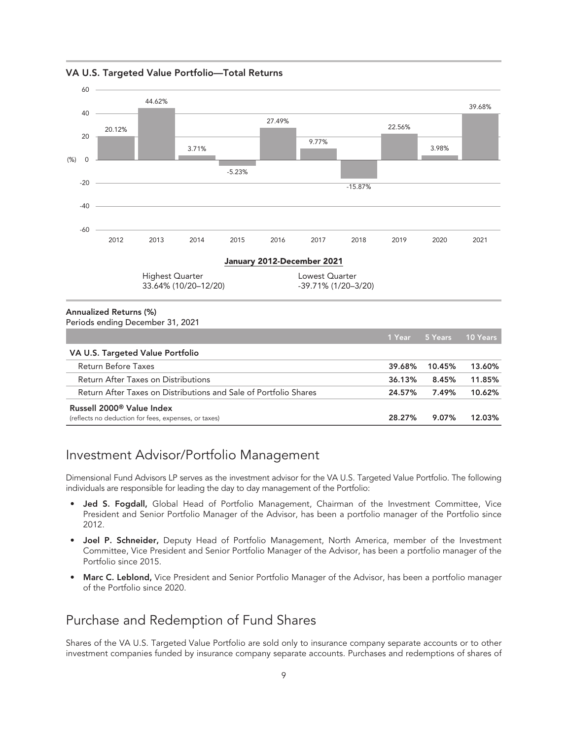-60  $-40$ -20 0 60 20 (%) 40 2016 27.49% 2017 2018 9.77% 2012 20.12% 2013 44.62% 2014 3.71% 2015 -5.23% -15.87% 2019 22.56% 39.68% 3.98% 2020 2021 January 2012-December 2021 Highest Quarter Lowest Quarter 33.64% (10/20-12/20)

VA U.S. Targeted Value Portfolio—Total Returns

#### Annualized Returns (%)

Periods ending December 31, 2021

|                                                                                               | 1 Year | 5 Years  | $10$ Years |
|-----------------------------------------------------------------------------------------------|--------|----------|------------|
| VA U.S. Targeted Value Portfolio                                                              |        |          |            |
| <b>Return Before Taxes</b>                                                                    | 39.68% | 10.45%   | 13.60%     |
| Return After Taxes on Distributions                                                           | 36.13% | 8.45%    | 11.85%     |
| Return After Taxes on Distributions and Sale of Portfolio Shares                              | 24.57% | 7.49%    | 10.62%     |
| Russell 2000 <sup>®</sup> Value Index<br>(reflects no deduction for fees, expenses, or taxes) | 28.27% | $9.07\%$ | 12.03%     |

### <span id="page-14-0"></span>Investment Advisor/Portfolio Management

Dimensional Fund Advisors LP serves as the investment advisor for the VA U.S. Targeted Value Portfolio. The following individuals are responsible for leading the day to day management of the Portfolio:

- Jed S. Fogdall, Global Head of Portfolio Management, Chairman of the Investment Committee, Vice President and Senior Portfolio Manager of the Advisor, has been a portfolio manager of the Portfolio since 2012.
- Joel P. Schneider, Deputy Head of Portfolio Management, North America, member of the Investment Committee, Vice President and Senior Portfolio Manager of the Advisor, has been a portfolio manager of the Portfolio since 2015.
- Marc C. Leblond, Vice President and Senior Portfolio Manager of the Advisor, has been a portfolio manager of the Portfolio since 2020.

### <span id="page-14-1"></span>Purchase and Redemption of Fund Shares

Shares of the VA U.S. Targeted Value Portfolio are sold only to insurance company separate accounts or to other investment companies funded by insurance company separate accounts. Purchases and redemptions of shares of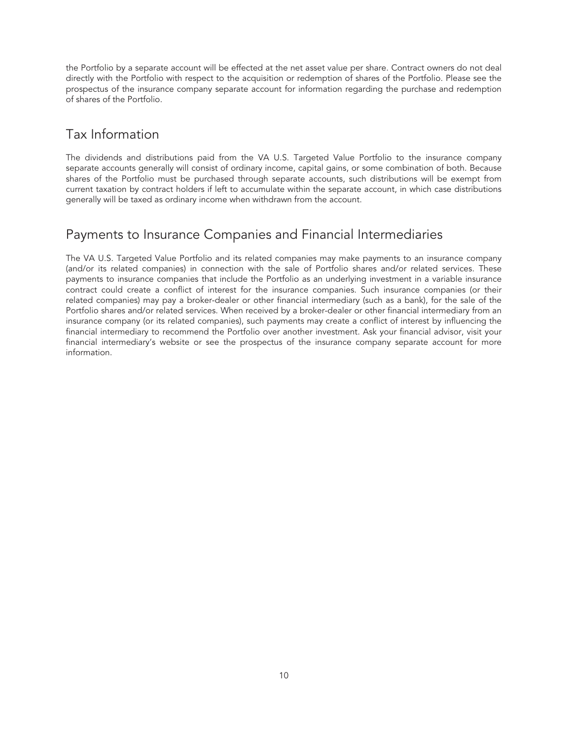the Portfolio by a separate account will be effected at the net asset value per share. Contract owners do not deal directly with the Portfolio with respect to the acquisition or redemption of shares of the Portfolio. Please see the prospectus of the insurance company separate account for information regarding the purchase and redemption of shares of the Portfolio.

# <span id="page-15-0"></span>Tax Information

The dividends and distributions paid from the VA U.S. Targeted Value Portfolio to the insurance company separate accounts generally will consist of ordinary income, capital gains, or some combination of both. Because shares of the Portfolio must be purchased through separate accounts, such distributions will be exempt from current taxation by contract holders if left to accumulate within the separate account, in which case distributions generally will be taxed as ordinary income when withdrawn from the account.

## <span id="page-15-1"></span>Payments to Insurance Companies and Financial Intermediaries

The VA U.S. Targeted Value Portfolio and its related companies may make payments to an insurance company (and/or its related companies) in connection with the sale of Portfolio shares and/or related services. These payments to insurance companies that include the Portfolio as an underlying investment in a variable insurance contract could create a conflict of interest for the insurance companies. Such insurance companies (or their related companies) may pay a broker-dealer or other financial intermediary (such as a bank), for the sale of the Portfolio shares and/or related services. When received by a broker-dealer or other financial intermediary from an insurance company (or its related companies), such payments may create a conflict of interest by influencing the financial intermediary to recommend the Portfolio over another investment. Ask your financial advisor, visit your financial intermediary's website or see the prospectus of the insurance company separate account for more information.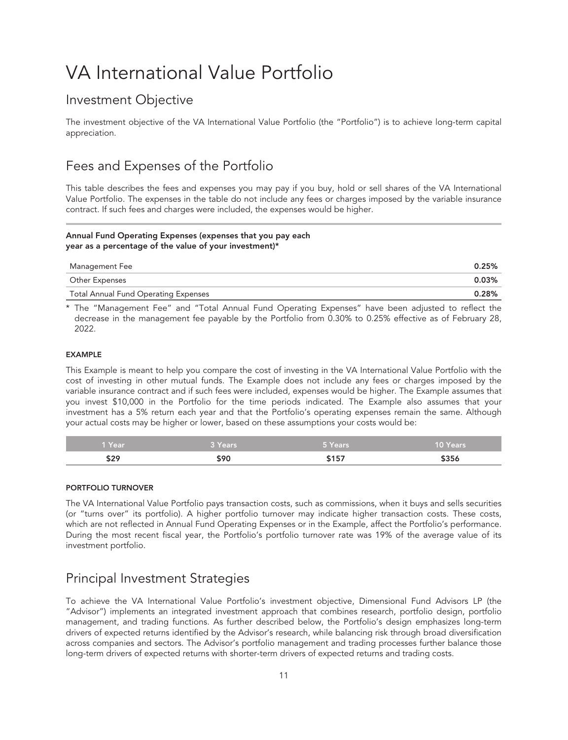# <span id="page-16-0"></span>VA International Value Portfolio

## <span id="page-16-1"></span>Investment Objective

The investment objective of the VA International Value Portfolio (the "Portfolio") is to achieve long-term capital appreciation.

# <span id="page-16-2"></span>Fees and Expenses of the Portfolio

This table describes the fees and expenses you may pay if you buy, hold or sell shares of the VA International Value Portfolio. The expenses in the table do not include any fees or charges imposed by the variable insurance contract. If such fees and charges were included, the expenses would be higher.

#### Annual Fund Operating Expenses (expenses that you pay each year as a percentage of the value of your investment)\*

| Management Fee                       | 0.25% |
|--------------------------------------|-------|
| Other Expenses                       | 0.03% |
| Total Annual Fund Operating Expenses | 0.28% |

\* The "Management Fee" and "Total Annual Fund Operating Expenses" have been adjusted to reflect the decrease in the management fee payable by the Portfolio from 0.30% to 0.25% effective as of February 28, 2022.

#### EXAMPLE

This Example is meant to help you compare the cost of investing in the VA International Value Portfolio with the cost of investing in other mutual funds. The Example does not include any fees or charges imposed by the variable insurance contract and if such fees were included, expenses would be higher. The Example assumes that you invest \$10,000 in the Portfolio for the time periods indicated. The Example also assumes that your investment has a 5% return each year and that the Portfolio's operating expenses remain the same. Although your actual costs may be higher or lower, based on these assumptions your costs would be:

| l Year'        | <b>B</b> Years | <b>S</b> Years | <b>TO Years</b> |
|----------------|----------------|----------------|-----------------|
| $\sim$<br>92.7 | וסי            | --             | ∙ ז≂י           |

#### PORTFOLIO TURNOVER

The VA International Value Portfolio pays transaction costs, such as commissions, when it buys and sells securities (or "turns over" its portfolio). A higher portfolio turnover may indicate higher transaction costs. These costs, which are not reflected in Annual Fund Operating Expenses or in the Example, affect the Portfolio's performance. During the most recent fiscal year, the Portfolio's portfolio turnover rate was 19% of the average value of its investment portfolio.

## <span id="page-16-3"></span>Principal Investment Strategies

To achieve the VA International Value Portfolio's investment objective, Dimensional Fund Advisors LP (the "Advisor") implements an integrated investment approach that combines research, portfolio design, portfolio management, and trading functions. As further described below, the Portfolio's design emphasizes long-term drivers of expected returns identified by the Advisor's research, while balancing risk through broad diversification across companies and sectors. The Advisor's portfolio management and trading processes further balance those long-term drivers of expected returns with shorter-term drivers of expected returns and trading costs.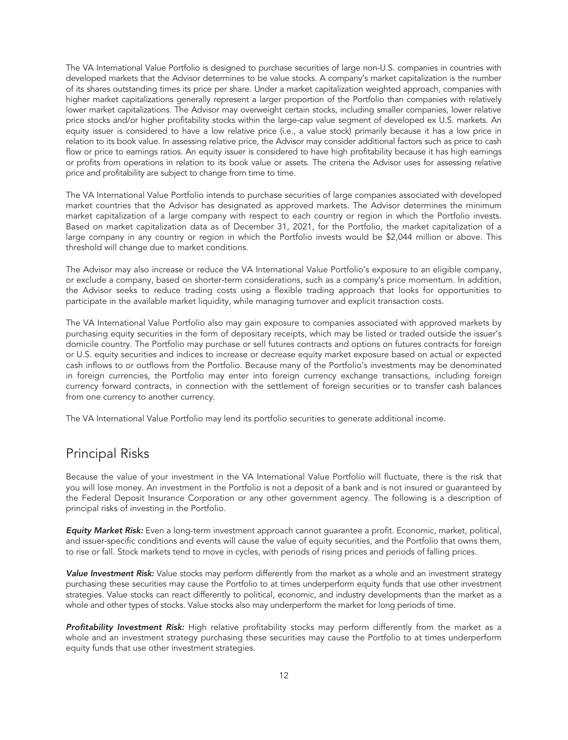The VA International Value Portfolio is designed to purchase securities of large non-U.S. companies in countries with developed markets that the Advisor determines to be value stocks. A company's market capitalization is the number of its shares outstanding times its price per share. Under a market capitalization weighted approach, companies with higher market capitalizations generally represent a larger proportion of the Portfolio than companies with relatively lower market capitalizations. The Advisor may overweight certain stocks, including smaller companies, lower relative price stocks and/or higher profitability stocks within the large-cap value segment of developed ex U.S. markets. An equity issuer is considered to have a low relative price (i.e., a value stock) primarily because it has a low price in relation to its book value. In assessing relative price, the Advisor may consider additional factors such as price to cash flow or price to earnings ratios. An equity issuer is considered to have high profitability because it has high earnings or profits from operations in relation to its book value or assets. The criteria the Advisor uses for assessing relative price and profitability are subject to change from time to time.

The VA International Value Portfolio intends to purchase securities of large companies associated with developed market countries that the Advisor has designated as approved markets. The Advisor determines the minimum market capitalization of a large company with respect to each country or region in which the Portfolio invests. Based on market capitalization data as of December 31, 2021, for the Portfolio, the market capitalization of a large company in any country or region in which the Portfolio invests would be \$2,044 million or above. This threshold will change due to market conditions.

The Advisor may also increase or reduce the VA International Value Portfolio's exposure to an eligible company, or exclude a company, based on shorter-term considerations, such as a company's price momentum. In addition, the Advisor seeks to reduce trading costs using a flexible trading approach that looks for opportunities to participate in the available market liquidity, while managing turnover and explicit transaction costs.

The VA International Value Portfolio also may gain exposure to companies associated with approved markets by purchasing equity securities in the form of depositary receipts, which may be listed or traded outside the issuer's domicile country. The Portfolio may purchase or sell futures contracts and options on futures contracts for foreign or U.S. equity securities and indices to increase or decrease equity market exposure based on actual or expected cash inflows to or outflows from the Portfolio. Because many of the Portfolio's investments may be denominated in foreign currencies, the Portfolio may enter into foreign currency exchange transactions, including foreign currency forward contracts, in connection with the settlement of foreign securities or to transfer cash balances from one currency to another currency.

The VA International Value Portfolio may lend its portfolio securities to generate additional income.

### <span id="page-17-0"></span>Principal Risks

Because the value of your investment in the VA International Value Portfolio will fluctuate, there is the risk that you will lose money. An investment in the Portfolio is not a deposit of a bank and is not insured or guaranteed by the Federal Deposit Insurance Corporation or any other government agency. The following is a description of principal risks of investing in the Portfolio.

*Equity Market Risk:* Even a long-term investment approach cannot guarantee a profit. Economic, market, political, and issuer-specific conditions and events will cause the value of equity securities, and the Portfolio that owns them, to rise or fall. Stock markets tend to move in cycles, with periods of rising prices and periods of falling prices.

**Value Investment Risk:** Value stocks may perform differently from the market as a whole and an investment strategy purchasing these securities may cause the Portfolio to at times underperform equity funds that use other investment strategies. Value stocks can react differently to political, economic, and industry developments than the market as a whole and other types of stocks. Value stocks also may underperform the market for long periods of time.

*Profitability Investment Risk:* High relative profitability stocks may perform differently from the market as a whole and an investment strategy purchasing these securities may cause the Portfolio to at times underperform equity funds that use other investment strategies.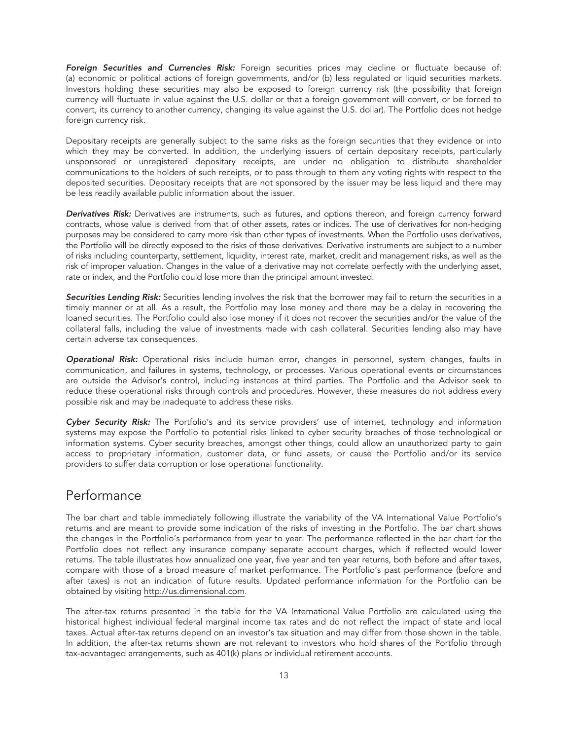*Foreign Securities and Currencies Risk:* Foreign securities prices may decline or fluctuate because of: (a) economic or political actions of foreign governments, and/or (b) less regulated or liquid securities markets. Investors holding these securities may also be exposed to foreign currency risk (the possibility that foreign currency will fluctuate in value against the U.S. dollar or that a foreign government will convert, or be forced to convert, its currency to another currency, changing its value against the U.S. dollar). The Portfolio does not hedge foreign currency risk.

Depositary receipts are generally subject to the same risks as the foreign securities that they evidence or into which they may be converted. In addition, the underlying issuers of certain depositary receipts, particularly unsponsored or unregistered depositary receipts, are under no obligation to distribute shareholder communications to the holders of such receipts, or to pass through to them any voting rights with respect to the deposited securities. Depositary receipts that are not sponsored by the issuer may be less liquid and there may be less readily available public information about the issuer.

*Derivatives Risk:* Derivatives are instruments, such as futures, and options thereon, and foreign currency forward contracts, whose value is derived from that of other assets, rates or indices. The use of derivatives for non-hedging purposes may be considered to carry more risk than other types of investments. When the Portfolio uses derivatives, the Portfolio will be directly exposed to the risks of those derivatives. Derivative instruments are subject to a number of risks including counterparty, settlement, liquidity, interest rate, market, credit and management risks, as well as the risk of improper valuation. Changes in the value of a derivative may not correlate perfectly with the underlying asset, rate or index, and the Portfolio could lose more than the principal amount invested.

*Securities Lending Risk:* Securities lending involves the risk that the borrower may fail to return the securities in a timely manner or at all. As a result, the Portfolio may lose money and there may be a delay in recovering the loaned securities. The Portfolio could also lose money if it does not recover the securities and/or the value of the collateral falls, including the value of investments made with cash collateral. Securities lending also may have certain adverse tax consequences.

*Operational Risk:* Operational risks include human error, changes in personnel, system changes, faults in communication, and failures in systems, technology, or processes. Various operational events or circumstances are outside the Advisor's control, including instances at third parties. The Portfolio and the Advisor seek to reduce these operational risks through controls and procedures. However, these measures do not address every possible risk and may be inadequate to address these risks.

*Cyber Security Risk:* The Portfolio's and its service providers' use of internet, technology and information systems may expose the Portfolio to potential risks linked to cyber security breaches of those technological or information systems. Cyber security breaches, amongst other things, could allow an unauthorized party to gain access to proprietary information, customer data, or fund assets, or cause the Portfolio and/or its service providers to suffer data corruption or lose operational functionality.

#### <span id="page-18-0"></span>Performance

The bar chart and table immediately following illustrate the variability of the VA International Value Portfolio's returns and are meant to provide some indication of the risks of investing in the Portfolio. The bar chart shows the changes in the Portfolio's performance from year to year. The performance reflected in the bar chart for the Portfolio does not reflect any insurance company separate account charges, which if reflected would lower returns. The table illustrates how annualized one year, five year and ten year returns, both before and after taxes, compare with those of a broad measure of market performance. The Portfolio's past performance (before and after taxes) is not an indication of future results. Updated performance information for the Portfolio can be obtained by visiting http://us.dimensional.com.

The after-tax returns presented in the table for the VA International Value Portfolio are calculated using the historical highest individual federal marginal income tax rates and do not reflect the impact of state and local taxes. Actual after-tax returns depend on an investor's tax situation and may differ from those shown in the table. In addition, the after-tax returns shown are not relevant to investors who hold shares of the Portfolio through tax-advantaged arrangements, such as 401(k) plans or individual retirement accounts.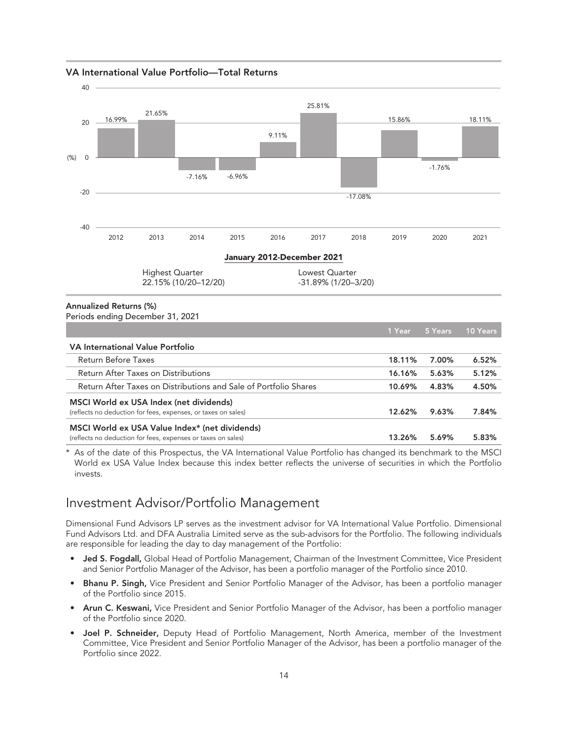VA International Value Portfolio—Total Returns



MSCI World ex USA Value Index\* (net dividends) (reflects no deduction for fees, expenses or taxes on sales)  $13.26\%$  5.69% 5.83%

As of the date of this Prospectus, the VA International Value Portfolio has changed its benchmark to the MSCI World ex USA Value Index because this index better reflects the universe of securities in which the Portfolio invests.

### <span id="page-19-0"></span>Investment Advisor/Portfolio Management

Dimensional Fund Advisors LP serves as the investment advisor for VA International Value Portfolio. Dimensional Fund Advisors Ltd. and DFA Australia Limited serve as the sub-advisors for the Portfolio. The following individuals are responsible for leading the day to day management of the Portfolio:

- Jed S. Fogdall, Global Head of Portfolio Management, Chairman of the Investment Committee, Vice President and Senior Portfolio Manager of the Advisor, has been a portfolio manager of the Portfolio since 2010.
- Bhanu P. Singh, Vice President and Senior Portfolio Manager of the Advisor, has been a portfolio manager of the Portfolio since 2015.
- Arun C. Keswani, Vice President and Senior Portfolio Manager of the Advisor, has been a portfolio manager of the Portfolio since 2020.
- Joel P. Schneider, Deputy Head of Portfolio Management, North America, member of the Investment Committee, Vice President and Senior Portfolio Manager of the Advisor, has been a portfolio manager of the Portfolio since 2022.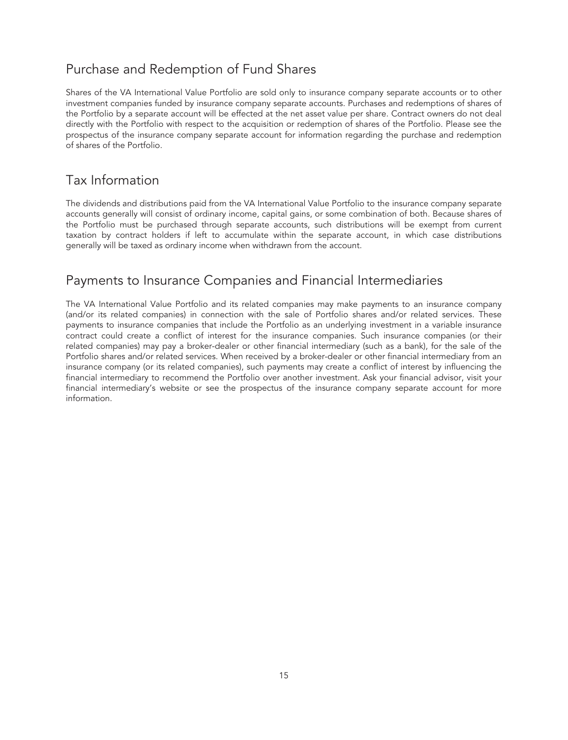# <span id="page-20-0"></span>Purchase and Redemption of Fund Shares

Shares of the VA International Value Portfolio are sold only to insurance company separate accounts or to other investment companies funded by insurance company separate accounts. Purchases and redemptions of shares of the Portfolio by a separate account will be effected at the net asset value per share. Contract owners do not deal directly with the Portfolio with respect to the acquisition or redemption of shares of the Portfolio. Please see the prospectus of the insurance company separate account for information regarding the purchase and redemption of shares of the Portfolio.

## <span id="page-20-1"></span>Tax Information

The dividends and distributions paid from the VA International Value Portfolio to the insurance company separate accounts generally will consist of ordinary income, capital gains, or some combination of both. Because shares of the Portfolio must be purchased through separate accounts, such distributions will be exempt from current taxation by contract holders if left to accumulate within the separate account, in which case distributions generally will be taxed as ordinary income when withdrawn from the account.

# <span id="page-20-2"></span>Payments to Insurance Companies and Financial Intermediaries

The VA International Value Portfolio and its related companies may make payments to an insurance company (and/or its related companies) in connection with the sale of Portfolio shares and/or related services. These payments to insurance companies that include the Portfolio as an underlying investment in a variable insurance contract could create a conflict of interest for the insurance companies. Such insurance companies (or their related companies) may pay a broker-dealer or other financial intermediary (such as a bank), for the sale of the Portfolio shares and/or related services. When received by a broker-dealer or other financial intermediary from an insurance company (or its related companies), such payments may create a conflict of interest by influencing the financial intermediary to recommend the Portfolio over another investment. Ask your financial advisor, visit your financial intermediary's website or see the prospectus of the insurance company separate account for more information.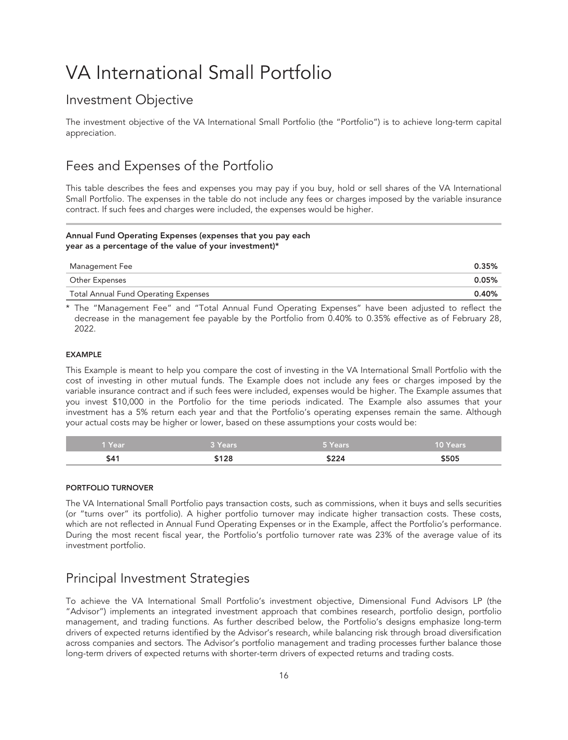# <span id="page-21-0"></span>VA International Small Portfolio

# <span id="page-21-1"></span>Investment Objective

The investment objective of the VA International Small Portfolio (the "Portfolio") is to achieve long-term capital appreciation.

# <span id="page-21-2"></span>Fees and Expenses of the Portfolio

This table describes the fees and expenses you may pay if you buy, hold or sell shares of the VA International Small Portfolio. The expenses in the table do not include any fees or charges imposed by the variable insurance contract. If such fees and charges were included, the expenses would be higher.

#### Annual Fund Operating Expenses (expenses that you pay each year as a percentage of the value of your investment)\*

| Management Fee                       | 0.35% |
|--------------------------------------|-------|
| Other Expenses                       | 0.05% |
| Total Annual Fund Operating Expenses | 0.40% |

\* The "Management Fee" and "Total Annual Fund Operating Expenses" have been adjusted to reflect the decrease in the management fee payable by the Portfolio from 0.40% to 0.35% effective as of February 28, 2022.

#### EXAMPLE

This Example is meant to help you compare the cost of investing in the VA International Small Portfolio with the cost of investing in other mutual funds. The Example does not include any fees or charges imposed by the variable insurance contract and if such fees were included, expenses would be higher. The Example assumes that you invest \$10,000 in the Portfolio for the time periods indicated. The Example also assumes that your investment has a 5% return each year and that the Portfolio's operating expenses remain the same. Although your actual costs may be higher or lower, based on these assumptions your costs would be:

| 1 Year <sup>1</sup> | 3 Years | <b>75 Years</b> | 10 Years |
|---------------------|---------|-----------------|----------|
| . 64 °              | ີ 1 2 8 | 5224<br>アムムコ    | \$505    |

#### PORTFOLIO TURNOVER

The VA International Small Portfolio pays transaction costs, such as commissions, when it buys and sells securities (or "turns over" its portfolio). A higher portfolio turnover may indicate higher transaction costs. These costs, which are not reflected in Annual Fund Operating Expenses or in the Example, affect the Portfolio's performance. During the most recent fiscal year, the Portfolio's portfolio turnover rate was 23% of the average value of its investment portfolio.

## <span id="page-21-3"></span>Principal Investment Strategies

To achieve the VA International Small Portfolio's investment objective, Dimensional Fund Advisors LP (the "Advisor") implements an integrated investment approach that combines research, portfolio design, portfolio management, and trading functions. As further described below, the Portfolio's designs emphasize long-term drivers of expected returns identified by the Advisor's research, while balancing risk through broad diversification across companies and sectors. The Advisor's portfolio management and trading processes further balance those long-term drivers of expected returns with shorter-term drivers of expected returns and trading costs.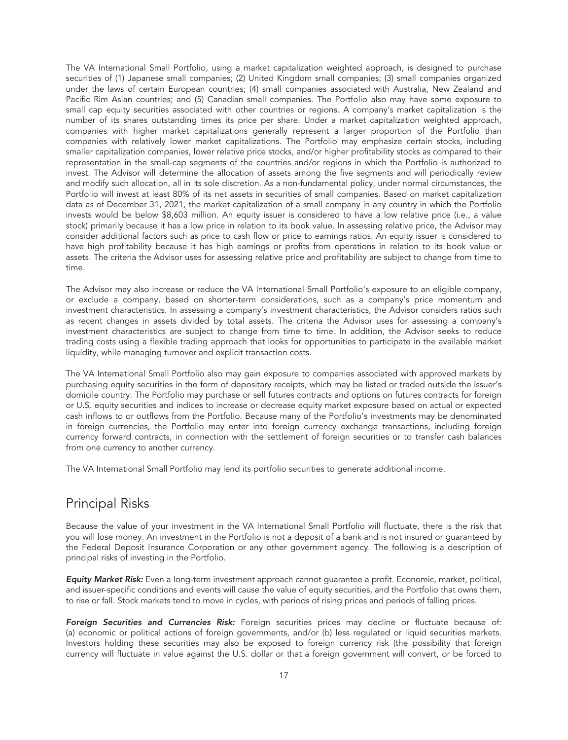The VA International Small Portfolio, using a market capitalization weighted approach, is designed to purchase securities of (1) Japanese small companies; (2) United Kingdom small companies; (3) small companies organized under the laws of certain European countries; (4) small companies associated with Australia, New Zealand and Pacific Rim Asian countries; and (5) Canadian small companies. The Portfolio also may have some exposure to small cap equity securities associated with other countries or regions. A company's market capitalization is the number of its shares outstanding times its price per share. Under a market capitalization weighted approach, companies with higher market capitalizations generally represent a larger proportion of the Portfolio than companies with relatively lower market capitalizations. The Portfolio may emphasize certain stocks, including smaller capitalization companies, lower relative price stocks, and/or higher profitability stocks as compared to their representation in the small-cap segments of the countries and/or regions in which the Portfolio is authorized to invest. The Advisor will determine the allocation of assets among the five segments and will periodically review and modify such allocation, all in its sole discretion. As a non-fundamental policy, under normal circumstances, the Portfolio will invest at least 80% of its net assets in securities of small companies. Based on market capitalization data as of December 31, 2021, the market capitalization of a small company in any country in which the Portfolio invests would be below \$8,603 million. An equity issuer is considered to have a low relative price (i.e., a value stock) primarily because it has a low price in relation to its book value. In assessing relative price, the Advisor may consider additional factors such as price to cash flow or price to earnings ratios. An equity issuer is considered to have high profitability because it has high earnings or profits from operations in relation to its book value or assets. The criteria the Advisor uses for assessing relative price and profitability are subject to change from time to time.

The Advisor may also increase or reduce the VA International Small Portfolio's exposure to an eligible company, or exclude a company, based on shorter-term considerations, such as a company's price momentum and investment characteristics. In assessing a company's investment characteristics, the Advisor considers ratios such as recent changes in assets divided by total assets. The criteria the Advisor uses for assessing a company's investment characteristics are subject to change from time to time. In addition, the Advisor seeks to reduce trading costs using a flexible trading approach that looks for opportunities to participate in the available market liquidity, while managing turnover and explicit transaction costs.

The VA International Small Portfolio also may gain exposure to companies associated with approved markets by purchasing equity securities in the form of depositary receipts, which may be listed or traded outside the issuer's domicile country. The Portfolio may purchase or sell futures contracts and options on futures contracts for foreign or U.S. equity securities and indices to increase or decrease equity market exposure based on actual or expected cash inflows to or outflows from the Portfolio. Because many of the Portfolio's investments may be denominated in foreign currencies, the Portfolio may enter into foreign currency exchange transactions, including foreign currency forward contracts, in connection with the settlement of foreign securities or to transfer cash balances from one currency to another currency.

The VA International Small Portfolio may lend its portfolio securities to generate additional income.

#### <span id="page-22-0"></span>Principal Risks

Because the value of your investment in the VA International Small Portfolio will fluctuate, there is the risk that you will lose money. An investment in the Portfolio is not a deposit of a bank and is not insured or guaranteed by the Federal Deposit Insurance Corporation or any other government agency. The following is a description of principal risks of investing in the Portfolio.

*Equity Market Risk:* Even a long-term investment approach cannot guarantee a profit. Economic, market, political, and issuer-specific conditions and events will cause the value of equity securities, and the Portfolio that owns them, to rise or fall. Stock markets tend to move in cycles, with periods of rising prices and periods of falling prices.

*Foreign Securities and Currencies Risk:* Foreign securities prices may decline or fluctuate because of: (a) economic or political actions of foreign governments, and/or (b) less regulated or liquid securities markets. Investors holding these securities may also be exposed to foreign currency risk (the possibility that foreign currency will fluctuate in value against the U.S. dollar or that a foreign government will convert, or be forced to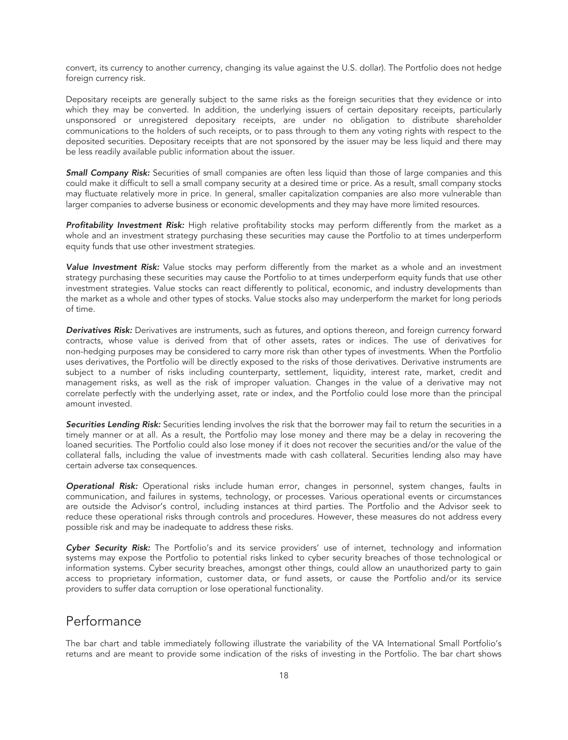convert, its currency to another currency, changing its value against the U.S. dollar). The Portfolio does not hedge foreign currency risk.

Depositary receipts are generally subject to the same risks as the foreign securities that they evidence or into which they may be converted. In addition, the underlying issuers of certain depositary receipts, particularly unsponsored or unregistered depositary receipts, are under no obligation to distribute shareholder communications to the holders of such receipts, or to pass through to them any voting rights with respect to the deposited securities. Depositary receipts that are not sponsored by the issuer may be less liquid and there may be less readily available public information about the issuer.

**Small Company Risk:** Securities of small companies are often less liquid than those of large companies and this could make it difficult to sell a small company security at a desired time or price. As a result, small company stocks may fluctuate relatively more in price. In general, smaller capitalization companies are also more vulnerable than larger companies to adverse business or economic developments and they may have more limited resources.

*Profitability Investment Risk:* High relative profitability stocks may perform differently from the market as a whole and an investment strategy purchasing these securities may cause the Portfolio to at times underperform equity funds that use other investment strategies.

Value Investment Risk: Value stocks may perform differently from the market as a whole and an investment strategy purchasing these securities may cause the Portfolio to at times underperform equity funds that use other investment strategies. Value stocks can react differently to political, economic, and industry developments than the market as a whole and other types of stocks. Value stocks also may underperform the market for long periods of time.

*Derivatives Risk:* Derivatives are instruments, such as futures, and options thereon, and foreign currency forward contracts, whose value is derived from that of other assets, rates or indices. The use of derivatives for non-hedging purposes may be considered to carry more risk than other types of investments. When the Portfolio uses derivatives, the Portfolio will be directly exposed to the risks of those derivatives. Derivative instruments are subject to a number of risks including counterparty, settlement, liquidity, interest rate, market, credit and management risks, as well as the risk of improper valuation. Changes in the value of a derivative may not correlate perfectly with the underlying asset, rate or index, and the Portfolio could lose more than the principal amount invested.

*Securities Lending Risk:* Securities lending involves the risk that the borrower may fail to return the securities in a timely manner or at all. As a result, the Portfolio may lose money and there may be a delay in recovering the loaned securities. The Portfolio could also lose money if it does not recover the securities and/or the value of the collateral falls, including the value of investments made with cash collateral. Securities lending also may have certain adverse tax consequences.

*Operational Risk:* Operational risks include human error, changes in personnel, system changes, faults in communication, and failures in systems, technology, or processes. Various operational events or circumstances are outside the Advisor's control, including instances at third parties. The Portfolio and the Advisor seek to reduce these operational risks through controls and procedures. However, these measures do not address every possible risk and may be inadequate to address these risks.

*Cyber Security Risk:* The Portfolio's and its service providers' use of internet, technology and information systems may expose the Portfolio to potential risks linked to cyber security breaches of those technological or information systems. Cyber security breaches, amongst other things, could allow an unauthorized party to gain access to proprietary information, customer data, or fund assets, or cause the Portfolio and/or its service providers to suffer data corruption or lose operational functionality.

#### <span id="page-23-0"></span>Performance

The bar chart and table immediately following illustrate the variability of the VA International Small Portfolio's returns and are meant to provide some indication of the risks of investing in the Portfolio. The bar chart shows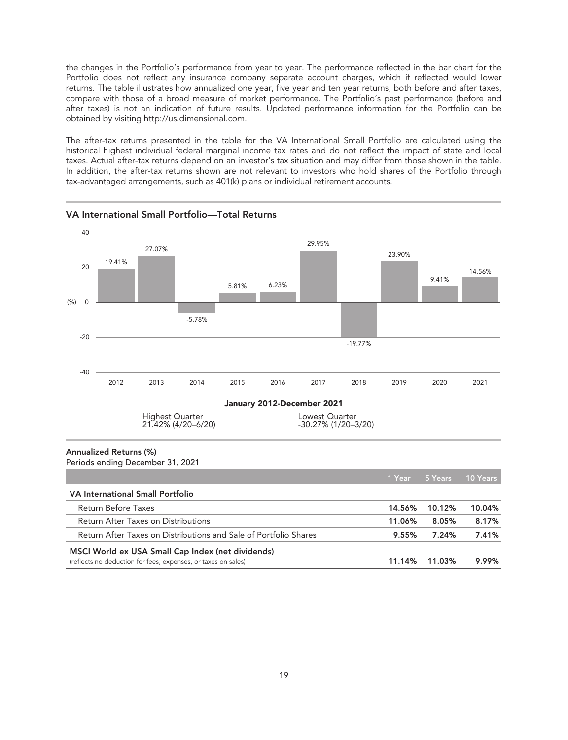the changes in the Portfolio's performance from year to year. The performance reflected in the bar chart for the Portfolio does not reflect any insurance company separate account charges, which if reflected would lower returns. The table illustrates how annualized one year, five year and ten year returns, both before and after taxes, compare with those of a broad measure of market performance. The Portfolio's past performance (before and after taxes) is not an indication of future results. Updated performance information for the Portfolio can be obtained by visiting http://us.dimensional.com.

The after-tax returns presented in the table for the VA International Small Portfolio are calculated using the historical highest individual federal marginal income tax rates and do not reflect the impact of state and local taxes. Actual after-tax returns depend on an investor's tax situation and may differ from those shown in the table. In addition, the after-tax returns shown are not relevant to investors who hold shares of the Portfolio through tax-advantaged arrangements, such as 401(k) plans or individual retirement accounts.



#### VA International Small Portfolio—Total Returns

| VA International Small Portfolio                                 |          |        |        |
|------------------------------------------------------------------|----------|--------|--------|
| Return Before Taxes                                              | 14.56%   | 10.12% | 10.04% |
| Return After Taxes on Distributions                              | 11.06%   | 8.05%  | 8.17%  |
| Return After Taxes on Distributions and Sale of Portfolio Shares | $9.55\%$ | 7.24%  | 7.41%  |
| MSCI World ex USA Small Cap Index (net dividends)                |          |        |        |
| (reflects no deduction for fees, expenses, or taxes on sales)    | 11.14%   | 11.03% | 9.99%  |
|                                                                  |          |        |        |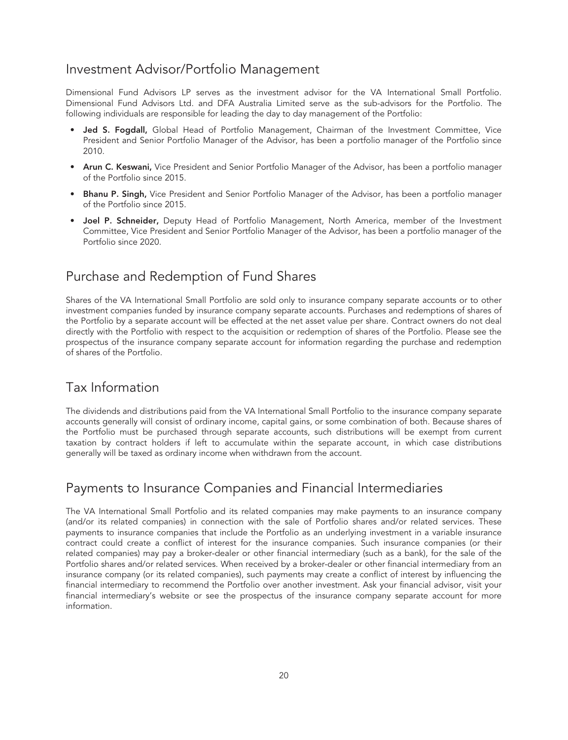### <span id="page-25-0"></span>Investment Advisor/Portfolio Management

Dimensional Fund Advisors LP serves as the investment advisor for the VA International Small Portfolio. Dimensional Fund Advisors Ltd. and DFA Australia Limited serve as the sub-advisors for the Portfolio. The following individuals are responsible for leading the day to day management of the Portfolio:

- Jed S. Fogdall, Global Head of Portfolio Management, Chairman of the Investment Committee, Vice President and Senior Portfolio Manager of the Advisor, has been a portfolio manager of the Portfolio since 2010.
- Arun C. Keswani, Vice President and Senior Portfolio Manager of the Advisor, has been a portfolio manager of the Portfolio since 2015.
- Bhanu P. Singh, Vice President and Senior Portfolio Manager of the Advisor, has been a portfolio manager of the Portfolio since 2015.
- Joel P. Schneider, Deputy Head of Portfolio Management, North America, member of the Investment Committee, Vice President and Senior Portfolio Manager of the Advisor, has been a portfolio manager of the Portfolio since 2020.

# <span id="page-25-1"></span>Purchase and Redemption of Fund Shares

Shares of the VA International Small Portfolio are sold only to insurance company separate accounts or to other investment companies funded by insurance company separate accounts. Purchases and redemptions of shares of the Portfolio by a separate account will be effected at the net asset value per share. Contract owners do not deal directly with the Portfolio with respect to the acquisition or redemption of shares of the Portfolio. Please see the prospectus of the insurance company separate account for information regarding the purchase and redemption of shares of the Portfolio.

## <span id="page-25-2"></span>Tax Information

The dividends and distributions paid from the VA International Small Portfolio to the insurance company separate accounts generally will consist of ordinary income, capital gains, or some combination of both. Because shares of the Portfolio must be purchased through separate accounts, such distributions will be exempt from current taxation by contract holders if left to accumulate within the separate account, in which case distributions generally will be taxed as ordinary income when withdrawn from the account.

### <span id="page-25-3"></span>Payments to Insurance Companies and Financial Intermediaries

The VA International Small Portfolio and its related companies may make payments to an insurance company (and/or its related companies) in connection with the sale of Portfolio shares and/or related services. These payments to insurance companies that include the Portfolio as an underlying investment in a variable insurance contract could create a conflict of interest for the insurance companies. Such insurance companies (or their related companies) may pay a broker-dealer or other financial intermediary (such as a bank), for the sale of the Portfolio shares and/or related services. When received by a broker-dealer or other financial intermediary from an insurance company (or its related companies), such payments may create a conflict of interest by influencing the financial intermediary to recommend the Portfolio over another investment. Ask your financial advisor, visit your financial intermediary's website or see the prospectus of the insurance company separate account for more information.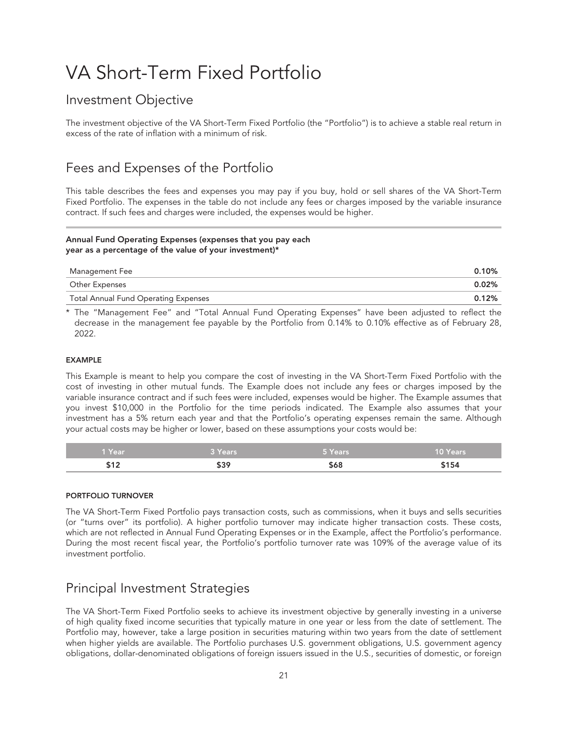# <span id="page-26-0"></span>VA Short-Term Fixed Portfolio

## <span id="page-26-1"></span>Investment Objective

The investment objective of the VA Short-Term Fixed Portfolio (the "Portfolio") is to achieve a stable real return in excess of the rate of inflation with a minimum of risk.

# <span id="page-26-2"></span>Fees and Expenses of the Portfolio

This table describes the fees and expenses you may pay if you buy, hold or sell shares of the VA Short-Term Fixed Portfolio. The expenses in the table do not include any fees or charges imposed by the variable insurance contract. If such fees and charges were included, the expenses would be higher.

#### Annual Fund Operating Expenses (expenses that you pay each year as a percentage of the value of your investment)\*

| Management Fee                              | 0.10% |
|---------------------------------------------|-------|
| Other Expenses                              | 0.02% |
| <b>Total Annual Fund Operating Expenses</b> | 0.12% |

\* The "Management Fee" and "Total Annual Fund Operating Expenses" have been adjusted to reflect the decrease in the management fee payable by the Portfolio from 0.14% to 0.10% effective as of February 28, 2022.

#### EXAMPLE

This Example is meant to help you compare the cost of investing in the VA Short-Term Fixed Portfolio with the cost of investing in other mutual funds. The Example does not include any fees or charges imposed by the variable insurance contract and if such fees were included, expenses would be higher. The Example assumes that you invest \$10,000 in the Portfolio for the time periods indicated. The Example also assumes that your investment has a 5% return each year and that the Portfolio's operating expenses remain the same. Although your actual costs may be higher or lower, based on these assumptions your costs would be:

| l Year'      | <b>8 Years</b> | 5 Years | <b>10 Years</b> |
|--------------|----------------|---------|-----------------|
| т 4 с<br>╜╹┷ | $\uparrow$     |         | 计不同字            |

#### PORTFOLIO TURNOVER

The VA Short-Term Fixed Portfolio pays transaction costs, such as commissions, when it buys and sells securities (or "turns over" its portfolio). A higher portfolio turnover may indicate higher transaction costs. These costs, which are not reflected in Annual Fund Operating Expenses or in the Example, affect the Portfolio's performance. During the most recent fiscal year, the Portfolio's portfolio turnover rate was 109% of the average value of its investment portfolio.

## <span id="page-26-3"></span>Principal Investment Strategies

The VA Short-Term Fixed Portfolio seeks to achieve its investment objective by generally investing in a universe of high quality fixed income securities that typically mature in one year or less from the date of settlement. The Portfolio may, however, take a large position in securities maturing within two years from the date of settlement when higher yields are available. The Portfolio purchases U.S. government obligations, U.S. government agency obligations, dollar-denominated obligations of foreign issuers issued in the U.S., securities of domestic, or foreign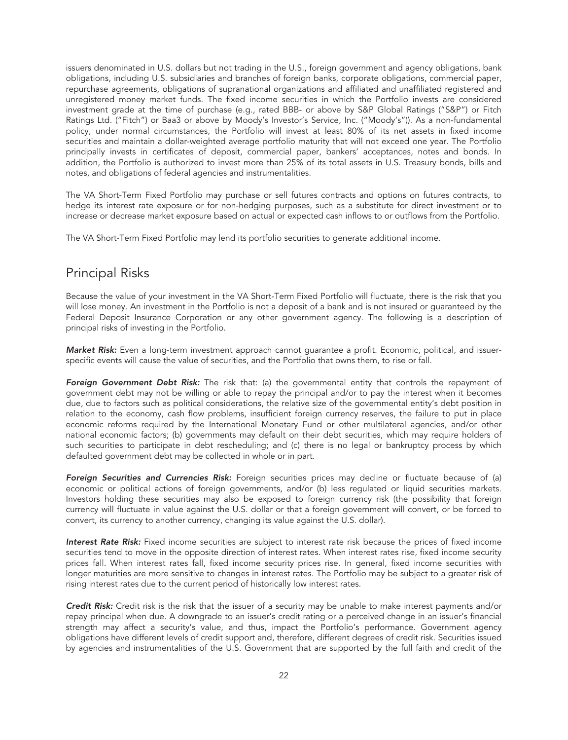issuers denominated in U.S. dollars but not trading in the U.S., foreign government and agency obligations, bank obligations, including U.S. subsidiaries and branches of foreign banks, corporate obligations, commercial paper, repurchase agreements, obligations of supranational organizations and affiliated and unaffiliated registered and unregistered money market funds. The fixed income securities in which the Portfolio invests are considered investment grade at the time of purchase (e.g., rated BBB- or above by S&P Global Ratings ("S&P") or Fitch Ratings Ltd. ("Fitch") or Baa3 or above by Moody's Investor's Service, Inc. ("Moody's")). As a non-fundamental policy, under normal circumstances, the Portfolio will invest at least 80% of its net assets in fixed income securities and maintain a dollar-weighted average portfolio maturity that will not exceed one year. The Portfolio principally invests in certificates of deposit, commercial paper, bankers' acceptances, notes and bonds. In addition, the Portfolio is authorized to invest more than 25% of its total assets in U.S. Treasury bonds, bills and notes, and obligations of federal agencies and instrumentalities.

The VA Short-Term Fixed Portfolio may purchase or sell futures contracts and options on futures contracts, to hedge its interest rate exposure or for non-hedging purposes, such as a substitute for direct investment or to increase or decrease market exposure based on actual or expected cash inflows to or outflows from the Portfolio.

The VA Short-Term Fixed Portfolio may lend its portfolio securities to generate additional income.

#### <span id="page-27-0"></span>Principal Risks

Because the value of your investment in the VA Short-Term Fixed Portfolio will fluctuate, there is the risk that you will lose money. An investment in the Portfolio is not a deposit of a bank and is not insured or guaranteed by the Federal Deposit Insurance Corporation or any other government agency. The following is a description of principal risks of investing in the Portfolio.

*Market Risk:* Even a long-term investment approach cannot guarantee a profit. Economic, political, and issuerspecific events will cause the value of securities, and the Portfolio that owns them, to rise or fall.

*Foreign Government Debt Risk:* The risk that: (a) the governmental entity that controls the repayment of government debt may not be willing or able to repay the principal and/or to pay the interest when it becomes due, due to factors such as political considerations, the relative size of the governmental entity's debt position in relation to the economy, cash flow problems, insufficient foreign currency reserves, the failure to put in place economic reforms required by the International Monetary Fund or other multilateral agencies, and/or other national economic factors; (b) governments may default on their debt securities, which may require holders of such securities to participate in debt rescheduling; and (c) there is no legal or bankruptcy process by which defaulted government debt may be collected in whole or in part.

*Foreign Securities and Currencies Risk:* Foreign securities prices may decline or fluctuate because of (a) economic or political actions of foreign governments, and/or (b) less regulated or liquid securities markets. Investors holding these securities may also be exposed to foreign currency risk (the possibility that foreign currency will fluctuate in value against the U.S. dollar or that a foreign government will convert, or be forced to convert, its currency to another currency, changing its value against the U.S. dollar).

*Interest Rate Risk:* Fixed income securities are subject to interest rate risk because the prices of fixed income securities tend to move in the opposite direction of interest rates. When interest rates rise, fixed income security prices fall. When interest rates fall, fixed income security prices rise. In general, fixed income securities with longer maturities are more sensitive to changes in interest rates. The Portfolio may be subject to a greater risk of rising interest rates due to the current period of historically low interest rates.

*Credit Risk:* Credit risk is the risk that the issuer of a security may be unable to make interest payments and/or repay principal when due. A downgrade to an issuer's credit rating or a perceived change in an issuer's financial strength may affect a security's value, and thus, impact the Portfolio's performance. Government agency obligations have different levels of credit support and, therefore, different degrees of credit risk. Securities issued by agencies and instrumentalities of the U.S. Government that are supported by the full faith and credit of the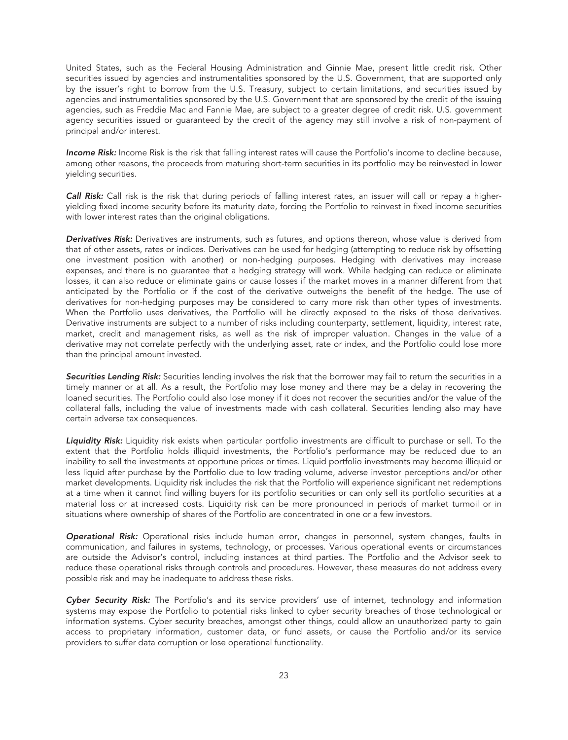United States, such as the Federal Housing Administration and Ginnie Mae, present little credit risk. Other securities issued by agencies and instrumentalities sponsored by the U.S. Government, that are supported only by the issuer's right to borrow from the U.S. Treasury, subject to certain limitations, and securities issued by agencies and instrumentalities sponsored by the U.S. Government that are sponsored by the credit of the issuing agencies, such as Freddie Mac and Fannie Mae, are subject to a greater degree of credit risk. U.S. government agency securities issued or guaranteed by the credit of the agency may still involve a risk of non-payment of principal and/or interest.

*Income Risk:* Income Risk is the risk that falling interest rates will cause the Portfolio's income to decline because, among other reasons, the proceeds from maturing short-term securities in its portfolio may be reinvested in lower yielding securities.

*Call Risk:* Call risk is the risk that during periods of falling interest rates, an issuer will call or repay a higheryielding fixed income security before its maturity date, forcing the Portfolio to reinvest in fixed income securities with lower interest rates than the original obligations.

*Derivatives Risk:* Derivatives are instruments, such as futures, and options thereon, whose value is derived from that of other assets, rates or indices. Derivatives can be used for hedging (attempting to reduce risk by offsetting one investment position with another) or non-hedging purposes. Hedging with derivatives may increase expenses, and there is no guarantee that a hedging strategy will work. While hedging can reduce or eliminate losses, it can also reduce or eliminate gains or cause losses if the market moves in a manner different from that anticipated by the Portfolio or if the cost of the derivative outweighs the benefit of the hedge. The use of derivatives for non-hedging purposes may be considered to carry more risk than other types of investments. When the Portfolio uses derivatives, the Portfolio will be directly exposed to the risks of those derivatives. Derivative instruments are subject to a number of risks including counterparty, settlement, liquidity, interest rate, market, credit and management risks, as well as the risk of improper valuation. Changes in the value of a derivative may not correlate perfectly with the underlying asset, rate or index, and the Portfolio could lose more than the principal amount invested.

*Securities Lending Risk:* Securities lending involves the risk that the borrower may fail to return the securities in a timely manner or at all. As a result, the Portfolio may lose money and there may be a delay in recovering the loaned securities. The Portfolio could also lose money if it does not recover the securities and/or the value of the collateral falls, including the value of investments made with cash collateral. Securities lending also may have certain adverse tax consequences.

*Liquidity Risk:* Liquidity risk exists when particular portfolio investments are difficult to purchase or sell. To the extent that the Portfolio holds illiquid investments, the Portfolio's performance may be reduced due to an inability to sell the investments at opportune prices or times. Liquid portfolio investments may become illiquid or less liquid after purchase by the Portfolio due to low trading volume, adverse investor perceptions and/or other market developments. Liquidity risk includes the risk that the Portfolio will experience significant net redemptions at a time when it cannot find willing buyers for its portfolio securities or can only sell its portfolio securities at a material loss or at increased costs. Liquidity risk can be more pronounced in periods of market turmoil or in situations where ownership of shares of the Portfolio are concentrated in one or a few investors.

*Operational Risk:* Operational risks include human error, changes in personnel, system changes, faults in communication, and failures in systems, technology, or processes. Various operational events or circumstances are outside the Advisor's control, including instances at third parties. The Portfolio and the Advisor seek to reduce these operational risks through controls and procedures. However, these measures do not address every possible risk and may be inadequate to address these risks.

*Cyber Security Risk:* The Portfolio's and its service providers' use of internet, technology and information systems may expose the Portfolio to potential risks linked to cyber security breaches of those technological or information systems. Cyber security breaches, amongst other things, could allow an unauthorized party to gain access to proprietary information, customer data, or fund assets, or cause the Portfolio and/or its service providers to suffer data corruption or lose operational functionality.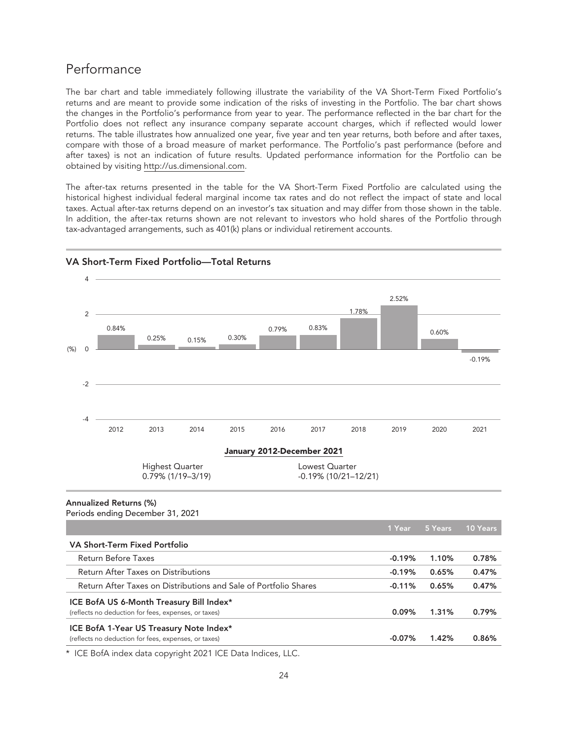### <span id="page-29-0"></span>Performance

The bar chart and table immediately following illustrate the variability of the VA Short-Term Fixed Portfolio's returns and are meant to provide some indication of the risks of investing in the Portfolio. The bar chart shows the changes in the Portfolio's performance from year to year. The performance reflected in the bar chart for the Portfolio does not reflect any insurance company separate account charges, which if reflected would lower returns. The table illustrates how annualized one year, five year and ten year returns, both before and after taxes, compare with those of a broad measure of market performance. The Portfolio's past performance (before and after taxes) is not an indication of future results. Updated performance information for the Portfolio can be obtained by visiting http://us.dimensional.com.

The after-tax returns presented in the table for the VA Short-Term Fixed Portfolio are calculated using the historical highest individual federal marginal income tax rates and do not reflect the impact of state and local taxes. Actual after-tax returns depend on an investor's tax situation and may differ from those shown in the table. In addition, the after-tax returns shown are not relevant to investors who hold shares of the Portfolio through tax-advantaged arrangements, such as 401(k) plans or individual retirement accounts.



#### VA Short-Term Fixed Portfolio—Total Returns

\* ICE BofA index data copyright 2021 ICE Data Indices, LLC.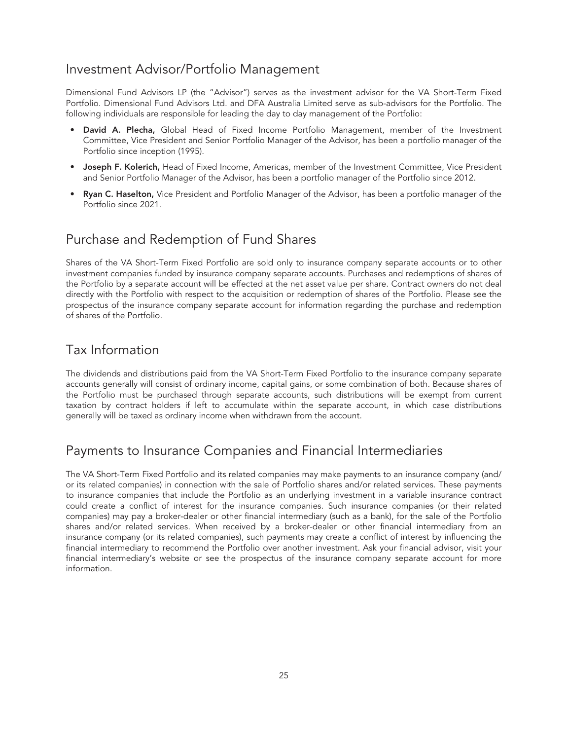### <span id="page-30-0"></span>Investment Advisor/Portfolio Management

Dimensional Fund Advisors LP (the "Advisor") serves as the investment advisor for the VA Short-Term Fixed Portfolio. Dimensional Fund Advisors Ltd. and DFA Australia Limited serve as sub-advisors for the Portfolio. The following individuals are responsible for leading the day to day management of the Portfolio:

- David A. Plecha, Global Head of Fixed Income Portfolio Management, member of the Investment Committee, Vice President and Senior Portfolio Manager of the Advisor, has been a portfolio manager of the Portfolio since inception (1995).
- Joseph F. Kolerich, Head of Fixed Income, Americas, member of the Investment Committee, Vice President and Senior Portfolio Manager of the Advisor, has been a portfolio manager of the Portfolio since 2012.
- Ryan C. Haselton, Vice President and Portfolio Manager of the Advisor, has been a portfolio manager of the Portfolio since 2021.

# <span id="page-30-1"></span>Purchase and Redemption of Fund Shares

Shares of the VA Short-Term Fixed Portfolio are sold only to insurance company separate accounts or to other investment companies funded by insurance company separate accounts. Purchases and redemptions of shares of the Portfolio by a separate account will be effected at the net asset value per share. Contract owners do not deal directly with the Portfolio with respect to the acquisition or redemption of shares of the Portfolio. Please see the prospectus of the insurance company separate account for information regarding the purchase and redemption of shares of the Portfolio.

### <span id="page-30-2"></span>Tax Information

The dividends and distributions paid from the VA Short-Term Fixed Portfolio to the insurance company separate accounts generally will consist of ordinary income, capital gains, or some combination of both. Because shares of the Portfolio must be purchased through separate accounts, such distributions will be exempt from current taxation by contract holders if left to accumulate within the separate account, in which case distributions generally will be taxed as ordinary income when withdrawn from the account.

# <span id="page-30-3"></span>Payments to Insurance Companies and Financial Intermediaries

The VA Short-Term Fixed Portfolio and its related companies may make payments to an insurance company (and/ or its related companies) in connection with the sale of Portfolio shares and/or related services. These payments to insurance companies that include the Portfolio as an underlying investment in a variable insurance contract could create a conflict of interest for the insurance companies. Such insurance companies (or their related companies) may pay a broker-dealer or other financial intermediary (such as a bank), for the sale of the Portfolio shares and/or related services. When received by a broker-dealer or other financial intermediary from an insurance company (or its related companies), such payments may create a conflict of interest by influencing the financial intermediary to recommend the Portfolio over another investment. Ask your financial advisor, visit your financial intermediary's website or see the prospectus of the insurance company separate account for more information.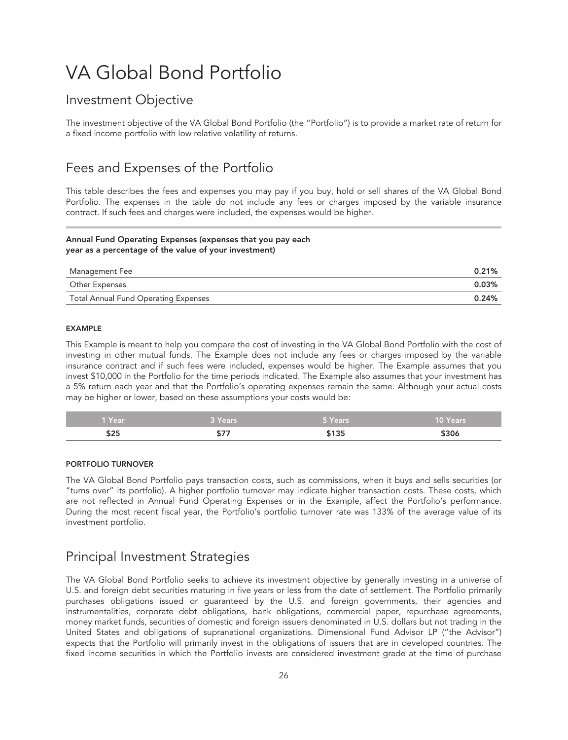# <span id="page-31-0"></span>VA Global Bond Portfolio

### <span id="page-31-1"></span>Investment Objective

The investment objective of the VA Global Bond Portfolio (the "Portfolio") is to provide a market rate of return for a fixed income portfolio with low relative volatility of returns.

# <span id="page-31-2"></span>Fees and Expenses of the Portfolio

This table describes the fees and expenses you may pay if you buy, hold or sell shares of the VA Global Bond Portfolio. The expenses in the table do not include any fees or charges imposed by the variable insurance contract. If such fees and charges were included, the expenses would be higher.

#### Annual Fund Operating Expenses (expenses that you pay each year as a percentage of the value of your investment)

| Management Fee                       | 0.21% |
|--------------------------------------|-------|
| Other Expenses                       | 0.03% |
| Total Annual Fund Operating Expenses | 0.24% |

#### EXAMPLE

This Example is meant to help you compare the cost of investing in the VA Global Bond Portfolio with the cost of investing in other mutual funds. The Example does not include any fees or charges imposed by the variable insurance contract and if such fees were included, expenses would be higher. The Example assumes that you invest \$10,000 in the Portfolio for the time periods indicated. The Example also assumes that your investment has a 5% return each year and that the Portfolio's operating expenses remain the same. Although your actual costs may be higher or lower, based on these assumptions your costs would be:

| 1 Year \ | <b>3 Years</b> | 5 Years | 10 Years |
|----------|----------------|---------|----------|
| \$25     | \$77           | \$135   | \$306    |

#### PORTFOLIO TURNOVER

The VA Global Bond Portfolio pays transaction costs, such as commissions, when it buys and sells securities (or "turns over" its portfolio). A higher portfolio turnover may indicate higher transaction costs. These costs, which are not reflected in Annual Fund Operating Expenses or in the Example, affect the Portfolio's performance. During the most recent fiscal year, the Portfolio's portfolio turnover rate was 133% of the average value of its investment portfolio.

## <span id="page-31-3"></span>Principal Investment Strategies

The VA Global Bond Portfolio seeks to achieve its investment objective by generally investing in a universe of U.S. and foreign debt securities maturing in five years or less from the date of settlement. The Portfolio primarily purchases obligations issued or guaranteed by the U.S. and foreign governments, their agencies and instrumentalities, corporate debt obligations, bank obligations, commercial paper, repurchase agreements, money market funds, securities of domestic and foreign issuers denominated in U.S. dollars but not trading in the United States and obligations of supranational organizations. Dimensional Fund Advisor LP ("the Advisor") expects that the Portfolio will primarily invest in the obligations of issuers that are in developed countries. The fixed income securities in which the Portfolio invests are considered investment grade at the time of purchase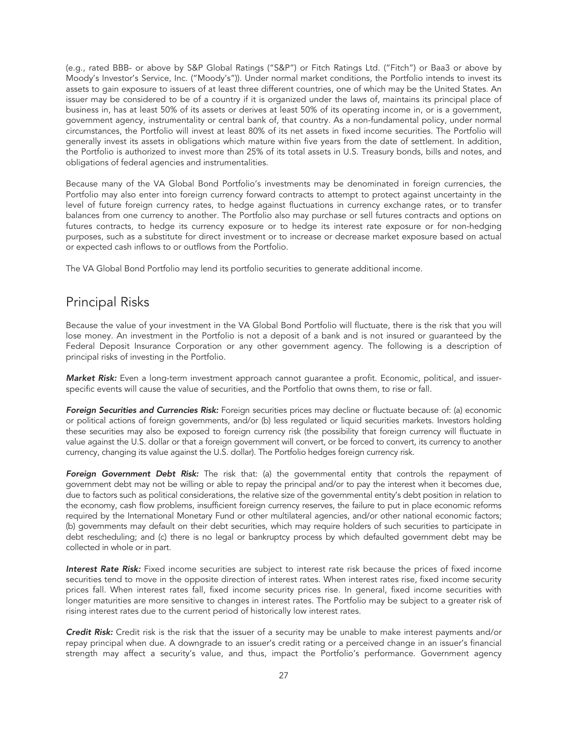(e.g., rated BBB- or above by S&P Global Ratings ("S&P") or Fitch Ratings Ltd. ("Fitch") or Baa3 or above by Moody's Investor's Service, Inc. ("Moody's")). Under normal market conditions, the Portfolio intends to invest its assets to gain exposure to issuers of at least three different countries, one of which may be the United States. An issuer may be considered to be of a country if it is organized under the laws of, maintains its principal place of business in, has at least 50% of its assets or derives at least 50% of its operating income in, or is a government, government agency, instrumentality or central bank of, that country. As a non-fundamental policy, under normal circumstances, the Portfolio will invest at least 80% of its net assets in fixed income securities. The Portfolio will generally invest its assets in obligations which mature within five years from the date of settlement. In addition, the Portfolio is authorized to invest more than 25% of its total assets in U.S. Treasury bonds, bills and notes, and obligations of federal agencies and instrumentalities.

Because many of the VA Global Bond Portfolio's investments may be denominated in foreign currencies, the Portfolio may also enter into foreign currency forward contracts to attempt to protect against uncertainty in the level of future foreign currency rates, to hedge against fluctuations in currency exchange rates, or to transfer balances from one currency to another. The Portfolio also may purchase or sell futures contracts and options on futures contracts, to hedge its currency exposure or to hedge its interest rate exposure or for non-hedging purposes, such as a substitute for direct investment or to increase or decrease market exposure based on actual or expected cash inflows to or outflows from the Portfolio.

The VA Global Bond Portfolio may lend its portfolio securities to generate additional income.

#### <span id="page-32-0"></span>Principal Risks

Because the value of your investment in the VA Global Bond Portfolio will fluctuate, there is the risk that you will lose money. An investment in the Portfolio is not a deposit of a bank and is not insured or guaranteed by the Federal Deposit Insurance Corporation or any other government agency. The following is a description of principal risks of investing in the Portfolio.

*Market Risk:* Even a long-term investment approach cannot guarantee a profit. Economic, political, and issuerspecific events will cause the value of securities, and the Portfolio that owns them, to rise or fall.

*Foreign Securities and Currencies Risk:* Foreign securities prices may decline or fluctuate because of: (a) economic or political actions of foreign governments, and/or (b) less regulated or liquid securities markets. Investors holding these securities may also be exposed to foreign currency risk (the possibility that foreign currency will fluctuate in value against the U.S. dollar or that a foreign government will convert, or be forced to convert, its currency to another currency, changing its value against the U.S. dollar). The Portfolio hedges foreign currency risk.

*Foreign Government Debt Risk:* The risk that: (a) the governmental entity that controls the repayment of government debt may not be willing or able to repay the principal and/or to pay the interest when it becomes due, due to factors such as political considerations, the relative size of the governmental entity's debt position in relation to the economy, cash flow problems, insufficient foreign currency reserves, the failure to put in place economic reforms required by the International Monetary Fund or other multilateral agencies, and/or other national economic factors; (b) governments may default on their debt securities, which may require holders of such securities to participate in debt rescheduling; and (c) there is no legal or bankruptcy process by which defaulted government debt may be collected in whole or in part.

*Interest Rate Risk:* Fixed income securities are subject to interest rate risk because the prices of fixed income securities tend to move in the opposite direction of interest rates. When interest rates rise, fixed income security prices fall. When interest rates fall, fixed income security prices rise. In general, fixed income securities with longer maturities are more sensitive to changes in interest rates. The Portfolio may be subject to a greater risk of rising interest rates due to the current period of historically low interest rates.

*Credit Risk:* Credit risk is the risk that the issuer of a security may be unable to make interest payments and/or repay principal when due. A downgrade to an issuer's credit rating or a perceived change in an issuer's financial strength may affect a security's value, and thus, impact the Portfolio's performance. Government agency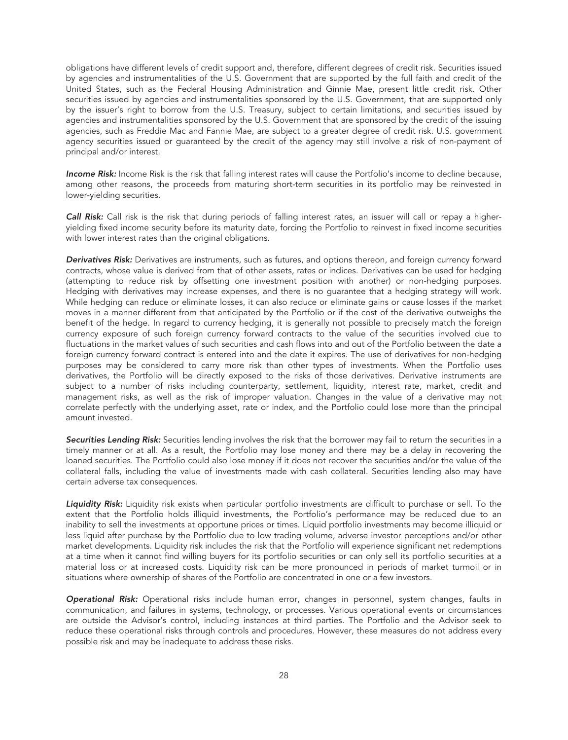obligations have different levels of credit support and, therefore, different degrees of credit risk. Securities issued by agencies and instrumentalities of the U.S. Government that are supported by the full faith and credit of the United States, such as the Federal Housing Administration and Ginnie Mae, present little credit risk. Other securities issued by agencies and instrumentalities sponsored by the U.S. Government, that are supported only by the issuer's right to borrow from the U.S. Treasury, subject to certain limitations, and securities issued by agencies and instrumentalities sponsored by the U.S. Government that are sponsored by the credit of the issuing agencies, such as Freddie Mac and Fannie Mae, are subject to a greater degree of credit risk. U.S. government agency securities issued or guaranteed by the credit of the agency may still involve a risk of non-payment of principal and/or interest.

*Income Risk:* Income Risk is the risk that falling interest rates will cause the Portfolio's income to decline because, among other reasons, the proceeds from maturing short-term securities in its portfolio may be reinvested in lower-yielding securities.

*Call Risk:* Call risk is the risk that during periods of falling interest rates, an issuer will call or repay a higheryielding fixed income security before its maturity date, forcing the Portfolio to reinvest in fixed income securities with lower interest rates than the original obligations.

*Derivatives Risk:* Derivatives are instruments, such as futures, and options thereon, and foreign currency forward contracts, whose value is derived from that of other assets, rates or indices. Derivatives can be used for hedging (attempting to reduce risk by offsetting one investment position with another) or non-hedging purposes. Hedging with derivatives may increase expenses, and there is no guarantee that a hedging strategy will work. While hedging can reduce or eliminate losses, it can also reduce or eliminate gains or cause losses if the market moves in a manner different from that anticipated by the Portfolio or if the cost of the derivative outweighs the benefit of the hedge. In regard to currency hedging, it is generally not possible to precisely match the foreign currency exposure of such foreign currency forward contracts to the value of the securities involved due to fluctuations in the market values of such securities and cash flows into and out of the Portfolio between the date a foreign currency forward contract is entered into and the date it expires. The use of derivatives for non-hedging purposes may be considered to carry more risk than other types of investments. When the Portfolio uses derivatives, the Portfolio will be directly exposed to the risks of those derivatives. Derivative instruments are subject to a number of risks including counterparty, settlement, liquidity, interest rate, market, credit and management risks, as well as the risk of improper valuation. Changes in the value of a derivative may not correlate perfectly with the underlying asset, rate or index, and the Portfolio could lose more than the principal amount invested.

*Securities Lending Risk:* Securities lending involves the risk that the borrower may fail to return the securities in a timely manner or at all. As a result, the Portfolio may lose money and there may be a delay in recovering the loaned securities. The Portfolio could also lose money if it does not recover the securities and/or the value of the collateral falls, including the value of investments made with cash collateral. Securities lending also may have certain adverse tax consequences.

*Liquidity Risk:* Liquidity risk exists when particular portfolio investments are difficult to purchase or sell. To the extent that the Portfolio holds illiquid investments, the Portfolio's performance may be reduced due to an inability to sell the investments at opportune prices or times. Liquid portfolio investments may become illiquid or less liquid after purchase by the Portfolio due to low trading volume, adverse investor perceptions and/or other market developments. Liquidity risk includes the risk that the Portfolio will experience significant net redemptions at a time when it cannot find willing buyers for its portfolio securities or can only sell its portfolio securities at a material loss or at increased costs. Liquidity risk can be more pronounced in periods of market turmoil or in situations where ownership of shares of the Portfolio are concentrated in one or a few investors.

*Operational Risk:* Operational risks include human error, changes in personnel, system changes, faults in communication, and failures in systems, technology, or processes. Various operational events or circumstances are outside the Advisor's control, including instances at third parties. The Portfolio and the Advisor seek to reduce these operational risks through controls and procedures. However, these measures do not address every possible risk and may be inadequate to address these risks.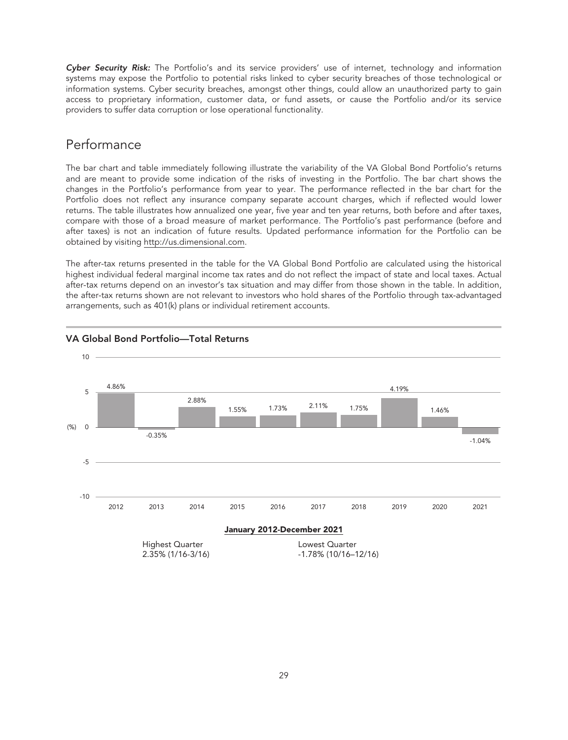*Cyber Security Risk:* The Portfolio's and its service providers' use of internet, technology and information systems may expose the Portfolio to potential risks linked to cyber security breaches of those technological or information systems. Cyber security breaches, amongst other things, could allow an unauthorized party to gain access to proprietary information, customer data, or fund assets, or cause the Portfolio and/or its service providers to suffer data corruption or lose operational functionality.

### <span id="page-34-0"></span>Performance

The bar chart and table immediately following illustrate the variability of the VA Global Bond Portfolio's returns and are meant to provide some indication of the risks of investing in the Portfolio. The bar chart shows the changes in the Portfolio's performance from year to year. The performance reflected in the bar chart for the Portfolio does not reflect any insurance company separate account charges, which if reflected would lower returns. The table illustrates how annualized one year, five year and ten year returns, both before and after taxes, compare with those of a broad measure of market performance. The Portfolio's past performance (before and after taxes) is not an indication of future results. Updated performance information for the Portfolio can be obtained by visiting http://us.dimensional.com.

The after-tax returns presented in the table for the VA Global Bond Portfolio are calculated using the historical highest individual federal marginal income tax rates and do not reflect the impact of state and local taxes. Actual after-tax returns depend on an investor's tax situation and may differ from those shown in the table. In addition, the after-tax returns shown are not relevant to investors who hold shares of the Portfolio through tax-advantaged arrangements, such as 401(k) plans or individual retirement accounts.



#### VA Global Bond Portfolio—Total Returns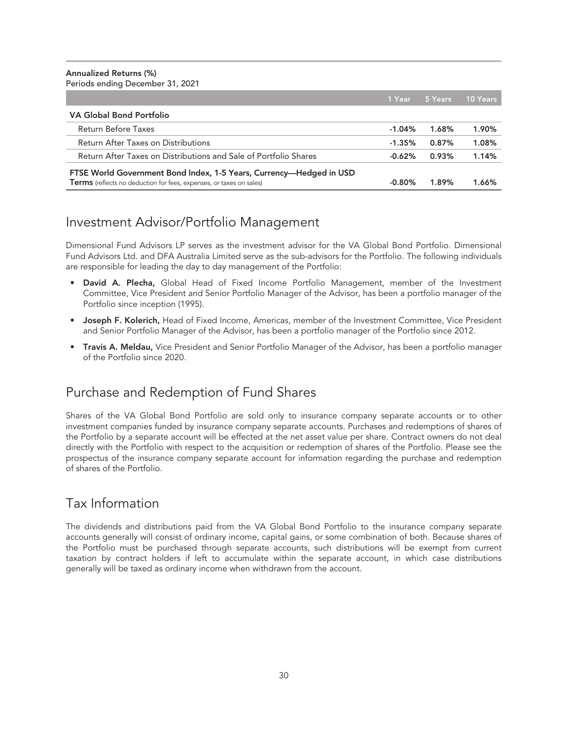#### Annualized Returns (%) Periods ending December 31, 2021

|                                                                                                                                                   | 1 Year    | 5 Years | 10 Years |
|---------------------------------------------------------------------------------------------------------------------------------------------------|-----------|---------|----------|
| VA Global Bond Portfolio                                                                                                                          |           |         |          |
| Return Before Taxes                                                                                                                               | $-1.04\%$ | 1.68%   | 1.90%    |
| Return After Taxes on Distributions                                                                                                               | $-1.35%$  | 0.87%   | 1.08%    |
| Return After Taxes on Distributions and Sale of Portfolio Shares                                                                                  | $-0.62%$  | 0.93%   | 1.14%    |
| FTSE World Government Bond Index, 1-5 Years, Currency—Hedged in USD<br><b>Terms</b> (reflects no deduction for fees, expenses, or taxes on sales) | $-0.80\%$ | 1.89%   | 1.66%    |

### <span id="page-35-0"></span>Investment Advisor/Portfolio Management

Dimensional Fund Advisors LP serves as the investment advisor for the VA Global Bond Portfolio. Dimensional Fund Advisors Ltd. and DFA Australia Limited serve as the sub-advisors for the Portfolio. The following individuals are responsible for leading the day to day management of the Portfolio:

- **David A. Plecha,** Global Head of Fixed Income Portfolio Management, member of the Investment Committee, Vice President and Senior Portfolio Manager of the Advisor, has been a portfolio manager of the Portfolio since inception (1995).
- Joseph F. Kolerich, Head of Fixed Income, Americas, member of the Investment Committee, Vice President and Senior Portfolio Manager of the Advisor, has been a portfolio manager of the Portfolio since 2012.
- Travis A. Meldau, Vice President and Senior Portfolio Manager of the Advisor, has been a portfolio manager of the Portfolio since 2020.

## <span id="page-35-1"></span>Purchase and Redemption of Fund Shares

Shares of the VA Global Bond Portfolio are sold only to insurance company separate accounts or to other investment companies funded by insurance company separate accounts. Purchases and redemptions of shares of the Portfolio by a separate account will be effected at the net asset value per share. Contract owners do not deal directly with the Portfolio with respect to the acquisition or redemption of shares of the Portfolio. Please see the prospectus of the insurance company separate account for information regarding the purchase and redemption of shares of the Portfolio.

## <span id="page-35-2"></span>Tax Information

The dividends and distributions paid from the VA Global Bond Portfolio to the insurance company separate accounts generally will consist of ordinary income, capital gains, or some combination of both. Because shares of the Portfolio must be purchased through separate accounts, such distributions will be exempt from current taxation by contract holders if left to accumulate within the separate account, in which case distributions generally will be taxed as ordinary income when withdrawn from the account.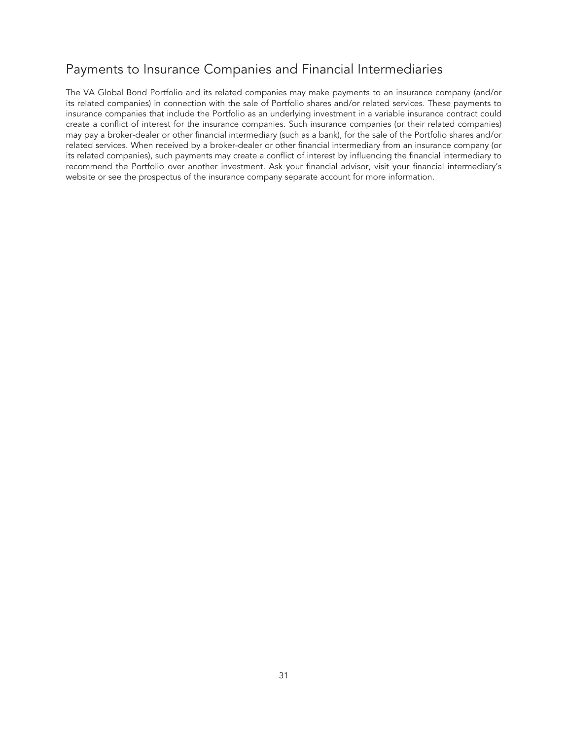# Payments to Insurance Companies and Financial Intermediaries

The VA Global Bond Portfolio and its related companies may make payments to an insurance company (and/or its related companies) in connection with the sale of Portfolio shares and/or related services. These payments to insurance companies that include the Portfolio as an underlying investment in a variable insurance contract could create a conflict of interest for the insurance companies. Such insurance companies (or their related companies) may pay a broker-dealer or other financial intermediary (such as a bank), for the sale of the Portfolio shares and/or related services. When received by a broker-dealer or other financial intermediary from an insurance company (or its related companies), such payments may create a conflict of interest by influencing the financial intermediary to recommend the Portfolio over another investment. Ask your financial advisor, visit your financial intermediary's website or see the prospectus of the insurance company separate account for more information.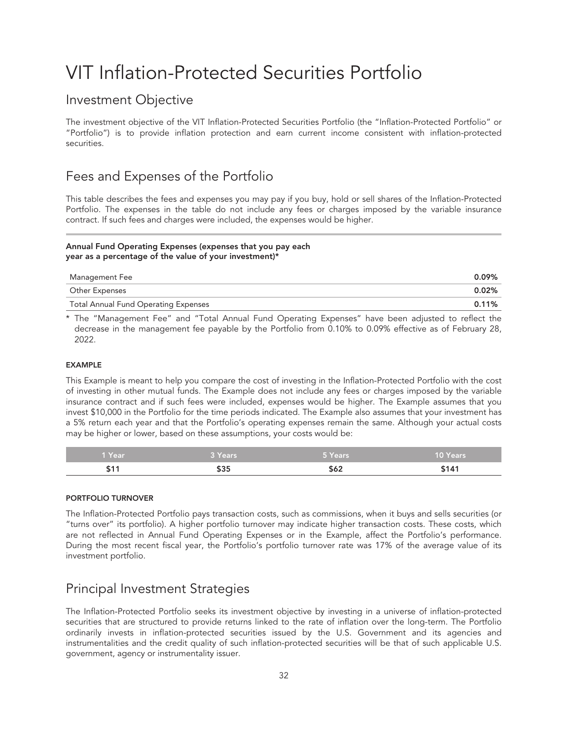# VIT Inflation-Protected Securities Portfolio

# Investment Objective

The investment objective of the VIT Inflation-Protected Securities Portfolio (the "Inflation-Protected Portfolio" or "Portfolio") is to provide inflation protection and earn current income consistent with inflation-protected securities.

# Fees and Expenses of the Portfolio

This table describes the fees and expenses you may pay if you buy, hold or sell shares of the Inflation-Protected Portfolio. The expenses in the table do not include any fees or charges imposed by the variable insurance contract. If such fees and charges were included, the expenses would be higher.

#### Annual Fund Operating Expenses (expenses that you pay each year as a percentage of the value of your investment)\*

| Management Fee                              | 0.09%    |
|---------------------------------------------|----------|
| <b>Other Expenses</b>                       | 0.02%    |
| <b>Total Annual Fund Operating Expenses</b> | $0.11\%$ |

\* The "Management Fee" and "Total Annual Fund Operating Expenses" have been adjusted to reflect the decrease in the management fee payable by the Portfolio from 0.10% to 0.09% effective as of February 28, 2022.

### EXAMPLE

This Example is meant to help you compare the cost of investing in the Inflation-Protected Portfolio with the cost of investing in other mutual funds. The Example does not include any fees or charges imposed by the variable insurance contract and if such fees were included, expenses would be higher. The Example assumes that you invest \$10,000 in the Portfolio for the time periods indicated. The Example also assumes that your investment has a 5% return each year and that the Portfolio's operating expenses remain the same. Although your actual costs may be higher or lower, based on these assumptions, your costs would be:

| Year <sup>'</sup> | <b>Years</b> | <b>S</b> Years           | $\sim$<br>10 Years. |
|-------------------|--------------|--------------------------|---------------------|
|                   |              | $\overline{\phantom{a}}$ |                     |

### PORTFOLIO TURNOVER

The Inflation-Protected Portfolio pays transaction costs, such as commissions, when it buys and sells securities (or "turns over" its portfolio). A higher portfolio turnover may indicate higher transaction costs. These costs, which are not reflected in Annual Fund Operating Expenses or in the Example, affect the Portfolio's performance. During the most recent fiscal year, the Portfolio's portfolio turnover rate was 17% of the average value of its investment portfolio.

# Principal Investment Strategies

The Inflation-Protected Portfolio seeks its investment objective by investing in a universe of inflation-protected securities that are structured to provide returns linked to the rate of inflation over the long-term. The Portfolio ordinarily invests in inflation-protected securities issued by the U.S. Government and its agencies and instrumentalities and the credit quality of such inflation-protected securities will be that of such applicable U.S. government, agency or instrumentality issuer.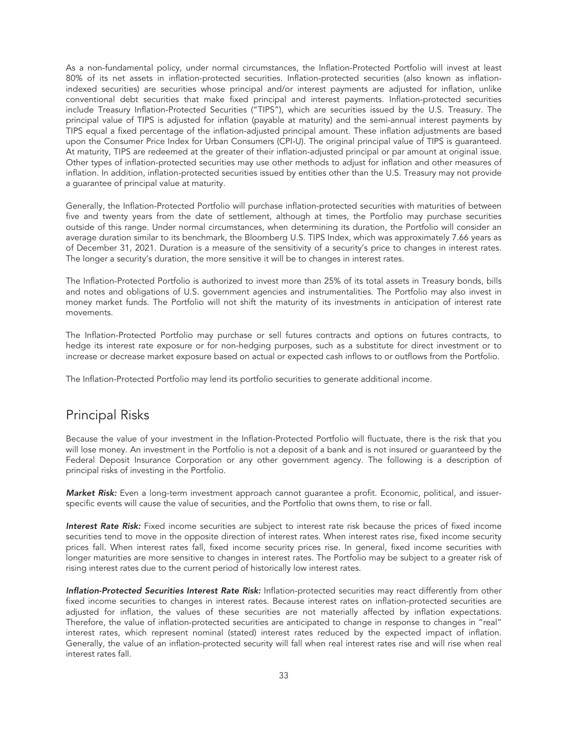As a non-fundamental policy, under normal circumstances, the Inflation-Protected Portfolio will invest at least 80% of its net assets in inflation-protected securities. Inflation-protected securities (also known as inflationindexed securities) are securities whose principal and/or interest payments are adjusted for inflation, unlike conventional debt securities that make fixed principal and interest payments. Inflation-protected securities include Treasury Inflation-Protected Securities ("TIPS"), which are securities issued by the U.S. Treasury. The principal value of TIPS is adjusted for inflation (payable at maturity) and the semi-annual interest payments by TIPS equal a fixed percentage of the inflation-adjusted principal amount. These inflation adjustments are based upon the Consumer Price Index for Urban Consumers (CPI-U). The original principal value of TIPS is guaranteed. At maturity, TIPS are redeemed at the greater of their inflation-adjusted principal or par amount at original issue. Other types of inflation-protected securities may use other methods to adjust for inflation and other measures of inflation. In addition, inflation-protected securities issued by entities other than the U.S. Treasury may not provide a guarantee of principal value at maturity.

Generally, the Inflation-Protected Portfolio will purchase inflation-protected securities with maturities of between five and twenty years from the date of settlement, although at times, the Portfolio may purchase securities outside of this range. Under normal circumstances, when determining its duration, the Portfolio will consider an average duration similar to its benchmark, the Bloomberg U.S. TIPS Index, which was approximately 7.66 years as of December 31, 2021. Duration is a measure of the sensitivity of a security's price to changes in interest rates. The longer a security's duration, the more sensitive it will be to changes in interest rates.

The Inflation-Protected Portfolio is authorized to invest more than 25% of its total assets in Treasury bonds, bills and notes and obligations of U.S. government agencies and instrumentalities. The Portfolio may also invest in money market funds. The Portfolio will not shift the maturity of its investments in anticipation of interest rate movements.

The Inflation-Protected Portfolio may purchase or sell futures contracts and options on futures contracts, to hedge its interest rate exposure or for non-hedging purposes, such as a substitute for direct investment or to increase or decrease market exposure based on actual or expected cash inflows to or outflows from the Portfolio.

The Inflation-Protected Portfolio may lend its portfolio securities to generate additional income.

### Principal Risks

Because the value of your investment in the Inflation-Protected Portfolio will fluctuate, there is the risk that you will lose money. An investment in the Portfolio is not a deposit of a bank and is not insured or guaranteed by the Federal Deposit Insurance Corporation or any other government agency. The following is a description of principal risks of investing in the Portfolio.

*Market Risk:* Even a long-term investment approach cannot guarantee a profit. Economic, political, and issuerspecific events will cause the value of securities, and the Portfolio that owns them, to rise or fall.

*Interest Rate Risk:* Fixed income securities are subject to interest rate risk because the prices of fixed income securities tend to move in the opposite direction of interest rates. When interest rates rise, fixed income security prices fall. When interest rates fall, fixed income security prices rise. In general, fixed income securities with longer maturities are more sensitive to changes in interest rates. The Portfolio may be subject to a greater risk of rising interest rates due to the current period of historically low interest rates.

*Inflation-Protected Securities Interest Rate Risk:* Inflation-protected securities may react differently from other fixed income securities to changes in interest rates. Because interest rates on inflation-protected securities are adjusted for inflation, the values of these securities are not materially affected by inflation expectations. Therefore, the value of inflation-protected securities are anticipated to change in response to changes in "real" interest rates, which represent nominal (stated) interest rates reduced by the expected impact of inflation. Generally, the value of an inflation-protected security will fall when real interest rates rise and will rise when real interest rates fall.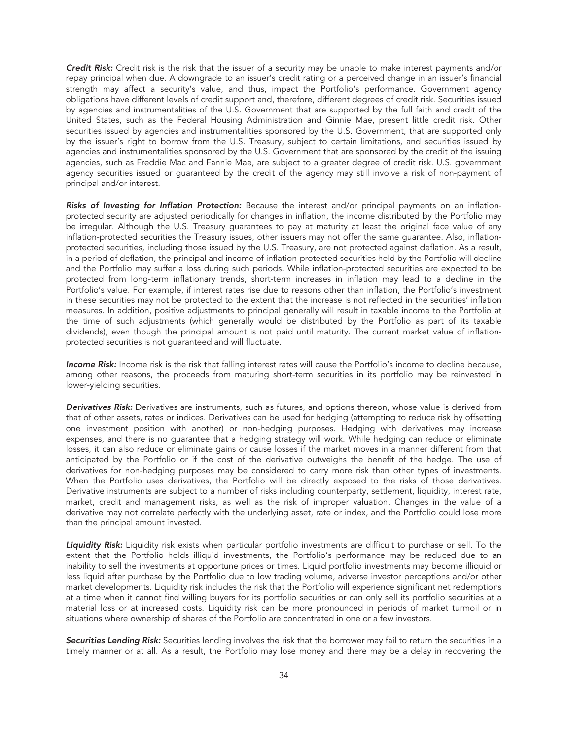*Credit Risk:* Credit risk is the risk that the issuer of a security may be unable to make interest payments and/or repay principal when due. A downgrade to an issuer's credit rating or a perceived change in an issuer's financial strength may affect a security's value, and thus, impact the Portfolio's performance. Government agency obligations have different levels of credit support and, therefore, different degrees of credit risk. Securities issued by agencies and instrumentalities of the U.S. Government that are supported by the full faith and credit of the United States, such as the Federal Housing Administration and Ginnie Mae, present little credit risk. Other securities issued by agencies and instrumentalities sponsored by the U.S. Government, that are supported only by the issuer's right to borrow from the U.S. Treasury, subject to certain limitations, and securities issued by agencies and instrumentalities sponsored by the U.S. Government that are sponsored by the credit of the issuing agencies, such as Freddie Mac and Fannie Mae, are subject to a greater degree of credit risk. U.S. government agency securities issued or guaranteed by the credit of the agency may still involve a risk of non-payment of principal and/or interest.

*Risks of Investing for Inflation Protection:* Because the interest and/or principal payments on an inflationprotected security are adjusted periodically for changes in inflation, the income distributed by the Portfolio may be irregular. Although the U.S. Treasury guarantees to pay at maturity at least the original face value of any inflation-protected securities the Treasury issues, other issuers may not offer the same guarantee. Also, inflationprotected securities, including those issued by the U.S. Treasury, are not protected against deflation. As a result, in a period of deflation, the principal and income of inflation-protected securities held by the Portfolio will decline and the Portfolio may suffer a loss during such periods. While inflation-protected securities are expected to be protected from long-term inflationary trends, short-term increases in inflation may lead to a decline in the Portfolio's value. For example, if interest rates rise due to reasons other than inflation, the Portfolio's investment in these securities may not be protected to the extent that the increase is not reflected in the securities' inflation measures. In addition, positive adjustments to principal generally will result in taxable income to the Portfolio at the time of such adjustments (which generally would be distributed by the Portfolio as part of its taxable dividends), even though the principal amount is not paid until maturity. The current market value of inflationprotected securities is not guaranteed and will fluctuate.

*Income Risk:* Income risk is the risk that falling interest rates will cause the Portfolio's income to decline because, among other reasons, the proceeds from maturing short-term securities in its portfolio may be reinvested in lower-yielding securities.

*Derivatives Risk:* Derivatives are instruments, such as futures, and options thereon, whose value is derived from that of other assets, rates or indices. Derivatives can be used for hedging (attempting to reduce risk by offsetting one investment position with another) or non-hedging purposes. Hedging with derivatives may increase expenses, and there is no guarantee that a hedging strategy will work. While hedging can reduce or eliminate losses, it can also reduce or eliminate gains or cause losses if the market moves in a manner different from that anticipated by the Portfolio or if the cost of the derivative outweighs the benefit of the hedge. The use of derivatives for non-hedging purposes may be considered to carry more risk than other types of investments. When the Portfolio uses derivatives, the Portfolio will be directly exposed to the risks of those derivatives. Derivative instruments are subject to a number of risks including counterparty, settlement, liquidity, interest rate, market, credit and management risks, as well as the risk of improper valuation. Changes in the value of a derivative may not correlate perfectly with the underlying asset, rate or index, and the Portfolio could lose more than the principal amount invested.

*Liquidity Risk:* Liquidity risk exists when particular portfolio investments are difficult to purchase or sell. To the extent that the Portfolio holds illiquid investments, the Portfolio's performance may be reduced due to an inability to sell the investments at opportune prices or times. Liquid portfolio investments may become illiquid or less liquid after purchase by the Portfolio due to low trading volume, adverse investor perceptions and/or other market developments. Liquidity risk includes the risk that the Portfolio will experience significant net redemptions at a time when it cannot find willing buyers for its portfolio securities or can only sell its portfolio securities at a material loss or at increased costs. Liquidity risk can be more pronounced in periods of market turmoil or in situations where ownership of shares of the Portfolio are concentrated in one or a few investors.

*Securities Lending Risk:* Securities lending involves the risk that the borrower may fail to return the securities in a timely manner or at all. As a result, the Portfolio may lose money and there may be a delay in recovering the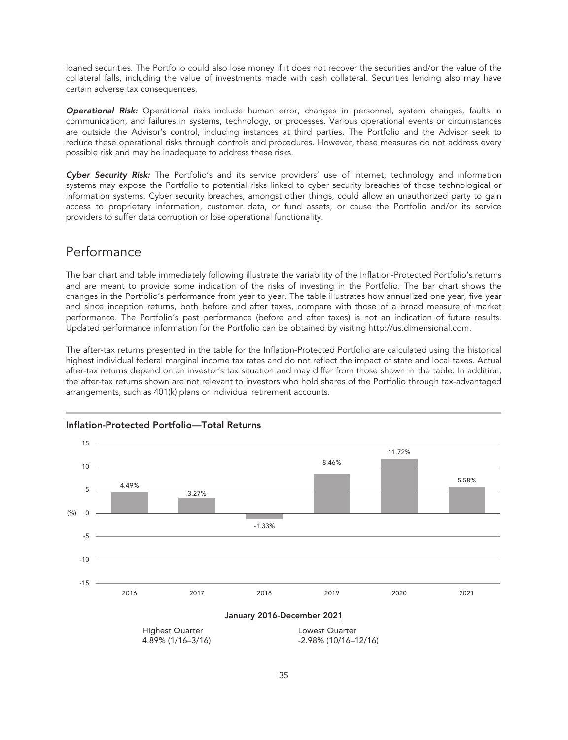loaned securities. The Portfolio could also lose money if it does not recover the securities and/or the value of the collateral falls, including the value of investments made with cash collateral. Securities lending also may have certain adverse tax consequences.

*Operational Risk:* Operational risks include human error, changes in personnel, system changes, faults in communication, and failures in systems, technology, or processes. Various operational events or circumstances are outside the Advisor's control, including instances at third parties. The Portfolio and the Advisor seek to reduce these operational risks through controls and procedures. However, these measures do not address every possible risk and may be inadequate to address these risks.

*Cyber Security Risk:* The Portfolio's and its service providers' use of internet, technology and information systems may expose the Portfolio to potential risks linked to cyber security breaches of those technological or information systems. Cyber security breaches, amongst other things, could allow an unauthorized party to gain access to proprietary information, customer data, or fund assets, or cause the Portfolio and/or its service providers to suffer data corruption or lose operational functionality.

# Performance

The bar chart and table immediately following illustrate the variability of the Inflation-Protected Portfolio's returns and are meant to provide some indication of the risks of investing in the Portfolio. The bar chart shows the changes in the Portfolio's performance from year to year. The table illustrates how annualized one year, five year and since inception returns, both before and after taxes, compare with those of a broad measure of market performance. The Portfolio's past performance (before and after taxes) is not an indication of future results. Updated performance information for the Portfolio can be obtained by visiting http://us.dimensional.com.

The after-tax returns presented in the table for the Inflation-Protected Portfolio are calculated using the historical highest individual federal marginal income tax rates and do not reflect the impact of state and local taxes. Actual after-tax returns depend on an investor's tax situation and may differ from those shown in the table. In addition, the after-tax returns shown are not relevant to investors who hold shares of the Portfolio through tax-advantaged arrangements, such as 401(k) plans or individual retirement accounts.



Inflation-Protected Portfolio—Total Returns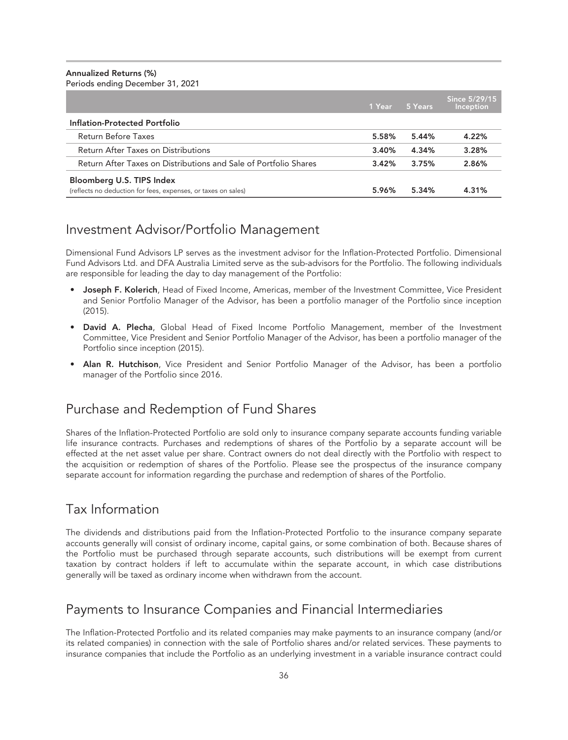#### Annualized Returns (%)

Periods ending December 31, 2021

|                                                                                            | 1 Year | 5 Years | Since 5/29/15<br>Inception |
|--------------------------------------------------------------------------------------------|--------|---------|----------------------------|
| Inflation-Protected Portfolio                                                              |        |         |                            |
| Return Before Taxes                                                                        | 5.58%  | 5.44%   | 4.22%                      |
| Return After Taxes on Distributions                                                        | 3.40%  | 4.34%   | 3.28%                      |
| Return After Taxes on Distributions and Sale of Portfolio Shares                           | 3.42%  | 3.75%   | 2.86%                      |
| Bloomberg U.S. TIPS Index<br>(reflects no deduction for fees, expenses, or taxes on sales) | 5.96%  | 5.34%   | 4.31%                      |

### Investment Advisor/Portfolio Management

Dimensional Fund Advisors LP serves as the investment advisor for the Inflation-Protected Portfolio. Dimensional Fund Advisors Ltd. and DFA Australia Limited serve as the sub-advisors for the Portfolio. The following individuals are responsible for leading the day to day management of the Portfolio:

- Joseph F. Kolerich, Head of Fixed Income, Americas, member of the Investment Committee, Vice President and Senior Portfolio Manager of the Advisor, has been a portfolio manager of the Portfolio since inception (2015).
- David A. Plecha, Global Head of Fixed Income Portfolio Management, member of the Investment Committee, Vice President and Senior Portfolio Manager of the Advisor, has been a portfolio manager of the Portfolio since inception (2015).
- Alan R. Hutchison, Vice President and Senior Portfolio Manager of the Advisor, has been a portfolio manager of the Portfolio since 2016.

# Purchase and Redemption of Fund Shares

Shares of the Inflation-Protected Portfolio are sold only to insurance company separate accounts funding variable life insurance contracts. Purchases and redemptions of shares of the Portfolio by a separate account will be effected at the net asset value per share. Contract owners do not deal directly with the Portfolio with respect to the acquisition or redemption of shares of the Portfolio. Please see the prospectus of the insurance company separate account for information regarding the purchase and redemption of shares of the Portfolio.

### Tax Information

The dividends and distributions paid from the Inflation-Protected Portfolio to the insurance company separate accounts generally will consist of ordinary income, capital gains, or some combination of both. Because shares of the Portfolio must be purchased through separate accounts, such distributions will be exempt from current taxation by contract holders if left to accumulate within the separate account, in which case distributions generally will be taxed as ordinary income when withdrawn from the account.

# Payments to Insurance Companies and Financial Intermediaries

The Inflation-Protected Portfolio and its related companies may make payments to an insurance company (and/or its related companies) in connection with the sale of Portfolio shares and/or related services. These payments to insurance companies that include the Portfolio as an underlying investment in a variable insurance contract could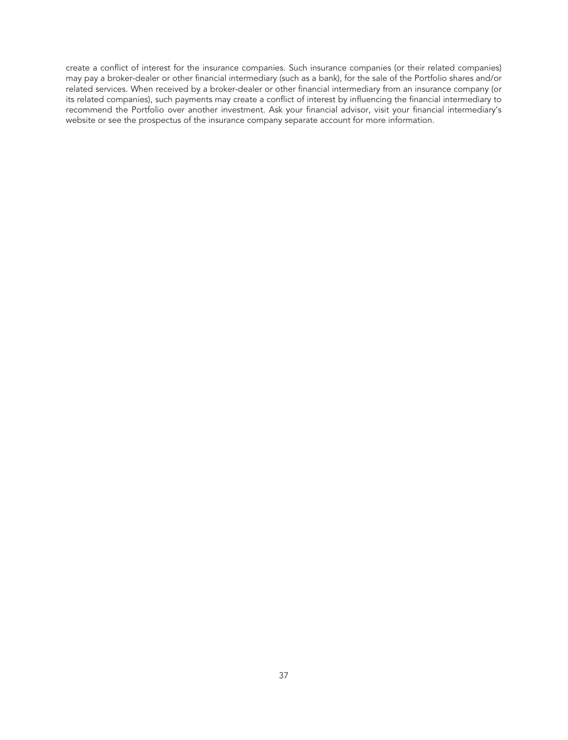create a conflict of interest for the insurance companies. Such insurance companies (or their related companies) may pay a broker-dealer or other financial intermediary (such as a bank), for the sale of the Portfolio shares and/or related services. When received by a broker-dealer or other financial intermediary from an insurance company (or its related companies), such payments may create a conflict of interest by influencing the financial intermediary to recommend the Portfolio over another investment. Ask your financial advisor, visit your financial intermediary's website or see the prospectus of the insurance company separate account for more information.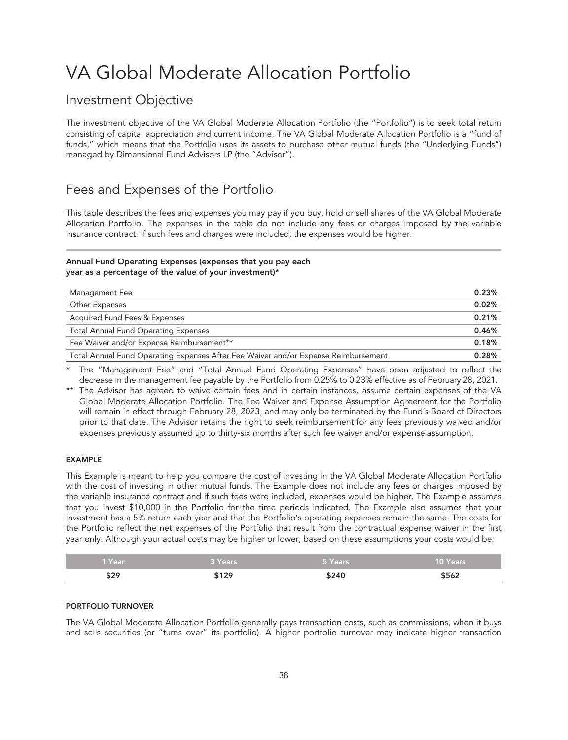# VA Global Moderate Allocation Portfolio

# Investment Objective

The investment objective of the VA Global Moderate Allocation Portfolio (the "Portfolio") is to seek total return consisting of capital appreciation and current income. The VA Global Moderate Allocation Portfolio is a "fund of funds," which means that the Portfolio uses its assets to purchase other mutual funds (the "Underlying Funds") managed by Dimensional Fund Advisors LP (the "Advisor").

# Fees and Expenses of the Portfolio

This table describes the fees and expenses you may pay if you buy, hold or sell shares of the VA Global Moderate Allocation Portfolio. The expenses in the table do not include any fees or charges imposed by the variable insurance contract. If such fees and charges were included, the expenses would be higher.

### Annual Fund Operating Expenses (expenses that you pay each year as a percentage of the value of your investment)\*

| Management Fee                                                                     | 0.23% |
|------------------------------------------------------------------------------------|-------|
| Other Expenses                                                                     | 0.02% |
| <b>Acquired Fund Fees &amp; Expenses</b>                                           | 0.21% |
| <b>Total Annual Fund Operating Expenses</b>                                        | 0.46% |
| Fee Waiver and/or Expense Reimbursement**                                          | 0.18% |
| Total Annual Fund Operating Expenses After Fee Waiver and/or Expense Reimbursement | 0.28% |

The "Management Fee" and "Total Annual Fund Operating Expenses" have been adjusted to reflect the decrease in the management fee payable by the Portfolio from 0.25% to 0.23% effective as of February 28, 2021.

\*\* The Advisor has agreed to waive certain fees and in certain instances, assume certain expenses of the VA Global Moderate Allocation Portfolio. The Fee Waiver and Expense Assumption Agreement for the Portfolio will remain in effect through February 28, 2023, and may only be terminated by the Fund's Board of Directors prior to that date. The Advisor retains the right to seek reimbursement for any fees previously waived and/or expenses previously assumed up to thirty-six months after such fee waiver and/or expense assumption.

### EXAMPLE

This Example is meant to help you compare the cost of investing in the VA Global Moderate Allocation Portfolio with the cost of investing in other mutual funds. The Example does not include any fees or charges imposed by the variable insurance contract and if such fees were included, expenses would be higher. The Example assumes that you invest \$10,000 in the Portfolio for the time periods indicated. The Example also assumes that your investment has a 5% return each year and that the Portfolio's operating expenses remain the same. The costs for the Portfolio reflect the net expenses of the Portfolio that result from the contractual expense waiver in the first year only. Although your actual costs may be higher or lower, based on these assumptions your costs would be:

| l Year <sup>l</sup> | --<br>3 Years | <b>5 Years</b> | Years      |
|---------------------|---------------|----------------|------------|
| ו רי<br>727         | 1.OC          | ∙24т           | .56<br>$-$ |

### PORTFOLIO TURNOVER

The VA Global Moderate Allocation Portfolio generally pays transaction costs, such as commissions, when it buys and sells securities (or "turns over" its portfolio). A higher portfolio turnover may indicate higher transaction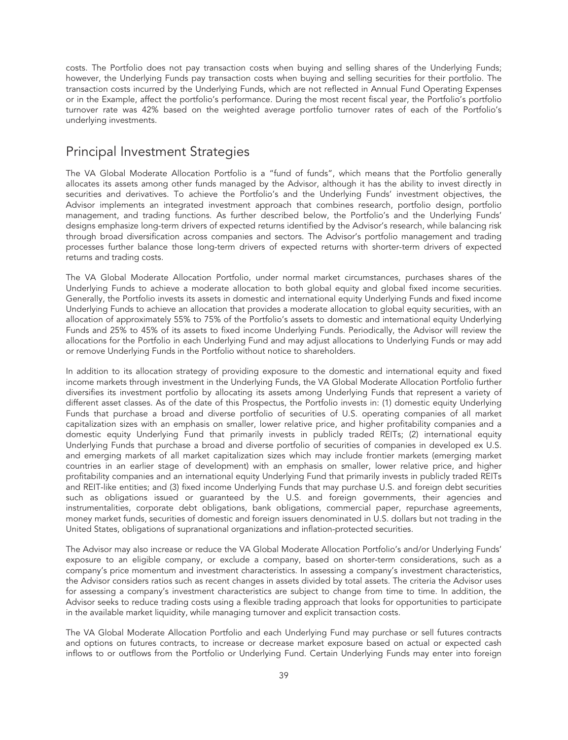costs. The Portfolio does not pay transaction costs when buying and selling shares of the Underlying Funds; however, the Underlying Funds pay transaction costs when buying and selling securities for their portfolio. The transaction costs incurred by the Underlying Funds, which are not reflected in Annual Fund Operating Expenses or in the Example, affect the portfolio's performance. During the most recent fiscal year, the Portfolio's portfolio turnover rate was 42% based on the weighted average portfolio turnover rates of each of the Portfolio's underlying investments.

### Principal Investment Strategies

The VA Global Moderate Allocation Portfolio is a "fund of funds", which means that the Portfolio generally allocates its assets among other funds managed by the Advisor, although it has the ability to invest directly in securities and derivatives. To achieve the Portfolio's and the Underlying Funds' investment objectives, the Advisor implements an integrated investment approach that combines research, portfolio design, portfolio management, and trading functions. As further described below, the Portfolio's and the Underlying Funds' designs emphasize long-term drivers of expected returns identified by the Advisor's research, while balancing risk through broad diversification across companies and sectors. The Advisor's portfolio management and trading processes further balance those long-term drivers of expected returns with shorter-term drivers of expected returns and trading costs.

The VA Global Moderate Allocation Portfolio, under normal market circumstances, purchases shares of the Underlying Funds to achieve a moderate allocation to both global equity and global fixed income securities. Generally, the Portfolio invests its assets in domestic and international equity Underlying Funds and fixed income Underlying Funds to achieve an allocation that provides a moderate allocation to global equity securities, with an allocation of approximately 55% to 75% of the Portfolio's assets to domestic and international equity Underlying Funds and 25% to 45% of its assets to fixed income Underlying Funds. Periodically, the Advisor will review the allocations for the Portfolio in each Underlying Fund and may adjust allocations to Underlying Funds or may add or remove Underlying Funds in the Portfolio without notice to shareholders.

In addition to its allocation strategy of providing exposure to the domestic and international equity and fixed income markets through investment in the Underlying Funds, the VA Global Moderate Allocation Portfolio further diversifies its investment portfolio by allocating its assets among Underlying Funds that represent a variety of different asset classes. As of the date of this Prospectus, the Portfolio invests in: (1) domestic equity Underlying Funds that purchase a broad and diverse portfolio of securities of U.S. operating companies of all market capitalization sizes with an emphasis on smaller, lower relative price, and higher profitability companies and a domestic equity Underlying Fund that primarily invests in publicly traded REITs; (2) international equity Underlying Funds that purchase a broad and diverse portfolio of securities of companies in developed ex U.S. and emerging markets of all market capitalization sizes which may include frontier markets (emerging market countries in an earlier stage of development) with an emphasis on smaller, lower relative price, and higher profitability companies and an international equity Underlying Fund that primarily invests in publicly traded REITs and REIT-like entities; and (3) fixed income Underlying Funds that may purchase U.S. and foreign debt securities such as obligations issued or guaranteed by the U.S. and foreign governments, their agencies and instrumentalities, corporate debt obligations, bank obligations, commercial paper, repurchase agreements, money market funds, securities of domestic and foreign issuers denominated in U.S. dollars but not trading in the United States, obligations of supranational organizations and inflation-protected securities.

The Advisor may also increase or reduce the VA Global Moderate Allocation Portfolio's and/or Underlying Funds' exposure to an eligible company, or exclude a company, based on shorter-term considerations, such as a company's price momentum and investment characteristics. In assessing a company's investment characteristics, the Advisor considers ratios such as recent changes in assets divided by total assets. The criteria the Advisor uses for assessing a company's investment characteristics are subject to change from time to time. In addition, the Advisor seeks to reduce trading costs using a flexible trading approach that looks for opportunities to participate in the available market liquidity, while managing turnover and explicit transaction costs.

The VA Global Moderate Allocation Portfolio and each Underlying Fund may purchase or sell futures contracts and options on futures contracts, to increase or decrease market exposure based on actual or expected cash inflows to or outflows from the Portfolio or Underlying Fund. Certain Underlying Funds may enter into foreign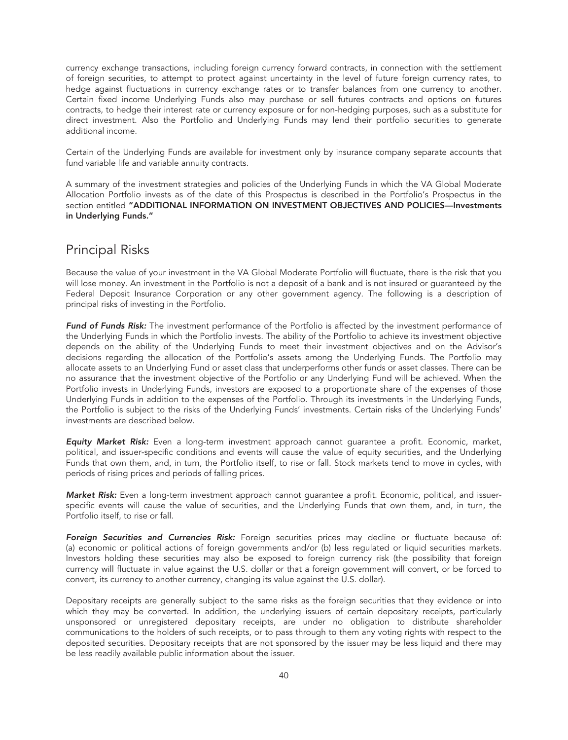currency exchange transactions, including foreign currency forward contracts, in connection with the settlement of foreign securities, to attempt to protect against uncertainty in the level of future foreign currency rates, to hedge against fluctuations in currency exchange rates or to transfer balances from one currency to another. Certain fixed income Underlying Funds also may purchase or sell futures contracts and options on futures contracts, to hedge their interest rate or currency exposure or for non-hedging purposes, such as a substitute for direct investment. Also the Portfolio and Underlying Funds may lend their portfolio securities to generate additional income.

Certain of the Underlying Funds are available for investment only by insurance company separate accounts that fund variable life and variable annuity contracts.

A summary of the investment strategies and policies of the Underlying Funds in which the VA Global Moderate Allocation Portfolio invests as of the date of this Prospectus is described in the Portfolio's Prospectus in the section entitled "ADDITIONAL INFORMATION ON INVESTMENT OBJECTIVES AND POLICIES—Investments in Underlying Funds."

# Principal Risks

Because the value of your investment in the VA Global Moderate Portfolio will fluctuate, there is the risk that you will lose money. An investment in the Portfolio is not a deposit of a bank and is not insured or guaranteed by the Federal Deposit Insurance Corporation or any other government agency. The following is a description of principal risks of investing in the Portfolio.

*Fund of Funds Risk:* The investment performance of the Portfolio is affected by the investment performance of the Underlying Funds in which the Portfolio invests. The ability of the Portfolio to achieve its investment objective depends on the ability of the Underlying Funds to meet their investment objectives and on the Advisor's decisions regarding the allocation of the Portfolio's assets among the Underlying Funds. The Portfolio may allocate assets to an Underlying Fund or asset class that underperforms other funds or asset classes. There can be no assurance that the investment objective of the Portfolio or any Underlying Fund will be achieved. When the Portfolio invests in Underlying Funds, investors are exposed to a proportionate share of the expenses of those Underlying Funds in addition to the expenses of the Portfolio. Through its investments in the Underlying Funds, the Portfolio is subject to the risks of the Underlying Funds' investments. Certain risks of the Underlying Funds' investments are described below.

*Equity Market Risk:* Even a long-term investment approach cannot guarantee a profit. Economic, market, political, and issuer-specific conditions and events will cause the value of equity securities, and the Underlying Funds that own them, and, in turn, the Portfolio itself, to rise or fall. Stock markets tend to move in cycles, with periods of rising prices and periods of falling prices.

*Market Risk:* Even a long-term investment approach cannot guarantee a profit. Economic, political, and issuerspecific events will cause the value of securities, and the Underlying Funds that own them, and, in turn, the Portfolio itself, to rise or fall.

*Foreign Securities and Currencies Risk:* Foreign securities prices may decline or fluctuate because of: (a) economic or political actions of foreign governments and/or (b) less regulated or liquid securities markets. Investors holding these securities may also be exposed to foreign currency risk (the possibility that foreign currency will fluctuate in value against the U.S. dollar or that a foreign government will convert, or be forced to convert, its currency to another currency, changing its value against the U.S. dollar).

Depositary receipts are generally subject to the same risks as the foreign securities that they evidence or into which they may be converted. In addition, the underlying issuers of certain depositary receipts, particularly unsponsored or unregistered depositary receipts, are under no obligation to distribute shareholder communications to the holders of such receipts, or to pass through to them any voting rights with respect to the deposited securities. Depositary receipts that are not sponsored by the issuer may be less liquid and there may be less readily available public information about the issuer.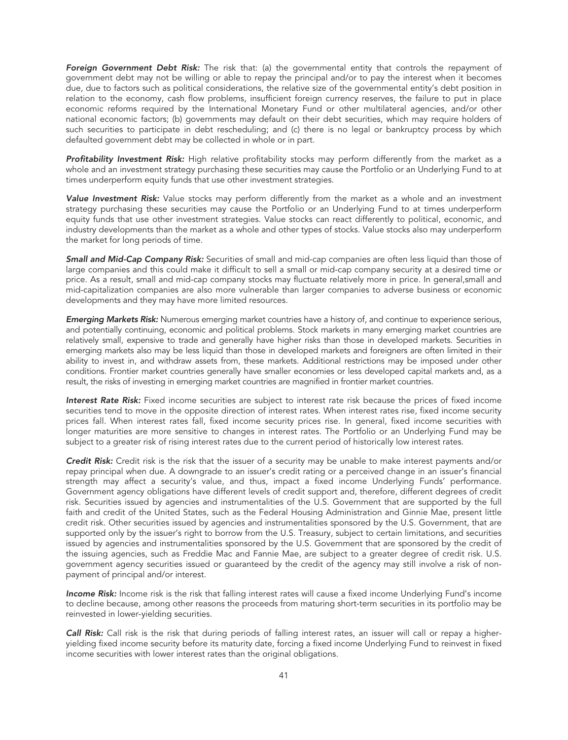*Foreign Government Debt Risk:* The risk that: (a) the governmental entity that controls the repayment of government debt may not be willing or able to repay the principal and/or to pay the interest when it becomes due, due to factors such as political considerations, the relative size of the governmental entity's debt position in relation to the economy, cash flow problems, insufficient foreign currency reserves, the failure to put in place economic reforms required by the International Monetary Fund or other multilateral agencies, and/or other national economic factors; (b) governments may default on their debt securities, which may require holders of such securities to participate in debt rescheduling; and (c) there is no legal or bankruptcy process by which defaulted government debt may be collected in whole or in part.

*Profitability Investment Risk:* High relative profitability stocks may perform differently from the market as a whole and an investment strategy purchasing these securities may cause the Portfolio or an Underlying Fund to at times underperform equity funds that use other investment strategies.

Value Investment Risk: Value stocks may perform differently from the market as a whole and an investment strategy purchasing these securities may cause the Portfolio or an Underlying Fund to at times underperform equity funds that use other investment strategies. Value stocks can react differently to political, economic, and industry developments than the market as a whole and other types of stocks. Value stocks also may underperform the market for long periods of time.

*Small and Mid-Cap Company Risk:* Securities of small and mid-cap companies are often less liquid than those of large companies and this could make it difficult to sell a small or mid-cap company security at a desired time or price. As a result, small and mid-cap company stocks may fluctuate relatively more in price. In general,small and mid-capitalization companies are also more vulnerable than larger companies to adverse business or economic developments and they may have more limited resources.

*Emerging Markets Risk:* Numerous emerging market countries have a history of, and continue to experience serious, and potentially continuing, economic and political problems. Stock markets in many emerging market countries are relatively small, expensive to trade and generally have higher risks than those in developed markets. Securities in emerging markets also may be less liquid than those in developed markets and foreigners are often limited in their ability to invest in, and withdraw assets from, these markets. Additional restrictions may be imposed under other conditions. Frontier market countries generally have smaller economies or less developed capital markets and, as a result, the risks of investing in emerging market countries are magnified in frontier market countries.

*Interest Rate Risk:* Fixed income securities are subject to interest rate risk because the prices of fixed income securities tend to move in the opposite direction of interest rates. When interest rates rise, fixed income security prices fall. When interest rates fall, fixed income security prices rise. In general, fixed income securities with longer maturities are more sensitive to changes in interest rates. The Portfolio or an Underlying Fund may be subject to a greater risk of rising interest rates due to the current period of historically low interest rates.

*Credit Risk:* Credit risk is the risk that the issuer of a security may be unable to make interest payments and/or repay principal when due. A downgrade to an issuer's credit rating or a perceived change in an issuer's financial strength may affect a security's value, and thus, impact a fixed income Underlying Funds' performance. Government agency obligations have different levels of credit support and, therefore, different degrees of credit risk. Securities issued by agencies and instrumentalities of the U.S. Government that are supported by the full faith and credit of the United States, such as the Federal Housing Administration and Ginnie Mae, present little credit risk. Other securities issued by agencies and instrumentalities sponsored by the U.S. Government, that are supported only by the issuer's right to borrow from the U.S. Treasury, subject to certain limitations, and securities issued by agencies and instrumentalities sponsored by the U.S. Government that are sponsored by the credit of the issuing agencies, such as Freddie Mac and Fannie Mae, are subject to a greater degree of credit risk. U.S. government agency securities issued or guaranteed by the credit of the agency may still involve a risk of nonpayment of principal and/or interest.

*Income Risk:* Income risk is the risk that falling interest rates will cause a fixed income Underlying Fund's income to decline because, among other reasons the proceeds from maturing short-term securities in its portfolio may be reinvested in lower-yielding securities.

*Call Risk:* Call risk is the risk that during periods of falling interest rates, an issuer will call or repay a higheryielding fixed income security before its maturity date, forcing a fixed income Underlying Fund to reinvest in fixed income securities with lower interest rates than the original obligations.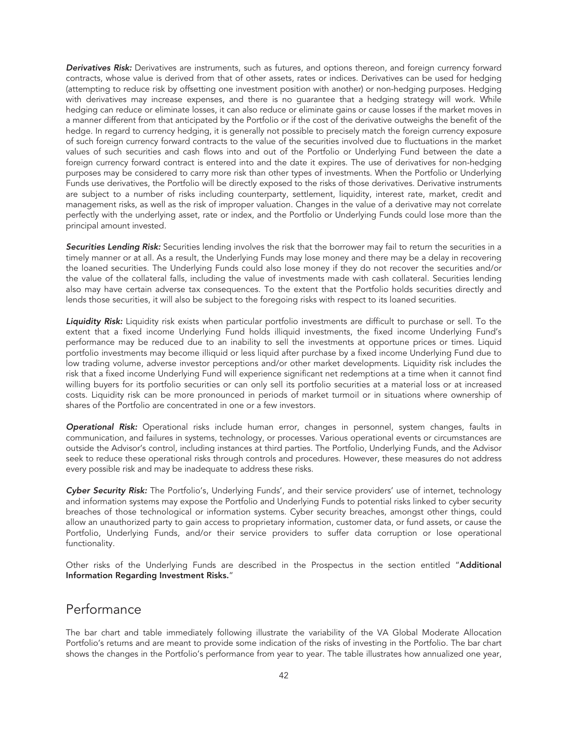*Derivatives Risk:* Derivatives are instruments, such as futures, and options thereon, and foreign currency forward contracts, whose value is derived from that of other assets, rates or indices. Derivatives can be used for hedging (attempting to reduce risk by offsetting one investment position with another) or non-hedging purposes. Hedging with derivatives may increase expenses, and there is no guarantee that a hedging strategy will work. While hedging can reduce or eliminate losses, it can also reduce or eliminate gains or cause losses if the market moves in a manner different from that anticipated by the Portfolio or if the cost of the derivative outweighs the benefit of the hedge. In regard to currency hedging, it is generally not possible to precisely match the foreign currency exposure of such foreign currency forward contracts to the value of the securities involved due to fluctuations in the market values of such securities and cash flows into and out of the Portfolio or Underlying Fund between the date a foreign currency forward contract is entered into and the date it expires. The use of derivatives for non-hedging purposes may be considered to carry more risk than other types of investments. When the Portfolio or Underlying Funds use derivatives, the Portfolio will be directly exposed to the risks of those derivatives. Derivative instruments are subject to a number of risks including counterparty, settlement, liquidity, interest rate, market, credit and management risks, as well as the risk of improper valuation. Changes in the value of a derivative may not correlate perfectly with the underlying asset, rate or index, and the Portfolio or Underlying Funds could lose more than the principal amount invested.

*Securities Lending Risk:* Securities lending involves the risk that the borrower may fail to return the securities in a timely manner or at all. As a result, the Underlying Funds may lose money and there may be a delay in recovering the loaned securities. The Underlying Funds could also lose money if they do not recover the securities and/or the value of the collateral falls, including the value of investments made with cash collateral. Securities lending also may have certain adverse tax consequences. To the extent that the Portfolio holds securities directly and lends those securities, it will also be subject to the foregoing risks with respect to its loaned securities.

*Liquidity Risk:* Liquidity risk exists when particular portfolio investments are difficult to purchase or sell. To the extent that a fixed income Underlying Fund holds illiquid investments, the fixed income Underlying Fund's performance may be reduced due to an inability to sell the investments at opportune prices or times. Liquid portfolio investments may become illiquid or less liquid after purchase by a fixed income Underlying Fund due to low trading volume, adverse investor perceptions and/or other market developments. Liquidity risk includes the risk that a fixed income Underlying Fund will experience significant net redemptions at a time when it cannot find willing buyers for its portfolio securities or can only sell its portfolio securities at a material loss or at increased costs. Liquidity risk can be more pronounced in periods of market turmoil or in situations where ownership of shares of the Portfolio are concentrated in one or a few investors.

*Operational Risk:* Operational risks include human error, changes in personnel, system changes, faults in communication, and failures in systems, technology, or processes. Various operational events or circumstances are outside the Advisor's control, including instances at third parties. The Portfolio, Underlying Funds, and the Advisor seek to reduce these operational risks through controls and procedures. However, these measures do not address every possible risk and may be inadequate to address these risks.

*Cyber Security Risk:* The Portfolio's, Underlying Funds', and their service providers' use of internet, technology and information systems may expose the Portfolio and Underlying Funds to potential risks linked to cyber security breaches of those technological or information systems. Cyber security breaches, amongst other things, could allow an unauthorized party to gain access to proprietary information, customer data, or fund assets, or cause the Portfolio, Underlying Funds, and/or their service providers to suffer data corruption or lose operational functionality.

Other risks of the Underlying Funds are described in the Prospectus in the section entitled "Additional Information Regarding Investment Risks."

### Performance

The bar chart and table immediately following illustrate the variability of the VA Global Moderate Allocation Portfolio's returns and are meant to provide some indication of the risks of investing in the Portfolio. The bar chart shows the changes in the Portfolio's performance from year to year. The table illustrates how annualized one year,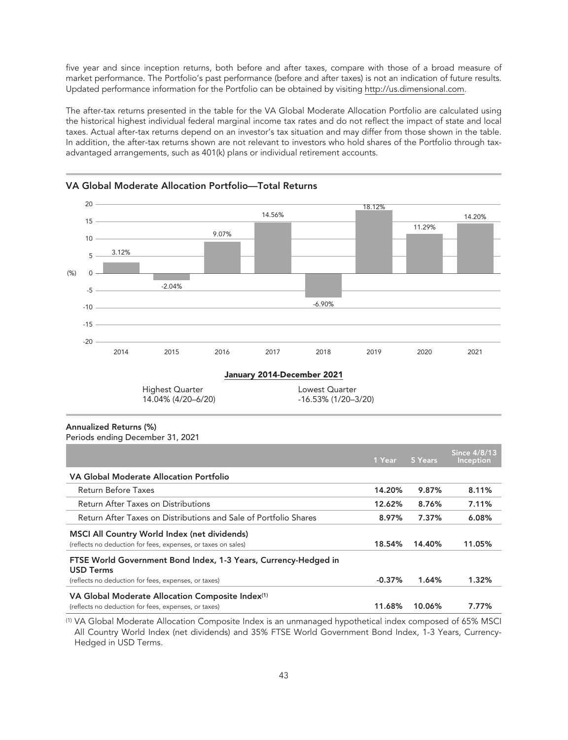five year and since inception returns, both before and after taxes, compare with those of a broad measure of market performance. The Portfolio's past performance (before and after taxes) is not an indication of future results. Updated performance information for the Portfolio can be obtained by visiting http://us.dimensional.com.

The after-tax returns presented in the table for the VA Global Moderate Allocation Portfolio are calculated using the historical highest individual federal marginal income tax rates and do not reflect the impact of state and local taxes. Actual after-tax returns depend on an investor's tax situation and may differ from those shown in the table. In addition, the after-tax returns shown are not relevant to investors who hold shares of the Portfolio through taxadvantaged arrangements, such as 401(k) plans or individual retirement accounts.





# Highest Quarter Lowest Quarter

14.04% (4/20–6/20) -16.53% (1/20–3/20)

#### Annualized Returns (%)

Periods ending December 31, 2021

|                                                                                     | 1 Year   | 5 Years | <b>Since 4/8/13</b><br><b>Inception</b> |
|-------------------------------------------------------------------------------------|----------|---------|-----------------------------------------|
| VA Global Moderate Allocation Portfolio                                             |          |         |                                         |
| Return Before Taxes                                                                 | 14.20%   | 9.87%   | 8.11%                                   |
| Return After Taxes on Distributions                                                 | 12.62%   | 8.76%   | 7.11%                                   |
| Return After Taxes on Distributions and Sale of Portfolio Shares                    | 8.97%    | 7.37%   | 6.08%                                   |
| <b>MSCI All Country World Index (net dividends)</b>                                 |          |         |                                         |
| (reflects no deduction for fees, expenses, or taxes on sales)                       | 18.54%   | 14.40%  | 11.05%                                  |
| FTSE World Government Bond Index, 1-3 Years, Currency-Hedged in<br><b>USD Terms</b> |          |         |                                         |
| (reflects no deduction for fees, expenses, or taxes)                                | $-0.37%$ | 1.64%   | 1.32%                                   |
| VA Global Moderate Allocation Composite Index <sup>(1)</sup>                        |          |         |                                         |
| (reflects no deduction for fees, expenses, or taxes)                                | 11.68%   | 10.06%  | 7.77%                                   |

(1) VA Global Moderate Allocation Composite Index is an unmanaged hypothetical index composed of 65% MSCI All Country World Index (net dividends) and 35% FTSE World Government Bond Index, 1-3 Years, Currency-Hedged in USD Terms.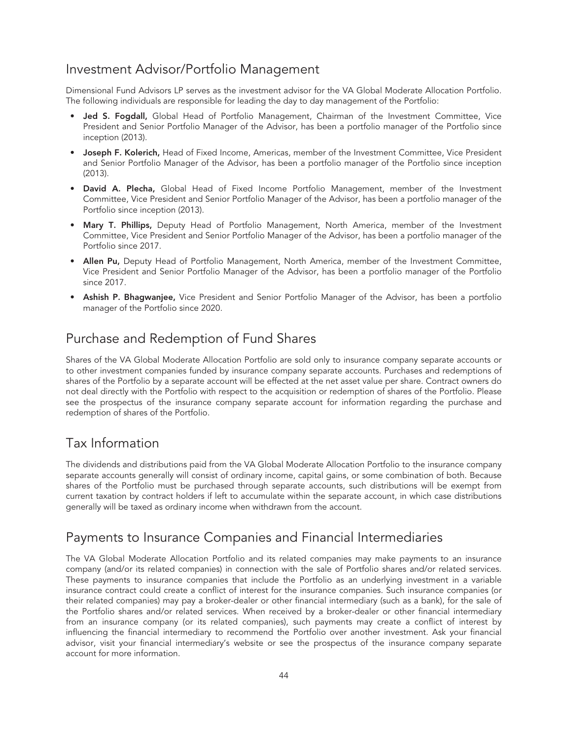## Investment Advisor/Portfolio Management

Dimensional Fund Advisors LP serves as the investment advisor for the VA Global Moderate Allocation Portfolio. The following individuals are responsible for leading the day to day management of the Portfolio:

- Jed S. Fogdall, Global Head of Portfolio Management, Chairman of the Investment Committee, Vice President and Senior Portfolio Manager of the Advisor, has been a portfolio manager of the Portfolio since inception (2013).
- **Joseph F. Kolerich, Head of Fixed Income, Americas, member of the Investment Committee, Vice President** and Senior Portfolio Manager of the Advisor, has been a portfolio manager of the Portfolio since inception (2013).
- David A. Plecha, Global Head of Fixed Income Portfolio Management, member of the Investment Committee, Vice President and Senior Portfolio Manager of the Advisor, has been a portfolio manager of the Portfolio since inception (2013).
- Mary T. Phillips, Deputy Head of Portfolio Management, North America, member of the Investment Committee, Vice President and Senior Portfolio Manager of the Advisor, has been a portfolio manager of the Portfolio since 2017.
- Allen Pu, Deputy Head of Portfolio Management, North America, member of the Investment Committee, Vice President and Senior Portfolio Manager of the Advisor, has been a portfolio manager of the Portfolio since 2017.
- Ashish P. Bhagwanjee, Vice President and Senior Portfolio Manager of the Advisor, has been a portfolio manager of the Portfolio since 2020.

# Purchase and Redemption of Fund Shares

Shares of the VA Global Moderate Allocation Portfolio are sold only to insurance company separate accounts or to other investment companies funded by insurance company separate accounts. Purchases and redemptions of shares of the Portfolio by a separate account will be effected at the net asset value per share. Contract owners do not deal directly with the Portfolio with respect to the acquisition or redemption of shares of the Portfolio. Please see the prospectus of the insurance company separate account for information regarding the purchase and redemption of shares of the Portfolio.

# Tax Information

The dividends and distributions paid from the VA Global Moderate Allocation Portfolio to the insurance company separate accounts generally will consist of ordinary income, capital gains, or some combination of both. Because shares of the Portfolio must be purchased through separate accounts, such distributions will be exempt from current taxation by contract holders if left to accumulate within the separate account, in which case distributions generally will be taxed as ordinary income when withdrawn from the account.

# Payments to Insurance Companies and Financial Intermediaries

The VA Global Moderate Allocation Portfolio and its related companies may make payments to an insurance company (and/or its related companies) in connection with the sale of Portfolio shares and/or related services. These payments to insurance companies that include the Portfolio as an underlying investment in a variable insurance contract could create a conflict of interest for the insurance companies. Such insurance companies (or their related companies) may pay a broker-dealer or other financial intermediary (such as a bank), for the sale of the Portfolio shares and/or related services. When received by a broker-dealer or other financial intermediary from an insurance company (or its related companies), such payments may create a conflict of interest by influencing the financial intermediary to recommend the Portfolio over another investment. Ask your financial advisor, visit your financial intermediary's website or see the prospectus of the insurance company separate account for more information.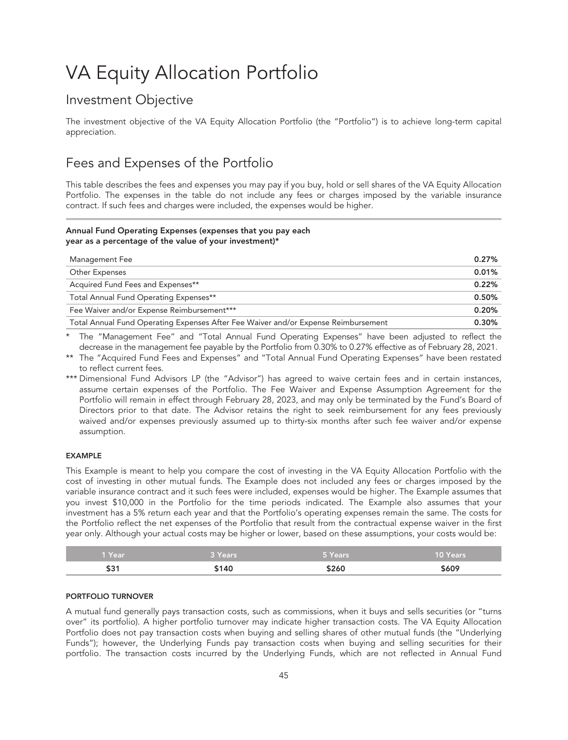# VA Equity Allocation Portfolio

# Investment Objective

The investment objective of the VA Equity Allocation Portfolio (the "Portfolio") is to achieve long-term capital appreciation.

# Fees and Expenses of the Portfolio

This table describes the fees and expenses you may pay if you buy, hold or sell shares of the VA Equity Allocation Portfolio. The expenses in the table do not include any fees or charges imposed by the variable insurance contract. If such fees and charges were included, the expenses would be higher.

### Annual Fund Operating Expenses (expenses that you pay each year as a percentage of the value of your investment)\*

| Management Fee                                                                     | 0.27% |
|------------------------------------------------------------------------------------|-------|
| Other Expenses                                                                     | 0.01% |
| Acquired Fund Fees and Expenses**                                                  | 0.22% |
| Total Annual Fund Operating Expenses**                                             | 0.50% |
| Fee Waiver and/or Expense Reimbursement***                                         | 0.20% |
| Total Annual Fund Operating Expenses After Fee Waiver and/or Expense Reimbursement | 0.30% |
|                                                                                    |       |

The "Management Fee" and "Total Annual Fund Operating Expenses" have been adjusted to reflect the decrease in the management fee payable by the Portfolio from 0.30% to 0.27% effective as of February 28, 2021.

- \*\* The "Acquired Fund Fees and Expenses" and "Total Annual Fund Operating Expenses" have been restated to reflect current fees.
- \*\*\* Dimensional Fund Advisors LP (the "Advisor") has agreed to waive certain fees and in certain instances, assume certain expenses of the Portfolio. The Fee Waiver and Expense Assumption Agreement for the Portfolio will remain in effect through February 28, 2023, and may only be terminated by the Fund's Board of Directors prior to that date. The Advisor retains the right to seek reimbursement for any fees previously waived and/or expenses previously assumed up to thirty-six months after such fee waiver and/or expense assumption.

### EXAMPLE

This Example is meant to help you compare the cost of investing in the VA Equity Allocation Portfolio with the cost of investing in other mutual funds. The Example does not included any fees or charges imposed by the variable insurance contract and it such fees were included, expenses would be higher. The Example assumes that you invest \$10,000 in the Portfolio for the time periods indicated. The Example also assumes that your investment has a 5% return each year and that the Portfolio's operating expenses remain the same. The costs for the Portfolio reflect the net expenses of the Portfolio that result from the contractual expense waiver in the first year only. Although your actual costs may be higher or lower, based on these assumptions, your costs would be:

| <b>LYear</b> | 3 Years | 5 Years | 10 Years |
|--------------|---------|---------|----------|
| \$31         | \$140   | \$260   | \$609    |

### PORTFOLIO TURNOVER

A mutual fund generally pays transaction costs, such as commissions, when it buys and sells securities (or "turns over" its portfolio). A higher portfolio turnover may indicate higher transaction costs. The VA Equity Allocation Portfolio does not pay transaction costs when buying and selling shares of other mutual funds (the "Underlying Funds"); however, the Underlying Funds pay transaction costs when buying and selling securities for their portfolio. The transaction costs incurred by the Underlying Funds, which are not reflected in Annual Fund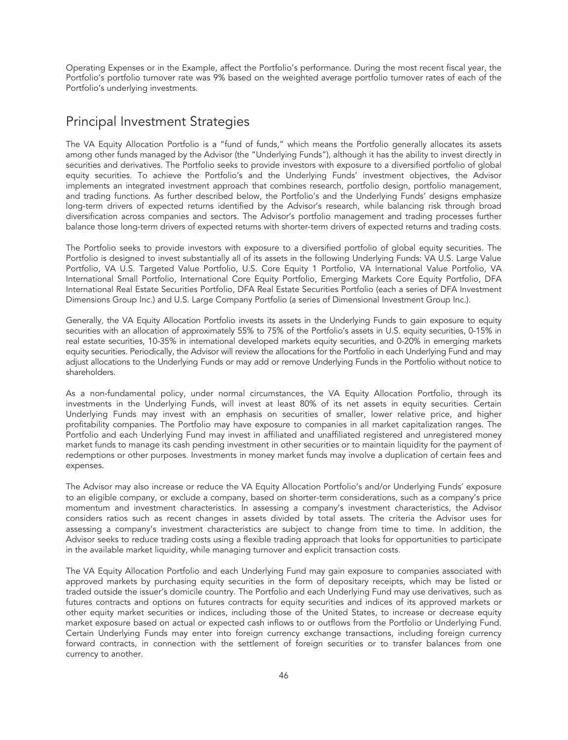Operating Expenses or in the Example, affect the Portfolio's performance. During the most recent fiscal year, the Portfolio's portfolio turnover rate was 9% based on the weighted average portfolio turnover rates of each of the Portfolio's underlying investments.

## Principal Investment Strategies

The VA Equity Allocation Portfolio is a "fund of funds," which means the Portfolio generally allocates its assets among other funds managed by the Advisor (the "Underlying Funds"), although it has the ability to invest directly in securities and derivatives. The Portfolio seeks to provide investors with exposure to a diversified portfolio of global equity securities. To achieve the Portfolio's and the Underlying Funds' investment objectives, the Advisor implements an integrated investment approach that combines research, portfolio design, portfolio management, and trading functions. As further described below, the Portfolio's and the Underlying Funds' designs emphasize long-term drivers of expected returns identified by the Advisor's research, while balancing risk through broad diversification across companies and sectors. The Advisor's portfolio management and trading processes further balance those long-term drivers of expected returns with shorter-term drivers of expected returns and trading costs.

The Portfolio seeks to provide investors with exposure to a diversified portfolio of global equity securities. The Portfolio is designed to invest substantially all of its assets in the following Underlying Funds: VA U.S. Large Value Portfolio, VA U.S. Targeted Value Portfolio, U.S. Core Equity 1 Portfolio, VA International Value Portfolio, VA International Small Portfolio, International Core Equity Portfolio, Emerging Markets Core Equity Portfolio, DFA International Real Estate Securities Portfolio, DFA Real Estate Securities Portfolio (each a series of DFA Investment Dimensions Group Inc.) and U.S. Large Company Portfolio (a series of Dimensional Investment Group Inc.).

Generally, the VA Equity Allocation Portfolio invests its assets in the Underlying Funds to gain exposure to equity securities with an allocation of approximately 55% to 75% of the Portfolio's assets in U.S. equity securities, 0-15% in real estate securities, 10-35% in international developed markets equity securities, and 0-20% in emerging markets equity securities. Periodically, the Advisor will review the allocations for the Portfolio in each Underlying Fund and may adjust allocations to the Underlying Funds or may add or remove Underlying Funds in the Portfolio without notice to shareholders.

As a non-fundamental policy, under normal circumstances, the VA Equity Allocation Portfolio, through its investments in the Underlying Funds, will invest at least 80% of its net assets in equity securities. Certain Underlying Funds may invest with an emphasis on securities of smaller, lower relative price, and higher profitability companies. The Portfolio may have exposure to companies in all market capitalization ranges. The Portfolio and each Underlying Fund may invest in affiliated and unaffiliated registered and unregistered money market funds to manage its cash pending investment in other securities or to maintain liquidity for the payment of redemptions or other purposes. Investments in money market funds may involve a duplication of certain fees and expenses.

The Advisor may also increase or reduce the VA Equity Allocation Portfolio's and/or Underlying Funds' exposure to an eligible company, or exclude a company, based on shorter-term considerations, such as a company's price momentum and investment characteristics. In assessing a company's investment characteristics, the Advisor considers ratios such as recent changes in assets divided by total assets. The criteria the Advisor uses for assessing a company's investment characteristics are subject to change from time to time. In addition, the Advisor seeks to reduce trading costs using a flexible trading approach that looks for opportunities to participate in the available market liquidity, while managing turnover and explicit transaction costs.

The VA Equity Allocation Portfolio and each Underlying Fund may gain exposure to companies associated with approved markets by purchasing equity securities in the form of depositary receipts, which may be listed or traded outside the issuer's domicile country. The Portfolio and each Underlying Fund may use derivatives, such as futures contracts and options on futures contracts for equity securities and indices of its approved markets or other equity market securities or indices, including those of the United States, to increase or decrease equity market exposure based on actual or expected cash inflows to or outflows from the Portfolio or Underlying Fund. Certain Underlying Funds may enter into foreign currency exchange transactions, including foreign currency forward contracts, in connection with the settlement of foreign securities or to transfer balances from one currency to another.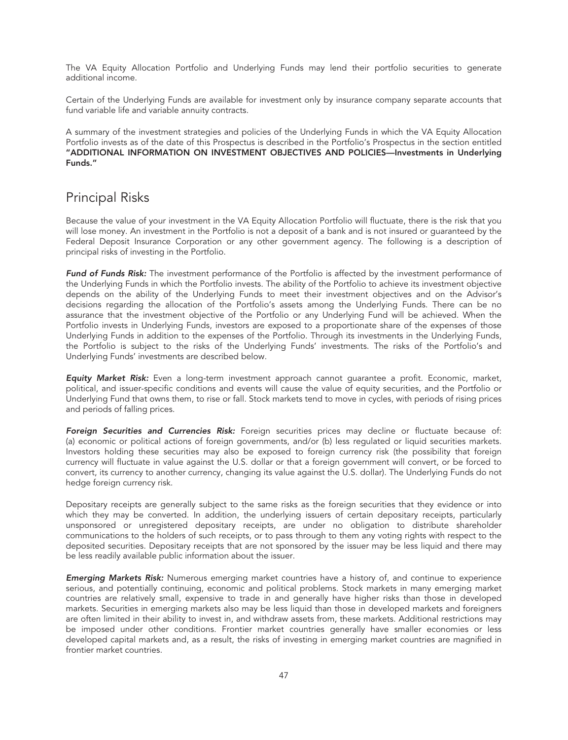The VA Equity Allocation Portfolio and Underlying Funds may lend their portfolio securities to generate additional income.

Certain of the Underlying Funds are available for investment only by insurance company separate accounts that fund variable life and variable annuity contracts.

A summary of the investment strategies and policies of the Underlying Funds in which the VA Equity Allocation Portfolio invests as of the date of this Prospectus is described in the Portfolio's Prospectus in the section entitled "ADDITIONAL INFORMATION ON INVESTMENT OBJECTIVES AND POLICIES—Investments in Underlying Funds."

### Principal Risks

Because the value of your investment in the VA Equity Allocation Portfolio will fluctuate, there is the risk that you will lose money. An investment in the Portfolio is not a deposit of a bank and is not insured or guaranteed by the Federal Deposit Insurance Corporation or any other government agency. The following is a description of principal risks of investing in the Portfolio.

*Fund of Funds Risk:* The investment performance of the Portfolio is affected by the investment performance of the Underlying Funds in which the Portfolio invests. The ability of the Portfolio to achieve its investment objective depends on the ability of the Underlying Funds to meet their investment objectives and on the Advisor's decisions regarding the allocation of the Portfolio's assets among the Underlying Funds. There can be no assurance that the investment objective of the Portfolio or any Underlying Fund will be achieved. When the Portfolio invests in Underlying Funds, investors are exposed to a proportionate share of the expenses of those Underlying Funds in addition to the expenses of the Portfolio. Through its investments in the Underlying Funds, the Portfolio is subject to the risks of the Underlying Funds' investments. The risks of the Portfolio's and Underlying Funds' investments are described below.

*Equity Market Risk:* Even a long-term investment approach cannot guarantee a profit. Economic, market, political, and issuer-specific conditions and events will cause the value of equity securities, and the Portfolio or Underlying Fund that owns them, to rise or fall. Stock markets tend to move in cycles, with periods of rising prices and periods of falling prices.

*Foreign Securities and Currencies Risk:* Foreign securities prices may decline or fluctuate because of: (a) economic or political actions of foreign governments, and/or (b) less regulated or liquid securities markets. Investors holding these securities may also be exposed to foreign currency risk (the possibility that foreign currency will fluctuate in value against the U.S. dollar or that a foreign government will convert, or be forced to convert, its currency to another currency, changing its value against the U.S. dollar). The Underlying Funds do not hedge foreign currency risk.

Depositary receipts are generally subject to the same risks as the foreign securities that they evidence or into which they may be converted. In addition, the underlying issuers of certain depositary receipts, particularly unsponsored or unregistered depositary receipts, are under no obligation to distribute shareholder communications to the holders of such receipts, or to pass through to them any voting rights with respect to the deposited securities. Depositary receipts that are not sponsored by the issuer may be less liquid and there may be less readily available public information about the issuer.

*Emerging Markets Risk:* Numerous emerging market countries have a history of, and continue to experience serious, and potentially continuing, economic and political problems. Stock markets in many emerging market countries are relatively small, expensive to trade in and generally have higher risks than those in developed markets. Securities in emerging markets also may be less liquid than those in developed markets and foreigners are often limited in their ability to invest in, and withdraw assets from, these markets. Additional restrictions may be imposed under other conditions. Frontier market countries generally have smaller economies or less developed capital markets and, as a result, the risks of investing in emerging market countries are magnified in frontier market countries.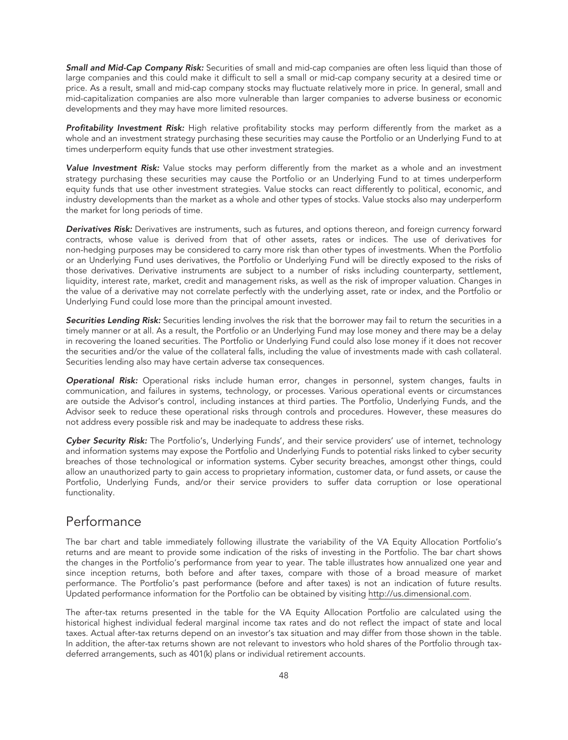*Small and Mid-Cap Company Risk:* Securities of small and mid-cap companies are often less liquid than those of large companies and this could make it difficult to sell a small or mid-cap company security at a desired time or price. As a result, small and mid-cap company stocks may fluctuate relatively more in price. In general, small and mid-capitalization companies are also more vulnerable than larger companies to adverse business or economic developments and they may have more limited resources.

*Profitability Investment Risk:* High relative profitability stocks may perform differently from the market as a whole and an investment strategy purchasing these securities may cause the Portfolio or an Underlying Fund to at times underperform equity funds that use other investment strategies.

Value Investment Risk: Value stocks may perform differently from the market as a whole and an investment strategy purchasing these securities may cause the Portfolio or an Underlying Fund to at times underperform equity funds that use other investment strategies. Value stocks can react differently to political, economic, and industry developments than the market as a whole and other types of stocks. Value stocks also may underperform the market for long periods of time.

*Derivatives Risk:* Derivatives are instruments, such as futures, and options thereon, and foreign currency forward contracts, whose value is derived from that of other assets, rates or indices. The use of derivatives for non-hedging purposes may be considered to carry more risk than other types of investments. When the Portfolio or an Underlying Fund uses derivatives, the Portfolio or Underlying Fund will be directly exposed to the risks of those derivatives. Derivative instruments are subject to a number of risks including counterparty, settlement, liquidity, interest rate, market, credit and management risks, as well as the risk of improper valuation. Changes in the value of a derivative may not correlate perfectly with the underlying asset, rate or index, and the Portfolio or Underlying Fund could lose more than the principal amount invested.

*Securities Lending Risk:* Securities lending involves the risk that the borrower may fail to return the securities in a timely manner or at all. As a result, the Portfolio or an Underlying Fund may lose money and there may be a delay in recovering the loaned securities. The Portfolio or Underlying Fund could also lose money if it does not recover the securities and/or the value of the collateral falls, including the value of investments made with cash collateral. Securities lending also may have certain adverse tax consequences.

*Operational Risk:* Operational risks include human error, changes in personnel, system changes, faults in communication, and failures in systems, technology, or processes. Various operational events or circumstances are outside the Advisor's control, including instances at third parties. The Portfolio, Underlying Funds, and the Advisor seek to reduce these operational risks through controls and procedures. However, these measures do not address every possible risk and may be inadequate to address these risks.

*Cyber Security Risk:* The Portfolio's, Underlying Funds', and their service providers' use of internet, technology and information systems may expose the Portfolio and Underlying Funds to potential risks linked to cyber security breaches of those technological or information systems. Cyber security breaches, amongst other things, could allow an unauthorized party to gain access to proprietary information, customer data, or fund assets, or cause the Portfolio, Underlying Funds, and/or their service providers to suffer data corruption or lose operational functionality.

### Performance

The bar chart and table immediately following illustrate the variability of the VA Equity Allocation Portfolio's returns and are meant to provide some indication of the risks of investing in the Portfolio. The bar chart shows the changes in the Portfolio's performance from year to year. The table illustrates how annualized one year and since inception returns, both before and after taxes, compare with those of a broad measure of market performance. The Portfolio's past performance (before and after taxes) is not an indication of future results. Updated performance information for the Portfolio can be obtained by visiting http://us.dimensional.com.

The after-tax returns presented in the table for the VA Equity Allocation Portfolio are calculated using the historical highest individual federal marginal income tax rates and do not reflect the impact of state and local taxes. Actual after-tax returns depend on an investor's tax situation and may differ from those shown in the table. In addition, the after-tax returns shown are not relevant to investors who hold shares of the Portfolio through taxdeferred arrangements, such as 401(k) plans or individual retirement accounts.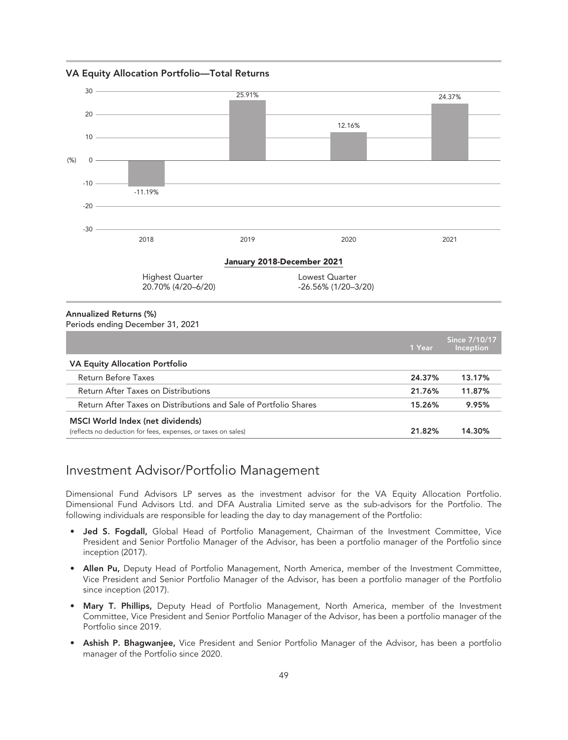

### VA Equity Allocation Portfolio—Total Returns

### Investment Advisor/Portfolio Management

Dimensional Fund Advisors LP serves as the investment advisor for the VA Equity Allocation Portfolio. Dimensional Fund Advisors Ltd. and DFA Australia Limited serve as the sub-advisors for the Portfolio. The following individuals are responsible for leading the day to day management of the Portfolio:

- Jed S. Fogdall, Global Head of Portfolio Management, Chairman of the Investment Committee, Vice President and Senior Portfolio Manager of the Advisor, has been a portfolio manager of the Portfolio since inception (2017).
- Allen Pu, Deputy Head of Portfolio Management, North America, member of the Investment Committee, Vice President and Senior Portfolio Manager of the Advisor, has been a portfolio manager of the Portfolio since inception (2017).
- Mary T. Phillips, Deputy Head of Portfolio Management, North America, member of the Investment Committee, Vice President and Senior Portfolio Manager of the Advisor, has been a portfolio manager of the Portfolio since 2019.
- Ashish P. Bhagwanjee, Vice President and Senior Portfolio Manager of the Advisor, has been a portfolio manager of the Portfolio since 2020.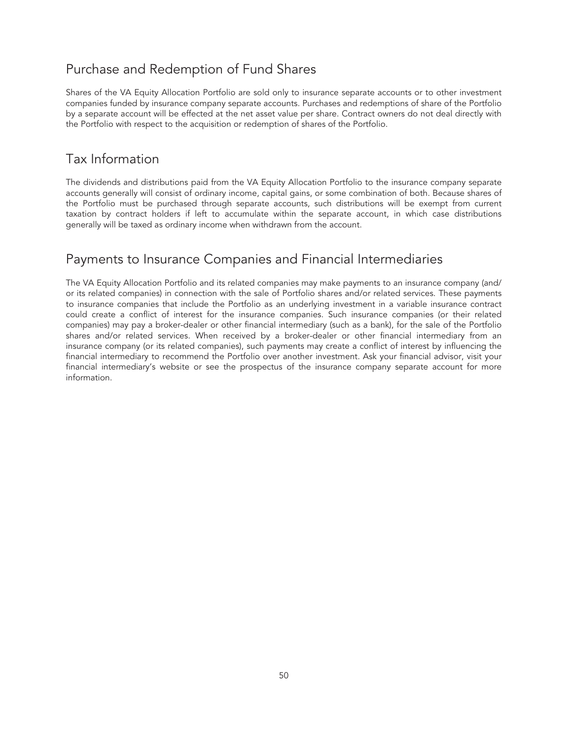# Purchase and Redemption of Fund Shares

Shares of the VA Equity Allocation Portfolio are sold only to insurance separate accounts or to other investment companies funded by insurance company separate accounts. Purchases and redemptions of share of the Portfolio by a separate account will be effected at the net asset value per share. Contract owners do not deal directly with the Portfolio with respect to the acquisition or redemption of shares of the Portfolio.

# Tax Information

The dividends and distributions paid from the VA Equity Allocation Portfolio to the insurance company separate accounts generally will consist of ordinary income, capital gains, or some combination of both. Because shares of the Portfolio must be purchased through separate accounts, such distributions will be exempt from current taxation by contract holders if left to accumulate within the separate account, in which case distributions generally will be taxed as ordinary income when withdrawn from the account.

# Payments to Insurance Companies and Financial Intermediaries

The VA Equity Allocation Portfolio and its related companies may make payments to an insurance company (and/ or its related companies) in connection with the sale of Portfolio shares and/or related services. These payments to insurance companies that include the Portfolio as an underlying investment in a variable insurance contract could create a conflict of interest for the insurance companies. Such insurance companies (or their related companies) may pay a broker-dealer or other financial intermediary (such as a bank), for the sale of the Portfolio shares and/or related services. When received by a broker-dealer or other financial intermediary from an insurance company (or its related companies), such payments may create a conflict of interest by influencing the financial intermediary to recommend the Portfolio over another investment. Ask your financial advisor, visit your financial intermediary's website or see the prospectus of the insurance company separate account for more information.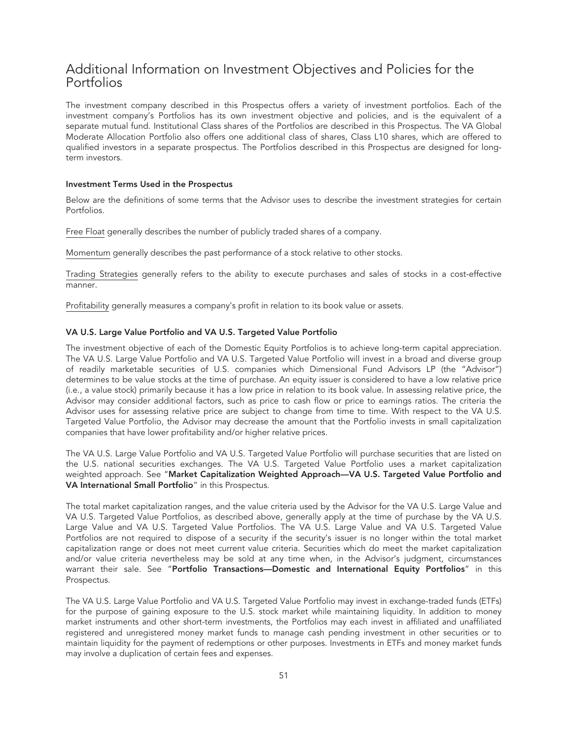## Additional Information on Investment Objectives and Policies for the Portfolios

The investment company described in this Prospectus offers a variety of investment portfolios. Each of the investment company's Portfolios has its own investment objective and policies, and is the equivalent of a separate mutual fund. Institutional Class shares of the Portfolios are described in this Prospectus. The VA Global Moderate Allocation Portfolio also offers one additional class of shares, Class L10 shares, which are offered to qualified investors in a separate prospectus. The Portfolios described in this Prospectus are designed for longterm investors.

### Investment Terms Used in the Prospectus

Below are the definitions of some terms that the Advisor uses to describe the investment strategies for certain Portfolios.

Free Float generally describes the number of publicly traded shares of a company.

Momentum generally describes the past performance of a stock relative to other stocks.

Trading Strategies generally refers to the ability to execute purchases and sales of stocks in a cost-effective manner.

Profitability generally measures a company's profit in relation to its book value or assets.

### VA U.S. Large Value Portfolio and VA U.S. Targeted Value Portfolio

The investment objective of each of the Domestic Equity Portfolios is to achieve long-term capital appreciation. The VA U.S. Large Value Portfolio and VA U.S. Targeted Value Portfolio will invest in a broad and diverse group of readily marketable securities of U.S. companies which Dimensional Fund Advisors LP (the "Advisor") determines to be value stocks at the time of purchase. An equity issuer is considered to have a low relative price (i.e., a value stock) primarily because it has a low price in relation to its book value. In assessing relative price, the Advisor may consider additional factors, such as price to cash flow or price to earnings ratios. The criteria the Advisor uses for assessing relative price are subject to change from time to time. With respect to the VA U.S. Targeted Value Portfolio, the Advisor may decrease the amount that the Portfolio invests in small capitalization companies that have lower profitability and/or higher relative prices.

The VA U.S. Large Value Portfolio and VA U.S. Targeted Value Portfolio will purchase securities that are listed on the U.S. national securities exchanges. The VA U.S. Targeted Value Portfolio uses a market capitalization weighted approach. See "Market Capitalization Weighted Approach—VA U.S. Targeted Value Portfolio and VA International Small Portfolio" in this Prospectus.

The total market capitalization ranges, and the value criteria used by the Advisor for the VA U.S. Large Value and VA U.S. Targeted Value Portfolios, as described above, generally apply at the time of purchase by the VA U.S. Large Value and VA U.S. Targeted Value Portfolios. The VA U.S. Large Value and VA U.S. Targeted Value Portfolios are not required to dispose of a security if the security's issuer is no longer within the total market capitalization range or does not meet current value criteria. Securities which do meet the market capitalization and/or value criteria nevertheless may be sold at any time when, in the Advisor's judgment, circumstances warrant their sale. See "Portfolio Transactions-Domestic and International Equity Portfolios" in this Prospectus.

The VA U.S. Large Value Portfolio and VA U.S. Targeted Value Portfolio may invest in exchange-traded funds (ETFs) for the purpose of gaining exposure to the U.S. stock market while maintaining liquidity. In addition to money market instruments and other short-term investments, the Portfolios may each invest in affiliated and unaffiliated registered and unregistered money market funds to manage cash pending investment in other securities or to maintain liquidity for the payment of redemptions or other purposes. Investments in ETFs and money market funds may involve a duplication of certain fees and expenses.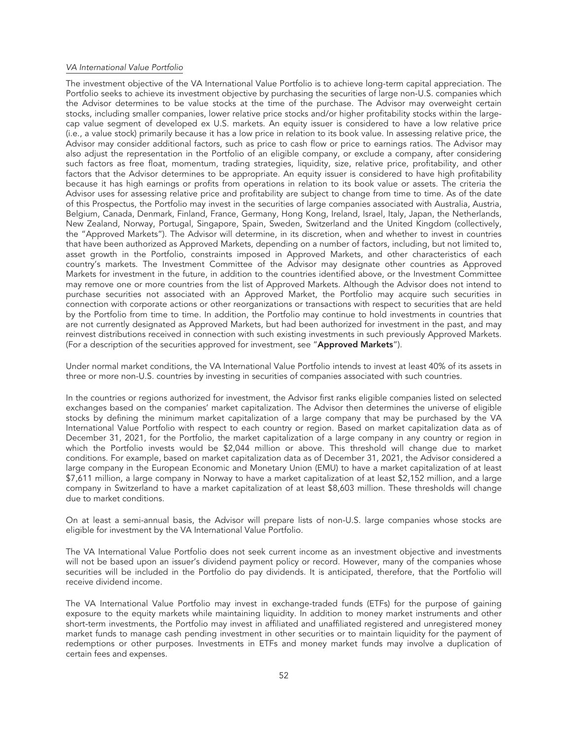#### *VA International Value Portfolio*

The investment objective of the VA International Value Portfolio is to achieve long-term capital appreciation. The Portfolio seeks to achieve its investment objective by purchasing the securities of large non-U.S. companies which the Advisor determines to be value stocks at the time of the purchase. The Advisor may overweight certain stocks, including smaller companies, lower relative price stocks and/or higher profitability stocks within the largecap value segment of developed ex U.S. markets. An equity issuer is considered to have a low relative price (i.e., a value stock) primarily because it has a low price in relation to its book value. In assessing relative price, the Advisor may consider additional factors, such as price to cash flow or price to earnings ratios. The Advisor may also adjust the representation in the Portfolio of an eligible company, or exclude a company, after considering such factors as free float, momentum, trading strategies, liquidity, size, relative price, profitability, and other factors that the Advisor determines to be appropriate. An equity issuer is considered to have high profitability because it has high earnings or profits from operations in relation to its book value or assets. The criteria the Advisor uses for assessing relative price and profitability are subject to change from time to time. As of the date of this Prospectus, the Portfolio may invest in the securities of large companies associated with Australia, Austria, Belgium, Canada, Denmark, Finland, France, Germany, Hong Kong, Ireland, Israel, Italy, Japan, the Netherlands, New Zealand, Norway, Portugal, Singapore, Spain, Sweden, Switzerland and the United Kingdom (collectively, the "Approved Markets"). The Advisor will determine, in its discretion, when and whether to invest in countries that have been authorized as Approved Markets, depending on a number of factors, including, but not limited to, asset growth in the Portfolio, constraints imposed in Approved Markets, and other characteristics of each country's markets. The Investment Committee of the Advisor may designate other countries as Approved Markets for investment in the future, in addition to the countries identified above, or the Investment Committee may remove one or more countries from the list of Approved Markets. Although the Advisor does not intend to purchase securities not associated with an Approved Market, the Portfolio may acquire such securities in connection with corporate actions or other reorganizations or transactions with respect to securities that are held by the Portfolio from time to time. In addition, the Portfolio may continue to hold investments in countries that are not currently designated as Approved Markets, but had been authorized for investment in the past, and may reinvest distributions received in connection with such existing investments in such previously Approved Markets. (For a description of the securities approved for investment, see "Approved Markets").

Under normal market conditions, the VA International Value Portfolio intends to invest at least 40% of its assets in three or more non-U.S. countries by investing in securities of companies associated with such countries.

In the countries or regions authorized for investment, the Advisor first ranks eligible companies listed on selected exchanges based on the companies' market capitalization. The Advisor then determines the universe of eligible stocks by defining the minimum market capitalization of a large company that may be purchased by the VA International Value Portfolio with respect to each country or region. Based on market capitalization data as of December 31, 2021, for the Portfolio, the market capitalization of a large company in any country or region in which the Portfolio invests would be \$2,044 million or above. This threshold will change due to market conditions. For example, based on market capitalization data as of December 31, 2021, the Advisor considered a large company in the European Economic and Monetary Union (EMU) to have a market capitalization of at least \$7,611 million, a large company in Norway to have a market capitalization of at least \$2,152 million, and a large company in Switzerland to have a market capitalization of at least \$8,603 million. These thresholds will change due to market conditions.

On at least a semi-annual basis, the Advisor will prepare lists of non-U.S. large companies whose stocks are eligible for investment by the VA International Value Portfolio.

The VA International Value Portfolio does not seek current income as an investment objective and investments will not be based upon an issuer's dividend payment policy or record. However, many of the companies whose securities will be included in the Portfolio do pay dividends. It is anticipated, therefore, that the Portfolio will receive dividend income.

The VA International Value Portfolio may invest in exchange-traded funds (ETFs) for the purpose of gaining exposure to the equity markets while maintaining liquidity. In addition to money market instruments and other short-term investments, the Portfolio may invest in affiliated and unaffiliated registered and unregistered money market funds to manage cash pending investment in other securities or to maintain liquidity for the payment of redemptions or other purposes. Investments in ETFs and money market funds may involve a duplication of certain fees and expenses.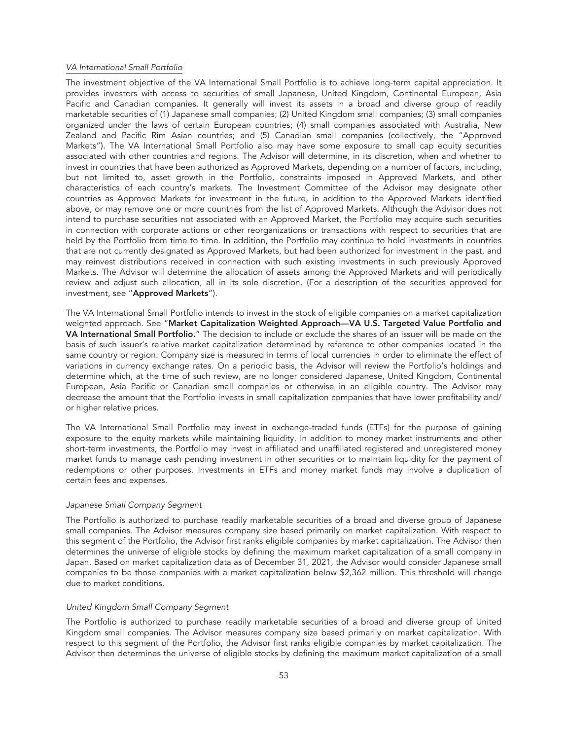#### *VA International Small Portfolio*

The investment objective of the VA International Small Portfolio is to achieve long-term capital appreciation. It provides investors with access to securities of small Japanese, United Kingdom, Continental European, Asia Pacific and Canadian companies. It generally will invest its assets in a broad and diverse group of readily marketable securities of (1) Japanese small companies; (2) United Kingdom small companies; (3) small companies organized under the laws of certain European countries; (4) small companies associated with Australia, New Zealand and Pacific Rim Asian countries; and (5) Canadian small companies (collectively, the "Approved Markets"). The VA International Small Portfolio also may have some exposure to small cap equity securities associated with other countries and regions. The Advisor will determine, in its discretion, when and whether to invest in countries that have been authorized as Approved Markets, depending on a number of factors, including, but not limited to, asset growth in the Portfolio, constraints imposed in Approved Markets, and other characteristics of each country's markets. The Investment Committee of the Advisor may designate other countries as Approved Markets for investment in the future, in addition to the Approved Markets identified above, or may remove one or more countries from the list of Approved Markets. Although the Advisor does not intend to purchase securities not associated with an Approved Market, the Portfolio may acquire such securities in connection with corporate actions or other reorganizations or transactions with respect to securities that are held by the Portfolio from time to time. In addition, the Portfolio may continue to hold investments in countries that are not currently designated as Approved Markets, but had been authorized for investment in the past, and may reinvest distributions received in connection with such existing investments in such previously Approved Markets. The Advisor will determine the allocation of assets among the Approved Markets and will periodically review and adjust such allocation, all in its sole discretion. (For a description of the securities approved for investment, see "Approved Markets").

The VA International Small Portfolio intends to invest in the stock of eligible companies on a market capitalization weighted approach. See "Market Capitalization Weighted Approach-VA U.S. Targeted Value Portfolio and VA International Small Portfolio." The decision to include or exclude the shares of an issuer will be made on the basis of such issuer's relative market capitalization determined by reference to other companies located in the same country or region. Company size is measured in terms of local currencies in order to eliminate the effect of variations in currency exchange rates. On a periodic basis, the Advisor will review the Portfolio's holdings and determine which, at the time of such review, are no longer considered Japanese, United Kingdom, Continental European, Asia Pacific or Canadian small companies or otherwise in an eligible country. The Advisor may decrease the amount that the Portfolio invests in small capitalization companies that have lower profitability and/ or higher relative prices.

The VA International Small Portfolio may invest in exchange-traded funds (ETFs) for the purpose of gaining exposure to the equity markets while maintaining liquidity. In addition to money market instruments and other short-term investments, the Portfolio may invest in affiliated and unaffiliated registered and unregistered money market funds to manage cash pending investment in other securities or to maintain liquidity for the payment of redemptions or other purposes. Investments in ETFs and money market funds may involve a duplication of certain fees and expenses.

### *Japanese Small Company Segment*

The Portfolio is authorized to purchase readily marketable securities of a broad and diverse group of Japanese small companies. The Advisor measures company size based primarily on market capitalization. With respect to this segment of the Portfolio, the Advisor first ranks eligible companies by market capitalization. The Advisor then determines the universe of eligible stocks by defining the maximum market capitalization of a small company in Japan. Based on market capitalization data as of December 31, 2021, the Advisor would consider Japanese small companies to be those companies with a market capitalization below \$2,362 million. This threshold will change due to market conditions.

### *United Kingdom Small Company Segment*

The Portfolio is authorized to purchase readily marketable securities of a broad and diverse group of United Kingdom small companies. The Advisor measures company size based primarily on market capitalization. With respect to this segment of the Portfolio, the Advisor first ranks eligible companies by market capitalization. The Advisor then determines the universe of eligible stocks by defining the maximum market capitalization of a small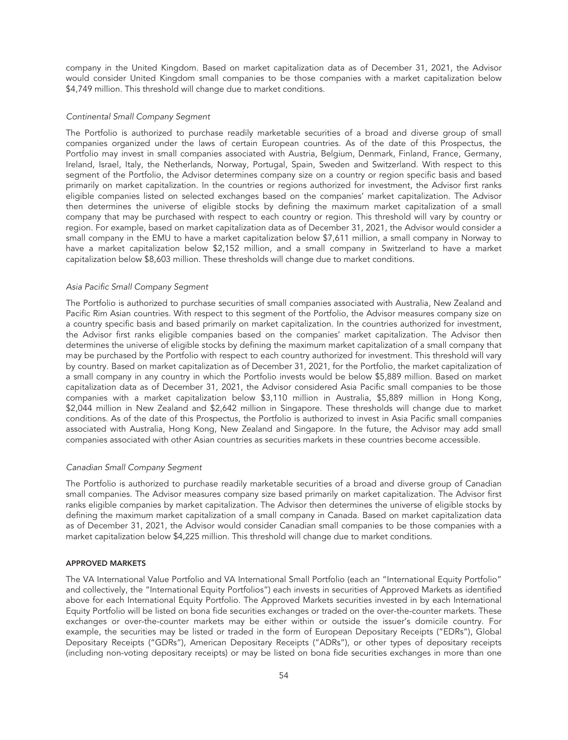company in the United Kingdom. Based on market capitalization data as of December 31, 2021, the Advisor would consider United Kingdom small companies to be those companies with a market capitalization below \$4,749 million. This threshold will change due to market conditions.

#### *Continental Small Company Segment*

The Portfolio is authorized to purchase readily marketable securities of a broad and diverse group of small companies organized under the laws of certain European countries. As of the date of this Prospectus, the Portfolio may invest in small companies associated with Austria, Belgium, Denmark, Finland, France, Germany, Ireland, Israel, Italy, the Netherlands, Norway, Portugal, Spain, Sweden and Switzerland. With respect to this segment of the Portfolio, the Advisor determines company size on a country or region specific basis and based primarily on market capitalization. In the countries or regions authorized for investment, the Advisor first ranks eligible companies listed on selected exchanges based on the companies' market capitalization. The Advisor then determines the universe of eligible stocks by defining the maximum market capitalization of a small company that may be purchased with respect to each country or region. This threshold will vary by country or region. For example, based on market capitalization data as of December 31, 2021, the Advisor would consider a small company in the EMU to have a market capitalization below \$7,611 million, a small company in Norway to have a market capitalization below \$2,152 million, and a small company in Switzerland to have a market capitalization below \$8,603 million. These thresholds will change due to market conditions.

#### *Asia Pacific Small Company Segment*

The Portfolio is authorized to purchase securities of small companies associated with Australia, New Zealand and Pacific Rim Asian countries. With respect to this segment of the Portfolio, the Advisor measures company size on a country specific basis and based primarily on market capitalization. In the countries authorized for investment, the Advisor first ranks eligible companies based on the companies' market capitalization. The Advisor then determines the universe of eligible stocks by defining the maximum market capitalization of a small company that may be purchased by the Portfolio with respect to each country authorized for investment. This threshold will vary by country. Based on market capitalization as of December 31, 2021, for the Portfolio, the market capitalization of a small company in any country in which the Portfolio invests would be below \$5,889 million. Based on market capitalization data as of December 31, 2021, the Advisor considered Asia Pacific small companies to be those companies with a market capitalization below \$3,110 million in Australia, \$5,889 million in Hong Kong, \$2,044 million in New Zealand and \$2,642 million in Singapore. These thresholds will change due to market conditions. As of the date of this Prospectus, the Portfolio is authorized to invest in Asia Pacific small companies associated with Australia, Hong Kong, New Zealand and Singapore. In the future, the Advisor may add small companies associated with other Asian countries as securities markets in these countries become accessible.

### *Canadian Small Company Segment*

The Portfolio is authorized to purchase readily marketable securities of a broad and diverse group of Canadian small companies. The Advisor measures company size based primarily on market capitalization. The Advisor first ranks eligible companies by market capitalization. The Advisor then determines the universe of eligible stocks by defining the maximum market capitalization of a small company in Canada. Based on market capitalization data as of December 31, 2021, the Advisor would consider Canadian small companies to be those companies with a market capitalization below \$4,225 million. This threshold will change due to market conditions.

#### APPROVED MARKETS

The VA International Value Portfolio and VA International Small Portfolio (each an "International Equity Portfolio" and collectively, the "International Equity Portfolios") each invests in securities of Approved Markets as identified above for each International Equity Portfolio. The Approved Markets securities invested in by each International Equity Portfolio will be listed on bona fide securities exchanges or traded on the over-the-counter markets. These exchanges or over-the-counter markets may be either within or outside the issuer's domicile country. For example, the securities may be listed or traded in the form of European Depositary Receipts ("EDRs"), Global Depositary Receipts ("GDRs"), American Depositary Receipts ("ADRs"), or other types of depositary receipts (including non-voting depositary receipts) or may be listed on bona fide securities exchanges in more than one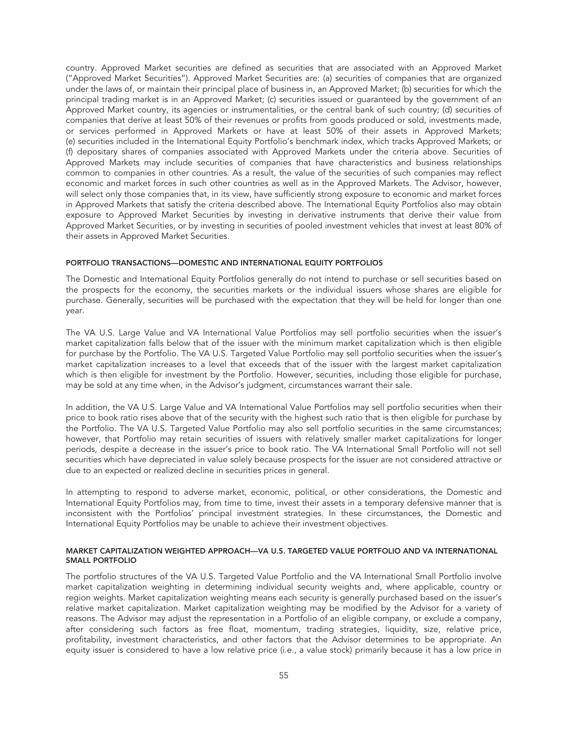country. Approved Market securities are defined as securities that are associated with an Approved Market ("Approved Market Securities"). Approved Market Securities are: (a) securities of companies that are organized under the laws of, or maintain their principal place of business in, an Approved Market; (b) securities for which the principal trading market is in an Approved Market; (c) securities issued or guaranteed by the government of an Approved Market country, its agencies or instrumentalities, or the central bank of such country; (d) securities of companies that derive at least 50% of their revenues or profits from goods produced or sold, investments made, or services performed in Approved Markets or have at least 50% of their assets in Approved Markets; (e) securities included in the International Equity Portfolio's benchmark index, which tracks Approved Markets; or (f) depositary shares of companies associated with Approved Markets under the criteria above. Securities of Approved Markets may include securities of companies that have characteristics and business relationships common to companies in other countries. As a result, the value of the securities of such companies may reflect economic and market forces in such other countries as well as in the Approved Markets. The Advisor, however, will select only those companies that, in its view, have sufficiently strong exposure to economic and market forces in Approved Markets that satisfy the criteria described above. The International Equity Portfolios also may obtain exposure to Approved Market Securities by investing in derivative instruments that derive their value from Approved Market Securities, or by investing in securities of pooled investment vehicles that invest at least 80% of their assets in Approved Market Securities.

#### PORTFOLIO TRANSACTIONS—DOMESTIC AND INTERNATIONAL EQUITY PORTFOLIOS

The Domestic and International Equity Portfolios generally do not intend to purchase or sell securities based on the prospects for the economy, the securities markets or the individual issuers whose shares are eligible for purchase. Generally, securities will be purchased with the expectation that they will be held for longer than one year.

The VA U.S. Large Value and VA International Value Portfolios may sell portfolio securities when the issuer's market capitalization falls below that of the issuer with the minimum market capitalization which is then eligible for purchase by the Portfolio. The VA U.S. Targeted Value Portfolio may sell portfolio securities when the issuer's market capitalization increases to a level that exceeds that of the issuer with the largest market capitalization which is then eligible for investment by the Portfolio. However, securities, including those eligible for purchase, may be sold at any time when, in the Advisor's judgment, circumstances warrant their sale.

In addition, the VA U.S. Large Value and VA International Value Portfolios may sell portfolio securities when their price to book ratio rises above that of the security with the highest such ratio that is then eligible for purchase by the Portfolio. The VA U.S. Targeted Value Portfolio may also sell portfolio securities in the same circumstances; however, that Portfolio may retain securities of issuers with relatively smaller market capitalizations for longer periods, despite a decrease in the issuer's price to book ratio. The VA International Small Portfolio will not sell securities which have depreciated in value solely because prospects for the issuer are not considered attractive or due to an expected or realized decline in securities prices in general.

In attempting to respond to adverse market, economic, political, or other considerations, the Domestic and International Equity Portfolios may, from time to time, invest their assets in a temporary defensive manner that is inconsistent with the Portfolios' principal investment strategies. In these circumstances, the Domestic and International Equity Portfolios may be unable to achieve their investment objectives.

#### MARKET CAPITALIZATION WEIGHTED APPROACH—VA U.S. TARGETED VALUE PORTFOLIO AND VA INTERNATIONAL SMALL PORTFOLIO

The portfolio structures of the VA U.S. Targeted Value Portfolio and the VA International Small Portfolio involve market capitalization weighting in determining individual security weights and, where applicable, country or region weights. Market capitalization weighting means each security is generally purchased based on the issuer's relative market capitalization. Market capitalization weighting may be modified by the Advisor for a variety of reasons. The Advisor may adjust the representation in a Portfolio of an eligible company, or exclude a company, after considering such factors as free float, momentum, trading strategies, liquidity, size, relative price, profitability, investment characteristics, and other factors that the Advisor determines to be appropriate. An equity issuer is considered to have a low relative price (i.e., a value stock) primarily because it has a low price in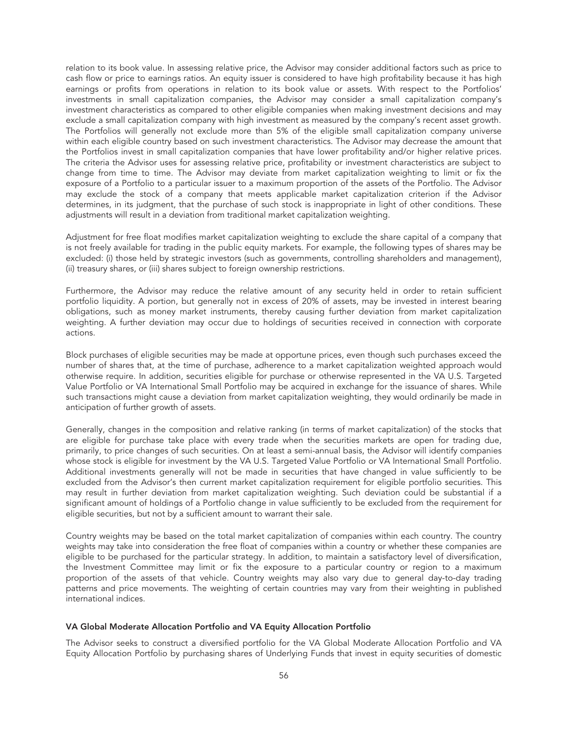relation to its book value. In assessing relative price, the Advisor may consider additional factors such as price to cash flow or price to earnings ratios. An equity issuer is considered to have high profitability because it has high earnings or profits from operations in relation to its book value or assets. With respect to the Portfolios' investments in small capitalization companies, the Advisor may consider a small capitalization company's investment characteristics as compared to other eligible companies when making investment decisions and may exclude a small capitalization company with high investment as measured by the company's recent asset growth. The Portfolios will generally not exclude more than 5% of the eligible small capitalization company universe within each eligible country based on such investment characteristics. The Advisor may decrease the amount that the Portfolios invest in small capitalization companies that have lower profitability and/or higher relative prices. The criteria the Advisor uses for assessing relative price, profitability or investment characteristics are subject to change from time to time. The Advisor may deviate from market capitalization weighting to limit or fix the exposure of a Portfolio to a particular issuer to a maximum proportion of the assets of the Portfolio. The Advisor may exclude the stock of a company that meets applicable market capitalization criterion if the Advisor determines, in its judgment, that the purchase of such stock is inappropriate in light of other conditions. These adjustments will result in a deviation from traditional market capitalization weighting.

Adjustment for free float modifies market capitalization weighting to exclude the share capital of a company that is not freely available for trading in the public equity markets. For example, the following types of shares may be excluded: (i) those held by strategic investors (such as governments, controlling shareholders and management), (ii) treasury shares, or (iii) shares subject to foreign ownership restrictions.

Furthermore, the Advisor may reduce the relative amount of any security held in order to retain sufficient portfolio liquidity. A portion, but generally not in excess of 20% of assets, may be invested in interest bearing obligations, such as money market instruments, thereby causing further deviation from market capitalization weighting. A further deviation may occur due to holdings of securities received in connection with corporate actions.

Block purchases of eligible securities may be made at opportune prices, even though such purchases exceed the number of shares that, at the time of purchase, adherence to a market capitalization weighted approach would otherwise require. In addition, securities eligible for purchase or otherwise represented in the VA U.S. Targeted Value Portfolio or VA International Small Portfolio may be acquired in exchange for the issuance of shares. While such transactions might cause a deviation from market capitalization weighting, they would ordinarily be made in anticipation of further growth of assets.

Generally, changes in the composition and relative ranking (in terms of market capitalization) of the stocks that are eligible for purchase take place with every trade when the securities markets are open for trading due, primarily, to price changes of such securities. On at least a semi-annual basis, the Advisor will identify companies whose stock is eligible for investment by the VA U.S. Targeted Value Portfolio or VA International Small Portfolio. Additional investments generally will not be made in securities that have changed in value sufficiently to be excluded from the Advisor's then current market capitalization requirement for eligible portfolio securities. This may result in further deviation from market capitalization weighting. Such deviation could be substantial if a significant amount of holdings of a Portfolio change in value sufficiently to be excluded from the requirement for eligible securities, but not by a sufficient amount to warrant their sale.

Country weights may be based on the total market capitalization of companies within each country. The country weights may take into consideration the free float of companies within a country or whether these companies are eligible to be purchased for the particular strategy. In addition, to maintain a satisfactory level of diversification, the Investment Committee may limit or fix the exposure to a particular country or region to a maximum proportion of the assets of that vehicle. Country weights may also vary due to general day-to-day trading patterns and price movements. The weighting of certain countries may vary from their weighting in published international indices.

#### VA Global Moderate Allocation Portfolio and VA Equity Allocation Portfolio

The Advisor seeks to construct a diversified portfolio for the VA Global Moderate Allocation Portfolio and VA Equity Allocation Portfolio by purchasing shares of Underlying Funds that invest in equity securities of domestic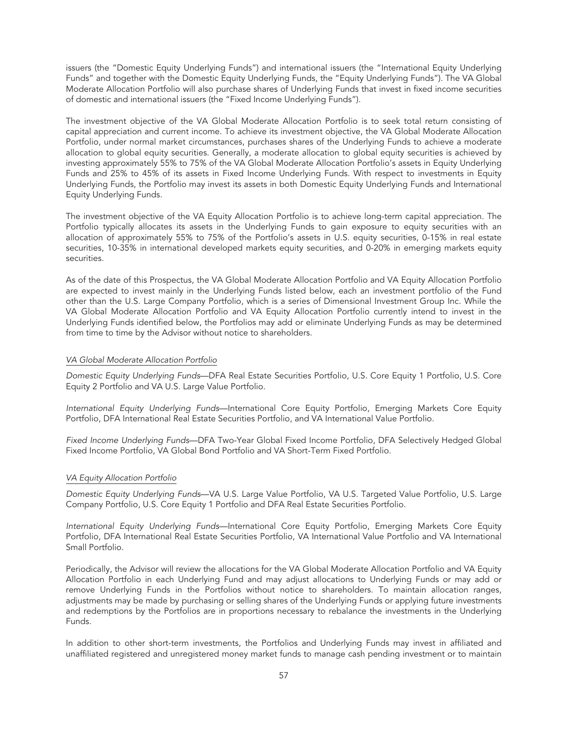issuers (the "Domestic Equity Underlying Funds") and international issuers (the "International Equity Underlying Funds" and together with the Domestic Equity Underlying Funds, the "Equity Underlying Funds"). The VA Global Moderate Allocation Portfolio will also purchase shares of Underlying Funds that invest in fixed income securities of domestic and international issuers (the "Fixed Income Underlying Funds").

The investment objective of the VA Global Moderate Allocation Portfolio is to seek total return consisting of capital appreciation and current income. To achieve its investment objective, the VA Global Moderate Allocation Portfolio, under normal market circumstances, purchases shares of the Underlying Funds to achieve a moderate allocation to global equity securities. Generally, a moderate allocation to global equity securities is achieved by investing approximately 55% to 75% of the VA Global Moderate Allocation Portfolio's assets in Equity Underlying Funds and 25% to 45% of its assets in Fixed Income Underlying Funds. With respect to investments in Equity Underlying Funds, the Portfolio may invest its assets in both Domestic Equity Underlying Funds and International Equity Underlying Funds.

The investment objective of the VA Equity Allocation Portfolio is to achieve long-term capital appreciation. The Portfolio typically allocates its assets in the Underlying Funds to gain exposure to equity securities with an allocation of approximately 55% to 75% of the Portfolio's assets in U.S. equity securities, 0-15% in real estate securities, 10-35% in international developed markets equity securities, and 0-20% in emerging markets equity securities.

As of the date of this Prospectus, the VA Global Moderate Allocation Portfolio and VA Equity Allocation Portfolio are expected to invest mainly in the Underlying Funds listed below, each an investment portfolio of the Fund other than the U.S. Large Company Portfolio, which is a series of Dimensional Investment Group Inc. While the VA Global Moderate Allocation Portfolio and VA Equity Allocation Portfolio currently intend to invest in the Underlying Funds identified below, the Portfolios may add or eliminate Underlying Funds as may be determined from time to time by the Advisor without notice to shareholders.

#### *VA Global Moderate Allocation Portfolio*

*Domestic Equity Underlying Funds*—DFA Real Estate Securities Portfolio, U.S. Core Equity 1 Portfolio, U.S. Core Equity 2 Portfolio and VA U.S. Large Value Portfolio.

*International Equity Underlying Funds*—International Core Equity Portfolio, Emerging Markets Core Equity Portfolio, DFA International Real Estate Securities Portfolio, and VA International Value Portfolio.

*Fixed Income Underlying Funds*—DFA Two-Year Global Fixed Income Portfolio, DFA Selectively Hedged Global Fixed Income Portfolio, VA Global Bond Portfolio and VA Short-Term Fixed Portfolio.

#### *VA Equity Allocation Portfolio*

*Domestic Equity Underlying Funds*—VA U.S. Large Value Portfolio, VA U.S. Targeted Value Portfolio, U.S. Large Company Portfolio, U.S. Core Equity 1 Portfolio and DFA Real Estate Securities Portfolio.

*International Equity Underlying Funds*—International Core Equity Portfolio, Emerging Markets Core Equity Portfolio, DFA International Real Estate Securities Portfolio, VA International Value Portfolio and VA International Small Portfolio.

Periodically, the Advisor will review the allocations for the VA Global Moderate Allocation Portfolio and VA Equity Allocation Portfolio in each Underlying Fund and may adjust allocations to Underlying Funds or may add or remove Underlying Funds in the Portfolios without notice to shareholders. To maintain allocation ranges, adjustments may be made by purchasing or selling shares of the Underlying Funds or applying future investments and redemptions by the Portfolios are in proportions necessary to rebalance the investments in the Underlying Funds.

In addition to other short-term investments, the Portfolios and Underlying Funds may invest in affiliated and unaffiliated registered and unregistered money market funds to manage cash pending investment or to maintain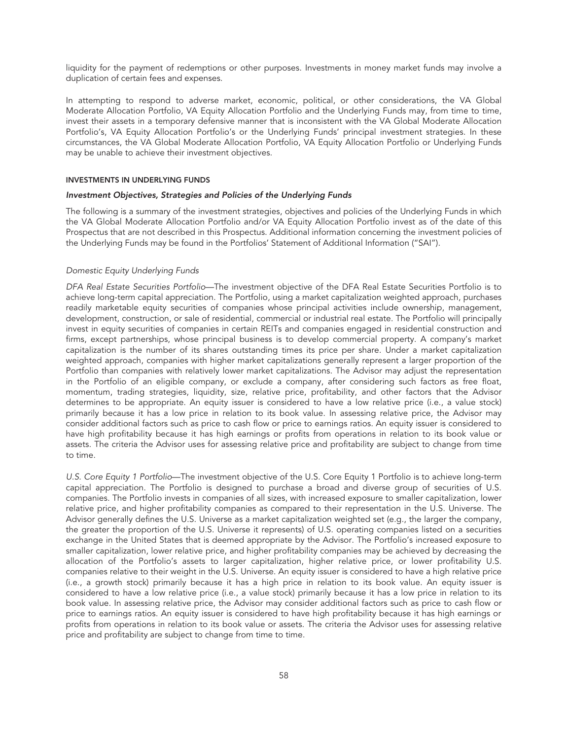liquidity for the payment of redemptions or other purposes. Investments in money market funds may involve a duplication of certain fees and expenses.

In attempting to respond to adverse market, economic, political, or other considerations, the VA Global Moderate Allocation Portfolio, VA Equity Allocation Portfolio and the Underlying Funds may, from time to time, invest their assets in a temporary defensive manner that is inconsistent with the VA Global Moderate Allocation Portfolio's, VA Equity Allocation Portfolio's or the Underlying Funds' principal investment strategies. In these circumstances, the VA Global Moderate Allocation Portfolio, VA Equity Allocation Portfolio or Underlying Funds may be unable to achieve their investment objectives.

#### INVESTMENTS IN UNDERLYING FUNDS

#### *Investment Objectives, Strategies and Policies of the Underlying Funds*

The following is a summary of the investment strategies, objectives and policies of the Underlying Funds in which the VA Global Moderate Allocation Portfolio and/or VA Equity Allocation Portfolio invest as of the date of this Prospectus that are not described in this Prospectus. Additional information concerning the investment policies of the Underlying Funds may be found in the Portfolios' Statement of Additional Information ("SAI").

#### *Domestic Equity Underlying Funds*

*DFA Real Estate Securities Portfolio*—The investment objective of the DFA Real Estate Securities Portfolio is to achieve long-term capital appreciation. The Portfolio, using a market capitalization weighted approach, purchases readily marketable equity securities of companies whose principal activities include ownership, management, development, construction, or sale of residential, commercial or industrial real estate. The Portfolio will principally invest in equity securities of companies in certain REITs and companies engaged in residential construction and firms, except partnerships, whose principal business is to develop commercial property. A company's market capitalization is the number of its shares outstanding times its price per share. Under a market capitalization weighted approach, companies with higher market capitalizations generally represent a larger proportion of the Portfolio than companies with relatively lower market capitalizations. The Advisor may adjust the representation in the Portfolio of an eligible company, or exclude a company, after considering such factors as free float, momentum, trading strategies, liquidity, size, relative price, profitability, and other factors that the Advisor determines to be appropriate. An equity issuer is considered to have a low relative price (i.e., a value stock) primarily because it has a low price in relation to its book value. In assessing relative price, the Advisor may consider additional factors such as price to cash flow or price to earnings ratios. An equity issuer is considered to have high profitability because it has high earnings or profits from operations in relation to its book value or assets. The criteria the Advisor uses for assessing relative price and profitability are subject to change from time to time.

*U.S. Core Equity 1 Portfolio*—The investment objective of the U.S. Core Equity 1 Portfolio is to achieve long-term capital appreciation. The Portfolio is designed to purchase a broad and diverse group of securities of U.S. companies. The Portfolio invests in companies of all sizes, with increased exposure to smaller capitalization, lower relative price, and higher profitability companies as compared to their representation in the U.S. Universe. The Advisor generally defines the U.S. Universe as a market capitalization weighted set (e.g., the larger the company, the greater the proportion of the U.S. Universe it represents) of U.S. operating companies listed on a securities exchange in the United States that is deemed appropriate by the Advisor. The Portfolio's increased exposure to smaller capitalization, lower relative price, and higher profitability companies may be achieved by decreasing the allocation of the Portfolio's assets to larger capitalization, higher relative price, or lower profitability U.S. companies relative to their weight in the U.S. Universe. An equity issuer is considered to have a high relative price (i.e., a growth stock) primarily because it has a high price in relation to its book value. An equity issuer is considered to have a low relative price (i.e., a value stock) primarily because it has a low price in relation to its book value. In assessing relative price, the Advisor may consider additional factors such as price to cash flow or price to earnings ratios. An equity issuer is considered to have high profitability because it has high earnings or profits from operations in relation to its book value or assets. The criteria the Advisor uses for assessing relative price and profitability are subject to change from time to time.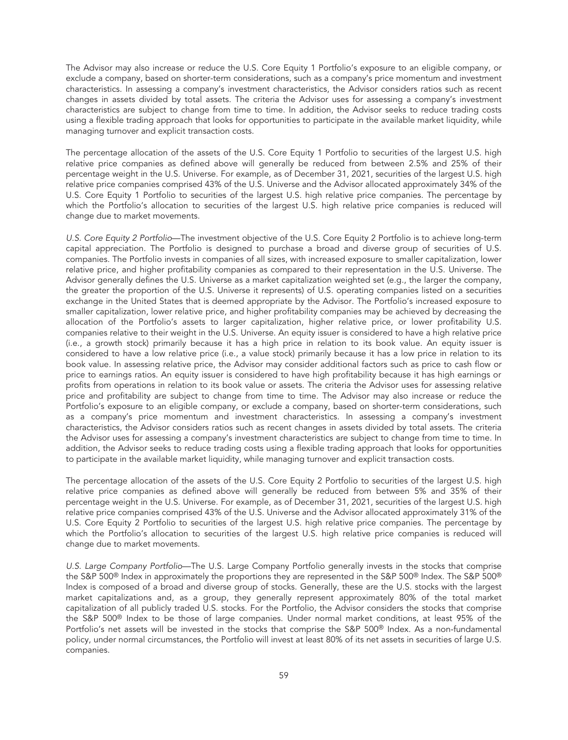The Advisor may also increase or reduce the U.S. Core Equity 1 Portfolio's exposure to an eligible company, or exclude a company, based on shorter-term considerations, such as a company's price momentum and investment characteristics. In assessing a company's investment characteristics, the Advisor considers ratios such as recent changes in assets divided by total assets. The criteria the Advisor uses for assessing a company's investment characteristics are subject to change from time to time. In addition, the Advisor seeks to reduce trading costs using a flexible trading approach that looks for opportunities to participate in the available market liquidity, while managing turnover and explicit transaction costs.

The percentage allocation of the assets of the U.S. Core Equity 1 Portfolio to securities of the largest U.S. high relative price companies as defined above will generally be reduced from between 2.5% and 25% of their percentage weight in the U.S. Universe. For example, as of December 31, 2021, securities of the largest U.S. high relative price companies comprised 43% of the U.S. Universe and the Advisor allocated approximately 34% of the U.S. Core Equity 1 Portfolio to securities of the largest U.S. high relative price companies. The percentage by which the Portfolio's allocation to securities of the largest U.S. high relative price companies is reduced will change due to market movements.

*U.S. Core Equity 2 Portfolio*—The investment objective of the U.S. Core Equity 2 Portfolio is to achieve long-term capital appreciation. The Portfolio is designed to purchase a broad and diverse group of securities of U.S. companies. The Portfolio invests in companies of all sizes, with increased exposure to smaller capitalization, lower relative price, and higher profitability companies as compared to their representation in the U.S. Universe. The Advisor generally defines the U.S. Universe as a market capitalization weighted set (e.g., the larger the company, the greater the proportion of the U.S. Universe it represents) of U.S. operating companies listed on a securities exchange in the United States that is deemed appropriate by the Advisor. The Portfolio's increased exposure to smaller capitalization, lower relative price, and higher profitability companies may be achieved by decreasing the allocation of the Portfolio's assets to larger capitalization, higher relative price, or lower profitability U.S. companies relative to their weight in the U.S. Universe. An equity issuer is considered to have a high relative price (i.e., a growth stock) primarily because it has a high price in relation to its book value. An equity issuer is considered to have a low relative price (i.e., a value stock) primarily because it has a low price in relation to its book value. In assessing relative price, the Advisor may consider additional factors such as price to cash flow or price to earnings ratios. An equity issuer is considered to have high profitability because it has high earnings or profits from operations in relation to its book value or assets. The criteria the Advisor uses for assessing relative price and profitability are subject to change from time to time. The Advisor may also increase or reduce the Portfolio's exposure to an eligible company, or exclude a company, based on shorter-term considerations, such as a company's price momentum and investment characteristics. In assessing a company's investment characteristics, the Advisor considers ratios such as recent changes in assets divided by total assets. The criteria the Advisor uses for assessing a company's investment characteristics are subject to change from time to time. In addition, the Advisor seeks to reduce trading costs using a flexible trading approach that looks for opportunities to participate in the available market liquidity, while managing turnover and explicit transaction costs.

The percentage allocation of the assets of the U.S. Core Equity 2 Portfolio to securities of the largest U.S. high relative price companies as defined above will generally be reduced from between 5% and 35% of their percentage weight in the U.S. Universe. For example, as of December 31, 2021, securities of the largest U.S. high relative price companies comprised 43% of the U.S. Universe and the Advisor allocated approximately 31% of the U.S. Core Equity 2 Portfolio to securities of the largest U.S. high relative price companies. The percentage by which the Portfolio's allocation to securities of the largest U.S. high relative price companies is reduced will change due to market movements.

*U.S. Large Company Portfolio*—The U.S. Large Company Portfolio generally invests in the stocks that comprise the S&P 500® Index in approximately the proportions they are represented in the S&P 500® Index. The S&P 500® Index is composed of a broad and diverse group of stocks. Generally, these are the U.S. stocks with the largest market capitalizations and, as a group, they generally represent approximately 80% of the total market capitalization of all publicly traded U.S. stocks. For the Portfolio, the Advisor considers the stocks that comprise the S&P 500® Index to be those of large companies. Under normal market conditions, at least 95% of the Portfolio's net assets will be invested in the stocks that comprise the S&P 500® Index. As a non-fundamental policy, under normal circumstances, the Portfolio will invest at least 80% of its net assets in securities of large U.S. companies.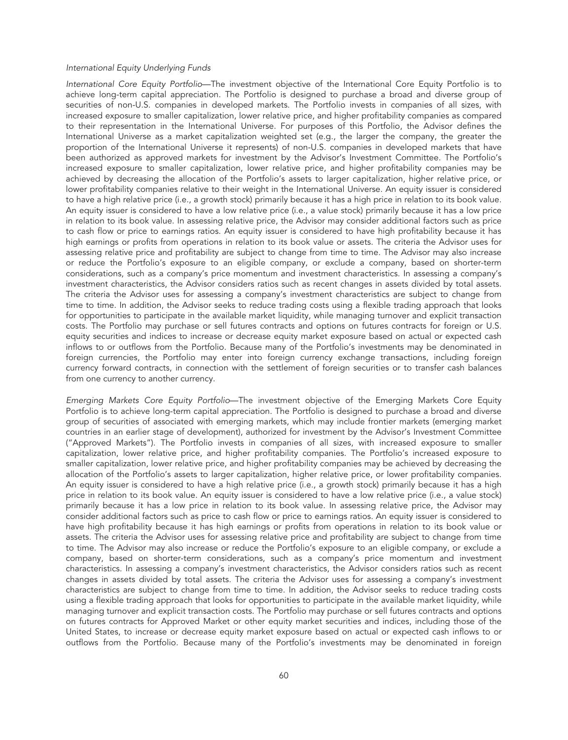#### *International Equity Underlying Funds*

*International Core Equity Portfolio*—The investment objective of the International Core Equity Portfolio is to achieve long-term capital appreciation. The Portfolio is designed to purchase a broad and diverse group of securities of non-U.S. companies in developed markets. The Portfolio invests in companies of all sizes, with increased exposure to smaller capitalization, lower relative price, and higher profitability companies as compared to their representation in the International Universe. For purposes of this Portfolio, the Advisor defines the International Universe as a market capitalization weighted set (e.g., the larger the company, the greater the proportion of the International Universe it represents) of non-U.S. companies in developed markets that have been authorized as approved markets for investment by the Advisor's Investment Committee. The Portfolio's increased exposure to smaller capitalization, lower relative price, and higher profitability companies may be achieved by decreasing the allocation of the Portfolio's assets to larger capitalization, higher relative price, or lower profitability companies relative to their weight in the International Universe. An equity issuer is considered to have a high relative price (i.e., a growth stock) primarily because it has a high price in relation to its book value. An equity issuer is considered to have a low relative price (i.e., a value stock) primarily because it has a low price in relation to its book value. In assessing relative price, the Advisor may consider additional factors such as price to cash flow or price to earnings ratios. An equity issuer is considered to have high profitability because it has high earnings or profits from operations in relation to its book value or assets. The criteria the Advisor uses for assessing relative price and profitability are subject to change from time to time. The Advisor may also increase or reduce the Portfolio's exposure to an eligible company, or exclude a company, based on shorter-term considerations, such as a company's price momentum and investment characteristics. In assessing a company's investment characteristics, the Advisor considers ratios such as recent changes in assets divided by total assets. The criteria the Advisor uses for assessing a company's investment characteristics are subject to change from time to time. In addition, the Advisor seeks to reduce trading costs using a flexible trading approach that looks for opportunities to participate in the available market liquidity, while managing turnover and explicit transaction costs. The Portfolio may purchase or sell futures contracts and options on futures contracts for foreign or U.S. equity securities and indices to increase or decrease equity market exposure based on actual or expected cash inflows to or outflows from the Portfolio. Because many of the Portfolio's investments may be denominated in foreign currencies, the Portfolio may enter into foreign currency exchange transactions, including foreign currency forward contracts, in connection with the settlement of foreign securities or to transfer cash balances from one currency to another currency.

*Emerging Markets Core Equity Portfolio*—The investment objective of the Emerging Markets Core Equity Portfolio is to achieve long-term capital appreciation. The Portfolio is designed to purchase a broad and diverse group of securities of associated with emerging markets, which may include frontier markets (emerging market countries in an earlier stage of development), authorized for investment by the Advisor's Investment Committee ("Approved Markets"). The Portfolio invests in companies of all sizes, with increased exposure to smaller capitalization, lower relative price, and higher profitability companies. The Portfolio's increased exposure to smaller capitalization, lower relative price, and higher profitability companies may be achieved by decreasing the allocation of the Portfolio's assets to larger capitalization, higher relative price, or lower profitability companies. An equity issuer is considered to have a high relative price (i.e., a growth stock) primarily because it has a high price in relation to its book value. An equity issuer is considered to have a low relative price (i.e., a value stock) primarily because it has a low price in relation to its book value. In assessing relative price, the Advisor may consider additional factors such as price to cash flow or price to earnings ratios. An equity issuer is considered to have high profitability because it has high earnings or profits from operations in relation to its book value or assets. The criteria the Advisor uses for assessing relative price and profitability are subject to change from time to time. The Advisor may also increase or reduce the Portfolio's exposure to an eligible company, or exclude a company, based on shorter-term considerations, such as a company's price momentum and investment characteristics. In assessing a company's investment characteristics, the Advisor considers ratios such as recent changes in assets divided by total assets. The criteria the Advisor uses for assessing a company's investment characteristics are subject to change from time to time. In addition, the Advisor seeks to reduce trading costs using a flexible trading approach that looks for opportunities to participate in the available market liquidity, while managing turnover and explicit transaction costs. The Portfolio may purchase or sell futures contracts and options on futures contracts for Approved Market or other equity market securities and indices, including those of the United States, to increase or decrease equity market exposure based on actual or expected cash inflows to or outflows from the Portfolio. Because many of the Portfolio's investments may be denominated in foreign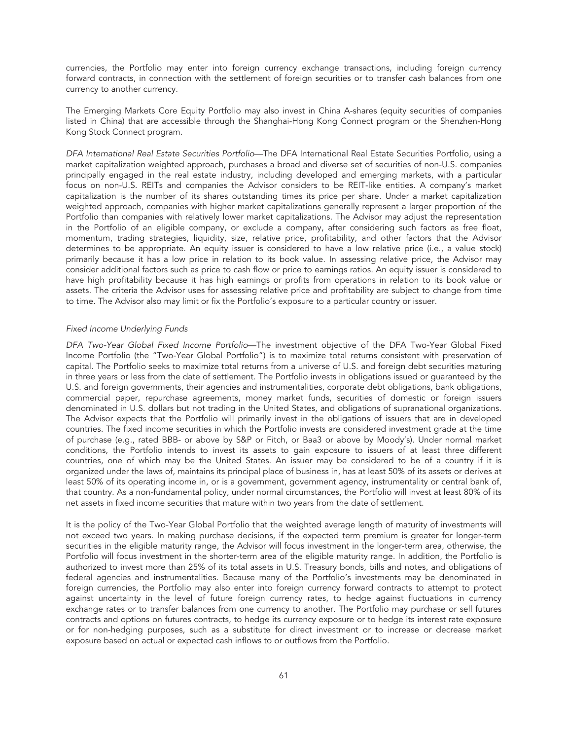currencies, the Portfolio may enter into foreign currency exchange transactions, including foreign currency forward contracts, in connection with the settlement of foreign securities or to transfer cash balances from one currency to another currency.

The Emerging Markets Core Equity Portfolio may also invest in China A-shares (equity securities of companies listed in China) that are accessible through the Shanghai-Hong Kong Connect program or the Shenzhen-Hong Kong Stock Connect program.

*DFA International Real Estate Securities Portfolio*—The DFA International Real Estate Securities Portfolio, using a market capitalization weighted approach, purchases a broad and diverse set of securities of non-U.S. companies principally engaged in the real estate industry, including developed and emerging markets, with a particular focus on non-U.S. REITs and companies the Advisor considers to be REIT-like entities. A company's market capitalization is the number of its shares outstanding times its price per share. Under a market capitalization weighted approach, companies with higher market capitalizations generally represent a larger proportion of the Portfolio than companies with relatively lower market capitalizations. The Advisor may adjust the representation in the Portfolio of an eligible company, or exclude a company, after considering such factors as free float, momentum, trading strategies, liquidity, size, relative price, profitability, and other factors that the Advisor determines to be appropriate. An equity issuer is considered to have a low relative price (i.e., a value stock) primarily because it has a low price in relation to its book value. In assessing relative price, the Advisor may consider additional factors such as price to cash flow or price to earnings ratios. An equity issuer is considered to have high profitability because it has high earnings or profits from operations in relation to its book value or assets. The criteria the Advisor uses for assessing relative price and profitability are subject to change from time to time. The Advisor also may limit or fix the Portfolio's exposure to a particular country or issuer.

#### *Fixed Income Underlying Funds*

*DFA Two-Year Global Fixed Income Portfolio*—The investment objective of the DFA Two-Year Global Fixed Income Portfolio (the "Two-Year Global Portfolio") is to maximize total returns consistent with preservation of capital. The Portfolio seeks to maximize total returns from a universe of U.S. and foreign debt securities maturing in three years or less from the date of settlement. The Portfolio invests in obligations issued or guaranteed by the U.S. and foreign governments, their agencies and instrumentalities, corporate debt obligations, bank obligations, commercial paper, repurchase agreements, money market funds, securities of domestic or foreign issuers denominated in U.S. dollars but not trading in the United States, and obligations of supranational organizations. The Advisor expects that the Portfolio will primarily invest in the obligations of issuers that are in developed countries. The fixed income securities in which the Portfolio invests are considered investment grade at the time of purchase (e.g., rated BBB- or above by S&P or Fitch, or Baa3 or above by Moody's). Under normal market conditions, the Portfolio intends to invest its assets to gain exposure to issuers of at least three different countries, one of which may be the United States. An issuer may be considered to be of a country if it is organized under the laws of, maintains its principal place of business in, has at least 50% of its assets or derives at least 50% of its operating income in, or is a government, government agency, instrumentality or central bank of, that country. As a non-fundamental policy, under normal circumstances, the Portfolio will invest at least 80% of its net assets in fixed income securities that mature within two years from the date of settlement.

It is the policy of the Two-Year Global Portfolio that the weighted average length of maturity of investments will not exceed two years. In making purchase decisions, if the expected term premium is greater for longer-term securities in the eligible maturity range, the Advisor will focus investment in the longer-term area, otherwise, the Portfolio will focus investment in the shorter-term area of the eligible maturity range. In addition, the Portfolio is authorized to invest more than 25% of its total assets in U.S. Treasury bonds, bills and notes, and obligations of federal agencies and instrumentalities. Because many of the Portfolio's investments may be denominated in foreign currencies, the Portfolio may also enter into foreign currency forward contracts to attempt to protect against uncertainty in the level of future foreign currency rates, to hedge against fluctuations in currency exchange rates or to transfer balances from one currency to another. The Portfolio may purchase or sell futures contracts and options on futures contracts, to hedge its currency exposure or to hedge its interest rate exposure or for non-hedging purposes, such as a substitute for direct investment or to increase or decrease market exposure based on actual or expected cash inflows to or outflows from the Portfolio.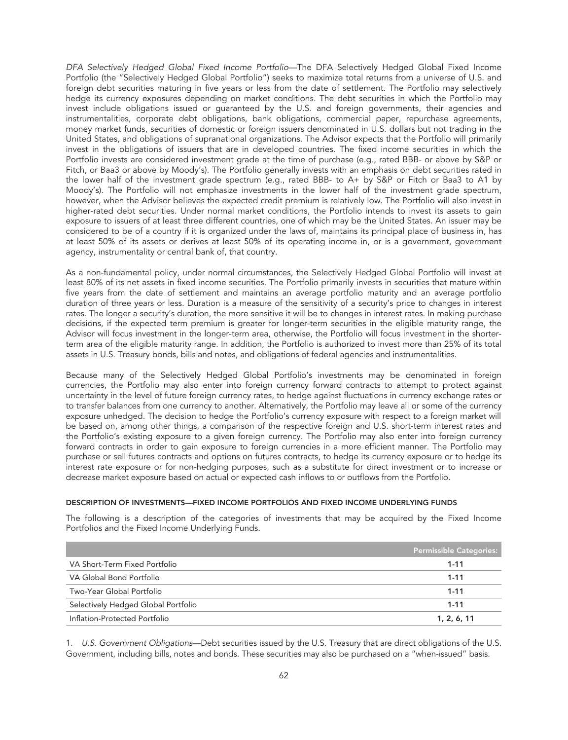*DFA Selectively Hedged Global Fixed Income Portfolio*—The DFA Selectively Hedged Global Fixed Income Portfolio (the "Selectively Hedged Global Portfolio") seeks to maximize total returns from a universe of U.S. and foreign debt securities maturing in five years or less from the date of settlement. The Portfolio may selectively hedge its currency exposures depending on market conditions. The debt securities in which the Portfolio may invest include obligations issued or guaranteed by the U.S. and foreign governments, their agencies and instrumentalities, corporate debt obligations, bank obligations, commercial paper, repurchase agreements, money market funds, securities of domestic or foreign issuers denominated in U.S. dollars but not trading in the United States, and obligations of supranational organizations. The Advisor expects that the Portfolio will primarily invest in the obligations of issuers that are in developed countries. The fixed income securities in which the Portfolio invests are considered investment grade at the time of purchase (e.g., rated BBB- or above by S&P or Fitch, or Baa3 or above by Moody's). The Portfolio generally invests with an emphasis on debt securities rated in the lower half of the investment grade spectrum (e.g., rated BBB- to A+ by S&P or Fitch or Baa3 to A1 by Moody's). The Portfolio will not emphasize investments in the lower half of the investment grade spectrum, however, when the Advisor believes the expected credit premium is relatively low. The Portfolio will also invest in higher-rated debt securities. Under normal market conditions, the Portfolio intends to invest its assets to gain exposure to issuers of at least three different countries, one of which may be the United States. An issuer may be considered to be of a country if it is organized under the laws of, maintains its principal place of business in, has at least 50% of its assets or derives at least 50% of its operating income in, or is a government, government agency, instrumentality or central bank of, that country.

As a non-fundamental policy, under normal circumstances, the Selectively Hedged Global Portfolio will invest at least 80% of its net assets in fixed income securities. The Portfolio primarily invests in securities that mature within five years from the date of settlement and maintains an average portfolio maturity and an average portfolio duration of three years or less. Duration is a measure of the sensitivity of a security's price to changes in interest rates. The longer a security's duration, the more sensitive it will be to changes in interest rates. In making purchase decisions, if the expected term premium is greater for longer-term securities in the eligible maturity range, the Advisor will focus investment in the longer-term area, otherwise, the Portfolio will focus investment in the shorterterm area of the eligible maturity range. In addition, the Portfolio is authorized to invest more than 25% of its total assets in U.S. Treasury bonds, bills and notes, and obligations of federal agencies and instrumentalities.

Because many of the Selectively Hedged Global Portfolio's investments may be denominated in foreign currencies, the Portfolio may also enter into foreign currency forward contracts to attempt to protect against uncertainty in the level of future foreign currency rates, to hedge against fluctuations in currency exchange rates or to transfer balances from one currency to another. Alternatively, the Portfolio may leave all or some of the currency exposure unhedged. The decision to hedge the Portfolio's currency exposure with respect to a foreign market will be based on, among other things, a comparison of the respective foreign and U.S. short-term interest rates and the Portfolio's existing exposure to a given foreign currency. The Portfolio may also enter into foreign currency forward contracts in order to gain exposure to foreign currencies in a more efficient manner. The Portfolio may purchase or sell futures contracts and options on futures contracts, to hedge its currency exposure or to hedge its interest rate exposure or for non-hedging purposes, such as a substitute for direct investment or to increase or decrease market exposure based on actual or expected cash inflows to or outflows from the Portfolio.

#### DESCRIPTION OF INVESTMENTS—FIXED INCOME PORTFOLIOS AND FIXED INCOME UNDERLYING FUNDS

The following is a description of the categories of investments that may be acquired by the Fixed Income Portfolios and the Fixed Income Underlying Funds.

|                                     | <b>Permissible Categories:</b> |
|-------------------------------------|--------------------------------|
| VA Short-Term Fixed Portfolio       | $1 - 11$                       |
| VA Global Bond Portfolio            | $1 - 11$                       |
| Two-Year Global Portfolio           | $1 - 11$                       |
| Selectively Hedged Global Portfolio | $1 - 11$                       |
| Inflation-Protected Portfolio       | 1, 2, 6, 11                    |

1. *U.S. Government Obligations*—Debt securities issued by the U.S. Treasury that are direct obligations of the U.S. Government, including bills, notes and bonds. These securities may also be purchased on a "when-issued" basis.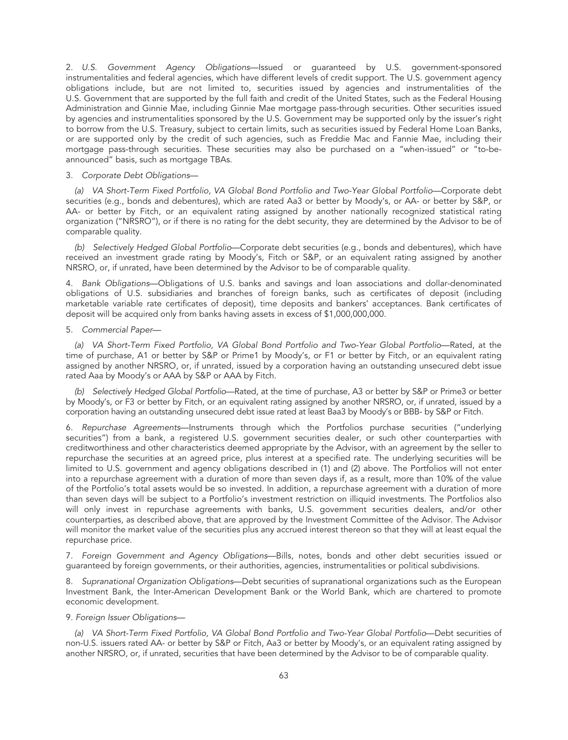2. *U.S. Government Agency Obligations*—Issued or guaranteed by U.S. government-sponsored instrumentalities and federal agencies, which have different levels of credit support. The U.S. government agency obligations include, but are not limited to, securities issued by agencies and instrumentalities of the U.S. Government that are supported by the full faith and credit of the United States, such as the Federal Housing Administration and Ginnie Mae, including Ginnie Mae mortgage pass-through securities. Other securities issued by agencies and instrumentalities sponsored by the U.S. Government may be supported only by the issuer's right to borrow from the U.S. Treasury, subject to certain limits, such as securities issued by Federal Home Loan Banks, or are supported only by the credit of such agencies, such as Freddie Mac and Fannie Mae, including their mortgage pass-through securities. These securities may also be purchased on a "when-issued" or "to-beannounced" basis, such as mortgage TBAs.

#### 3. *Corporate Debt Obligations*—

*(a) VA Short-Term Fixed Portfolio, VA Global Bond Portfolio and Two-Year Global Portfolio*—Corporate debt securities (e.g., bonds and debentures), which are rated Aa3 or better by Moody's, or AA- or better by S&P, or AA- or better by Fitch, or an equivalent rating assigned by another nationally recognized statistical rating organization ("NRSRO"), or if there is no rating for the debt security, they are determined by the Advisor to be of comparable quality.

*(b) Selectively Hedged Global Portfolio*—Corporate debt securities (e.g., bonds and debentures), which have received an investment grade rating by Moody's, Fitch or S&P, or an equivalent rating assigned by another NRSRO, or, if unrated, have been determined by the Advisor to be of comparable quality.

4. *Bank Obligations*—Obligations of U.S. banks and savings and loan associations and dollar-denominated obligations of U.S. subsidiaries and branches of foreign banks, such as certificates of deposit (including marketable variable rate certificates of deposit), time deposits and bankers' acceptances. Bank certificates of deposit will be acquired only from banks having assets in excess of \$1,000,000,000.

#### 5. *Commercial Paper*—

*(a) VA Short-Term Fixed Portfolio, VA Global Bond Portfolio and Two-Year Global Portfolio*—Rated, at the time of purchase, A1 or better by S&P or Prime1 by Moody's, or F1 or better by Fitch, or an equivalent rating assigned by another NRSRO, or, if unrated, issued by a corporation having an outstanding unsecured debt issue rated Aaa by Moody's or AAA by S&P or AAA by Fitch.

*(b) Selectively Hedged Global Portfolio*—Rated, at the time of purchase, A3 or better by S&P or Prime3 or better by Moody's, or F3 or better by Fitch, or an equivalent rating assigned by another NRSRO, or, if unrated, issued by a corporation having an outstanding unsecured debt issue rated at least Baa3 by Moody's or BBB- by S&P or Fitch.

6. *Repurchase Agreements*—Instruments through which the Portfolios purchase securities ("underlying securities") from a bank, a registered U.S. government securities dealer, or such other counterparties with creditworthiness and other characteristics deemed appropriate by the Advisor, with an agreement by the seller to repurchase the securities at an agreed price, plus interest at a specified rate. The underlying securities will be limited to U.S. government and agency obligations described in (1) and (2) above. The Portfolios will not enter into a repurchase agreement with a duration of more than seven days if, as a result, more than 10% of the value of the Portfolio's total assets would be so invested. In addition, a repurchase agreement with a duration of more than seven days will be subject to a Portfolio's investment restriction on illiquid investments. The Portfolios also will only invest in repurchase agreements with banks, U.S. government securities dealers, and/or other counterparties, as described above, that are approved by the Investment Committee of the Advisor. The Advisor will monitor the market value of the securities plus any accrued interest thereon so that they will at least equal the repurchase price.

7. *Foreign Government and Agency Obligations*—Bills, notes, bonds and other debt securities issued or guaranteed by foreign governments, or their authorities, agencies, instrumentalities or political subdivisions.

8. *Supranational Organization Obligations*—Debt securities of supranational organizations such as the European Investment Bank, the Inter-American Development Bank or the World Bank, which are chartered to promote economic development.

### 9. *Foreign Issuer Obligations*—

*(a) VA Short-Term Fixed Portfolio, VA Global Bond Portfolio and Two-Year Global Portfolio*—Debt securities of non-U.S. issuers rated AA- or better by S&P or Fitch, Aa3 or better by Moody's, or an equivalent rating assigned by another NRSRO, or, if unrated, securities that have been determined by the Advisor to be of comparable quality.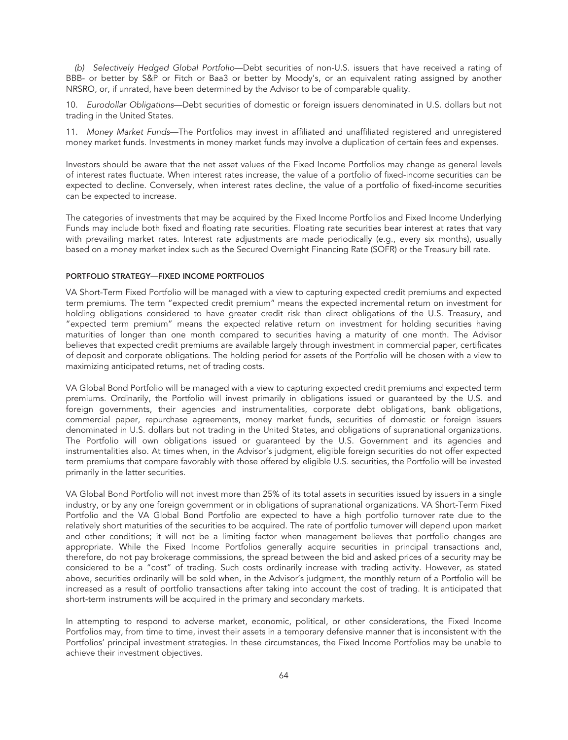*(b) Selectively Hedged Global Portfolio*—Debt securities of non-U.S. issuers that have received a rating of BBB- or better by S&P or Fitch or Baa3 or better by Moody's, or an equivalent rating assigned by another NRSRO, or, if unrated, have been determined by the Advisor to be of comparable quality.

10. *Eurodollar Obligations*—Debt securities of domestic or foreign issuers denominated in U.S. dollars but not trading in the United States.

11. *Money Market Funds*—The Portfolios may invest in affiliated and unaffiliated registered and unregistered money market funds. Investments in money market funds may involve a duplication of certain fees and expenses.

Investors should be aware that the net asset values of the Fixed Income Portfolios may change as general levels of interest rates fluctuate. When interest rates increase, the value of a portfolio of fixed-income securities can be expected to decline. Conversely, when interest rates decline, the value of a portfolio of fixed-income securities can be expected to increase.

The categories of investments that may be acquired by the Fixed Income Portfolios and Fixed Income Underlying Funds may include both fixed and floating rate securities. Floating rate securities bear interest at rates that vary with prevailing market rates. Interest rate adjustments are made periodically (e.g., every six months), usually based on a money market index such as the Secured Overnight Financing Rate (SOFR) or the Treasury bill rate.

#### PORTFOLIO STRATEGY—FIXED INCOME PORTFOLIOS

VA Short-Term Fixed Portfolio will be managed with a view to capturing expected credit premiums and expected term premiums. The term "expected credit premium" means the expected incremental return on investment for holding obligations considered to have greater credit risk than direct obligations of the U.S. Treasury, and "expected term premium" means the expected relative return on investment for holding securities having maturities of longer than one month compared to securities having a maturity of one month. The Advisor believes that expected credit premiums are available largely through investment in commercial paper, certificates of deposit and corporate obligations. The holding period for assets of the Portfolio will be chosen with a view to maximizing anticipated returns, net of trading costs.

VA Global Bond Portfolio will be managed with a view to capturing expected credit premiums and expected term premiums. Ordinarily, the Portfolio will invest primarily in obligations issued or guaranteed by the U.S. and foreign governments, their agencies and instrumentalities, corporate debt obligations, bank obligations, commercial paper, repurchase agreements, money market funds, securities of domestic or foreign issuers denominated in U.S. dollars but not trading in the United States, and obligations of supranational organizations. The Portfolio will own obligations issued or guaranteed by the U.S. Government and its agencies and instrumentalities also. At times when, in the Advisor's judgment, eligible foreign securities do not offer expected term premiums that compare favorably with those offered by eligible U.S. securities, the Portfolio will be invested primarily in the latter securities.

VA Global Bond Portfolio will not invest more than 25% of its total assets in securities issued by issuers in a single industry, or by any one foreign government or in obligations of supranational organizations. VA Short-Term Fixed Portfolio and the VA Global Bond Portfolio are expected to have a high portfolio turnover rate due to the relatively short maturities of the securities to be acquired. The rate of portfolio turnover will depend upon market and other conditions; it will not be a limiting factor when management believes that portfolio changes are appropriate. While the Fixed Income Portfolios generally acquire securities in principal transactions and, therefore, do not pay brokerage commissions, the spread between the bid and asked prices of a security may be considered to be a "cost" of trading. Such costs ordinarily increase with trading activity. However, as stated above, securities ordinarily will be sold when, in the Advisor's judgment, the monthly return of a Portfolio will be increased as a result of portfolio transactions after taking into account the cost of trading. It is anticipated that short-term instruments will be acquired in the primary and secondary markets.

In attempting to respond to adverse market, economic, political, or other considerations, the Fixed Income Portfolios may, from time to time, invest their assets in a temporary defensive manner that is inconsistent with the Portfolios' principal investment strategies. In these circumstances, the Fixed Income Portfolios may be unable to achieve their investment objectives.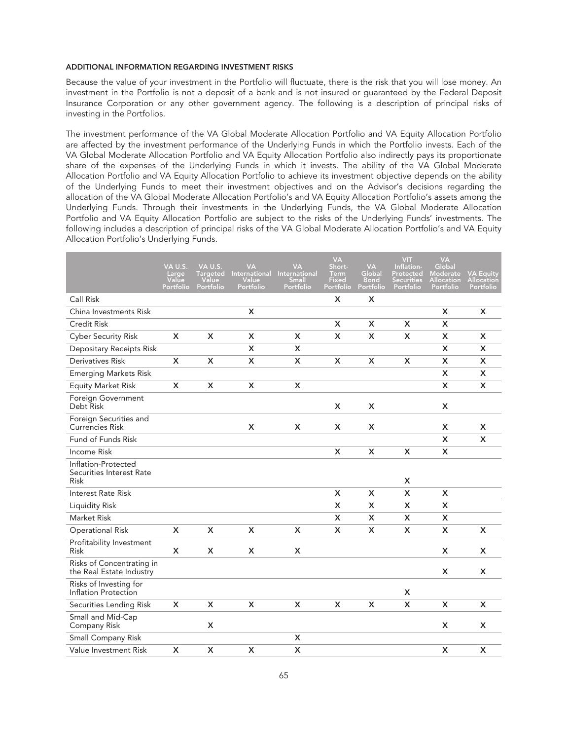#### ADDITIONAL INFORMATION REGARDING INVESTMENT RISKS

Because the value of your investment in the Portfolio will fluctuate, there is the risk that you will lose money. An investment in the Portfolio is not a deposit of a bank and is not insured or guaranteed by the Federal Deposit Insurance Corporation or any other government agency. The following is a description of principal risks of investing in the Portfolios.

The investment performance of the VA Global Moderate Allocation Portfolio and VA Equity Allocation Portfolio are affected by the investment performance of the Underlying Funds in which the Portfolio invests. Each of the VA Global Moderate Allocation Portfolio and VA Equity Allocation Portfolio also indirectly pays its proportionate share of the expenses of the Underlying Funds in which it invests. The ability of the VA Global Moderate Allocation Portfolio and VA Equity Allocation Portfolio to achieve its investment objective depends on the ability of the Underlying Funds to meet their investment objectives and on the Advisor's decisions regarding the allocation of the VA Global Moderate Allocation Portfolio's and VA Equity Allocation Portfolio's assets among the Underlying Funds. Through their investments in the Underlying Funds, the VA Global Moderate Allocation Portfolio and VA Equity Allocation Portfolio are subject to the risks of the Underlying Funds' investments. The following includes a description of principal risks of the VA Global Moderate Allocation Portfolio's and VA Equity Allocation Portfolio's Underlying Funds.

|                                                                | VA U.S.<br>Large   | VA U.S.<br>Targeted | <b>VA</b><br><b>International</b> | <b>VA</b><br>International | <b>VA</b><br>Short-<br>Term | <b>VA</b><br>Global       | <b>VIT</b><br>Inflation-<br>Protected | <b>VA</b><br>Global<br><b>Moderate</b> | <b>VA Equity</b>               |
|----------------------------------------------------------------|--------------------|---------------------|-----------------------------------|----------------------------|-----------------------------|---------------------------|---------------------------------------|----------------------------------------|--------------------------------|
|                                                                | Value<br>Portfolio | Value<br>Portfolio  | Value<br>Portfolio                | Small<br>Portfolio         | <b>Fixed</b><br>Portfolio   | <b>Bond</b><br>Portfolio  | <b>Securities</b><br>Portfolio        | Allocation<br>Portfolio                | <b>Allocation</b><br>Portfolio |
| Call Risk                                                      |                    |                     |                                   |                            | X                           | X                         |                                       |                                        |                                |
| China Investments Risk                                         |                    |                     | X                                 |                            |                             |                           |                                       | X                                      | X                              |
| <b>Credit Risk</b>                                             |                    |                     |                                   |                            | X                           | X                         | X                                     | X                                      |                                |
| <b>Cyber Security Risk</b>                                     | X                  | X                   | X                                 | X                          | X                           | X                         | X                                     | X                                      | X                              |
| Depositary Receipts Risk                                       |                    |                     | X                                 | X                          |                             |                           |                                       | X                                      | x                              |
| Derivatives Risk                                               | x                  | X                   | X                                 | X                          | X                           | X                         | X                                     | X                                      | X                              |
| <b>Emerging Markets Risk</b>                                   |                    |                     |                                   |                            |                             |                           |                                       | X                                      | X                              |
| <b>Equity Market Risk</b>                                      | X                  | X                   | X                                 | X                          |                             |                           |                                       | X                                      | $\mathsf{x}$                   |
| Foreign Government<br>Debt Risk                                |                    |                     |                                   |                            | X                           | X                         |                                       | X                                      |                                |
| Foreign Securities and<br><b>Currencies Risk</b>               |                    |                     | X                                 | X                          | x                           | X                         |                                       | X                                      | X                              |
| Fund of Funds Risk                                             |                    |                     |                                   |                            |                             |                           |                                       | X                                      | X                              |
| <b>Income Risk</b>                                             |                    |                     |                                   |                            | X                           | X                         | X                                     | X                                      |                                |
| Inflation-Protected<br>Securities Interest Rate<br><b>Risk</b> |                    |                     |                                   |                            |                             |                           | X                                     |                                        |                                |
| Interest Rate Risk                                             |                    |                     |                                   |                            | X                           | $\boldsymbol{\mathsf{X}}$ | X                                     | X                                      |                                |
| Liquidity Risk                                                 |                    |                     |                                   |                            | X                           | X                         | X                                     | X                                      |                                |
| <b>Market Risk</b>                                             |                    |                     |                                   |                            | X                           | X                         | X                                     | X                                      |                                |
| <b>Operational Risk</b>                                        | X                  | X                   | X                                 | X                          | X                           | $\boldsymbol{\mathsf{x}}$ | X                                     | X                                      | X                              |
| Profitability Investment<br><b>Risk</b>                        | X                  | X                   | X                                 | X                          |                             |                           |                                       | X                                      | X                              |
| Risks of Concentrating in<br>the Real Estate Industry          |                    |                     |                                   |                            |                             |                           |                                       | x                                      | X                              |
| Risks of Investing for<br>Inflation Protection                 |                    |                     |                                   |                            |                             |                           | X                                     |                                        |                                |
| Securities Lending Risk                                        | X                  | X                   | X                                 | X                          | X                           | X                         | X                                     | X                                      | X                              |
| Small and Mid-Cap<br>Company Risk                              |                    | X                   |                                   |                            |                             |                           |                                       | x                                      | X                              |
| Small Company Risk                                             |                    |                     |                                   | X                          |                             |                           |                                       |                                        |                                |
| Value Investment Risk                                          | X                  | X                   | X                                 | X                          |                             |                           |                                       | X                                      | X                              |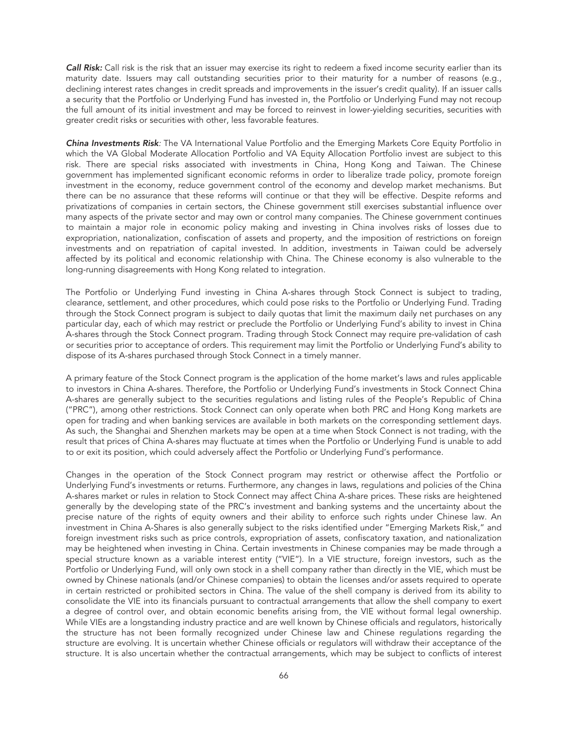*Call Risk:* Call risk is the risk that an issuer may exercise its right to redeem a fixed income security earlier than its maturity date. Issuers may call outstanding securities prior to their maturity for a number of reasons (e.g., declining interest rates changes in credit spreads and improvements in the issuer's credit quality). If an issuer calls a security that the Portfolio or Underlying Fund has invested in, the Portfolio or Underlying Fund may not recoup the full amount of its initial investment and may be forced to reinvest in lower-yielding securities, securities with greater credit risks or securities with other, less favorable features.

*China Investments Risk:* The VA International Value Portfolio and the Emerging Markets Core Equity Portfolio in which the VA Global Moderate Allocation Portfolio and VA Equity Allocation Portfolio invest are subject to this risk. There are special risks associated with investments in China, Hong Kong and Taiwan. The Chinese government has implemented significant economic reforms in order to liberalize trade policy, promote foreign investment in the economy, reduce government control of the economy and develop market mechanisms. But there can be no assurance that these reforms will continue or that they will be effective. Despite reforms and privatizations of companies in certain sectors, the Chinese government still exercises substantial influence over many aspects of the private sector and may own or control many companies. The Chinese government continues to maintain a major role in economic policy making and investing in China involves risks of losses due to expropriation, nationalization, confiscation of assets and property, and the imposition of restrictions on foreign investments and on repatriation of capital invested. In addition, investments in Taiwan could be adversely affected by its political and economic relationship with China. The Chinese economy is also vulnerable to the long-running disagreements with Hong Kong related to integration.

The Portfolio or Underlying Fund investing in China A-shares through Stock Connect is subject to trading, clearance, settlement, and other procedures, which could pose risks to the Portfolio or Underlying Fund. Trading through the Stock Connect program is subject to daily quotas that limit the maximum daily net purchases on any particular day, each of which may restrict or preclude the Portfolio or Underlying Fund's ability to invest in China A-shares through the Stock Connect program. Trading through Stock Connect may require pre-validation of cash or securities prior to acceptance of orders. This requirement may limit the Portfolio or Underlying Fund's ability to dispose of its A-shares purchased through Stock Connect in a timely manner.

A primary feature of the Stock Connect program is the application of the home market's laws and rules applicable to investors in China A-shares. Therefore, the Portfolio or Underlying Fund's investments in Stock Connect China A-shares are generally subject to the securities regulations and listing rules of the People's Republic of China ("PRC"), among other restrictions. Stock Connect can only operate when both PRC and Hong Kong markets are open for trading and when banking services are available in both markets on the corresponding settlement days. As such, the Shanghai and Shenzhen markets may be open at a time when Stock Connect is not trading, with the result that prices of China A-shares may fluctuate at times when the Portfolio or Underlying Fund is unable to add to or exit its position, which could adversely affect the Portfolio or Underlying Fund's performance.

Changes in the operation of the Stock Connect program may restrict or otherwise affect the Portfolio or Underlying Fund's investments or returns. Furthermore, any changes in laws, regulations and policies of the China A-shares market or rules in relation to Stock Connect may affect China A-share prices. These risks are heightened generally by the developing state of the PRC's investment and banking systems and the uncertainty about the precise nature of the rights of equity owners and their ability to enforce such rights under Chinese law. An investment in China A-Shares is also generally subject to the risks identified under "Emerging Markets Risk," and foreign investment risks such as price controls, expropriation of assets, confiscatory taxation, and nationalization may be heightened when investing in China. Certain investments in Chinese companies may be made through a special structure known as a variable interest entity ("VIE"). In a VIE structure, foreign investors, such as the Portfolio or Underlying Fund, will only own stock in a shell company rather than directly in the VIE, which must be owned by Chinese nationals (and/or Chinese companies) to obtain the licenses and/or assets required to operate in certain restricted or prohibited sectors in China. The value of the shell company is derived from its ability to consolidate the VIE into its financials pursuant to contractual arrangements that allow the shell company to exert a degree of control over, and obtain economic benefits arising from, the VIE without formal legal ownership. While VIEs are a longstanding industry practice and are well known by Chinese officials and regulators, historically the structure has not been formally recognized under Chinese law and Chinese regulations regarding the structure are evolving. It is uncertain whether Chinese officials or regulators will withdraw their acceptance of the structure. It is also uncertain whether the contractual arrangements, which may be subject to conflicts of interest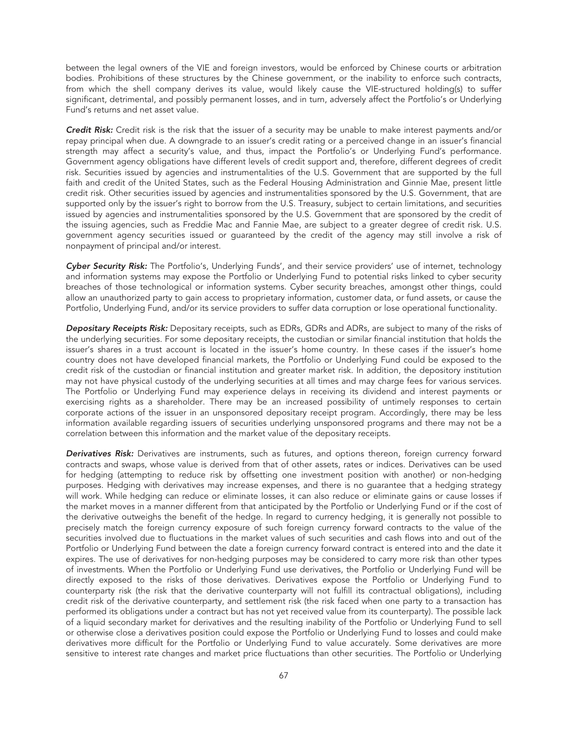between the legal owners of the VIE and foreign investors, would be enforced by Chinese courts or arbitration bodies. Prohibitions of these structures by the Chinese government, or the inability to enforce such contracts, from which the shell company derives its value, would likely cause the VIE-structured holding(s) to suffer significant, detrimental, and possibly permanent losses, and in turn, adversely affect the Portfolio's or Underlying Fund's returns and net asset value.

*Credit Risk:* Credit risk is the risk that the issuer of a security may be unable to make interest payments and/or repay principal when due. A downgrade to an issuer's credit rating or a perceived change in an issuer's financial strength may affect a security's value, and thus, impact the Portfolio's or Underlying Fund's performance. Government agency obligations have different levels of credit support and, therefore, different degrees of credit risk. Securities issued by agencies and instrumentalities of the U.S. Government that are supported by the full faith and credit of the United States, such as the Federal Housing Administration and Ginnie Mae, present little credit risk. Other securities issued by agencies and instrumentalities sponsored by the U.S. Government, that are supported only by the issuer's right to borrow from the U.S. Treasury, subject to certain limitations, and securities issued by agencies and instrumentalities sponsored by the U.S. Government that are sponsored by the credit of the issuing agencies, such as Freddie Mac and Fannie Mae, are subject to a greater degree of credit risk. U.S. government agency securities issued or guaranteed by the credit of the agency may still involve a risk of nonpayment of principal and/or interest.

*Cyber Security Risk:* The Portfolio's, Underlying Funds', and their service providers' use of internet, technology and information systems may expose the Portfolio or Underlying Fund to potential risks linked to cyber security breaches of those technological or information systems. Cyber security breaches, amongst other things, could allow an unauthorized party to gain access to proprietary information, customer data, or fund assets, or cause the Portfolio, Underlying Fund, and/or its service providers to suffer data corruption or lose operational functionality.

*Depositary Receipts Risk:* Depositary receipts, such as EDRs, GDRs and ADRs, are subject to many of the risks of the underlying securities. For some depositary receipts, the custodian or similar financial institution that holds the issuer's shares in a trust account is located in the issuer's home country. In these cases if the issuer's home country does not have developed financial markets, the Portfolio or Underlying Fund could be exposed to the credit risk of the custodian or financial institution and greater market risk. In addition, the depository institution may not have physical custody of the underlying securities at all times and may charge fees for various services. The Portfolio or Underlying Fund may experience delays in receiving its dividend and interest payments or exercising rights as a shareholder. There may be an increased possibility of untimely responses to certain corporate actions of the issuer in an unsponsored depositary receipt program. Accordingly, there may be less information available regarding issuers of securities underlying unsponsored programs and there may not be a correlation between this information and the market value of the depositary receipts.

*Derivatives Risk:* Derivatives are instruments, such as futures, and options thereon, foreign currency forward contracts and swaps, whose value is derived from that of other assets, rates or indices. Derivatives can be used for hedging (attempting to reduce risk by offsetting one investment position with another) or non-hedging purposes. Hedging with derivatives may increase expenses, and there is no guarantee that a hedging strategy will work. While hedging can reduce or eliminate losses, it can also reduce or eliminate gains or cause losses if the market moves in a manner different from that anticipated by the Portfolio or Underlying Fund or if the cost of the derivative outweighs the benefit of the hedge. In regard to currency hedging, it is generally not possible to precisely match the foreign currency exposure of such foreign currency forward contracts to the value of the securities involved due to fluctuations in the market values of such securities and cash flows into and out of the Portfolio or Underlying Fund between the date a foreign currency forward contract is entered into and the date it expires. The use of derivatives for non-hedging purposes may be considered to carry more risk than other types of investments. When the Portfolio or Underlying Fund use derivatives, the Portfolio or Underlying Fund will be directly exposed to the risks of those derivatives. Derivatives expose the Portfolio or Underlying Fund to counterparty risk (the risk that the derivative counterparty will not fulfill its contractual obligations), including credit risk of the derivative counterparty, and settlement risk (the risk faced when one party to a transaction has performed its obligations under a contract but has not yet received value from its counterparty). The possible lack of a liquid secondary market for derivatives and the resulting inability of the Portfolio or Underlying Fund to sell or otherwise close a derivatives position could expose the Portfolio or Underlying Fund to losses and could make derivatives more difficult for the Portfolio or Underlying Fund to value accurately. Some derivatives are more sensitive to interest rate changes and market price fluctuations than other securities. The Portfolio or Underlying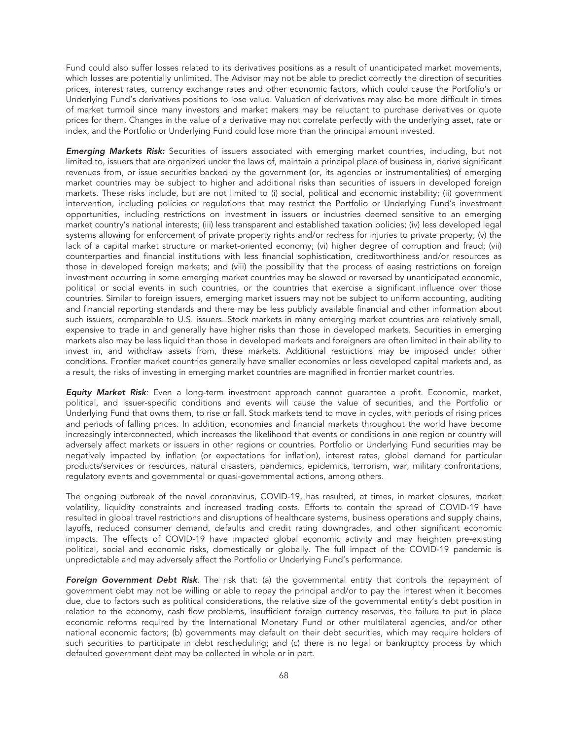Fund could also suffer losses related to its derivatives positions as a result of unanticipated market movements, which losses are potentially unlimited. The Advisor may not be able to predict correctly the direction of securities prices, interest rates, currency exchange rates and other economic factors, which could cause the Portfolio's or Underlying Fund's derivatives positions to lose value. Valuation of derivatives may also be more difficult in times of market turmoil since many investors and market makers may be reluctant to purchase derivatives or quote prices for them. Changes in the value of a derivative may not correlate perfectly with the underlying asset, rate or index, and the Portfolio or Underlying Fund could lose more than the principal amount invested.

*Emerging Markets Risk:* Securities of issuers associated with emerging market countries, including, but not limited to, issuers that are organized under the laws of, maintain a principal place of business in, derive significant revenues from, or issue securities backed by the government (or, its agencies or instrumentalities) of emerging market countries may be subject to higher and additional risks than securities of issuers in developed foreign markets. These risks include, but are not limited to (i) social, political and economic instability; (ii) government intervention, including policies or regulations that may restrict the Portfolio or Underlying Fund's investment opportunities, including restrictions on investment in issuers or industries deemed sensitive to an emerging market country's national interests; (iii) less transparent and established taxation policies; (iv) less developed legal systems allowing for enforcement of private property rights and/or redress for injuries to private property; (v) the lack of a capital market structure or market-oriented economy; (vi) higher degree of corruption and fraud; (vii) counterparties and financial institutions with less financial sophistication, creditworthiness and/or resources as those in developed foreign markets; and (viii) the possibility that the process of easing restrictions on foreign investment occurring in some emerging market countries may be slowed or reversed by unanticipated economic, political or social events in such countries, or the countries that exercise a significant influence over those countries. Similar to foreign issuers, emerging market issuers may not be subject to uniform accounting, auditing and financial reporting standards and there may be less publicly available financial and other information about such issuers, comparable to U.S. issuers. Stock markets in many emerging market countries are relatively small, expensive to trade in and generally have higher risks than those in developed markets. Securities in emerging markets also may be less liquid than those in developed markets and foreigners are often limited in their ability to invest in, and withdraw assets from, these markets. Additional restrictions may be imposed under other conditions. Frontier market countries generally have smaller economies or less developed capital markets and, as a result, the risks of investing in emerging market countries are magnified in frontier market countries.

*Equity Market Risk:* Even a long-term investment approach cannot guarantee a profit. Economic, market, political, and issuer-specific conditions and events will cause the value of securities, and the Portfolio or Underlying Fund that owns them, to rise or fall. Stock markets tend to move in cycles, with periods of rising prices and periods of falling prices. In addition, economies and financial markets throughout the world have become increasingly interconnected, which increases the likelihood that events or conditions in one region or country will adversely affect markets or issuers in other regions or countries. Portfolio or Underlying Fund securities may be negatively impacted by inflation (or expectations for inflation), interest rates, global demand for particular products/services or resources, natural disasters, pandemics, epidemics, terrorism, war, military confrontations, regulatory events and governmental or quasi-governmental actions, among others.

The ongoing outbreak of the novel coronavirus, COVID-19, has resulted, at times, in market closures, market volatility, liquidity constraints and increased trading costs. Efforts to contain the spread of COVID-19 have resulted in global travel restrictions and disruptions of healthcare systems, business operations and supply chains, layoffs, reduced consumer demand, defaults and credit rating downgrades, and other significant economic impacts. The effects of COVID-19 have impacted global economic activity and may heighten pre-existing political, social and economic risks, domestically or globally. The full impact of the COVID-19 pandemic is unpredictable and may adversely affect the Portfolio or Underlying Fund's performance.

*Foreign Government Debt Risk:* The risk that: (a) the governmental entity that controls the repayment of government debt may not be willing or able to repay the principal and/or to pay the interest when it becomes due, due to factors such as political considerations, the relative size of the governmental entity's debt position in relation to the economy, cash flow problems, insufficient foreign currency reserves, the failure to put in place economic reforms required by the International Monetary Fund or other multilateral agencies, and/or other national economic factors; (b) governments may default on their debt securities, which may require holders of such securities to participate in debt rescheduling; and (c) there is no legal or bankruptcy process by which defaulted government debt may be collected in whole or in part.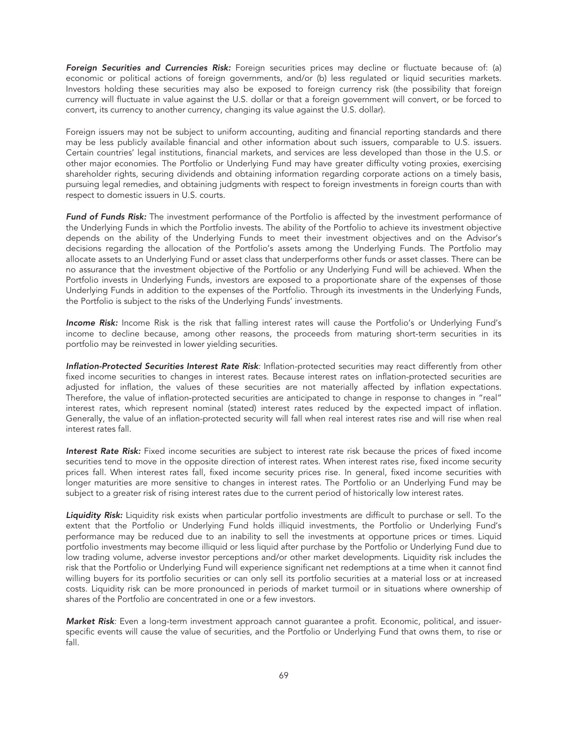*Foreign Securities and Currencies Risk:* Foreign securities prices may decline or fluctuate because of: (a) economic or political actions of foreign governments, and/or (b) less regulated or liquid securities markets. Investors holding these securities may also be exposed to foreign currency risk (the possibility that foreign currency will fluctuate in value against the U.S. dollar or that a foreign government will convert, or be forced to convert, its currency to another currency, changing its value against the U.S. dollar).

Foreign issuers may not be subject to uniform accounting, auditing and financial reporting standards and there may be less publicly available financial and other information about such issuers, comparable to U.S. issuers. Certain countries' legal institutions, financial markets, and services are less developed than those in the U.S. or other major economies. The Portfolio or Underlying Fund may have greater difficulty voting proxies, exercising shareholder rights, securing dividends and obtaining information regarding corporate actions on a timely basis, pursuing legal remedies, and obtaining judgments with respect to foreign investments in foreign courts than with respect to domestic issuers in U.S. courts.

*Fund of Funds Risk:* The investment performance of the Portfolio is affected by the investment performance of the Underlying Funds in which the Portfolio invests. The ability of the Portfolio to achieve its investment objective depends on the ability of the Underlying Funds to meet their investment objectives and on the Advisor's decisions regarding the allocation of the Portfolio's assets among the Underlying Funds. The Portfolio may allocate assets to an Underlying Fund or asset class that underperforms other funds or asset classes. There can be no assurance that the investment objective of the Portfolio or any Underlying Fund will be achieved. When the Portfolio invests in Underlying Funds, investors are exposed to a proportionate share of the expenses of those Underlying Funds in addition to the expenses of the Portfolio. Through its investments in the Underlying Funds, the Portfolio is subject to the risks of the Underlying Funds' investments.

*Income Risk:* Income Risk is the risk that falling interest rates will cause the Portfolio's or Underlying Fund's income to decline because, among other reasons, the proceeds from maturing short-term securities in its portfolio may be reinvested in lower yielding securities.

*Inflation-Protected Securities Interest Rate Risk:* Inflation-protected securities may react differently from other fixed income securities to changes in interest rates. Because interest rates on inflation-protected securities are adjusted for inflation, the values of these securities are not materially affected by inflation expectations. Therefore, the value of inflation-protected securities are anticipated to change in response to changes in "real" interest rates, which represent nominal (stated) interest rates reduced by the expected impact of inflation. Generally, the value of an inflation-protected security will fall when real interest rates rise and will rise when real interest rates fall.

*Interest Rate Risk:* Fixed income securities are subject to interest rate risk because the prices of fixed income securities tend to move in the opposite direction of interest rates. When interest rates rise, fixed income security prices fall. When interest rates fall, fixed income security prices rise. In general, fixed income securities with longer maturities are more sensitive to changes in interest rates. The Portfolio or an Underlying Fund may be subject to a greater risk of rising interest rates due to the current period of historically low interest rates.

*Liquidity Risk:* Liquidity risk exists when particular portfolio investments are difficult to purchase or sell. To the extent that the Portfolio or Underlying Fund holds illiquid investments, the Portfolio or Underlying Fund's performance may be reduced due to an inability to sell the investments at opportune prices or times. Liquid portfolio investments may become illiquid or less liquid after purchase by the Portfolio or Underlying Fund due to low trading volume, adverse investor perceptions and/or other market developments. Liquidity risk includes the risk that the Portfolio or Underlying Fund will experience significant net redemptions at a time when it cannot find willing buyers for its portfolio securities or can only sell its portfolio securities at a material loss or at increased costs. Liquidity risk can be more pronounced in periods of market turmoil or in situations where ownership of shares of the Portfolio are concentrated in one or a few investors.

*Market Risk:* Even a long-term investment approach cannot guarantee a profit. Economic, political, and issuerspecific events will cause the value of securities, and the Portfolio or Underlying Fund that owns them, to rise or fall.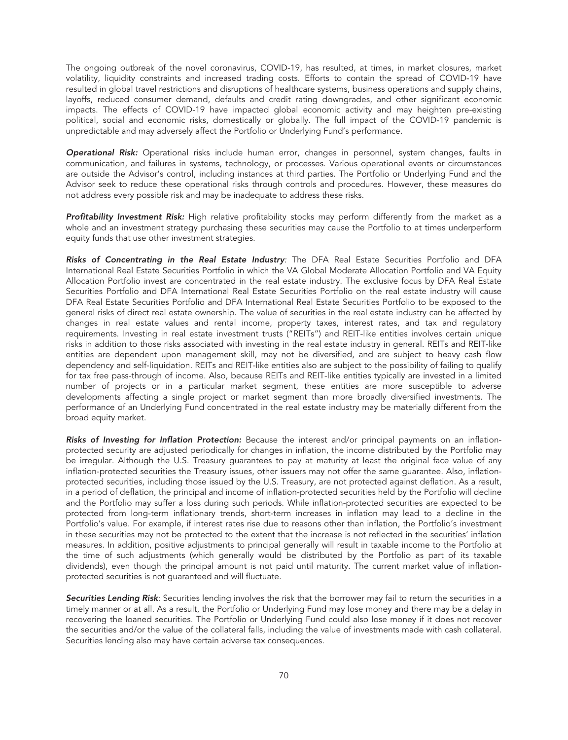The ongoing outbreak of the novel coronavirus, COVID-19, has resulted, at times, in market closures, market volatility, liquidity constraints and increased trading costs. Efforts to contain the spread of COVID-19 have resulted in global travel restrictions and disruptions of healthcare systems, business operations and supply chains, layoffs, reduced consumer demand, defaults and credit rating downgrades, and other significant economic impacts. The effects of COVID-19 have impacted global economic activity and may heighten pre-existing political, social and economic risks, domestically or globally. The full impact of the COVID-19 pandemic is unpredictable and may adversely affect the Portfolio or Underlying Fund's performance.

*Operational Risk:* Operational risks include human error, changes in personnel, system changes, faults in communication, and failures in systems, technology, or processes. Various operational events or circumstances are outside the Advisor's control, including instances at third parties. The Portfolio or Underlying Fund and the Advisor seek to reduce these operational risks through controls and procedures. However, these measures do not address every possible risk and may be inadequate to address these risks.

*Profitability Investment Risk:* High relative profitability stocks may perform differently from the market as a whole and an investment strategy purchasing these securities may cause the Portfolio to at times underperform equity funds that use other investment strategies.

*Risks of Concentrating in the Real Estate Industry:* The DFA Real Estate Securities Portfolio and DFA International Real Estate Securities Portfolio in which the VA Global Moderate Allocation Portfolio and VA Equity Allocation Portfolio invest are concentrated in the real estate industry. The exclusive focus by DFA Real Estate Securities Portfolio and DFA International Real Estate Securities Portfolio on the real estate industry will cause DFA Real Estate Securities Portfolio and DFA International Real Estate Securities Portfolio to be exposed to the general risks of direct real estate ownership. The value of securities in the real estate industry can be affected by changes in real estate values and rental income, property taxes, interest rates, and tax and regulatory requirements. Investing in real estate investment trusts ("REITs") and REIT-like entities involves certain unique risks in addition to those risks associated with investing in the real estate industry in general. REITs and REIT-like entities are dependent upon management skill, may not be diversified, and are subject to heavy cash flow dependency and self-liquidation. REITs and REIT-like entities also are subject to the possibility of failing to qualify for tax free pass-through of income. Also, because REITs and REIT-like entities typically are invested in a limited number of projects or in a particular market segment, these entities are more susceptible to adverse developments affecting a single project or market segment than more broadly diversified investments. The performance of an Underlying Fund concentrated in the real estate industry may be materially different from the broad equity market.

*Risks of Investing for Inflation Protection:* Because the interest and/or principal payments on an inflationprotected security are adjusted periodically for changes in inflation, the income distributed by the Portfolio may be irregular. Although the U.S. Treasury guarantees to pay at maturity at least the original face value of any inflation-protected securities the Treasury issues, other issuers may not offer the same guarantee. Also, inflationprotected securities, including those issued by the U.S. Treasury, are not protected against deflation. As a result, in a period of deflation, the principal and income of inflation-protected securities held by the Portfolio will decline and the Portfolio may suffer a loss during such periods. While inflation-protected securities are expected to be protected from long-term inflationary trends, short-term increases in inflation may lead to a decline in the Portfolio's value. For example, if interest rates rise due to reasons other than inflation, the Portfolio's investment in these securities may not be protected to the extent that the increase is not reflected in the securities' inflation measures. In addition, positive adjustments to principal generally will result in taxable income to the Portfolio at the time of such adjustments (which generally would be distributed by the Portfolio as part of its taxable dividends), even though the principal amount is not paid until maturity. The current market value of inflationprotected securities is not guaranteed and will fluctuate.

*Securities Lending Risk:* Securities lending involves the risk that the borrower may fail to return the securities in a timely manner or at all. As a result, the Portfolio or Underlying Fund may lose money and there may be a delay in recovering the loaned securities. The Portfolio or Underlying Fund could also lose money if it does not recover the securities and/or the value of the collateral falls, including the value of investments made with cash collateral. Securities lending also may have certain adverse tax consequences.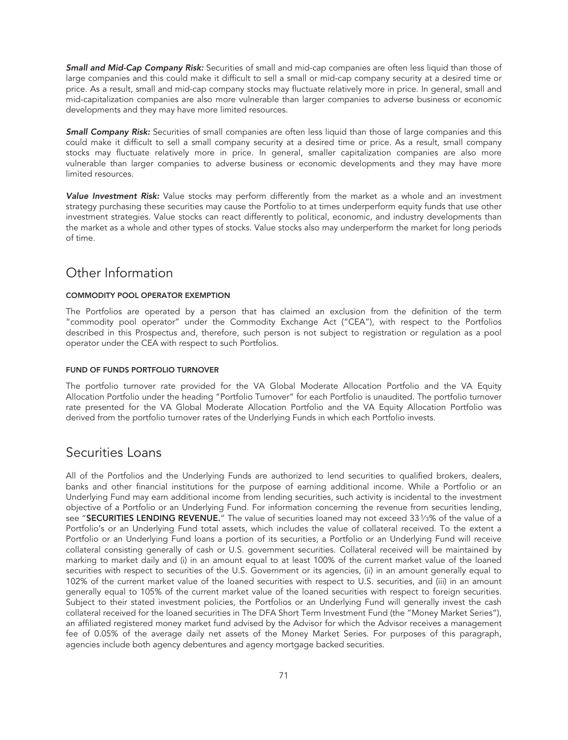*Small and Mid-Cap Company Risk:* Securities of small and mid-cap companies are often less liquid than those of large companies and this could make it difficult to sell a small or mid-cap company security at a desired time or price. As a result, small and mid-cap company stocks may fluctuate relatively more in price. In general, small and mid-capitalization companies are also more vulnerable than larger companies to adverse business or economic developments and they may have more limited resources.

*Small Company Risk:* Securities of small companies are often less liquid than those of large companies and this could make it difficult to sell a small company security at a desired time or price. As a result, small company stocks may fluctuate relatively more in price. In general, smaller capitalization companies are also more vulnerable than larger companies to adverse business or economic developments and they may have more limited resources.

Value Investment Risk: Value stocks may perform differently from the market as a whole and an investment strategy purchasing these securities may cause the Portfolio to at times underperform equity funds that use other investment strategies. Value stocks can react differently to political, economic, and industry developments than the market as a whole and other types of stocks. Value stocks also may underperform the market for long periods of time.

## Other Information

### COMMODITY POOL OPERATOR EXEMPTION

The Portfolios are operated by a person that has claimed an exclusion from the definition of the term "commodity pool operator" under the Commodity Exchange Act ("CEA"), with respect to the Portfolios described in this Prospectus and, therefore, such person is not subject to registration or regulation as a pool operator under the CEA with respect to such Portfolios.

### FUND OF FUNDS PORTFOLIO TURNOVER

The portfolio turnover rate provided for the VA Global Moderate Allocation Portfolio and the VA Equity Allocation Portfolio under the heading "Portfolio Turnover" for each Portfolio is unaudited. The portfolio turnover rate presented for the VA Global Moderate Allocation Portfolio and the VA Equity Allocation Portfolio was derived from the portfolio turnover rates of the Underlying Funds in which each Portfolio invests.

## Securities Loans

All of the Portfolios and the Underlying Funds are authorized to lend securities to qualified brokers, dealers, banks and other financial institutions for the purpose of earning additional income. While a Portfolio or an Underlying Fund may earn additional income from lending securities, such activity is incidental to the investment objective of a Portfolio or an Underlying Fund. For information concerning the revenue from securities lending, see "SECURITIES LENDING REVENUE." The value of securities loaned may not exceed 331/3% of the value of a Portfolio's or an Underlying Fund total assets, which includes the value of collateral received. To the extent a Portfolio or an Underlying Fund loans a portion of its securities, a Portfolio or an Underlying Fund will receive collateral consisting generally of cash or U.S. government securities. Collateral received will be maintained by marking to market daily and (i) in an amount equal to at least 100% of the current market value of the loaned securities with respect to securities of the U.S. Government or its agencies, (ii) in an amount generally equal to 102% of the current market value of the loaned securities with respect to U.S. securities, and (iii) in an amount generally equal to 105% of the current market value of the loaned securities with respect to foreign securities. Subject to their stated investment policies, the Portfolios or an Underlying Fund will generally invest the cash collateral received for the loaned securities in The DFA Short Term Investment Fund (the "Money Market Series"), an affiliated registered money market fund advised by the Advisor for which the Advisor receives a management fee of 0.05% of the average daily net assets of the Money Market Series. For purposes of this paragraph, agencies include both agency debentures and agency mortgage backed securities.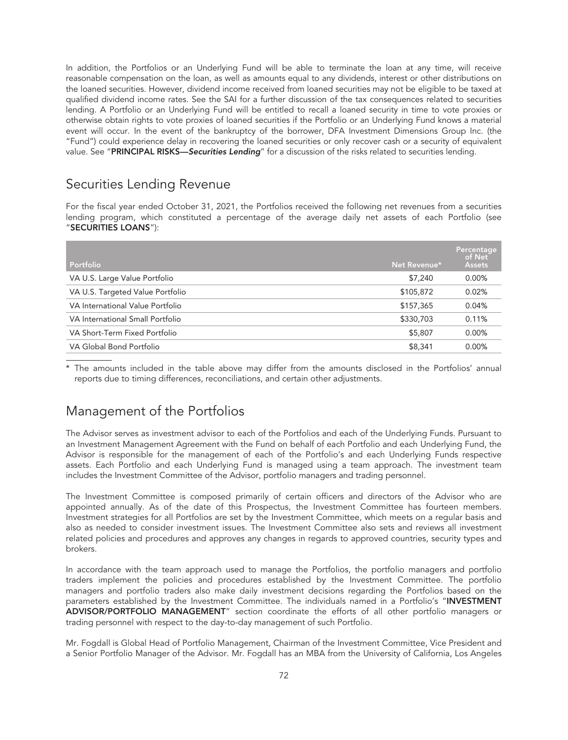In addition, the Portfolios or an Underlying Fund will be able to terminate the loan at any time, will receive reasonable compensation on the loan, as well as amounts equal to any dividends, interest or other distributions on the loaned securities. However, dividend income received from loaned securities may not be eligible to be taxed at qualified dividend income rates. See the SAI for a further discussion of the tax consequences related to securities lending. A Portfolio or an Underlying Fund will be entitled to recall a loaned security in time to vote proxies or otherwise obtain rights to vote proxies of loaned securities if the Portfolio or an Underlying Fund knows a material event will occur. In the event of the bankruptcy of the borrower, DFA Investment Dimensions Group Inc. (the "Fund") could experience delay in recovering the loaned securities or only recover cash or a security of equivalent value. See "PRINCIPAL RISKS—*Securities Lending*" for a discussion of the risks related to securities lending.

## Securities Lending Revenue

For the fiscal year ended October 31, 2021, the Portfolios received the following net revenues from a securities lending program, which constituted a percentage of the average daily net assets of each Portfolio (see "SECURITIES LOANS"):

| Portfolio                        | Net Revenue* | Percentage<br>of Net<br><b>Assets</b> |
|----------------------------------|--------------|---------------------------------------|
| VA U.S. Large Value Portfolio    | \$7,240      | $0.00\%$                              |
| VA U.S. Targeted Value Portfolio | \$105,872    | 0.02%                                 |
| VA International Value Portfolio | \$157,365    | 0.04%                                 |
| VA International Small Portfolio | \$330,703    | 0.11%                                 |
| VA Short-Term Fixed Portfolio    | \$5,807      | 0.00%                                 |
| VA Global Bond Portfolio         | \$8,341      | 0.00%                                 |

\* The amounts included in the table above may differ from the amounts disclosed in the Portfolios' annual reports due to timing differences, reconciliations, and certain other adjustments.

## Management of the Portfolios

The Advisor serves as investment advisor to each of the Portfolios and each of the Underlying Funds. Pursuant to an Investment Management Agreement with the Fund on behalf of each Portfolio and each Underlying Fund, the Advisor is responsible for the management of each of the Portfolio's and each Underlying Funds respective assets. Each Portfolio and each Underlying Fund is managed using a team approach. The investment team includes the Investment Committee of the Advisor, portfolio managers and trading personnel.

The Investment Committee is composed primarily of certain officers and directors of the Advisor who are appointed annually. As of the date of this Prospectus, the Investment Committee has fourteen members. Investment strategies for all Portfolios are set by the Investment Committee, which meets on a regular basis and also as needed to consider investment issues. The Investment Committee also sets and reviews all investment related policies and procedures and approves any changes in regards to approved countries, security types and brokers.

In accordance with the team approach used to manage the Portfolios, the portfolio managers and portfolio traders implement the policies and procedures established by the Investment Committee. The portfolio managers and portfolio traders also make daily investment decisions regarding the Portfolios based on the parameters established by the Investment Committee. The individuals named in a Portfolio's "INVESTMENT ADVISOR/PORTFOLIO MANAGEMENT" section coordinate the efforts of all other portfolio managers or trading personnel with respect to the day-to-day management of such Portfolio.

Mr. Fogdall is Global Head of Portfolio Management, Chairman of the Investment Committee, Vice President and a Senior Portfolio Manager of the Advisor. Mr. Fogdall has an MBA from the University of California, Los Angeles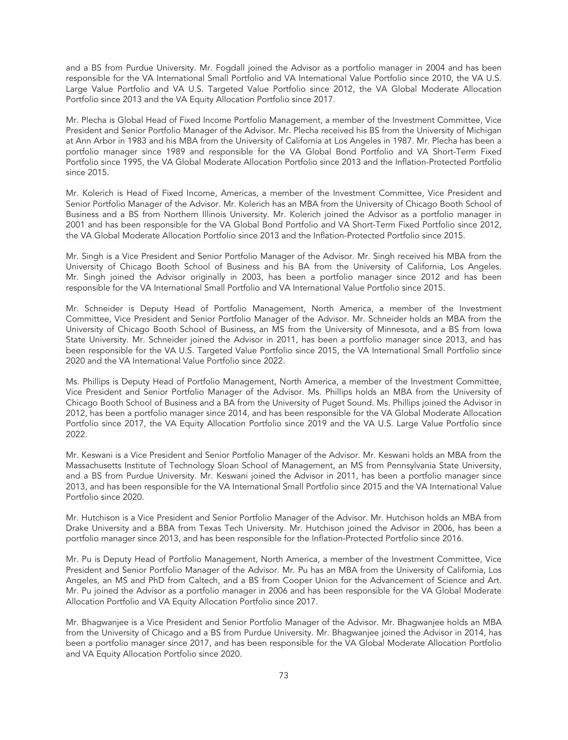and a BS from Purdue University. Mr. Fogdall joined the Advisor as a portfolio manager in 2004 and has been responsible for the VA International Small Portfolio and VA International Value Portfolio since 2010, the VA U.S. Large Value Portfolio and VA U.S. Targeted Value Portfolio since 2012, the VA Global Moderate Allocation Portfolio since 2013 and the VA Equity Allocation Portfolio since 2017.

Mr. Plecha is Global Head of Fixed Income Portfolio Management, a member of the Investment Committee, Vice President and Senior Portfolio Manager of the Advisor. Mr. Plecha received his BS from the University of Michigan at Ann Arbor in 1983 and his MBA from the University of California at Los Angeles in 1987. Mr. Plecha has been a portfolio manager since 1989 and responsible for the VA Global Bond Portfolio and VA Short-Term Fixed Portfolio since 1995, the VA Global Moderate Allocation Portfolio since 2013 and the Inflation-Protected Portfolio since 2015.

Mr. Kolerich is Head of Fixed Income, Americas, a member of the Investment Committee, Vice President and Senior Portfolio Manager of the Advisor. Mr. Kolerich has an MBA from the University of Chicago Booth School of Business and a BS from Northern Illinois University. Mr. Kolerich joined the Advisor as a portfolio manager in 2001 and has been responsible for the VA Global Bond Portfolio and VA Short-Term Fixed Portfolio since 2012, the VA Global Moderate Allocation Portfolio since 2013 and the Inflation-Protected Portfolio since 2015.

Mr. Singh is a Vice President and Senior Portfolio Manager of the Advisor. Mr. Singh received his MBA from the University of Chicago Booth School of Business and his BA from the University of California, Los Angeles. Mr. Singh joined the Advisor originally in 2003, has been a portfolio manager since 2012 and has been responsible for the VA International Small Portfolio and VA International Value Portfolio since 2015.

Mr. Schneider is Deputy Head of Portfolio Management, North America, a member of the Investment Committee, Vice President and Senior Portfolio Manager of the Advisor. Mr. Schneider holds an MBA from the University of Chicago Booth School of Business, an MS from the University of Minnesota, and a BS from Iowa State University. Mr. Schneider joined the Advisor in 2011, has been a portfolio manager since 2013, and has been responsible for the VA U.S. Targeted Value Portfolio since 2015, the VA International Small Portfolio since 2020 and the VA International Value Portfolio since 2022.

Ms. Phillips is Deputy Head of Portfolio Management, North America, a member of the Investment Committee, Vice President and Senior Portfolio Manager of the Advisor. Ms. Phillips holds an MBA from the University of Chicago Booth School of Business and a BA from the University of Puget Sound. Ms. Phillips joined the Advisor in 2012, has been a portfolio manager since 2014, and has been responsible for the VA Global Moderate Allocation Portfolio since 2017, the VA Equity Allocation Portfolio since 2019 and the VA U.S. Large Value Portfolio since 2022.

Mr. Keswani is a Vice President and Senior Portfolio Manager of the Advisor. Mr. Keswani holds an MBA from the Massachusetts Institute of Technology Sloan School of Management, an MS from Pennsylvania State University, and a BS from Purdue University. Mr. Keswani joined the Advisor in 2011, has been a portfolio manager since 2013, and has been responsible for the VA International Small Portfolio since 2015 and the VA International Value Portfolio since 2020.

Mr. Hutchison is a Vice President and Senior Portfolio Manager of the Advisor. Mr. Hutchison holds an MBA from Drake University and a BBA from Texas Tech University. Mr. Hutchison joined the Advisor in 2006, has been a portfolio manager since 2013, and has been responsible for the Inflation-Protected Portfolio since 2016.

Mr. Pu is Deputy Head of Portfolio Management, North America, a member of the Investment Committee, Vice President and Senior Portfolio Manager of the Advisor. Mr. Pu has an MBA from the University of California, Los Angeles, an MS and PhD from Caltech, and a BS from Cooper Union for the Advancement of Science and Art. Mr. Pu joined the Advisor as a portfolio manager in 2006 and has been responsible for the VA Global Moderate Allocation Portfolio and VA Equity Allocation Portfolio since 2017.

Mr. Bhagwanjee is a Vice President and Senior Portfolio Manager of the Advisor. Mr. Bhagwanjee holds an MBA from the University of Chicago and a BS from Purdue University. Mr. Bhagwanjee joined the Advisor in 2014, has been a portfolio manager since 2017, and has been responsible for the VA Global Moderate Allocation Portfolio and VA Equity Allocation Portfolio since 2020.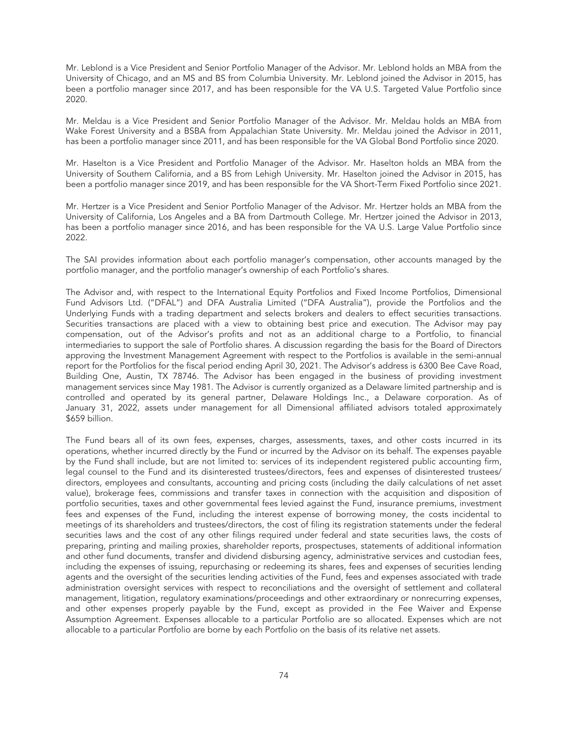Mr. Leblond is a Vice President and Senior Portfolio Manager of the Advisor. Mr. Leblond holds an MBA from the University of Chicago, and an MS and BS from Columbia University. Mr. Leblond joined the Advisor in 2015, has been a portfolio manager since 2017, and has been responsible for the VA U.S. Targeted Value Portfolio since 2020.

Mr. Meldau is a Vice President and Senior Portfolio Manager of the Advisor. Mr. Meldau holds an MBA from Wake Forest University and a BSBA from Appalachian State University. Mr. Meldau joined the Advisor in 2011, has been a portfolio manager since 2011, and has been responsible for the VA Global Bond Portfolio since 2020.

Mr. Haselton is a Vice President and Portfolio Manager of the Advisor. Mr. Haselton holds an MBA from the University of Southern California, and a BS from Lehigh University. Mr. Haselton joined the Advisor in 2015, has been a portfolio manager since 2019, and has been responsible for the VA Short-Term Fixed Portfolio since 2021.

Mr. Hertzer is a Vice President and Senior Portfolio Manager of the Advisor. Mr. Hertzer holds an MBA from the University of California, Los Angeles and a BA from Dartmouth College. Mr. Hertzer joined the Advisor in 2013, has been a portfolio manager since 2016, and has been responsible for the VA U.S. Large Value Portfolio since 2022.

The SAI provides information about each portfolio manager's compensation, other accounts managed by the portfolio manager, and the portfolio manager's ownership of each Portfolio's shares.

The Advisor and, with respect to the International Equity Portfolios and Fixed Income Portfolios, Dimensional Fund Advisors Ltd. ("DFAL") and DFA Australia Limited ("DFA Australia"), provide the Portfolios and the Underlying Funds with a trading department and selects brokers and dealers to effect securities transactions. Securities transactions are placed with a view to obtaining best price and execution. The Advisor may pay compensation, out of the Advisor's profits and not as an additional charge to a Portfolio, to financial intermediaries to support the sale of Portfolio shares. A discussion regarding the basis for the Board of Directors approving the Investment Management Agreement with respect to the Portfolios is available in the semi-annual report for the Portfolios for the fiscal period ending April 30, 2021. The Advisor's address is 6300 Bee Cave Road, Building One, Austin, TX 78746. The Advisor has been engaged in the business of providing investment management services since May 1981. The Advisor is currently organized as a Delaware limited partnership and is controlled and operated by its general partner, Delaware Holdings Inc., a Delaware corporation. As of January 31, 2022, assets under management for all Dimensional affiliated advisors totaled approximately \$659 billion.

The Fund bears all of its own fees, expenses, charges, assessments, taxes, and other costs incurred in its operations, whether incurred directly by the Fund or incurred by the Advisor on its behalf. The expenses payable by the Fund shall include, but are not limited to: services of its independent registered public accounting firm, legal counsel to the Fund and its disinterested trustees/directors, fees and expenses of disinterested trustees/ directors, employees and consultants, accounting and pricing costs (including the daily calculations of net asset value), brokerage fees, commissions and transfer taxes in connection with the acquisition and disposition of portfolio securities, taxes and other governmental fees levied against the Fund, insurance premiums, investment fees and expenses of the Fund, including the interest expense of borrowing money, the costs incidental to meetings of its shareholders and trustees/directors, the cost of filing its registration statements under the federal securities laws and the cost of any other filings required under federal and state securities laws, the costs of preparing, printing and mailing proxies, shareholder reports, prospectuses, statements of additional information and other fund documents, transfer and dividend disbursing agency, administrative services and custodian fees, including the expenses of issuing, repurchasing or redeeming its shares, fees and expenses of securities lending agents and the oversight of the securities lending activities of the Fund, fees and expenses associated with trade administration oversight services with respect to reconciliations and the oversight of settlement and collateral management, litigation, regulatory examinations/proceedings and other extraordinary or nonrecurring expenses, and other expenses properly payable by the Fund, except as provided in the Fee Waiver and Expense Assumption Agreement. Expenses allocable to a particular Portfolio are so allocated. Expenses which are not allocable to a particular Portfolio are borne by each Portfolio on the basis of its relative net assets.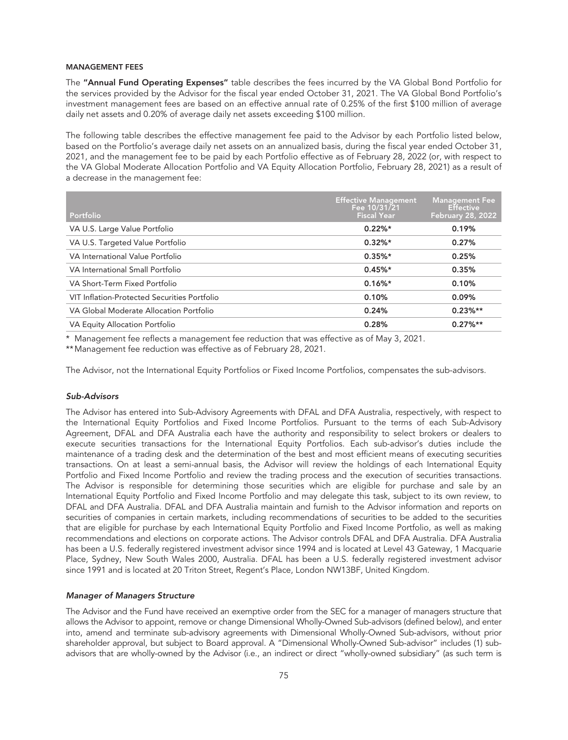### MANAGEMENT FEES

The "Annual Fund Operating Expenses" table describes the fees incurred by the VA Global Bond Portfolio for the services provided by the Advisor for the fiscal year ended October 31, 2021. The VA Global Bond Portfolio's investment management fees are based on an effective annual rate of 0.25% of the first \$100 million of average daily net assets and 0.20% of average daily net assets exceeding \$100 million.

The following table describes the effective management fee paid to the Advisor by each Portfolio listed below, based on the Portfolio's average daily net assets on an annualized basis, during the fiscal year ended October 31, 2021, and the management fee to be paid by each Portfolio effective as of February 28, 2022 (or, with respect to the VA Global Moderate Allocation Portfolio and VA Equity Allocation Portfolio, February 28, 2021) as a result of a decrease in the management fee:

| Portfolio                                    | <b>Effective Management</b><br>Fee 10/31/21<br><b>Fiscal Year</b> | <b>Management Fee</b><br><b>Effective</b><br><b>February 28, 2022</b> |
|----------------------------------------------|-------------------------------------------------------------------|-----------------------------------------------------------------------|
| VA U.S. Large Value Portfolio                | $0.22\%*$                                                         | 0.19%                                                                 |
| VA U.S. Targeted Value Portfolio             | $0.32\%*$                                                         | 0.27%                                                                 |
| VA International Value Portfolio             | $0.35%$ *                                                         | 0.25%                                                                 |
| VA International Small Portfolio             | $0.45%$ *                                                         | 0.35%                                                                 |
| VA Short-Term Fixed Portfolio                | $0.16\%*$                                                         | 0.10%                                                                 |
| VIT Inflation-Protected Securities Portfolio | 0.10%                                                             | 0.09%                                                                 |
| VA Global Moderate Allocation Portfolio      | 0.24%                                                             | $0.23%**$                                                             |
| VA Equity Allocation Portfolio               | 0.28%                                                             | $0.27\%**$                                                            |

\* Management fee reflects a management fee reduction that was effective as of May 3, 2021.

\*\*Management fee reduction was effective as of February 28, 2021.

The Advisor, not the International Equity Portfolios or Fixed Income Portfolios, compensates the sub-advisors.

#### *Sub-Advisors*

The Advisor has entered into Sub-Advisory Agreements with DFAL and DFA Australia, respectively, with respect to the International Equity Portfolios and Fixed Income Portfolios. Pursuant to the terms of each Sub-Advisory Agreement, DFAL and DFA Australia each have the authority and responsibility to select brokers or dealers to execute securities transactions for the International Equity Portfolios. Each sub-advisor's duties include the maintenance of a trading desk and the determination of the best and most efficient means of executing securities transactions. On at least a semi-annual basis, the Advisor will review the holdings of each International Equity Portfolio and Fixed Income Portfolio and review the trading process and the execution of securities transactions. The Advisor is responsible for determining those securities which are eligible for purchase and sale by an International Equity Portfolio and Fixed Income Portfolio and may delegate this task, subject to its own review, to DFAL and DFA Australia. DFAL and DFA Australia maintain and furnish to the Advisor information and reports on securities of companies in certain markets, including recommendations of securities to be added to the securities that are eligible for purchase by each International Equity Portfolio and Fixed Income Portfolio, as well as making recommendations and elections on corporate actions. The Advisor controls DFAL and DFA Australia. DFA Australia has been a U.S. federally registered investment advisor since 1994 and is located at Level 43 Gateway, 1 Macquarie Place, Sydney, New South Wales 2000, Australia. DFAL has been a U.S. federally registered investment advisor since 1991 and is located at 20 Triton Street, Regent's Place, London NW13BF, United Kingdom.

### *Manager of Managers Structure*

The Advisor and the Fund have received an exemptive order from the SEC for a manager of managers structure that allows the Advisor to appoint, remove or change Dimensional Wholly-Owned Sub-advisors (defined below), and enter into, amend and terminate sub-advisory agreements with Dimensional Wholly-Owned Sub-advisors, without prior shareholder approval, but subject to Board approval. A "Dimensional Wholly-Owned Sub-advisor" includes (1) subadvisors that are wholly-owned by the Advisor (i.e., an indirect or direct "wholly-owned subsidiary" (as such term is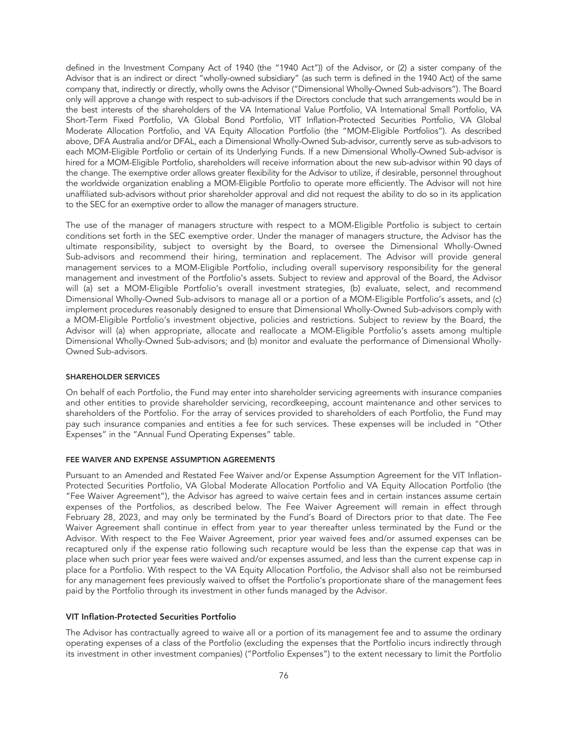defined in the Investment Company Act of 1940 (the "1940 Act")) of the Advisor, or (2) a sister company of the Advisor that is an indirect or direct "wholly-owned subsidiary" (as such term is defined in the 1940 Act) of the same company that, indirectly or directly, wholly owns the Advisor ("Dimensional Wholly-Owned Sub-advisors"). The Board only will approve a change with respect to sub-advisors if the Directors conclude that such arrangements would be in the best interests of the shareholders of the VA International Value Portfolio, VA International Small Portfolio, VA Short-Term Fixed Portfolio, VA Global Bond Portfolio, VIT Inflation-Protected Securities Portfolio, VA Global Moderate Allocation Portfolio, and VA Equity Allocation Portfolio (the "MOM-Eligible Portfolios"). As described above, DFA Australia and/or DFAL, each a Dimensional Wholly-Owned Sub-advisor, currently serve as sub-advisors to each MOM-Eligible Portfolio or certain of its Underlying Funds. If a new Dimensional Wholly-Owned Sub-advisor is hired for a MOM-Eligible Portfolio, shareholders will receive information about the new sub-advisor within 90 days of the change. The exemptive order allows greater flexibility for the Advisor to utilize, if desirable, personnel throughout the worldwide organization enabling a MOM-Eligible Portfolio to operate more efficiently. The Advisor will not hire unaffiliated sub-advisors without prior shareholder approval and did not request the ability to do so in its application to the SEC for an exemptive order to allow the manager of managers structure.

The use of the manager of managers structure with respect to a MOM-Eligible Portfolio is subject to certain conditions set forth in the SEC exemptive order. Under the manager of managers structure, the Advisor has the ultimate responsibility, subject to oversight by the Board, to oversee the Dimensional Wholly-Owned Sub-advisors and recommend their hiring, termination and replacement. The Advisor will provide general management services to a MOM-Eligible Portfolio, including overall supervisory responsibility for the general management and investment of the Portfolio's assets. Subject to review and approval of the Board, the Advisor will (a) set a MOM-Eligible Portfolio's overall investment strategies, (b) evaluate, select, and recommend Dimensional Wholly-Owned Sub-advisors to manage all or a portion of a MOM-Eligible Portfolio's assets, and (c) implement procedures reasonably designed to ensure that Dimensional Wholly-Owned Sub-advisors comply with a MOM-Eligible Portfolio's investment objective, policies and restrictions. Subject to review by the Board, the Advisor will (a) when appropriate, allocate and reallocate a MOM-Eligible Portfolio's assets among multiple Dimensional Wholly-Owned Sub-advisors; and (b) monitor and evaluate the performance of Dimensional Wholly-Owned Sub-advisors.

### SHAREHOLDER SERVICES

On behalf of each Portfolio, the Fund may enter into shareholder servicing agreements with insurance companies and other entities to provide shareholder servicing, recordkeeping, account maintenance and other services to shareholders of the Portfolio. For the array of services provided to shareholders of each Portfolio, the Fund may pay such insurance companies and entities a fee for such services. These expenses will be included in "Other Expenses" in the "Annual Fund Operating Expenses" table.

#### FEE WAIVER AND EXPENSE ASSUMPTION AGREEMENTS

Pursuant to an Amended and Restated Fee Waiver and/or Expense Assumption Agreement for the VIT Inflation-Protected Securities Portfolio, VA Global Moderate Allocation Portfolio and VA Equity Allocation Portfolio (the "Fee Waiver Agreement"), the Advisor has agreed to waive certain fees and in certain instances assume certain expenses of the Portfolios, as described below. The Fee Waiver Agreement will remain in effect through February 28, 2023, and may only be terminated by the Fund's Board of Directors prior to that date. The Fee Waiver Agreement shall continue in effect from year to year thereafter unless terminated by the Fund or the Advisor. With respect to the Fee Waiver Agreement, prior year waived fees and/or assumed expenses can be recaptured only if the expense ratio following such recapture would be less than the expense cap that was in place when such prior year fees were waived and/or expenses assumed, and less than the current expense cap in place for a Portfolio. With respect to the VA Equity Allocation Portfolio, the Advisor shall also not be reimbursed for any management fees previously waived to offset the Portfolio's proportionate share of the management fees paid by the Portfolio through its investment in other funds managed by the Advisor.

### VIT Inflation-Protected Securities Portfolio

The Advisor has contractually agreed to waive all or a portion of its management fee and to assume the ordinary operating expenses of a class of the Portfolio (excluding the expenses that the Portfolio incurs indirectly through its investment in other investment companies) ("Portfolio Expenses") to the extent necessary to limit the Portfolio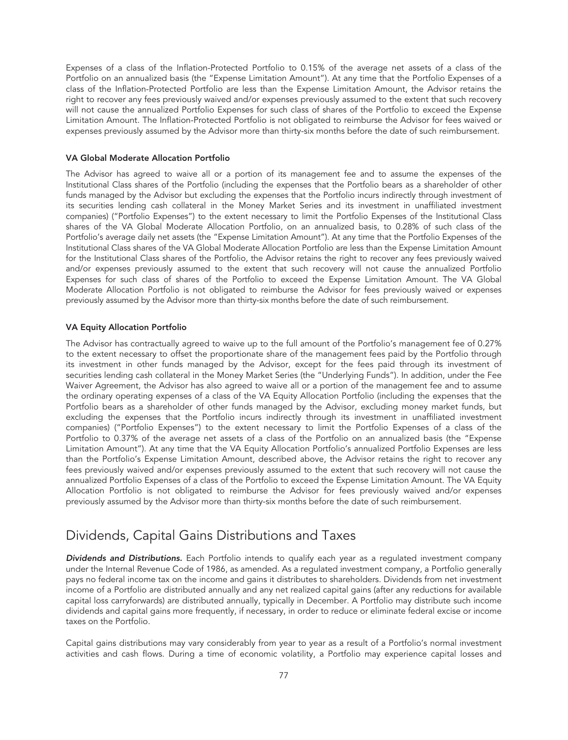Expenses of a class of the Inflation-Protected Portfolio to 0.15% of the average net assets of a class of the Portfolio on an annualized basis (the "Expense Limitation Amount"). At any time that the Portfolio Expenses of a class of the Inflation-Protected Portfolio are less than the Expense Limitation Amount, the Advisor retains the right to recover any fees previously waived and/or expenses previously assumed to the extent that such recovery will not cause the annualized Portfolio Expenses for such class of shares of the Portfolio to exceed the Expense Limitation Amount. The Inflation-Protected Portfolio is not obligated to reimburse the Advisor for fees waived or expenses previously assumed by the Advisor more than thirty-six months before the date of such reimbursement.

### VA Global Moderate Allocation Portfolio

The Advisor has agreed to waive all or a portion of its management fee and to assume the expenses of the Institutional Class shares of the Portfolio (including the expenses that the Portfolio bears as a shareholder of other funds managed by the Advisor but excluding the expenses that the Portfolio incurs indirectly through investment of its securities lending cash collateral in the Money Market Series and its investment in unaffiliated investment companies) ("Portfolio Expenses") to the extent necessary to limit the Portfolio Expenses of the Institutional Class shares of the VA Global Moderate Allocation Portfolio, on an annualized basis, to 0.28% of such class of the Portfolio's average daily net assets (the "Expense Limitation Amount"). At any time that the Portfolio Expenses of the Institutional Class shares of the VA Global Moderate Allocation Portfolio are less than the Expense Limitation Amount for the Institutional Class shares of the Portfolio, the Advisor retains the right to recover any fees previously waived and/or expenses previously assumed to the extent that such recovery will not cause the annualized Portfolio Expenses for such class of shares of the Portfolio to exceed the Expense Limitation Amount. The VA Global Moderate Allocation Portfolio is not obligated to reimburse the Advisor for fees previously waived or expenses previously assumed by the Advisor more than thirty-six months before the date of such reimbursement.

#### VA Equity Allocation Portfolio

The Advisor has contractually agreed to waive up to the full amount of the Portfolio's management fee of 0.27% to the extent necessary to offset the proportionate share of the management fees paid by the Portfolio through its investment in other funds managed by the Advisor, except for the fees paid through its investment of securities lending cash collateral in the Money Market Series (the "Underlying Funds"). In addition, under the Fee Waiver Agreement, the Advisor has also agreed to waive all or a portion of the management fee and to assume the ordinary operating expenses of a class of the VA Equity Allocation Portfolio (including the expenses that the Portfolio bears as a shareholder of other funds managed by the Advisor, excluding money market funds, but excluding the expenses that the Portfolio incurs indirectly through its investment in unaffiliated investment companies) ("Portfolio Expenses") to the extent necessary to limit the Portfolio Expenses of a class of the Portfolio to 0.37% of the average net assets of a class of the Portfolio on an annualized basis (the "Expense Limitation Amount"). At any time that the VA Equity Allocation Portfolio's annualized Portfolio Expenses are less than the Portfolio's Expense Limitation Amount, described above, the Advisor retains the right to recover any fees previously waived and/or expenses previously assumed to the extent that such recovery will not cause the annualized Portfolio Expenses of a class of the Portfolio to exceed the Expense Limitation Amount. The VA Equity Allocation Portfolio is not obligated to reimburse the Advisor for fees previously waived and/or expenses previously assumed by the Advisor more than thirty-six months before the date of such reimbursement.

## Dividends, Capital Gains Distributions and Taxes

*Dividends and Distributions.* Each Portfolio intends to qualify each year as a regulated investment company under the Internal Revenue Code of 1986, as amended. As a regulated investment company, a Portfolio generally pays no federal income tax on the income and gains it distributes to shareholders. Dividends from net investment income of a Portfolio are distributed annually and any net realized capital gains (after any reductions for available capital loss carryforwards) are distributed annually, typically in December. A Portfolio may distribute such income dividends and capital gains more frequently, if necessary, in order to reduce or eliminate federal excise or income taxes on the Portfolio.

Capital gains distributions may vary considerably from year to year as a result of a Portfolio's normal investment activities and cash flows. During a time of economic volatility, a Portfolio may experience capital losses and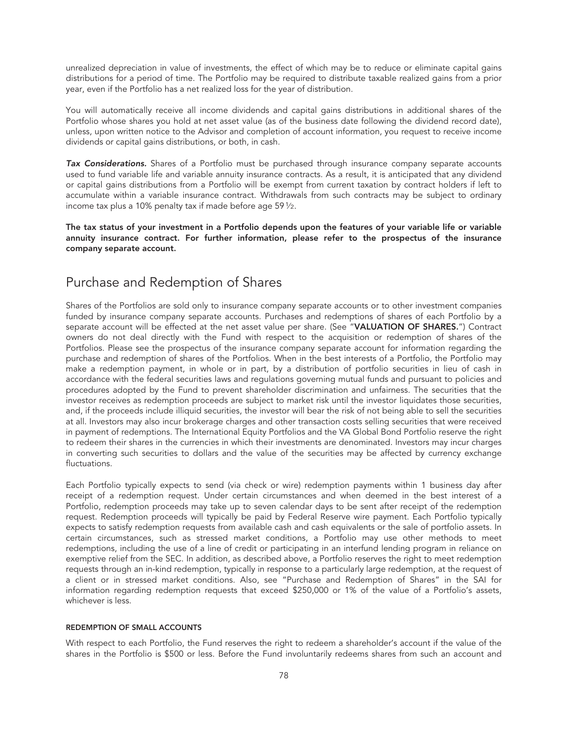unrealized depreciation in value of investments, the effect of which may be to reduce or eliminate capital gains distributions for a period of time. The Portfolio may be required to distribute taxable realized gains from a prior year, even if the Portfolio has a net realized loss for the year of distribution.

You will automatically receive all income dividends and capital gains distributions in additional shares of the Portfolio whose shares you hold at net asset value (as of the business date following the dividend record date), unless, upon written notice to the Advisor and completion of account information, you request to receive income dividends or capital gains distributions, or both, in cash.

*Tax Considerations.* Shares of a Portfolio must be purchased through insurance company separate accounts used to fund variable life and variable annuity insurance contracts. As a result, it is anticipated that any dividend or capital gains distributions from a Portfolio will be exempt from current taxation by contract holders if left to accumulate within a variable insurance contract. Withdrawals from such contracts may be subject to ordinary income tax plus a 10% penalty tax if made before age  $59\frac{1}{2}$ .

The tax status of your investment in a Portfolio depends upon the features of your variable life or variable annuity insurance contract. For further information, please refer to the prospectus of the insurance company separate account.

## Purchase and Redemption of Shares

Shares of the Portfolios are sold only to insurance company separate accounts or to other investment companies funded by insurance company separate accounts. Purchases and redemptions of shares of each Portfolio by a separate account will be effected at the net asset value per share. (See "VALUATION OF SHARES.") Contract owners do not deal directly with the Fund with respect to the acquisition or redemption of shares of the Portfolios. Please see the prospectus of the insurance company separate account for information regarding the purchase and redemption of shares of the Portfolios. When in the best interests of a Portfolio, the Portfolio may make a redemption payment, in whole or in part, by a distribution of portfolio securities in lieu of cash in accordance with the federal securities laws and regulations governing mutual funds and pursuant to policies and procedures adopted by the Fund to prevent shareholder discrimination and unfairness. The securities that the investor receives as redemption proceeds are subject to market risk until the investor liquidates those securities, and, if the proceeds include illiquid securities, the investor will bear the risk of not being able to sell the securities at all. Investors may also incur brokerage charges and other transaction costs selling securities that were received in payment of redemptions. The International Equity Portfolios and the VA Global Bond Portfolio reserve the right to redeem their shares in the currencies in which their investments are denominated. Investors may incur charges in converting such securities to dollars and the value of the securities may be affected by currency exchange fluctuations.

Each Portfolio typically expects to send (via check or wire) redemption payments within 1 business day after receipt of a redemption request. Under certain circumstances and when deemed in the best interest of a Portfolio, redemption proceeds may take up to seven calendar days to be sent after receipt of the redemption request. Redemption proceeds will typically be paid by Federal Reserve wire payment. Each Portfolio typically expects to satisfy redemption requests from available cash and cash equivalents or the sale of portfolio assets. In certain circumstances, such as stressed market conditions, a Portfolio may use other methods to meet redemptions, including the use of a line of credit or participating in an interfund lending program in reliance on exemptive relief from the SEC. In addition, as described above, a Portfolio reserves the right to meet redemption requests through an in-kind redemption, typically in response to a particularly large redemption, at the request of a client or in stressed market conditions. Also, see "Purchase and Redemption of Shares" in the SAI for information regarding redemption requests that exceed \$250,000 or 1% of the value of a Portfolio's assets, whichever is less.

### REDEMPTION OF SMALL ACCOUNTS

With respect to each Portfolio, the Fund reserves the right to redeem a shareholder's account if the value of the shares in the Portfolio is \$500 or less. Before the Fund involuntarily redeems shares from such an account and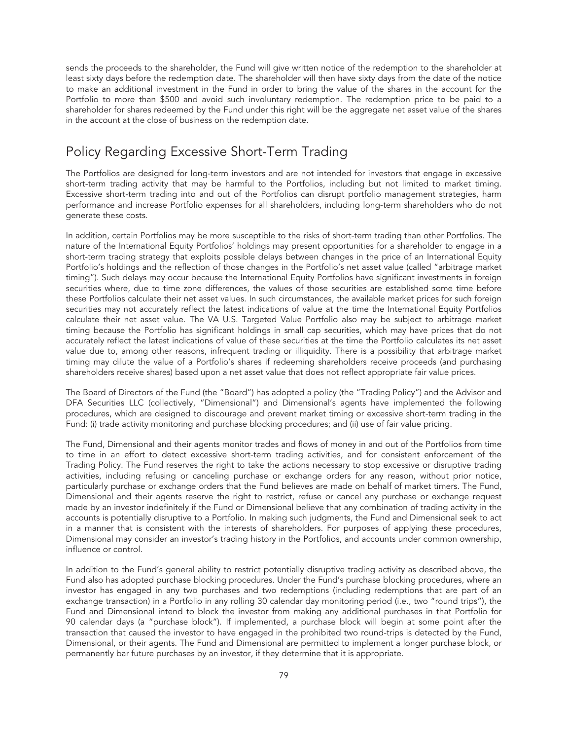sends the proceeds to the shareholder, the Fund will give written notice of the redemption to the shareholder at least sixty days before the redemption date. The shareholder will then have sixty days from the date of the notice to make an additional investment in the Fund in order to bring the value of the shares in the account for the Portfolio to more than \$500 and avoid such involuntary redemption. The redemption price to be paid to a shareholder for shares redeemed by the Fund under this right will be the aggregate net asset value of the shares in the account at the close of business on the redemption date.

## Policy Regarding Excessive Short-Term Trading

The Portfolios are designed for long-term investors and are not intended for investors that engage in excessive short-term trading activity that may be harmful to the Portfolios, including but not limited to market timing. Excessive short-term trading into and out of the Portfolios can disrupt portfolio management strategies, harm performance and increase Portfolio expenses for all shareholders, including long-term shareholders who do not generate these costs.

In addition, certain Portfolios may be more susceptible to the risks of short-term trading than other Portfolios. The nature of the International Equity Portfolios' holdings may present opportunities for a shareholder to engage in a short-term trading strategy that exploits possible delays between changes in the price of an International Equity Portfolio's holdings and the reflection of those changes in the Portfolio's net asset value (called "arbitrage market timing"). Such delays may occur because the International Equity Portfolios have significant investments in foreign securities where, due to time zone differences, the values of those securities are established some time before these Portfolios calculate their net asset values. In such circumstances, the available market prices for such foreign securities may not accurately reflect the latest indications of value at the time the International Equity Portfolios calculate their net asset value. The VA U.S. Targeted Value Portfolio also may be subject to arbitrage market timing because the Portfolio has significant holdings in small cap securities, which may have prices that do not accurately reflect the latest indications of value of these securities at the time the Portfolio calculates its net asset value due to, among other reasons, infrequent trading or illiquidity. There is a possibility that arbitrage market timing may dilute the value of a Portfolio's shares if redeeming shareholders receive proceeds (and purchasing shareholders receive shares) based upon a net asset value that does not reflect appropriate fair value prices.

The Board of Directors of the Fund (the "Board") has adopted a policy (the "Trading Policy") and the Advisor and DFA Securities LLC (collectively, "Dimensional") and Dimensional's agents have implemented the following procedures, which are designed to discourage and prevent market timing or excessive short-term trading in the Fund: (i) trade activity monitoring and purchase blocking procedures; and (ii) use of fair value pricing.

The Fund, Dimensional and their agents monitor trades and flows of money in and out of the Portfolios from time to time in an effort to detect excessive short-term trading activities, and for consistent enforcement of the Trading Policy. The Fund reserves the right to take the actions necessary to stop excessive or disruptive trading activities, including refusing or canceling purchase or exchange orders for any reason, without prior notice, particularly purchase or exchange orders that the Fund believes are made on behalf of market timers. The Fund, Dimensional and their agents reserve the right to restrict, refuse or cancel any purchase or exchange request made by an investor indefinitely if the Fund or Dimensional believe that any combination of trading activity in the accounts is potentially disruptive to a Portfolio. In making such judgments, the Fund and Dimensional seek to act in a manner that is consistent with the interests of shareholders. For purposes of applying these procedures, Dimensional may consider an investor's trading history in the Portfolios, and accounts under common ownership, influence or control.

In addition to the Fund's general ability to restrict potentially disruptive trading activity as described above, the Fund also has adopted purchase blocking procedures. Under the Fund's purchase blocking procedures, where an investor has engaged in any two purchases and two redemptions (including redemptions that are part of an exchange transaction) in a Portfolio in any rolling 30 calendar day monitoring period (i.e., two "round trips"), the Fund and Dimensional intend to block the investor from making any additional purchases in that Portfolio for 90 calendar days (a "purchase block"). If implemented, a purchase block will begin at some point after the transaction that caused the investor to have engaged in the prohibited two round-trips is detected by the Fund, Dimensional, or their agents. The Fund and Dimensional are permitted to implement a longer purchase block, or permanently bar future purchases by an investor, if they determine that it is appropriate.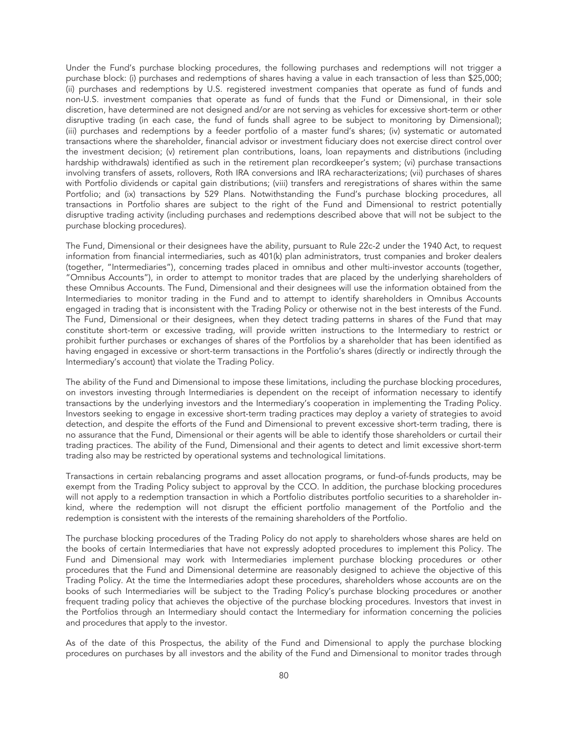Under the Fund's purchase blocking procedures, the following purchases and redemptions will not trigger a purchase block: (i) purchases and redemptions of shares having a value in each transaction of less than \$25,000; (ii) purchases and redemptions by U.S. registered investment companies that operate as fund of funds and non-U.S. investment companies that operate as fund of funds that the Fund or Dimensional, in their sole discretion, have determined are not designed and/or are not serving as vehicles for excessive short-term or other disruptive trading (in each case, the fund of funds shall agree to be subject to monitoring by Dimensional); (iii) purchases and redemptions by a feeder portfolio of a master fund's shares; (iv) systematic or automated transactions where the shareholder, financial advisor or investment fiduciary does not exercise direct control over the investment decision; (v) retirement plan contributions, loans, loan repayments and distributions (including hardship withdrawals) identified as such in the retirement plan recordkeeper's system; (vi) purchase transactions involving transfers of assets, rollovers, Roth IRA conversions and IRA recharacterizations; (vii) purchases of shares with Portfolio dividends or capital gain distributions; (viii) transfers and reregistrations of shares within the same Portfolio; and (ix) transactions by 529 Plans. Notwithstanding the Fund's purchase blocking procedures, all transactions in Portfolio shares are subject to the right of the Fund and Dimensional to restrict potentially disruptive trading activity (including purchases and redemptions described above that will not be subject to the purchase blocking procedures).

The Fund, Dimensional or their designees have the ability, pursuant to Rule 22c-2 under the 1940 Act, to request information from financial intermediaries, such as 401(k) plan administrators, trust companies and broker dealers (together, "Intermediaries"), concerning trades placed in omnibus and other multi-investor accounts (together, "Omnibus Accounts"), in order to attempt to monitor trades that are placed by the underlying shareholders of these Omnibus Accounts. The Fund, Dimensional and their designees will use the information obtained from the Intermediaries to monitor trading in the Fund and to attempt to identify shareholders in Omnibus Accounts engaged in trading that is inconsistent with the Trading Policy or otherwise not in the best interests of the Fund. The Fund, Dimensional or their designees, when they detect trading patterns in shares of the Fund that may constitute short-term or excessive trading, will provide written instructions to the Intermediary to restrict or prohibit further purchases or exchanges of shares of the Portfolios by a shareholder that has been identified as having engaged in excessive or short-term transactions in the Portfolio's shares (directly or indirectly through the Intermediary's account) that violate the Trading Policy.

The ability of the Fund and Dimensional to impose these limitations, including the purchase blocking procedures, on investors investing through Intermediaries is dependent on the receipt of information necessary to identify transactions by the underlying investors and the Intermediary's cooperation in implementing the Trading Policy. Investors seeking to engage in excessive short-term trading practices may deploy a variety of strategies to avoid detection, and despite the efforts of the Fund and Dimensional to prevent excessive short-term trading, there is no assurance that the Fund, Dimensional or their agents will be able to identify those shareholders or curtail their trading practices. The ability of the Fund, Dimensional and their agents to detect and limit excessive short-term trading also may be restricted by operational systems and technological limitations.

Transactions in certain rebalancing programs and asset allocation programs, or fund-of-funds products, may be exempt from the Trading Policy subject to approval by the CCO. In addition, the purchase blocking procedures will not apply to a redemption transaction in which a Portfolio distributes portfolio securities to a shareholder inkind, where the redemption will not disrupt the efficient portfolio management of the Portfolio and the redemption is consistent with the interests of the remaining shareholders of the Portfolio.

The purchase blocking procedures of the Trading Policy do not apply to shareholders whose shares are held on the books of certain Intermediaries that have not expressly adopted procedures to implement this Policy. The Fund and Dimensional may work with Intermediaries implement purchase blocking procedures or other procedures that the Fund and Dimensional determine are reasonably designed to achieve the objective of this Trading Policy. At the time the Intermediaries adopt these procedures, shareholders whose accounts are on the books of such Intermediaries will be subject to the Trading Policy's purchase blocking procedures or another frequent trading policy that achieves the objective of the purchase blocking procedures. Investors that invest in the Portfolios through an Intermediary should contact the Intermediary for information concerning the policies and procedures that apply to the investor.

As of the date of this Prospectus, the ability of the Fund and Dimensional to apply the purchase blocking procedures on purchases by all investors and the ability of the Fund and Dimensional to monitor trades through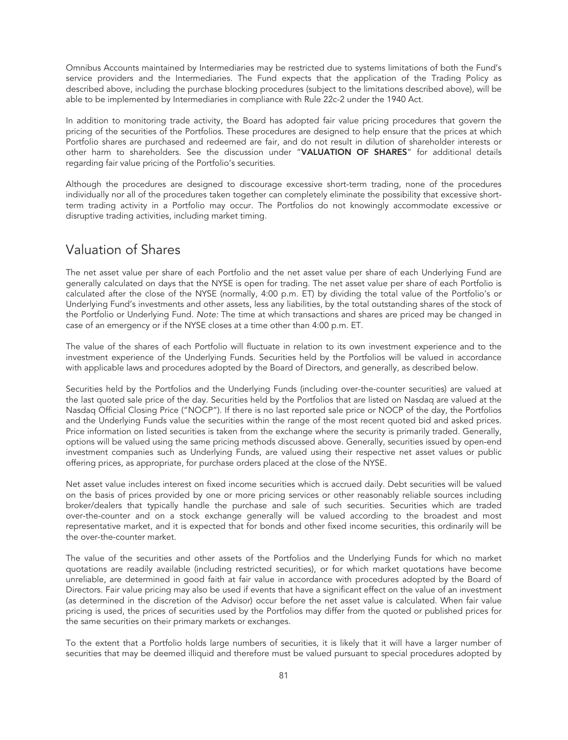Omnibus Accounts maintained by Intermediaries may be restricted due to systems limitations of both the Fund's service providers and the Intermediaries. The Fund expects that the application of the Trading Policy as described above, including the purchase blocking procedures (subject to the limitations described above), will be able to be implemented by Intermediaries in compliance with Rule 22c-2 under the 1940 Act.

In addition to monitoring trade activity, the Board has adopted fair value pricing procedures that govern the pricing of the securities of the Portfolios. These procedures are designed to help ensure that the prices at which Portfolio shares are purchased and redeemed are fair, and do not result in dilution of shareholder interests or other harm to shareholders. See the discussion under "VALUATION OF SHARES" for additional details regarding fair value pricing of the Portfolio's securities.

Although the procedures are designed to discourage excessive short-term trading, none of the procedures individually nor all of the procedures taken together can completely eliminate the possibility that excessive shortterm trading activity in a Portfolio may occur. The Portfolios do not knowingly accommodate excessive or disruptive trading activities, including market timing.

## Valuation of Shares

The net asset value per share of each Portfolio and the net asset value per share of each Underlying Fund are generally calculated on days that the NYSE is open for trading. The net asset value per share of each Portfolio is calculated after the close of the NYSE (normally, 4:00 p.m. ET) by dividing the total value of the Portfolio's or Underlying Fund's investments and other assets, less any liabilities, by the total outstanding shares of the stock of the Portfolio or Underlying Fund. *Note:* The time at which transactions and shares are priced may be changed in case of an emergency or if the NYSE closes at a time other than 4:00 p.m. ET.

The value of the shares of each Portfolio will fluctuate in relation to its own investment experience and to the investment experience of the Underlying Funds. Securities held by the Portfolios will be valued in accordance with applicable laws and procedures adopted by the Board of Directors, and generally, as described below.

Securities held by the Portfolios and the Underlying Funds (including over-the-counter securities) are valued at the last quoted sale price of the day. Securities held by the Portfolios that are listed on Nasdaq are valued at the Nasdaq Official Closing Price ("NOCP"). If there is no last reported sale price or NOCP of the day, the Portfolios and the Underlying Funds value the securities within the range of the most recent quoted bid and asked prices. Price information on listed securities is taken from the exchange where the security is primarily traded. Generally, options will be valued using the same pricing methods discussed above. Generally, securities issued by open-end investment companies such as Underlying Funds, are valued using their respective net asset values or public offering prices, as appropriate, for purchase orders placed at the close of the NYSE.

Net asset value includes interest on fixed income securities which is accrued daily. Debt securities will be valued on the basis of prices provided by one or more pricing services or other reasonably reliable sources including broker/dealers that typically handle the purchase and sale of such securities. Securities which are traded over-the-counter and on a stock exchange generally will be valued according to the broadest and most representative market, and it is expected that for bonds and other fixed income securities, this ordinarily will be the over-the-counter market.

The value of the securities and other assets of the Portfolios and the Underlying Funds for which no market quotations are readily available (including restricted securities), or for which market quotations have become unreliable, are determined in good faith at fair value in accordance with procedures adopted by the Board of Directors. Fair value pricing may also be used if events that have a significant effect on the value of an investment (as determined in the discretion of the Advisor) occur before the net asset value is calculated. When fair value pricing is used, the prices of securities used by the Portfolios may differ from the quoted or published prices for the same securities on their primary markets or exchanges.

To the extent that a Portfolio holds large numbers of securities, it is likely that it will have a larger number of securities that may be deemed illiquid and therefore must be valued pursuant to special procedures adopted by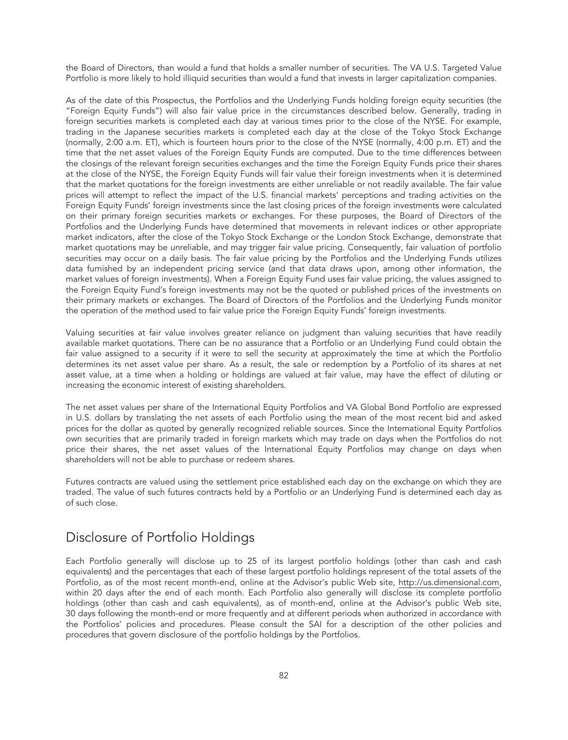the Board of Directors, than would a fund that holds a smaller number of securities. The VA U.S. Targeted Value Portfolio is more likely to hold illiquid securities than would a fund that invests in larger capitalization companies.

As of the date of this Prospectus, the Portfolios and the Underlying Funds holding foreign equity securities (the "Foreign Equity Funds") will also fair value price in the circumstances described below. Generally, trading in foreign securities markets is completed each day at various times prior to the close of the NYSE. For example, trading in the Japanese securities markets is completed each day at the close of the Tokyo Stock Exchange (normally, 2:00 a.m. ET), which is fourteen hours prior to the close of the NYSE (normally, 4:00 p.m. ET) and the time that the net asset values of the Foreign Equity Funds are computed. Due to the time differences between the closings of the relevant foreign securities exchanges and the time the Foreign Equity Funds price their shares at the close of the NYSE, the Foreign Equity Funds will fair value their foreign investments when it is determined that the market quotations for the foreign investments are either unreliable or not readily available. The fair value prices will attempt to reflect the impact of the U.S. financial markets' perceptions and trading activities on the Foreign Equity Funds' foreign investments since the last closing prices of the foreign investments were calculated on their primary foreign securities markets or exchanges. For these purposes, the Board of Directors of the Portfolios and the Underlying Funds have determined that movements in relevant indices or other appropriate market indicators, after the close of the Tokyo Stock Exchange or the London Stock Exchange, demonstrate that market quotations may be unreliable, and may trigger fair value pricing. Consequently, fair valuation of portfolio securities may occur on a daily basis. The fair value pricing by the Portfolios and the Underlying Funds utilizes data furnished by an independent pricing service (and that data draws upon, among other information, the market values of foreign investments). When a Foreign Equity Fund uses fair value pricing, the values assigned to the Foreign Equity Fund's foreign investments may not be the quoted or published prices of the investments on their primary markets or exchanges. The Board of Directors of the Portfolios and the Underlying Funds monitor the operation of the method used to fair value price the Foreign Equity Funds' foreign investments.

Valuing securities at fair value involves greater reliance on judgment than valuing securities that have readily available market quotations. There can be no assurance that a Portfolio or an Underlying Fund could obtain the fair value assigned to a security if it were to sell the security at approximately the time at which the Portfolio determines its net asset value per share. As a result, the sale or redemption by a Portfolio of its shares at net asset value, at a time when a holding or holdings are valued at fair value, may have the effect of diluting or increasing the economic interest of existing shareholders.

The net asset values per share of the International Equity Portfolios and VA Global Bond Portfolio are expressed in U.S. dollars by translating the net assets of each Portfolio using the mean of the most recent bid and asked prices for the dollar as quoted by generally recognized reliable sources. Since the International Equity Portfolios own securities that are primarily traded in foreign markets which may trade on days when the Portfolios do not price their shares, the net asset values of the International Equity Portfolios may change on days when shareholders will not be able to purchase or redeem shares.

Futures contracts are valued using the settlement price established each day on the exchange on which they are traded. The value of such futures contracts held by a Portfolio or an Underlying Fund is determined each day as of such close.

## Disclosure of Portfolio Holdings

Each Portfolio generally will disclose up to 25 of its largest portfolio holdings (other than cash and cash equivalents) and the percentages that each of these largest portfolio holdings represent of the total assets of the Portfolio, as of the most recent month-end, online at the Advisor's public Web site, http://us.dimensional.com, within 20 days after the end of each month. Each Portfolio also generally will disclose its complete portfolio holdings (other than cash and cash equivalents), as of month-end, online at the Advisor's public Web site, 30 days following the month-end or more frequently and at different periods when authorized in accordance with the Portfolios' policies and procedures. Please consult the SAI for a description of the other policies and procedures that govern disclosure of the portfolio holdings by the Portfolios.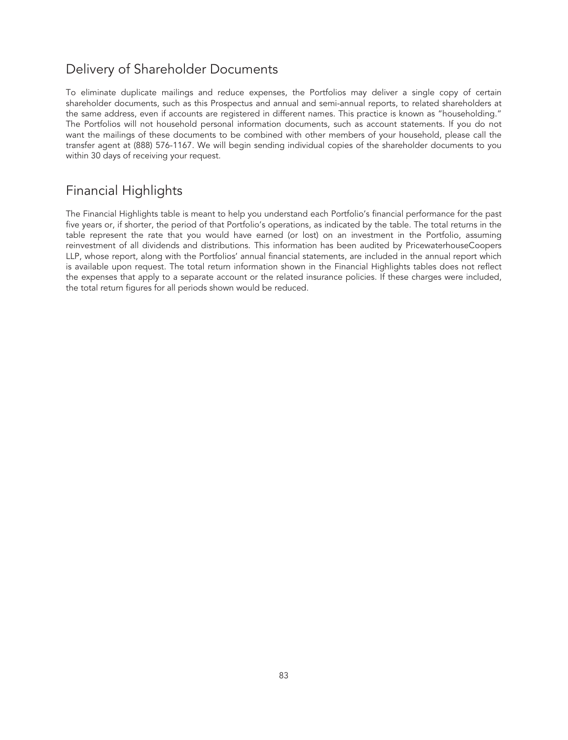# Delivery of Shareholder Documents

To eliminate duplicate mailings and reduce expenses, the Portfolios may deliver a single copy of certain shareholder documents, such as this Prospectus and annual and semi-annual reports, to related shareholders at the same address, even if accounts are registered in different names. This practice is known as "householding." The Portfolios will not household personal information documents, such as account statements. If you do not want the mailings of these documents to be combined with other members of your household, please call the transfer agent at (888) 576-1167. We will begin sending individual copies of the shareholder documents to you within 30 days of receiving your request.

## Financial Highlights

The Financial Highlights table is meant to help you understand each Portfolio's financial performance for the past five years or, if shorter, the period of that Portfolio's operations, as indicated by the table. The total returns in the table represent the rate that you would have earned (or lost) on an investment in the Portfolio, assuming reinvestment of all dividends and distributions. This information has been audited by PricewaterhouseCoopers LLP, whose report, along with the Portfolios' annual financial statements, are included in the annual report which is available upon request. The total return information shown in the Financial Highlights tables does not reflect the expenses that apply to a separate account or the related insurance policies. If these charges were included, the total return figures for all periods shown would be reduced.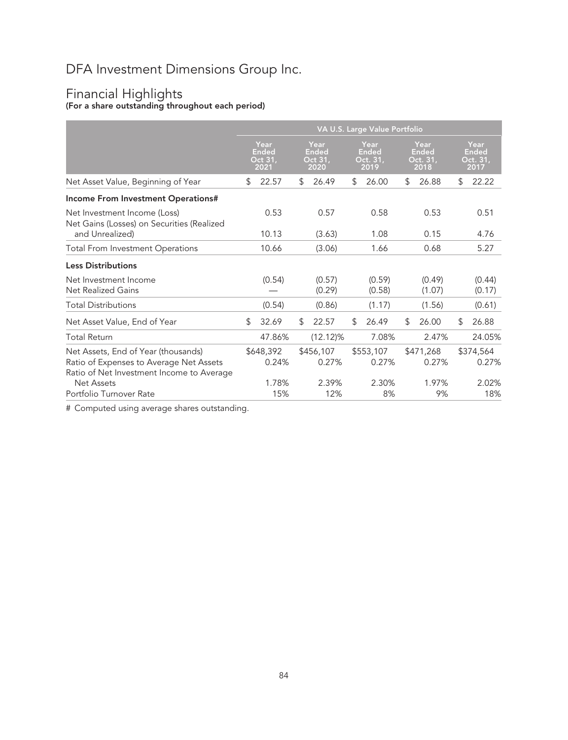## Financial Highlights (For a share outstanding throughout each period)

|                                                                                      | VA U.S. Large Value Portfolio |                                         |    |                                         |    |                                          |    |                                   |    |                                          |
|--------------------------------------------------------------------------------------|-------------------------------|-----------------------------------------|----|-----------------------------------------|----|------------------------------------------|----|-----------------------------------|----|------------------------------------------|
|                                                                                      |                               | Year<br><b>Ended</b><br>Oct 31,<br>2021 |    | Year<br><b>Ended</b><br>Oct 31,<br>2020 |    | Year<br><b>Ended</b><br>Oct. 31,<br>2019 |    | Year<br>Ended<br>Oct. 31,<br>2018 |    | Year<br><b>Ended</b><br>Oct. 31,<br>2017 |
| Net Asset Value, Beginning of Year                                                   | \$                            | 22.57                                   | \$ | 26.49                                   | \$ | 26.00                                    | \$ | 26.88                             | \$ | 22.22                                    |
| Income From Investment Operations#                                                   |                               |                                         |    |                                         |    |                                          |    |                                   |    |                                          |
| Net Investment Income (Loss)<br>Net Gains (Losses) on Securities (Realized           |                               | 0.53                                    |    | 0.57                                    |    | 0.58                                     |    | 0.53                              |    | 0.51                                     |
| and Unrealized)                                                                      |                               | 10.13                                   |    | (3.63)                                  |    | 1.08                                     |    | 0.15                              |    | 4.76                                     |
| <b>Total From Investment Operations</b>                                              |                               | 10.66                                   |    | (3.06)                                  |    | 1.66                                     |    | 0.68                              |    | 5.27                                     |
| <b>Less Distributions</b>                                                            |                               |                                         |    |                                         |    |                                          |    |                                   |    |                                          |
| Net Investment Income<br><b>Net Realized Gains</b>                                   |                               | (0.54)                                  |    | (0.57)<br>(0.29)                        |    | (0.59)<br>(0.58)                         |    | (0.49)<br>(1.07)                  |    | (0.44)<br>(0.17)                         |
| <b>Total Distributions</b>                                                           |                               | (0.54)                                  |    | (0.86)                                  |    | (1.17)                                   |    | (1.56)                            |    | (0.61)                                   |
| Net Asset Value, End of Year                                                         | \$                            | 32.69                                   | \$ | 22.57                                   | \$ | 26.49                                    | \$ | 26.00                             | \$ | 26.88                                    |
| <b>Total Return</b>                                                                  |                               | 47.86%                                  |    | $(12.12)\%$                             |    | 7.08%                                    |    | 2.47%                             |    | 24.05%                                   |
| Net Assets, End of Year (thousands)                                                  |                               | \$648,392                               |    | \$456,107                               |    | \$553,107                                |    | \$471,268                         |    | \$374,564                                |
| Ratio of Expenses to Average Net Assets<br>Ratio of Net Investment Income to Average |                               | 0.24%                                   |    | 0.27%                                   |    | 0.27%                                    |    | 0.27%                             |    | 0.27%                                    |
| <b>Net Assets</b>                                                                    |                               | 1.78%                                   |    | 2.39%                                   |    | 2.30%                                    |    | 1.97%                             |    | 2.02%                                    |
| Portfolio Turnover Rate                                                              |                               | 15%                                     |    | 12%                                     |    | 8%                                       |    | 9%                                |    | 18%                                      |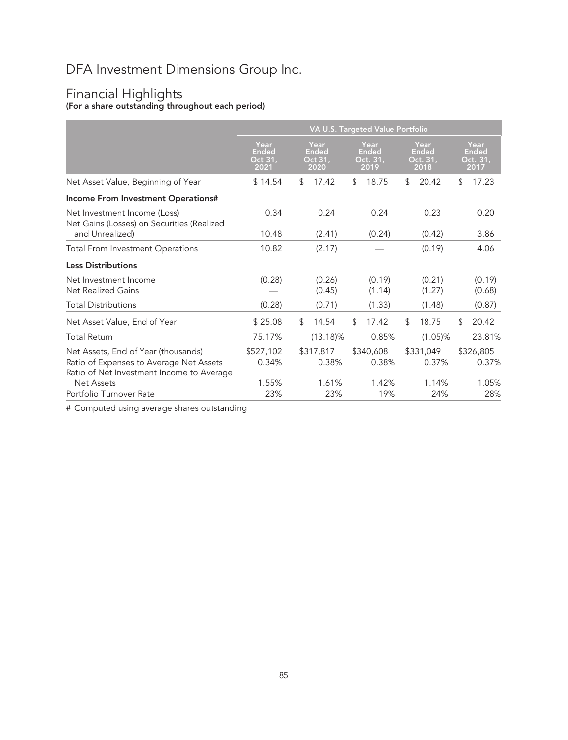## Financial Highlights (For a share outstanding throughout each period)

|                                                                                                                             | VA U.S. Targeted Value Portfolio        |                                         |                                   |                                          |                                          |  |  |  |  |  |
|-----------------------------------------------------------------------------------------------------------------------------|-----------------------------------------|-----------------------------------------|-----------------------------------|------------------------------------------|------------------------------------------|--|--|--|--|--|
|                                                                                                                             | Year<br><b>Ended</b><br>Oct 31,<br>2021 | Year<br><b>Ended</b><br>Oct 31,<br>2020 | Year<br>Ended<br>Oct. 31,<br>2019 | Year<br><b>Ended</b><br>Oct. 31,<br>2018 | Year<br><b>Ended</b><br>Oct. 31,<br>2017 |  |  |  |  |  |
| Net Asset Value, Beginning of Year                                                                                          | \$14.54                                 | \$<br>17.42                             | \$<br>18.75                       | \$<br>20.42                              | \$<br>17.23                              |  |  |  |  |  |
| Income From Investment Operations#                                                                                          |                                         |                                         |                                   |                                          |                                          |  |  |  |  |  |
| Net Investment Income (Loss)<br>Net Gains (Losses) on Securities (Realized                                                  | 0.34                                    | 0.24                                    | 0.24                              | 0.23                                     | 0.20                                     |  |  |  |  |  |
| and Unrealized)                                                                                                             | 10.48                                   | (2.41)                                  | (0.24)                            | (0.42)                                   | 3.86                                     |  |  |  |  |  |
| <b>Total From Investment Operations</b>                                                                                     | 10.82                                   | (2.17)                                  |                                   | (0.19)                                   | 4.06                                     |  |  |  |  |  |
| <b>Less Distributions</b>                                                                                                   |                                         |                                         |                                   |                                          |                                          |  |  |  |  |  |
| Net Investment Income<br><b>Net Realized Gains</b>                                                                          | (0.28)                                  | (0.26)<br>(0.45)                        | (0.19)<br>(1.14)                  | (0.21)<br>(1.27)                         | (0.19)<br>(0.68)                         |  |  |  |  |  |
| <b>Total Distributions</b>                                                                                                  | (0.28)                                  | (0.71)                                  | (1.33)                            | (1.48)                                   | (0.87)                                   |  |  |  |  |  |
| Net Asset Value, End of Year                                                                                                | \$25.08                                 | \$<br>14.54                             | \$<br>17.42                       | \$<br>18.75                              | \$<br>20.42                              |  |  |  |  |  |
| <b>Total Return</b>                                                                                                         | 75.17%                                  | $(13.18)\%$                             | 0.85%                             | $(1.05)\%$                               | 23.81%                                   |  |  |  |  |  |
| Net Assets, End of Year (thousands)<br>Ratio of Expenses to Average Net Assets<br>Ratio of Net Investment Income to Average | \$527,102<br>0.34%                      | \$317,817<br>0.38%                      | \$340,608<br>0.38%                | \$331,049<br>0.37%                       | \$326,805<br>0.37%                       |  |  |  |  |  |
| <b>Net Assets</b><br>Portfolio Turnover Rate                                                                                | 1.55%<br>23%                            | 1.61%<br>23%                            | 1.42%<br>19%                      | 1.14%<br>24%                             | 1.05%<br>28%                             |  |  |  |  |  |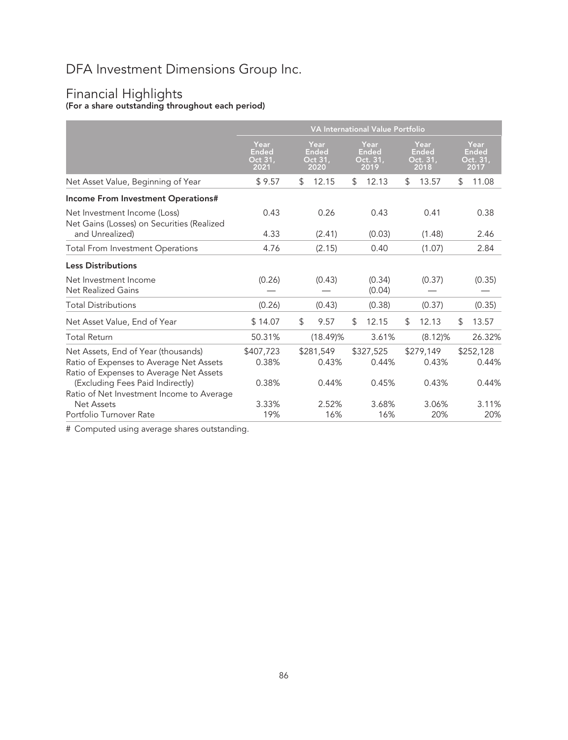## Financial Highlights (For a share outstanding throughout each period)

|                                                                                    | VA International Value Portfolio |                                  |                                   |                                   |                                   |  |  |  |  |
|------------------------------------------------------------------------------------|----------------------------------|----------------------------------|-----------------------------------|-----------------------------------|-----------------------------------|--|--|--|--|
|                                                                                    | Year<br>Ended<br>Oct 31,<br>2021 | Year<br>Ended<br>Oct 31,<br>2020 | Year<br>Ended<br>Oct. 31,<br>2019 | Year<br>Ended<br>Oct. 31,<br>2018 | Year<br>Ended<br>Oct. 31,<br>2017 |  |  |  |  |
| Net Asset Value, Beginning of Year                                                 | \$9.57                           | 12.15<br>\$.                     | 12.13<br>S.                       | 13.57<br>£.                       | 11.08<br>S.                       |  |  |  |  |
| Income From Investment Operations#                                                 |                                  |                                  |                                   |                                   |                                   |  |  |  |  |
| Net Investment Income (Loss)<br>Net Gains (Losses) on Securities (Realized         | 0.43                             | 0.26                             | 0.43                              | 0.41                              | 0.38                              |  |  |  |  |
| and Unrealized)                                                                    | 4.33                             | (2.41)                           | (0.03)                            | (1.48)                            | 2.46                              |  |  |  |  |
| <b>Total From Investment Operations</b>                                            | 4.76                             | (2.15)                           | 0.40                              | (1.07)                            | 2.84                              |  |  |  |  |
| <b>Less Distributions</b>                                                          |                                  |                                  |                                   |                                   |                                   |  |  |  |  |
| Net Investment Income<br>Net Realized Gains                                        | (0.26)                           | (0.43)                           | (0.34)<br>(0.04)                  | (0.37)                            | (0.35)                            |  |  |  |  |
| <b>Total Distributions</b>                                                         | (0.26)                           | (0.43)                           | (0.38)                            | (0.37)                            | (0.35)                            |  |  |  |  |
| Net Asset Value, End of Year                                                       | \$14.07                          | \$<br>9.57                       | \$<br>12.15                       | \$<br>12.13                       | \$<br>13.57                       |  |  |  |  |
| Total Return                                                                       | 50.31%                           | $(18.49)\%$                      | 3.61%                             | $(8.12)\%$                        | 26.32%                            |  |  |  |  |
| Net Assets, End of Year (thousands)                                                | \$407,723                        | \$281,549                        | \$327,525                         | \$279,149                         | \$252,128                         |  |  |  |  |
| Ratio of Expenses to Average Net Assets<br>Ratio of Expenses to Average Net Assets | 0.38%                            | 0.43%                            | 0.44%                             | 0.43%                             | 0.44%                             |  |  |  |  |
| (Excluding Fees Paid Indirectly)<br>Ratio of Net Investment Income to Average      | 0.38%                            | 0.44%                            | 0.45%                             | 0.43%                             | 0.44%                             |  |  |  |  |
| <b>Net Assets</b><br>Portfolio Turnover Rate                                       | 3.33%<br>19%                     | 2.52%<br>16%                     | 3.68%<br>16%                      | 3.06%<br>20%                      | 3.11%<br>20%                      |  |  |  |  |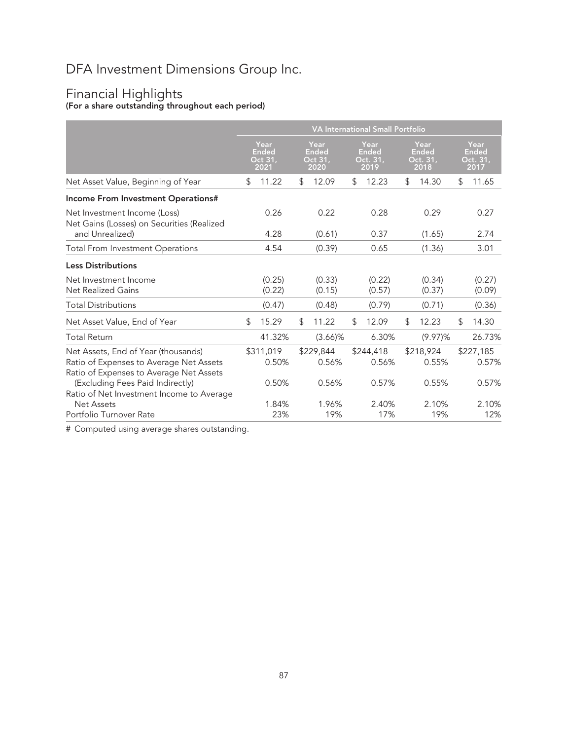## Financial Highlights (For a share outstanding throughout each period)

|                                                                                    | <b>VA International Small Portfolio</b> |                                         |     |                                  |     |                                   |     |                                            |                |                                   |
|------------------------------------------------------------------------------------|-----------------------------------------|-----------------------------------------|-----|----------------------------------|-----|-----------------------------------|-----|--------------------------------------------|----------------|-----------------------------------|
|                                                                                    |                                         | Year<br><b>Ended</b><br>Oct 31,<br>2021 |     | Year<br>Ended<br>Oct 31,<br>2020 |     | Year<br>Ended<br>Oct. 31,<br>2019 |     | Year<br><b>Ended</b><br>Oct. $31,$<br>2018 |                | Year<br>Ended<br>Oct. 31,<br>2017 |
| Net Asset Value, Beginning of Year                                                 | \$.                                     | 11.22                                   | \$. | 12.09                            | \$. | 12.23                             | \$. | 14.30                                      | \$             | 11.65                             |
| Income From Investment Operations#                                                 |                                         |                                         |     |                                  |     |                                   |     |                                            |                |                                   |
| Net Investment Income (Loss)<br>Net Gains (Losses) on Securities (Realized         |                                         | 0.26                                    |     | 0.22                             |     | 0.28                              |     | 0.29                                       |                | 0.27                              |
| and Unrealized)                                                                    |                                         | 4.28                                    |     | (0.61)                           |     | 0.37                              |     | (1.65)                                     |                | 2.74                              |
| <b>Total From Investment Operations</b>                                            |                                         | 4.54                                    |     | (0.39)                           |     | 0.65                              |     | (1.36)                                     |                | 3.01                              |
| <b>Less Distributions</b>                                                          |                                         |                                         |     |                                  |     |                                   |     |                                            |                |                                   |
| Net Investment Income                                                              |                                         | (0.25)                                  |     | (0.33)                           |     | (0.22)                            |     | (0.34)                                     |                | (0.27)                            |
| <b>Net Realized Gains</b>                                                          |                                         | (0.22)                                  |     | (0.15)                           |     | (0.57)                            |     | (0.37)                                     |                | (0.09)                            |
| <b>Total Distributions</b>                                                         |                                         | (0.47)                                  |     | (0.48)                           |     | (0.79)                            |     | (0.71)                                     |                | (0.36)                            |
| Net Asset Value, End of Year                                                       | \$                                      | 15.29                                   | \$  | 11.22                            | \$  | 12.09                             | \$  | 12.23                                      | $\mathfrak{L}$ | 14.30                             |
| <b>Total Return</b>                                                                |                                         | 41.32%                                  |     | $(3.66)\%$                       |     | 6.30%                             |     | $(9.97)$ %                                 |                | 26.73%                            |
| Net Assets, End of Year (thousands)                                                |                                         | \$311,019                               |     | \$229,844                        |     | \$244,418                         |     | \$218,924                                  |                | \$227,185                         |
| Ratio of Expenses to Average Net Assets<br>Ratio of Expenses to Average Net Assets |                                         | 0.50%                                   |     | 0.56%                            |     | 0.56%                             |     | 0.55%                                      |                | 0.57%                             |
| (Excluding Fees Paid Indirectly)                                                   |                                         | 0.50%                                   |     | 0.56%                            |     | 0.57%                             |     | 0.55%                                      |                | 0.57%                             |
| Ratio of Net Investment Income to Average<br><b>Net Assets</b>                     |                                         | 1.84%                                   |     | 1.96%                            |     | 2.40%                             |     | 2.10%                                      |                | 2.10%                             |
| Portfolio Turnover Rate                                                            |                                         | 23%                                     |     | 19%                              |     | 17%                               |     | 19%                                        |                | 12%                               |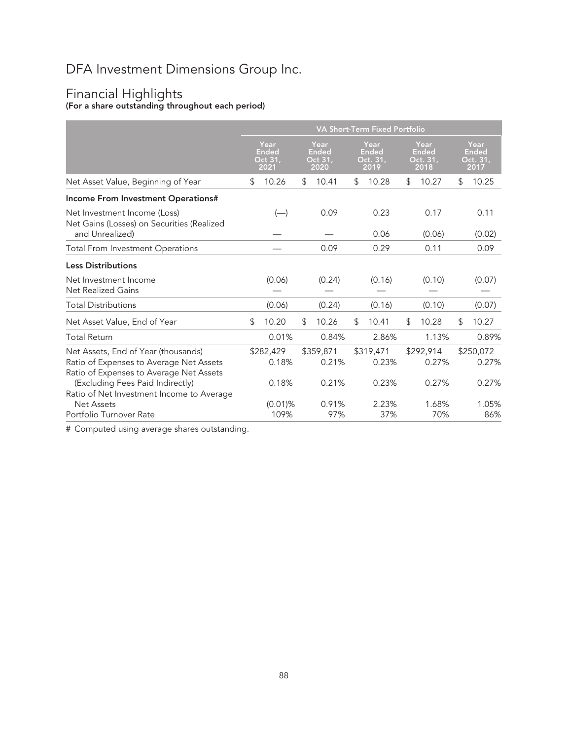## Financial Highlights (For a share outstanding throughout each period)

|                                                                                                                           | <b>VA Short-Term Fixed Portfolio</b> |                                  |    |                                  |    |                                          |                |                                   |    |                                   |
|---------------------------------------------------------------------------------------------------------------------------|--------------------------------------|----------------------------------|----|----------------------------------|----|------------------------------------------|----------------|-----------------------------------|----|-----------------------------------|
|                                                                                                                           |                                      | Year<br>Ended<br>Oct 31,<br>2021 |    | Year<br>Ended<br>Oct 31,<br>2020 |    | Year<br><b>Ended</b><br>Oct. 31,<br>2019 |                | Year<br>Ended<br>Oct. 31,<br>2018 |    | Year<br>Ended<br>Oct. 31,<br>2017 |
| Net Asset Value, Beginning of Year                                                                                        | S                                    | 10.26                            | \$ | 10.41                            | \$ | 10.28                                    | \$             | 10.27                             | \$ | 10.25                             |
| Income From Investment Operations#                                                                                        |                                      |                                  |    |                                  |    |                                          |                |                                   |    |                                   |
| Net Investment Income (Loss)<br>Net Gains (Losses) on Securities (Realized                                                |                                      | $(-)$                            |    | 0.09                             |    | 0.23                                     |                | 0.17                              |    | 0.11                              |
| and Unrealized)                                                                                                           |                                      |                                  |    |                                  |    | 0.06                                     |                | (0.06)                            |    | (0.02)                            |
| <b>Total From Investment Operations</b>                                                                                   |                                      |                                  |    | 0.09                             |    | 0.29                                     |                | 0.11                              |    | 0.09                              |
| <b>Less Distributions</b>                                                                                                 |                                      |                                  |    |                                  |    |                                          |                |                                   |    |                                   |
| Net Investment Income<br><b>Net Realized Gains</b>                                                                        |                                      | (0.06)                           |    | (0.24)                           |    | (0.16)                                   |                | (0.10)                            |    | (0.07)                            |
| <b>Total Distributions</b>                                                                                                |                                      | (0.06)                           |    | (0.24)                           |    | (0.16)                                   |                | (0.10)                            |    | (0.07)                            |
| Net Asset Value, End of Year                                                                                              | \$                                   | 10.20                            | \$ | 10.26                            | \$ | 10.41                                    | $\mathfrak{L}$ | 10.28                             | \$ | 10.27                             |
| <b>Total Return</b>                                                                                                       |                                      | 0.01%                            |    | 0.84%                            |    | 2.86%                                    |                | 1.13%                             |    | 0.89%                             |
| Net Assets, End of Year (thousands)<br>Ratio of Expenses to Average Net Assets<br>Ratio of Expenses to Average Net Assets |                                      | \$282,429<br>0.18%               |    | \$359,871<br>0.21%               |    | \$319,471<br>0.23%                       |                | \$292,914<br>0.27%                |    | \$250,072<br>0.27%                |
| (Excluding Fees Paid Indirectly)<br>Ratio of Net Investment Income to Average                                             |                                      | 0.18%                            |    | 0.21%                            |    | 0.23%                                    |                | 0.27%                             |    | 0.27%                             |
| <b>Net Assets</b><br>Portfolio Turnover Rate                                                                              |                                      | $(0.01)\%$<br>109%               |    | 0.91%<br>97%                     |    | 2.23%<br>37%                             |                | 1.68%<br>70%                      |    | 1.05%<br>86%                      |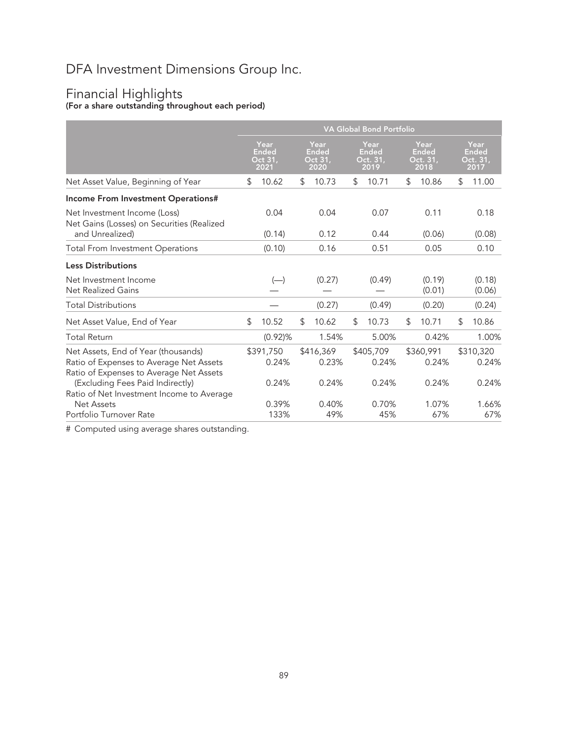## Financial Highlights (For a share outstanding throughout each period)

|                                                                                    | <b>VA Global Bond Portfolio</b>  |                                  |                                          |                                          |                                   |  |  |  |
|------------------------------------------------------------------------------------|----------------------------------|----------------------------------|------------------------------------------|------------------------------------------|-----------------------------------|--|--|--|
|                                                                                    | Year<br>Ended<br>Oct 31,<br>2021 | Year<br>Ended<br>Oct 31,<br>2020 | Year<br><b>Ended</b><br>Oct. 31,<br>2019 | Year<br><b>Ended</b><br>Oct. 31,<br>2018 | Year<br>Ended<br>Oct. 31,<br>2017 |  |  |  |
| Net Asset Value, Beginning of Year                                                 | 10.62<br>\$                      | 10.73<br>\$                      | 10.71<br>\$                              | 10.86<br>\$                              | 11.00<br>\$                       |  |  |  |
| Income From Investment Operations#                                                 |                                  |                                  |                                          |                                          |                                   |  |  |  |
| Net Investment Income (Loss)<br>Net Gains (Losses) on Securities (Realized         | 0.04                             | 0.04                             | 0.07                                     | 0.11                                     | 0.18                              |  |  |  |
| and Unrealized)                                                                    | (0.14)                           | 0.12                             | 0.44                                     | (0.06)                                   | (0.08)                            |  |  |  |
| <b>Total From Investment Operations</b>                                            | (0.10)                           | 0.16                             | 0.51                                     | 0.05                                     | 0.10                              |  |  |  |
| <b>Less Distributions</b>                                                          |                                  |                                  |                                          |                                          |                                   |  |  |  |
| Net Investment Income<br><b>Net Realized Gains</b>                                 | $(-)$                            | (0.27)                           | (0.49)                                   | (0.19)<br>(0.01)                         | (0.18)<br>(0.06)                  |  |  |  |
| <b>Total Distributions</b>                                                         |                                  | (0.27)                           | (0.49)                                   | (0.20)                                   | (0.24)                            |  |  |  |
| Net Asset Value, End of Year                                                       | \$<br>10.52                      | \$<br>10.62                      | \$<br>10.73                              | \$<br>10.71                              | \$<br>10.86                       |  |  |  |
| Total Return                                                                       | $(0.92)$ %                       | 1.54%                            | 5.00%                                    | 0.42%                                    | 1.00%                             |  |  |  |
| Net Assets, End of Year (thousands)                                                | \$391,750                        | \$416,369                        | \$405,709                                | \$360,991                                | \$310,320                         |  |  |  |
| Ratio of Expenses to Average Net Assets<br>Ratio of Expenses to Average Net Assets | 0.24%                            | 0.23%                            | 0.24%                                    | 0.24%                                    | 0.24%                             |  |  |  |
| (Excluding Fees Paid Indirectly)<br>Ratio of Net Investment Income to Average      | 0.24%                            | 0.24%                            | 0.24%                                    | 0.24%                                    | 0.24%                             |  |  |  |
| <b>Net Assets</b><br>Portfolio Turnover Rate                                       | 0.39%<br>133%                    | 0.40%<br>49%                     | 0.70%<br>45%                             | 1.07%<br>67%                             | 1.66%<br>67%                      |  |  |  |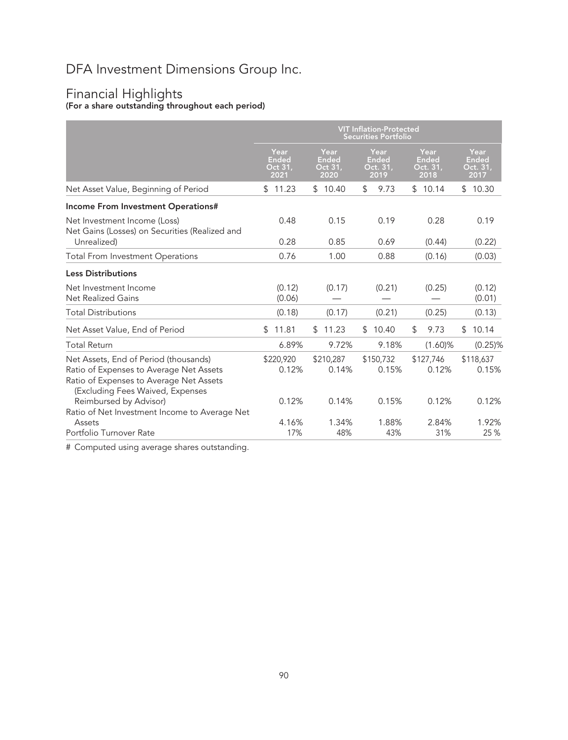# Financial Highlights

(For a share outstanding throughout each period)

|                                                                                                                                                                 | <b>VIT Inflation-Protected</b><br><b>Securities Portfolio</b> |                                         |                                          |                                          |                                          |  |  |  |
|-----------------------------------------------------------------------------------------------------------------------------------------------------------------|---------------------------------------------------------------|-----------------------------------------|------------------------------------------|------------------------------------------|------------------------------------------|--|--|--|
|                                                                                                                                                                 | Year<br>Ended<br>Oct 31,<br>2021                              | Year<br><b>Ended</b><br>Oct 31,<br>2020 | Year<br><b>Ended</b><br>Oct. 31,<br>2019 | Year<br><b>Ended</b><br>Oct. 31,<br>2018 | Year<br><b>Ended</b><br>Oct. 31,<br>2017 |  |  |  |
| Net Asset Value, Beginning of Period                                                                                                                            | \$11.23                                                       | \$10.40                                 | 9.73<br>\$                               | \$10.14                                  | \$10.30                                  |  |  |  |
| Income From Investment Operations#                                                                                                                              |                                                               |                                         |                                          |                                          |                                          |  |  |  |
| Net Investment Income (Loss)<br>Net Gains (Losses) on Securities (Realized and                                                                                  | 0.48                                                          | 0.15                                    | 0.19                                     | 0.28                                     | 0.19                                     |  |  |  |
| Unrealized)                                                                                                                                                     | 0.28                                                          | 0.85                                    | 0.69                                     | (0.44)                                   | (0.22)                                   |  |  |  |
| <b>Total From Investment Operations</b>                                                                                                                         | 0.76                                                          | 1.00                                    | 0.88                                     | (0.16)                                   | (0.03)                                   |  |  |  |
| <b>Less Distributions</b>                                                                                                                                       |                                                               |                                         |                                          |                                          |                                          |  |  |  |
| Net Investment Income<br><b>Net Realized Gains</b>                                                                                                              | (0.12)<br>(0.06)                                              | (0.17)                                  | (0.21)                                   | (0.25)                                   | (0.12)<br>(0.01)                         |  |  |  |
| <b>Total Distributions</b>                                                                                                                                      | (0.18)                                                        | (0.17)                                  | (0.21)                                   | (0.25)                                   | (0.13)                                   |  |  |  |
| Net Asset Value, End of Period                                                                                                                                  | 11.81<br>\$.                                                  | \$11.23                                 | 10.40<br>\$                              | \$<br>9.73                               | \$10.14                                  |  |  |  |
| <b>Total Return</b>                                                                                                                                             | 6.89%                                                         | 9.72%                                   | 9.18%                                    | $(1.60)\%$                               | $(0.25)\%$                               |  |  |  |
| Net Assets, End of Period (thousands)<br>Ratio of Expenses to Average Net Assets<br>Ratio of Expenses to Average Net Assets<br>(Excluding Fees Waived, Expenses | \$220,920<br>0.12%                                            | \$210,287<br>0.14%                      | \$150,732<br>0.15%                       | \$127,746<br>0.12%                       | \$118,637<br>0.15%                       |  |  |  |
| Reimbursed by Advisor)<br>Ratio of Net Investment Income to Average Net                                                                                         | 0.12%                                                         | 0.14%                                   | 0.15%                                    | 0.12%                                    | 0.12%                                    |  |  |  |
| Assets<br>Portfolio Turnover Rate                                                                                                                               | 4.16%<br>17%                                                  | 1.34%<br>48%                            | 1.88%<br>43%                             | 2.84%<br>31%                             | 1.92%<br>25 %                            |  |  |  |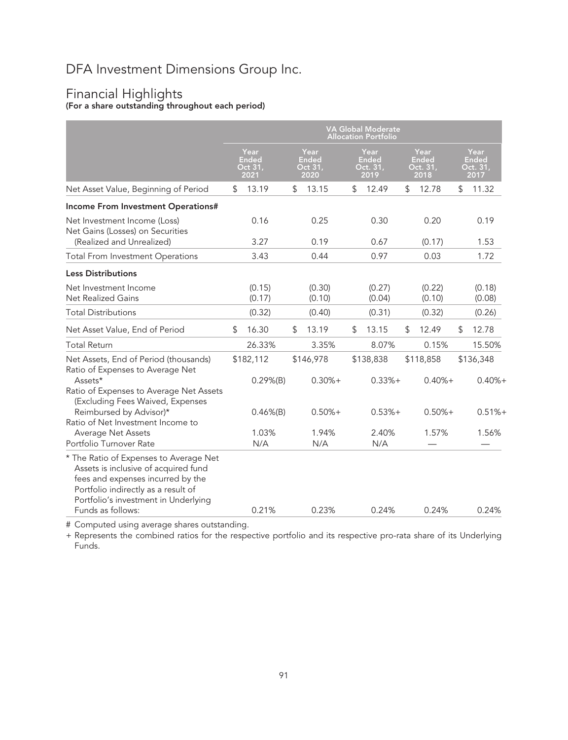# Financial Highlights

(For a share outstanding throughout each period)

|                                                                                                                                                                                                                         |                                  |                                  | <b>VA Global Moderate</b><br><b>Allocation Portfolio</b> |                                          |                                   |
|-------------------------------------------------------------------------------------------------------------------------------------------------------------------------------------------------------------------------|----------------------------------|----------------------------------|----------------------------------------------------------|------------------------------------------|-----------------------------------|
|                                                                                                                                                                                                                         | Year<br>Ended<br>Oct 31,<br>2021 | Year<br>Ended<br>Oct 31,<br>2020 | Year<br>Ended<br>Oct. 31,<br>2019                        | Year<br><b>Ended</b><br>Oct. 31,<br>2018 | Year<br>Ended<br>Oct. 31,<br>2017 |
| Net Asset Value, Beginning of Period                                                                                                                                                                                    | \$<br>13.19                      | \$<br>13.15                      | \$<br>12.49                                              | \$<br>12.78                              | \$<br>11.32                       |
| Income From Investment Operations#                                                                                                                                                                                      |                                  |                                  |                                                          |                                          |                                   |
| Net Investment Income (Loss)<br>Net Gains (Losses) on Securities                                                                                                                                                        | 0.16                             | 0.25                             | 0.30                                                     | 0.20                                     | 0.19                              |
| (Realized and Unrealized)                                                                                                                                                                                               | 3.27                             | 0.19                             | 0.67                                                     | (0.17)                                   | 1.53                              |
| <b>Total From Investment Operations</b>                                                                                                                                                                                 | 3.43                             | 0.44                             | 0.97                                                     | 0.03                                     | 1.72                              |
| <b>Less Distributions</b>                                                                                                                                                                                               |                                  |                                  |                                                          |                                          |                                   |
| Net Investment Income<br><b>Net Realized Gains</b>                                                                                                                                                                      | (0.15)<br>(0.17)                 | (0.30)<br>(0.10)                 | (0.27)<br>(0.04)                                         | (0.22)<br>(0.10)                         | (0.18)<br>(0.08)                  |
| <b>Total Distributions</b>                                                                                                                                                                                              | (0.32)                           | (0.40)                           | (0.31)                                                   | (0.32)                                   | (0.26)                            |
| Net Asset Value, End of Period                                                                                                                                                                                          | \$<br>16.30                      | \$<br>13.19                      | \$<br>13.15                                              | \$<br>12.49                              | \$<br>12.78                       |
| <b>Total Return</b>                                                                                                                                                                                                     | 26.33%                           | 3.35%                            | 8.07%                                                    | 0.15%                                    | 15.50%                            |
| Net Assets, End of Period (thousands)<br>Ratio of Expenses to Average Net                                                                                                                                               | \$182,112                        | \$146,978                        | \$138,838                                                | \$118,858                                | \$136,348                         |
| Assets*<br>Ratio of Expenses to Average Net Assets                                                                                                                                                                      | $0.29%$ $(B)$                    | $0.30% +$                        | $0.33% +$                                                | $0.40% +$                                | $0.40% +$                         |
| (Excluding Fees Waived, Expenses<br>Reimbursed by Advisor)*<br>Ratio of Net Investment Income to                                                                                                                        | $0.46\%$ (B)                     | $0.50% +$                        | $0.53%+$                                                 | $0.50% +$                                | $0.51% +$                         |
| <b>Average Net Assets</b>                                                                                                                                                                                               | 1.03%                            | 1.94%                            | 2.40%                                                    | 1.57%                                    | 1.56%                             |
| Portfolio Turnover Rate                                                                                                                                                                                                 | N/A                              | N/A                              | N/A                                                      |                                          |                                   |
| * The Ratio of Expenses to Average Net<br>Assets is inclusive of acquired fund<br>fees and expenses incurred by the<br>Portfolio indirectly as a result of<br>Portfolio's investment in Underlying<br>Funds as follows: | 0.21%                            | 0.23%                            | 0.24%                                                    | 0.24%                                    | 0.24%                             |

# Computed using average shares outstanding.

+ Represents the combined ratios for the respective portfolio and its respective pro-rata share of its Underlying Funds.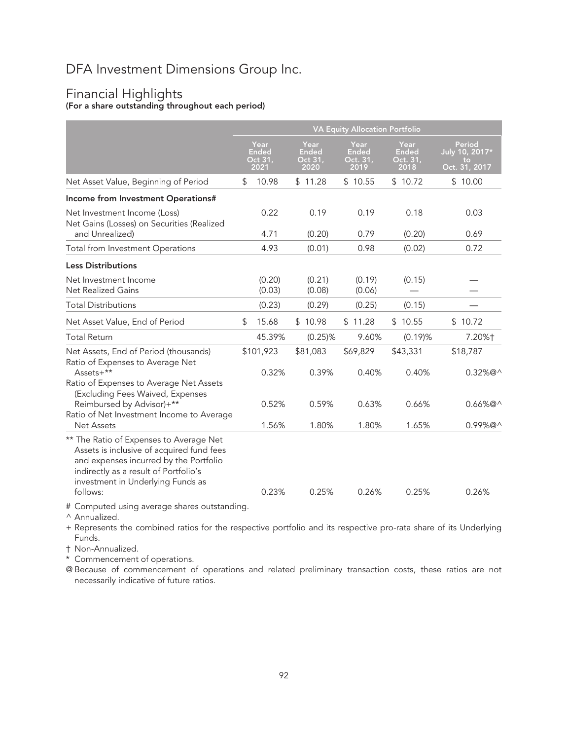## Financial Highlights (For a share outstanding throughout each period)

|                                                                                                                                                                                                                          |                                  |                                  | VA Equity Allocation Portfolio    |                                   |                                                 |
|--------------------------------------------------------------------------------------------------------------------------------------------------------------------------------------------------------------------------|----------------------------------|----------------------------------|-----------------------------------|-----------------------------------|-------------------------------------------------|
|                                                                                                                                                                                                                          | Year<br>Ended<br>Oct 31,<br>2021 | Year<br>Ended<br>Oct 31,<br>2020 | Year<br>Ended<br>Oct. 31,<br>2019 | Year<br>Ended<br>Oct. 31,<br>2018 | Period<br>July 10, 2017*<br>to<br>Oct. 31, 2017 |
| Net Asset Value, Beginning of Period                                                                                                                                                                                     | \$<br>10.98                      | \$11.28                          | \$10.55                           | \$10.72                           | \$10.00                                         |
| Income from Investment Operations#                                                                                                                                                                                       |                                  |                                  |                                   |                                   |                                                 |
| Net Investment Income (Loss)<br>Net Gains (Losses) on Securities (Realized<br>and Unrealized)                                                                                                                            | 0.22<br>4.71                     | 0.19<br>(0.20)                   | 0.19<br>0.79                      | 0.18<br>(0.20)                    | 0.03<br>0.69                                    |
| Total from Investment Operations                                                                                                                                                                                         | 4.93                             | (0.01)                           | 0.98                              | (0.02)                            | 0.72                                            |
| <b>Less Distributions</b>                                                                                                                                                                                                |                                  |                                  |                                   |                                   |                                                 |
| Net Investment Income<br><b>Net Realized Gains</b>                                                                                                                                                                       | (0.20)<br>(0.03)                 | (0.21)<br>(0.08)                 | (0.19)<br>(0.06)                  | (0.15)                            |                                                 |
| <b>Total Distributions</b>                                                                                                                                                                                               | (0.23)                           | (0.29)                           | (0.25)                            | (0.15)                            |                                                 |
| Net Asset Value, End of Period                                                                                                                                                                                           | \$<br>15.68                      | \$10.98                          | \$11.28                           | \$10.55                           | \$10.72                                         |
| <b>Total Return</b>                                                                                                                                                                                                      | 45.39%                           | $(0.25)\%$                       | 9.60%                             | (0.19)%                           | 7.20%+                                          |
| Net Assets, End of Period (thousands)<br>Ratio of Expenses to Average Net                                                                                                                                                | \$101,923                        | \$81,083                         | \$69,829                          | \$43,331                          | \$18,787                                        |
| Assets+**<br>Ratio of Expenses to Average Net Assets<br>(Excluding Fees Waived, Expenses                                                                                                                                 | 0.32%                            | 0.39%                            | 0.40%                             | 0.40%                             | $0.32\%$ @^                                     |
| Reimbursed by Advisor)+**<br>Ratio of Net Investment Income to Average                                                                                                                                                   | 0.52%                            | 0.59%                            | 0.63%                             | 0.66%                             | $0.66\%$ @^                                     |
| <b>Net Assets</b>                                                                                                                                                                                                        | 1.56%                            | 1.80%                            | 1.80%                             | 1.65%                             | $0.99\%$ @^                                     |
| ** The Ratio of Expenses to Average Net<br>Assets is inclusive of acquired fund fees<br>and expenses incurred by the Portfolio<br>indirectly as a result of Portfolio's<br>investment in Underlying Funds as<br>follows: | 0.23%                            | 0.25%                            | 0.26%                             | 0.25%                             | 0.26%                                           |

# Computed using average shares outstanding.

^ Annualized.

+ Represents the combined ratios for the respective portfolio and its respective pro-rata share of its Underlying Funds.

† Non-Annualized.

\* Commencement of operations.

@ Because of commencement of operations and related preliminary transaction costs, these ratios are not necessarily indicative of future ratios.